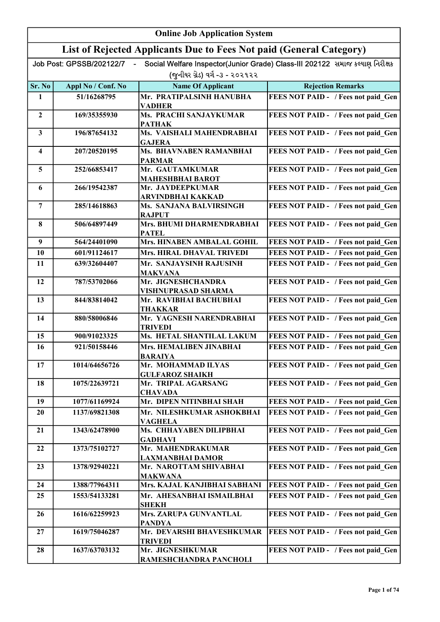|                         | <b>Online Job Application System</b> |                                                                     |                                                                              |
|-------------------------|--------------------------------------|---------------------------------------------------------------------|------------------------------------------------------------------------------|
|                         |                                      | List of Rejected Applicants Due to Fees Not paid (General Category) |                                                                              |
|                         | Job Post: GPSSB/202122/7             |                                                                     | Social Welfare Inspector(Junior Grade) Class-III 202122 સમાજ કલ્યાણ નિરીક્ષક |
|                         |                                      | (જુનીયર ગ્રેડ) વર્ગ -૩ - ૨૦૨૧૨૨                                     |                                                                              |
| Sr. No                  | Appl No / Conf. No                   | <b>Name Of Applicant</b>                                            | <b>Rejection Remarks</b>                                                     |
| $\mathbf{1}$            | 51/16268795                          | Mr. PRATIPALSINH HANUBHA                                            | FEES NOT PAID - / Fees not paid Gen                                          |
|                         |                                      | <b>VADHER</b>                                                       |                                                                              |
| $\boldsymbol{2}$        | 169/35355930                         | Ms. PRACHI SANJAYKUMAR<br><b>PATHAK</b>                             | FEES NOT PAID - / Fees not paid Gen                                          |
| $\overline{\mathbf{3}}$ | 196/87654132                         | Ms. VAISHALI MAHENDRABHAI                                           | FEES NOT PAID - / Fees not paid Gen                                          |
| 4                       | 207/20520195                         | <b>GAJERA</b><br>Ms. BHAVNABEN RAMANBHAI                            | FEES NOT PAID - / Fees not paid Gen                                          |
|                         |                                      | <b>PARMAR</b>                                                       |                                                                              |
| 5                       | 252/66853417                         | Mr. GAUTAMKUMAR<br><b>MAHESHBHAI BAROT</b>                          | FEES NOT PAID - / Fees not paid Gen                                          |
| 6                       | 266/19542387                         | Mr. JAYDEEPKUMAR<br><b>ARVINDBHAI KAKKAD</b>                        | FEES NOT PAID - / Fees not paid Gen                                          |
| 7                       | 285/14618863                         | Ms. SANJANA BALVIRSINGH<br><b>RAJPUT</b>                            | FEES NOT PAID - / Fees not paid Gen                                          |
| 8                       | 506/64897449                         | Mrs. BHUMI DHARMENDRABHAI<br><b>PATEL</b>                           | FEES NOT PAID - / Fees not paid Gen                                          |
| $\boldsymbol{9}$        | 564/24401090                         | <b>Mrs. HINABEN AMBALAL GOHIL</b>                                   | FEES NOT PAID - / Fees not paid Gen                                          |
| 10                      | 601/91124617                         | <b>Mrs. HIRAL DHAVAL TRIVEDI</b>                                    | FEES NOT PAID - / Fees not paid Gen                                          |
| 11                      | 639/32604407                         | Mr. SANJAYSINH RAJUSINH<br><b>MAKVANA</b>                           | FEES NOT PAID - / Fees not paid Gen                                          |
| 12                      | 787/53702066                         | Mr. JIGNESHCHANDRA<br><b>VISHNUPRASAD SHARMA</b>                    | FEES NOT PAID - / Fees not paid Gen                                          |
| 13                      | 844/83814042                         | Mr. RAVIBHAI BACHUBHAI<br><b>THAKKAR</b>                            | FEES NOT PAID - / Fees not paid Gen                                          |
| 14                      | 880/58006846                         | Mr. YAGNESH NARENDRABHAI<br><b>TRIVEDI</b>                          | FEES NOT PAID - / Fees not paid Gen                                          |
| 15                      | 900/91023325                         | Ms. HETAL SHANTILAL LAKUM                                           | FEES NOT PAID - / Fees not paid Gen                                          |
| 16                      | 921/50158446                         | Mrs. HEMALIBEN JINABHAI<br>BARAIYA                                  | FEES NOT PAID - / Fees not paid Gen                                          |
| 17                      | 1014/64656726                        | Mr. MOHAMMAD ILYAS<br><b>GULFAROZ SHAIKH</b>                        | FEES NOT PAID - / Fees not paid Gen                                          |
| 18                      | 1075/22639721                        | Mr. TRIPAL AGARSANG<br><b>CHAVADA</b>                               | FEES NOT PAID - / Fees not paid Gen                                          |
| 19                      | 1077/61169924                        | Mr. DIPEN NITINBHAI SHAH                                            | FEES NOT PAID - / Fees not paid Gen                                          |
| 20                      | 1137/69821308                        | Mr. NILESHKUMAR ASHOKBHAI                                           | FEES NOT PAID - / Fees not paid Gen                                          |
|                         |                                      | <b>VAGHELA</b>                                                      |                                                                              |
| 21                      | 1343/62478900                        | Ms. CHHAYABEN DILIPBHAI<br><b>GADHAVI</b>                           | FEES NOT PAID - / Fees not paid Gen                                          |
| 22                      | 1373/75102727                        | Mr. MAHENDRAKUMAR<br><b>LAXMANBHAI DAMOR</b>                        | FEES NOT PAID - / Fees not paid Gen                                          |
| 23                      | 1378/92940221                        | Mr. NAROTTAM SHIVABHAI<br><b>MAKWANA</b>                            | FEES NOT PAID - / Fees not paid Gen                                          |
| 24                      | 1388/77964311                        | Mrs. KAJAL KANJIBHAI SABHANI                                        | FEES NOT PAID - / Fees not paid Gen                                          |
| 25                      | 1553/54133281                        | Mr. AHESANBHAI ISMAILBHAI                                           | FEES NOT PAID - / Fees not paid Gen                                          |
| 26                      | 1616/62259923                        | <b>SHEKH</b><br>Mrs. ZARUPA GUNVANTLAL                              | FEES NOT PAID - / Fees not paid Gen                                          |
|                         |                                      | <b>PANDYA</b>                                                       |                                                                              |
| 27                      | 1619/75046287                        | Mr. DEVARSHI BHAVESHKUMAR<br><b>TRIVEDI</b>                         | FEES NOT PAID - / Fees not paid Gen                                          |
| 28                      | 1637/63703132                        | Mr. JIGNESHKUMAR<br>RAMESHCHANDRA PANCHOLI                          | FEES NOT PAID - / Fees not paid Gen                                          |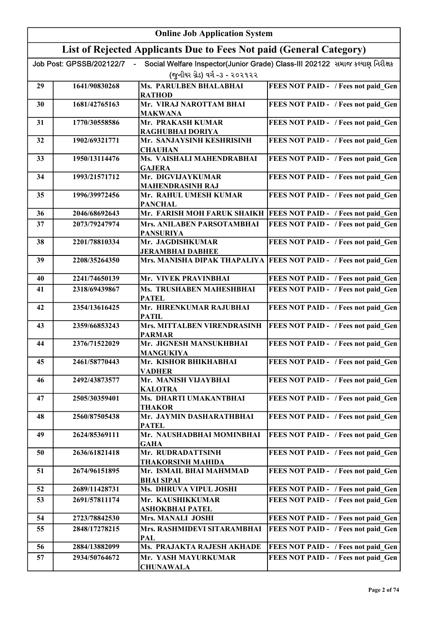|          | <b>Online Job Application System</b> |                                                                     |                                                                              |
|----------|--------------------------------------|---------------------------------------------------------------------|------------------------------------------------------------------------------|
|          |                                      | List of Rejected Applicants Due to Fees Not paid (General Category) |                                                                              |
|          | Job Post: GPSSB/202122/7             |                                                                     | Social Welfare Inspector(Junior Grade) Class-III 202122 સમાજ કલ્યાણ નિરીક્ષક |
|          |                                      | (જુનીયર ગ્રેડ) વર્ગ -૩ - ૨૦૨૧૨૨                                     |                                                                              |
| 29       | 1641/90830268                        | Ms. PARULBEN BHALABHAI<br><b>RATHOD</b>                             | FEES NOT PAID - / Fees not paid_Gen                                          |
| 30       | 1681/42765163                        | Mr. VIRAJ NAROTTAM BHAI                                             | FEES NOT PAID - / Fees not paid Gen                                          |
|          |                                      | <b>MAKWANA</b>                                                      |                                                                              |
| 31       | 1770/30558586                        | Mr. PRAKASH KUMAR<br>RAGHUBHAI DORIYA                               | FEES NOT PAID - / Fees not paid Gen                                          |
| 32       | 1902/69321771                        | Mr. SANJAYSINH KESHRISINH                                           | FEES NOT PAID - / Fees not paid Gen                                          |
| 33       | 1950/13114476                        | <b>CHAUHAN</b><br>Ms. VAISHALI MAHENDRABHAI                         | FEES NOT PAID - / Fees not paid Gen                                          |
|          |                                      | <b>GAJERA</b>                                                       |                                                                              |
| 34       | 1993/21571712                        | Mr. DIGVIJAYKUMAR                                                   | FEES NOT PAID - / Fees not paid Gen                                          |
| 35       | 1996/39972456                        | <b>MAHENDRASINH RAJ</b><br>Mr. RAHUL UMESH KUMAR                    | FEES NOT PAID - / Fees not paid Gen                                          |
|          |                                      | <b>PANCHAL</b>                                                      |                                                                              |
| 36       | 2046/68692643                        | Mr. FARISH MOH FARUK SHAIKH                                         | <b>FEES NOT PAID - / Fees not paid Gen</b>                                   |
| 37       | 2073/79247974                        | Mrs. ANILABEN PARSOTAMBHAI<br><b>PANSURIYA</b>                      | FEES NOT PAID - / Fees not paid Gen                                          |
| 38       | 2201/78810334                        | Mr. JAGDISHKUMAR                                                    | FEES NOT PAID - / Fees not paid Gen                                          |
|          |                                      | <b>JERAMBHAI DABHEE</b>                                             |                                                                              |
| 39       | 2208/35264350                        |                                                                     | Mrs. MANISHA DIPAK THAPALIYA   FEES NOT PAID - / Fees not paid Gen           |
| 40       | 2241/74650139                        | Mr. VIVEK PRAVINBHAI                                                | FEES NOT PAID - / Fees not paid Gen                                          |
| 41       | 2318/69439867                        | Ms. TRUSHABEN MAHESHBHAI                                            | FEES NOT PAID - / Fees not paid Gen                                          |
| 42       | 2354/13616425                        | <b>PATEL</b><br>Mr. HIRENKUMAR RAJUBHAI<br><b>PATIL</b>             | FEES NOT PAID - / Fees not paid Gen                                          |
| 43       | 2359/66853243                        | Mrs. MITTALBEN VIRENDRASINH                                         | FEES NOT PAID - / Fees not paid Gen                                          |
| 44       | 2376/71522029                        | <b>PARMAR</b><br>Mr. JIGNESH MANSUKHBHAI                            | FEES NOT PAID - / Fees not paid Gen                                          |
|          |                                      | <b>MANGUKIYA</b>                                                    |                                                                              |
| 45       | 2461/58770443                        | Mr. KISHOR BHIKHABHAI<br><b>VADHER</b>                              | FEES NOT PAID - / Fees not paid Gen                                          |
| 46       | 2492/43873577                        | Mr. MANISH VIJAYBHAI                                                | FEES NOT PAID - / Fees not paid Gen                                          |
| 47       | 2505/30359401                        | <b>KALOTRA</b><br>Ms. DHARTI UMAKANTBHAI                            | FEES NOT PAID - / Fees not paid Gen                                          |
|          |                                      | <b>THAKOR</b>                                                       |                                                                              |
| 48       | 2560/87505438                        | Mr. JAYMIN DASHARATHBHAI<br><b>PATEL</b>                            | FEES NOT PAID - / Fees not paid Gen                                          |
| 49       | 2624/85369111                        | Mr. NAUSHADBHAI MOMINBHAI                                           | FEES NOT PAID - / Fees not paid Gen                                          |
|          |                                      | GAHA                                                                |                                                                              |
| 50       | 2636/61821418                        | Mr. RUDRADATTSINH<br><b>THAKORSINH MAHIDA</b>                       | FEES NOT PAID - / Fees not paid Gen                                          |
| 51       | 2674/96151895                        | Mr. ISMAIL BHAI MAHMMAD                                             | FEES NOT PAID - / Fees not paid Gen                                          |
|          |                                      | <b>BHAI SIPAI</b>                                                   |                                                                              |
| 52<br>53 | 2689/11428731<br>2691/57811174       | Ms. DHRUVA VIPUL JOSHI<br>Mr. KAUSHIKKUMAR                          | FEES NOT PAID - / Fees not paid Gen<br>FEES NOT PAID - / Fees not paid Gen   |
|          |                                      | ASHOKBHAI PATEL                                                     |                                                                              |
| 54       | 2723/78842530                        | Mrs. MANALI JOSHI                                                   | FEES NOT PAID - / Fees not paid Gen                                          |
| 55       | 2848/17278215                        | Mrs. RASHMIDEVI SITARAMBHAI                                         | FEES NOT PAID - / Fees not paid Gen                                          |
| 56       | 2884/13882099                        | PAL<br>Ms. PRAJAKTA RAJESH AKHADE                                   | FEES NOT PAID - / Fees not paid Gen                                          |
| 57       | 2934/50764672                        | Mr. YASH MAYURKUMAR                                                 | FEES NOT PAID - / Fees not paid Gen                                          |
|          |                                      | <b>CHUNAWALA</b>                                                    |                                                                              |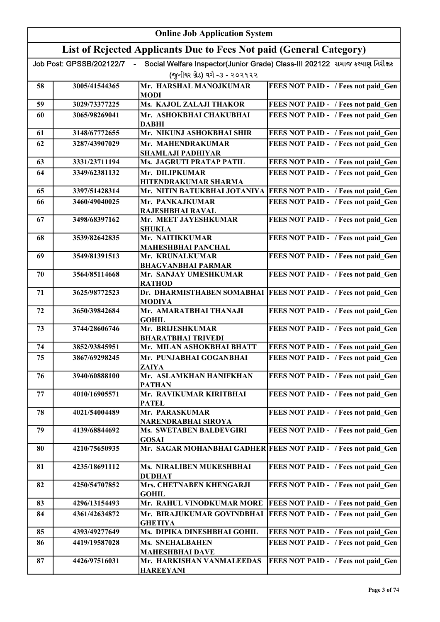|    | <b>Online Job Application System</b> |                                                                     |                                                                              |
|----|--------------------------------------|---------------------------------------------------------------------|------------------------------------------------------------------------------|
|    |                                      | List of Rejected Applicants Due to Fees Not paid (General Category) |                                                                              |
|    | Job Post: GPSSB/202122/7             |                                                                     | Social Welfare Inspector(Junior Grade) Class-III 202122 સમાજ કલ્યાણ નિરીક્ષક |
|    |                                      | (જનીયર ગ્રેડ) વર્ગ -૩ - ૨૦૨૧૨૨                                      |                                                                              |
| 58 | 3005/41544365                        | Mr. HARSHAL MANOJKUMAR<br>MODI                                      | FEES NOT PAID - / Fees not paid Gen                                          |
| 59 | 3029/73377225                        | Ms. KAJOL ZALAJI THAKOR                                             | FEES NOT PAID - / Fees not paid Gen                                          |
| 60 | 3065/98269041                        | Mr. ASHOKBHAI CHAKUBHAI<br><b>DABHI</b>                             | FEES NOT PAID - / Fees not paid Gen                                          |
| 61 | 3148/67772655                        | Mr. NIKUNJ ASHOKBHAI SHIR                                           | FEES NOT PAID - / Fees not paid Gen                                          |
| 62 | 3287/43907029                        | Mr. MAHENDRAKUMAR<br><b>SHAMLAJI PADHIYAR</b>                       | FEES NOT PAID - / Fees not paid Gen                                          |
| 63 | 3331/23711194                        | Ms. JAGRUTI PRATAP PATIL                                            | FEES NOT PAID - / Fees not paid Gen                                          |
| 64 | 3349/62381132                        | Mr. DILIPKUMAR<br>HITENDRAKUMAR SHARMA                              | FEES NOT PAID - / Fees not paid Gen                                          |
| 65 | 3397/51428314                        | Mr. NITIN BATUKBHAI JOTANIYA                                        | FEES NOT PAID - / Fees not paid_Gen                                          |
| 66 | 3460/49040025                        | Mr. PANKAJKUMAR<br>RAJESHBHAI RAVAL                                 | FEES NOT PAID - / Fees not paid Gen                                          |
| 67 | 3498/68397162                        | Mr. MEET JAYESHKUMAR<br><b>SHUKLA</b>                               | FEES NOT PAID - / Fees not paid Gen                                          |
| 68 | 3539/82642835                        | Mr. NAITIKKUMAR<br><b>MAHESHBHAI PANCHAL</b>                        | FEES NOT PAID - / Fees not paid Gen                                          |
| 69 | 3549/81391513                        | Mr. KRUNALKUMAR<br><b>BHAGVANBHAI PARMAR</b>                        | FEES NOT PAID - / Fees not paid Gen                                          |
| 70 | 3564/85114668                        | Mr. SANJAY UMESHKUMAR<br><b>RATHOD</b>                              | FEES NOT PAID - / Fees not paid Gen                                          |
| 71 | 3625/98772523                        | <b>MODIYA</b>                                                       | Dr. DHARMISTHABEN SOMABHAI   FEES NOT PAID - / Fees not paid Gen             |
| 72 | 3650/39842684                        | Mr. AMARATBHAI THANAJI<br><b>GOHIL</b>                              | FEES NOT PAID - / Fees not paid Gen                                          |
| 73 | 3744/28606746                        | Mr. BRIJESHKUMAR<br><b>BHARATBHAI TRIVEDI</b>                       | FEES NOT PAID - / Fees not paid Gen                                          |
| 74 | 3852/93845951                        | Mr. MILAN ASHOKBHAI BHATT                                           | FEES NOT PAID - / Fees not paid_Gen                                          |
| 75 | 3867/69298245                        | Mr. PUNJABHAI GOGANBHAI<br>ZAIYA                                    | FEES NOT PAID - / Fees not paid Gen                                          |
| 76 | 3940/60888100                        | Mr. ASLAMKHAN HANIFKHAN<br><b>PATHAN</b>                            | FEES NOT PAID - / Fees not paid Gen                                          |
| 77 | 4010/16905571                        | Mr. RAVIKUMAR KIRITBHAI<br><b>PATEL</b>                             | FEES NOT PAID - / Fees not paid Gen                                          |
| 78 | 4021/54004489                        | Mr. PARASKUMAR<br>NARENDRABHAI SIROYA                               | FEES NOT PAID - / Fees not paid Gen                                          |
| 79 | 4139/68844692                        | Ms. SWETABEN BALDEVGIRI<br><b>GOSAI</b>                             | FEES NOT PAID - / Fees not paid Gen                                          |
| 80 | 4210/75650935                        |                                                                     | Mr. SAGAR MOHANBHAI GADHER FEES NOT PAID - / Fees not paid Gen               |
| 81 | 4235/18691112                        | Ms. NIRALIBEN MUKESHBHAI<br><b>DUDHAT</b>                           | FEES NOT PAID - / Fees not paid Gen                                          |
| 82 | 4250/54707852                        | Mrs. CHETNABEN KHENGARJI<br><b>GOHIL</b>                            | FEES NOT PAID - / Fees not paid Gen                                          |
| 83 | 4296/13154493                        | Mr. RAHUL VINODKUMAR MORE                                           | FEES NOT PAID - / Fees not paid Gen                                          |
| 84 | 4361/42634872                        | Mr. BIRAJUKUMAR GOVINDBHAI<br><b>GHETIYA</b>                        | FEES NOT PAID - / Fees not paid Gen                                          |
| 85 | 4393/49277649                        | Ms. DIPIKA DINESHBHAI GOHIL                                         | FEES NOT PAID - / Fees not paid Gen                                          |
| 86 | 4419/19587028                        | Ms. SNEHALBAHEN<br><b>MAHESHBHAI DAVE</b>                           | FEES NOT PAID - / Fees not paid Gen                                          |
| 87 | 4426/97516031                        | Mr. HARKISHAN VANMALEEDAS<br><b>HAREEYANI</b>                       | FEES NOT PAID - / Fees not paid Gen                                          |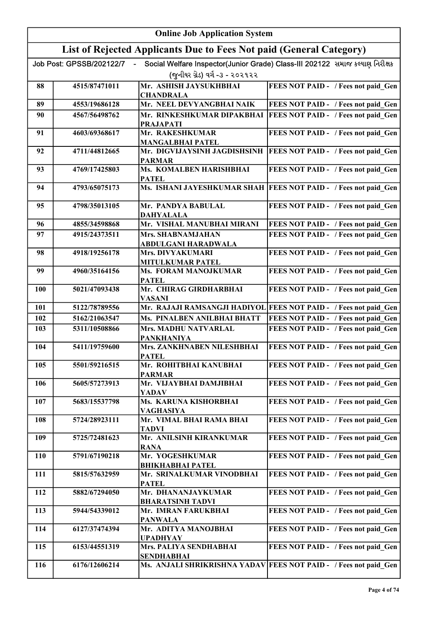|            | <b>Online Job Application System</b> |                                                                     |                                                                              |
|------------|--------------------------------------|---------------------------------------------------------------------|------------------------------------------------------------------------------|
|            |                                      | List of Rejected Applicants Due to Fees Not paid (General Category) |                                                                              |
|            | Job Post: GPSSB/202122/7             |                                                                     | Social Welfare Inspector(Junior Grade) Class-III 202122 સમાજ કલ્યાણ નિરીક્ષક |
|            |                                      | (જુનીયર ગ્રેડ) વર્ગ -૩ - ૨૦૨૧૨૨                                     |                                                                              |
| 88         | 4515/87471011                        | Mr. ASHISH JAYSUKHBHAI                                              | FEES NOT PAID - / Fees not paid_Gen                                          |
|            |                                      | <b>CHANDRALA</b>                                                    |                                                                              |
| 89         | 4553/19686128                        | Mr. NEEL DEVYANGBHAI NAIK                                           | FEES NOT PAID - / Fees not paid Gen                                          |
| 90         | 4567/56498762                        | Mr. RINKESHKUMAR DIPAKBHAI<br><b>PRAJAPATI</b>                      | FEES NOT PAID - / Fees not paid Gen                                          |
| 91         | 4603/69368617                        | Mr. RAKESHKUMAR                                                     | FEES NOT PAID - / Fees not paid Gen                                          |
|            |                                      | <b>MANGALBHAI PATEL</b>                                             |                                                                              |
| 92         | 4711/44812665                        | Mr. DIGVIJAYSINH JAGDISHSINH                                        | <b>FEES NOT PAID - / Fees not paid Gen</b>                                   |
|            |                                      | <b>PARMAR</b>                                                       |                                                                              |
| 93         | 4769/17425803                        | Ms. KOMALBEN HARISHBHAI<br><b>PATEL</b>                             | FEES NOT PAID - / Fees not paid Gen                                          |
| 94         | 4793/65075173                        |                                                                     | Ms. ISHANI JAYESHKUMAR SHAH FEES NOT PAID - / Fees not paid Gen              |
| 95         | 4798/35013105                        | Mr. PANDYA BABULAL                                                  | FEES NOT PAID - / Fees not paid Gen                                          |
|            |                                      | <b>DAHYALALA</b>                                                    |                                                                              |
| 96         | 4855/34598868                        | Mr. VISHAL MANUBHAI MIRANI                                          | FEES NOT PAID - / Fees not paid Gen                                          |
| 97         | 4915/24373511                        | Mrs. SHABNAMJAHAN                                                   | FEES NOT PAID - / Fees not paid Gen                                          |
|            |                                      | ABDULGANI HARADWALA                                                 |                                                                              |
| 98         | 4918/19256178                        | <b>Mrs. DIVYAKUMARI</b><br><b>MITULKUMAR PATEL</b>                  | FEES NOT PAID - / Fees not paid Gen                                          |
| 99         | 4960/35164156                        | Ms. FORAM MANOJKUMAR                                                | FEES NOT PAID - / Fees not paid_Gen                                          |
|            |                                      | <b>PATEL</b>                                                        |                                                                              |
| <b>100</b> | 5021/47093438                        | Mr. CHIRAG GIRDHARBHAI<br><b>VASANI</b>                             | FEES NOT PAID - / Fees not paid Gen                                          |
| 101        | 5122/78789556                        |                                                                     | Mr. RAJAJI RAMSANGJI HADIYOL FEES NOT PAID - / Fees not paid Gen             |
| 102        | 5162/21063547                        | Ms. PINALBEN ANILBHAI BHATT                                         | FEES NOT PAID - / Fees not paid Gen                                          |
| 103        | 5311/10508866                        | Mrs. MADHU NATVARLAL                                                | FEES NOT PAID - / Fees not paid Gen                                          |
|            |                                      | <b>PANKHANIYA</b>                                                   |                                                                              |
| 104        | 5411/19759600                        | Mrs. ZANKHNABEN NILESHBHAI<br><b>PATEL</b>                          | FEES NOT PAID - / Fees not paid Gen                                          |
| 105        | 5501/59216515                        | Mr. ROHITBHAI KANUBHAI                                              | FEES NOT PAID - / Fees not paid Gen                                          |
|            |                                      | <b>PARMAR</b>                                                       |                                                                              |
| 106        | 5605/57273913                        | Mr. VIJAYBHAI DAMJIBHAI                                             | FEES NOT PAID - / Fees not paid Gen                                          |
| 107        | 5683/15537798                        | YADAV<br>Ms. KARUNA KISHORBHAI                                      | FEES NOT PAID - / Fees not paid Gen                                          |
|            |                                      | VAGHASIYA                                                           |                                                                              |
| 108        | 5724/28923111                        | Mr. VIMAL BHAI RAMA BHAI                                            | FEES NOT PAID - / Fees not paid Gen                                          |
| 109        | 5725/72481623                        | TADVI<br>Mr. ANILSINH KIRANKUMAR                                    |                                                                              |
|            |                                      | <b>RANA</b>                                                         | FEES NOT PAID - / Fees not paid Gen                                          |
| <b>110</b> | 5791/67190218                        | Mr. YOGESHKUMAR                                                     | FEES NOT PAID - / Fees not paid Gen                                          |
|            |                                      | <b>BHIKHABHAI PATEL</b>                                             |                                                                              |
| 111        | 5815/57632959                        | Mr. SRINALKUMAR VINODBHAI<br><b>PATEL</b>                           | FEES NOT PAID - / Fees not paid Gen                                          |
| 112        | 5882/67294050                        | Mr. DHANANJAYKUMAR                                                  | FEES NOT PAID - / Fees not paid Gen                                          |
|            |                                      | <b>BHARATSINH TADVI</b>                                             |                                                                              |
| 113        | 5944/54339012                        | Mr. IMRAN FARUKBHAI<br><b>PANWALA</b>                               | FEES NOT PAID - / Fees not paid Gen                                          |
| 114        | 6127/37474394                        | Mr. ADITYA MANOJBHAI                                                | FEES NOT PAID - / Fees not paid Gen                                          |
|            |                                      | <b>UPADHYAY</b>                                                     |                                                                              |
| 115        | 6153/44551319                        | Mrs. PALIYA SENDHABHAI<br><b>SENDHABHAI</b>                         | FEES NOT PAID - / Fees not paid Gen                                          |
| 116        | 6176/12606214                        |                                                                     | Ms. ANJALI SHRIKRISHNA YADAV FEES NOT PAID - / Fees not paid Gen             |
|            |                                      |                                                                     |                                                                              |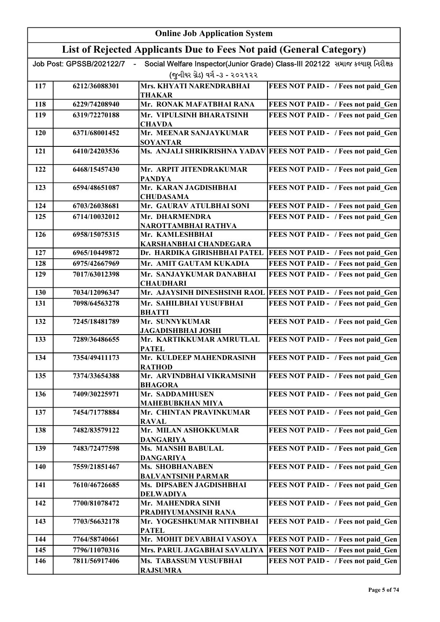|            | <b>Online Job Application System</b> |                                                                     |                                                                              |
|------------|--------------------------------------|---------------------------------------------------------------------|------------------------------------------------------------------------------|
|            |                                      | List of Rejected Applicants Due to Fees Not paid (General Category) |                                                                              |
|            | Job Post: GPSSB/202122/7             |                                                                     | Social Welfare Inspector(Junior Grade) Class-III 202122 સમાજ કલ્યાણ નિરીક્ષક |
|            |                                      | (જુનીયર ગ્રેડ) વર્ગ -૩ - ૨૦૨૧૨૨                                     |                                                                              |
| 117        | 6212/36088301                        | Mrs. KHYATI NARENDRABHAI<br><b>THAKAR</b>                           | FEES NOT PAID - / Fees not paid_Gen                                          |
| 118        | 6229/74208940                        | Mr. RONAK MAFATBHAI RANA                                            | FEES NOT PAID - / Fees not paid Gen                                          |
| 119        | 6319/72270188                        | Mr. VIPULSINH BHARATSINH                                            | FEES NOT PAID - / Fees not paid Gen                                          |
| 120        | 6371/68001452                        | <b>CHAVDA</b><br>Mr. MEENAR SANJAYKUMAR                             | FEES NOT PAID - / Fees not paid Gen                                          |
|            |                                      | <b>SOYANTAR</b>                                                     |                                                                              |
| 121        | 6410/24203536                        |                                                                     | Ms. ANJALI SHRIKRISHNA YADAV FEES NOT PAID - / Fees not paid Gen             |
| 122        | 6468/15457430                        | Mr. ARPIT JITENDRAKUMAR<br><b>PANDYA</b>                            | FEES NOT PAID - / Fees not paid_Gen                                          |
| 123        | 6594/48651087                        | Mr. KARAN JAGDISHBHAI<br><b>CHUDASAMA</b>                           | FEES NOT PAID - / Fees not paid Gen                                          |
| 124        | 6703/26038681                        | Mr. GAURAV ATULBHAI SONI                                            | FEES NOT PAID - / Fees not paid Gen                                          |
| 125        | 6714/10032012                        | Mr. DHARMENDRA<br>NAROTTAMBHAI RATHVA                               | FEES NOT PAID - / Fees not paid Gen                                          |
| 126        | 6958/15075315                        | Mr. KAMLESHBHAI<br>KARSHANBHAI CHANDEGARA                           | FEES NOT PAID - / Fees not paid Gen                                          |
| 127        | 6965/10449872                        | Dr. HARDIKA GIRISHBHAI PATEL                                        | FEES NOT PAID - / Fees not paid Gen                                          |
| 128        | 6975/42667969                        | Mr. AMIT GAUTAM KUKADIA                                             | FEES NOT PAID - / Fees not paid Gen                                          |
| 129        | 7017/63012398                        | Mr. SANJAYKUMAR DANABHAI<br><b>CHAUDHARI</b>                        | FEES NOT PAID - / Fees not paid Gen                                          |
| 130        | 7034/12096347                        | Mr. AJAYSINH DINESHSINH RAOL                                        | FEES NOT PAID - / Fees not paid Gen                                          |
| 131        | 7098/64563278                        | Mr. SAHILBHAI YUSUFBHAI<br><b>BHATTI</b>                            | FEES NOT PAID - / Fees not paid Gen                                          |
| 132        | 7245/18481789                        | Mr. SUNNYKUMAR<br><b>JAGADISHBHAI JOSHI</b>                         | FEES NOT PAID - / Fees not paid_Gen                                          |
| 133        | 7289/36486655                        | Mr. KARTIKKUMAR AMRUTLAL                                            | FEES NOT PAID - / Fees not paid Gen                                          |
| 134        | 7354/49411173                        | PATEL<br>Mr. KULDEEP MAHENDRASINH                                   | <b>FEES NOT PAID - / Fees not paid_Gen</b>                                   |
| 135        | 7374/33654388                        | <b>RATHOD</b><br>Mr. ARVINDBHAI VIKRAMSINH<br><b>BHAGORA</b>        | FEES NOT PAID - / Fees not paid Gen                                          |
| 136        | 7409/30225971                        | Mr. SADDAMHUSEN                                                     | FEES NOT PAID - / Fees not paid Gen                                          |
| 137        | 7454/71778884                        | <b>MAHEBUBKHAN MIYA</b><br>Mr. CHINTAN PRAVINKUMAR<br><b>RAVAL</b>  | FEES NOT PAID - / Fees not paid Gen                                          |
| 138        | 7482/83579122                        | Mr. MILAN ASHOKKUMAR<br><b>DANGARIYA</b>                            | FEES NOT PAID - / Fees not paid Gen                                          |
| 139        | 7483/72477598                        | Ms. MANSHI BABULAL<br><b>DANGARIYA</b>                              | FEES NOT PAID - / Fees not paid Gen                                          |
| <b>140</b> | 7559/21851467                        | Ms. SHOBHANABEN<br><b>BALVANTSINH PARMAR</b>                        | FEES NOT PAID - / Fees not paid Gen                                          |
| 141        | 7610/46726685                        | Ms. DIPSABEN JAGDISHBHAI                                            | FEES NOT PAID - / Fees not paid Gen                                          |
| 142        | 7700/81078472                        | <b>DELWADIYA</b><br>Mr. MAHENDRA SINH                               | FEES NOT PAID - / Fees not paid Gen                                          |
| 143        | 7703/56632178                        | PRADHYUMANSINH RANA<br>Mr. YOGESHKUMAR NITINBHAI                    | FEES NOT PAID - / Fees not paid Gen                                          |
| 144        | 7764/58740661                        | <b>PATEL</b><br>Mr. MOHIT DEVABHAI VASOYA                           | FEES NOT PAID - / Fees not paid Gen                                          |
| 145        | 7796/11070316                        | Mrs. PARUL JAGABHAI SAVALIYA                                        | FEES NOT PAID - / Fees not paid Gen                                          |
| 146        | 7811/56917406                        | Ms. TABASSUM YUSUFBHAI<br><b>RAJSUMRA</b>                           | FEES NOT PAID - / Fees not paid Gen                                          |
|            |                                      |                                                                     |                                                                              |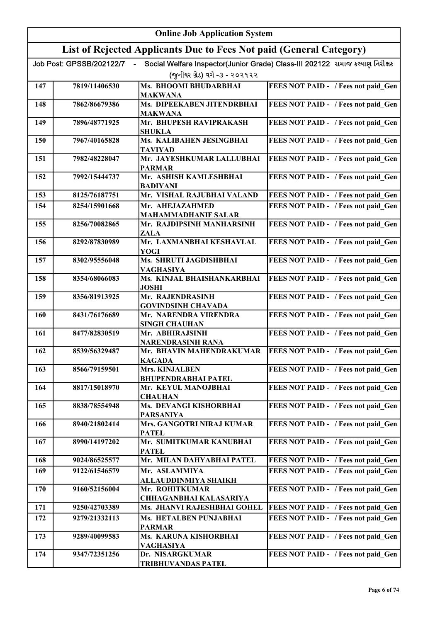|            | <b>Online Job Application System</b> |                                                                     |                                                                              |
|------------|--------------------------------------|---------------------------------------------------------------------|------------------------------------------------------------------------------|
|            |                                      | List of Rejected Applicants Due to Fees Not paid (General Category) |                                                                              |
|            | Job Post: GPSSB/202122/7             |                                                                     | Social Welfare Inspector(Junior Grade) Class-III 202122 સમાજ કલ્યાણ નિરીક્ષક |
|            |                                      | (જુનીયર ગ્રેડ) વર્ગ -૩ - ૨૦૨૧૨૨                                     |                                                                              |
| 147        | 7819/11406530                        | Ms. BHOOMI BHUDARBHAI                                               | FEES NOT PAID - / Fees not paid Gen                                          |
|            |                                      | <b>MAKWANA</b>                                                      |                                                                              |
| 148        | 7862/86679386                        | Ms. DIPEEKABEN JITENDRBHAI                                          | FEES NOT PAID - / Fees not paid Gen                                          |
| 149        | 7896/48771925                        | <b>MAKWANA</b><br>Mr. BHUPESH RAVIPRAKASH                           | FEES NOT PAID - / Fees not paid Gen                                          |
|            |                                      | <b>SHUKLA</b>                                                       |                                                                              |
| 150        | 7967/40165828                        | Ms. KALIBAHEN JESINGBHAI                                            | FEES NOT PAID - / Fees not paid Gen                                          |
|            |                                      | <b>TAVIYAD</b>                                                      |                                                                              |
| 151        | 7982/48228047                        | Mr. JAYESHKUMAR LALLUBHAI<br><b>PARMAR</b>                          | FEES NOT PAID - / Fees not paid Gen                                          |
| 152        | 7992/15444737                        | Mr. ASHISH KAMLESHBHAI                                              | FEES NOT PAID - / Fees not paid Gen                                          |
|            |                                      | <b>BADIYANI</b>                                                     |                                                                              |
| 153        | 8125/76187751                        | Mr. VISHAL RAJUBHAI VALAND                                          | FEES NOT PAID - / Fees not paid Gen                                          |
| 154        | 8254/15901668                        | Mr. AHEJAZAHMED                                                     | FEES NOT PAID - / Fees not paid Gen                                          |
| 155        | 8256/70082865                        | <b>MAHAMMADHANIF SALAR</b><br>Mr. RAJDIPSINH MANHARSINH             | FEES NOT PAID - / Fees not paid Gen                                          |
|            |                                      | <b>ZALA</b>                                                         |                                                                              |
| 156        | 8292/87830989                        | Mr. LAXMANBHAI KESHAVLAL                                            | FEES NOT PAID - / Fees not paid Gen                                          |
|            |                                      | YOGI                                                                |                                                                              |
| 157        | 8302/95556048                        | Ms. SHRUTI JAGDISHBHAI<br><b>VAGHASIYA</b>                          | FEES NOT PAID - / Fees not paid Gen                                          |
| 158        | 8354/68066083                        | Ms. KINJAL BHAISHANKARBHAI                                          | FEES NOT PAID - / Fees not paid_Gen                                          |
|            |                                      | <b>JOSHI</b>                                                        |                                                                              |
| 159        | 8356/81913925                        | Mr. RAJENDRASINH                                                    | FEES NOT PAID - / Fees not paid_Gen                                          |
|            | 8431/76176689                        | <b>GOVINDSINH CHAVADA</b><br>Mr. NARENDRA VIRENDRA                  |                                                                              |
| 160        |                                      | <b>SINGH CHAUHAN</b>                                                | FEES NOT PAID - / Fees not paid_Gen                                          |
| 161        | 8477/82830519                        | Mr. ABHIRAJSINH                                                     | FEES NOT PAID - / Fees not paid Gen                                          |
|            |                                      | <b>NARENDRASINH RANA</b>                                            |                                                                              |
| 162        | 8539/56329487                        | Mr. BHAVIN MAHENDRAKUMAR<br><b>KAGADA</b>                           | FEES NOT PAID - / Fees not paid Gen                                          |
| 163        | 8566/79159501                        | Mrs. KINJALBEN                                                      | FEES NOT PAID - / Fees not paid Gen                                          |
|            |                                      | <b>BHUPENDRABHAI PATEL</b>                                          |                                                                              |
| 164        | 8817/15018970                        | Mr. KEYUL MANOJBHAI                                                 | FEES NOT PAID - / Fees not paid Gen                                          |
|            | 8838/78554948                        | <b>CHAUHAN</b><br>Ms. DEVANGI KISHORBHAI                            |                                                                              |
| 165        |                                      | <b>PARSANIYA</b>                                                    | FEES NOT PAID - / Fees not paid Gen                                          |
| 166        | 8940/21802414                        | Mrs. GANGOTRI NIRAJ KUMAR                                           | FEES NOT PAID - / Fees not paid Gen                                          |
|            |                                      | <b>PATEL</b>                                                        |                                                                              |
| 167        | 8990/14197202                        | Mr. SUMITKUMAR KANUBHAI                                             | FEES NOT PAID - / Fees not paid Gen                                          |
| 168        | 9024/86525577                        | <b>PATEL</b><br>Mr. MILAN DAHYABHAI PATEL                           | FEES NOT PAID - / Fees not paid Gen                                          |
| 169        | 9122/61546579                        | Mr. ASLAMMIYA                                                       | FEES NOT PAID - / Fees not paid Gen                                          |
|            |                                      | ALLAUDDINMIYA SHAIKH                                                |                                                                              |
| 170        | 9160/52156004                        | Mr. ROHITKUMAR                                                      | FEES NOT PAID - / Fees not paid Gen                                          |
|            |                                      | <b>CHHAGANBHAI KALASARIYA</b>                                       |                                                                              |
| 171<br>172 | 9250/42703389<br>9279/21332113       | Ms. JHANVI RAJESHBHAI GOHEL                                         | <b>FEES NOT PAID - / Fees not paid Gen</b>                                   |
|            |                                      | Ms. HETALBEN PUNJABHAI<br><b>PARMAR</b>                             | FEES NOT PAID - / Fees not paid Gen                                          |
| 173        | 9289/40099583                        | Ms. KARUNA KISHORBHAI                                               | FEES NOT PAID - / Fees not paid Gen                                          |
|            |                                      | VAGHASIYA                                                           |                                                                              |
| 174        | 9347/72351256                        | Dr. NISARGKUMAR                                                     | FEES NOT PAID - / Fees not paid Gen                                          |
|            |                                      | <b>TRIBHUVANDAS PATEL</b>                                           |                                                                              |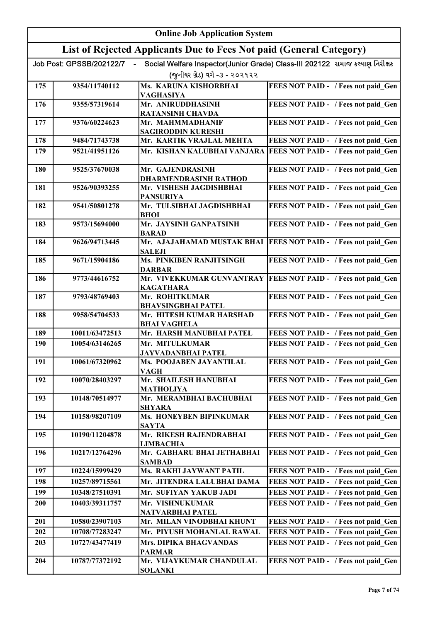|            | <b>Online Job Application System</b>                                |                                                         |                                                                              |
|------------|---------------------------------------------------------------------|---------------------------------------------------------|------------------------------------------------------------------------------|
|            | List of Rejected Applicants Due to Fees Not paid (General Category) |                                                         |                                                                              |
|            | Job Post: GPSSB/202122/7                                            |                                                         | Social Welfare Inspector(Junior Grade) Class-III 202122 સમાજ કલ્યાણ નિરીક્ષક |
|            |                                                                     | (જુનીયર ગ્રેડ) વર્ગ -૩ - ૨૦૨૧૨૨                         |                                                                              |
| 175        | 9354/11740112                                                       | Ms. KARUNA KISHORBHAI                                   | FEES NOT PAID - / Fees not paid Gen                                          |
|            |                                                                     | <b>VAGHASIYA</b>                                        |                                                                              |
| 176        | 9355/57319614                                                       | Mr. ANIRUDDHASINH<br><b>RATANSINH CHAVDA</b>            | FEES NOT PAID - / Fees not paid Gen                                          |
| 177        | 9376/60224623                                                       | Mr. MAHMMADHANIF                                        | FEES NOT PAID - / Fees not paid Gen                                          |
|            |                                                                     | <b>SAGIRODDIN KURESHI</b>                               |                                                                              |
| 178        | 9484/71743738                                                       | Mr. KARTIK VRAJLAL MEHTA                                | FEES NOT PAID - / Fees not paid Gen                                          |
| 179        | 9521/41951126                                                       | Mr. KISHAN KALUBHAI VANJARA                             | FEES NOT PAID - / Fees not paid Gen                                          |
| <b>180</b> | 9525/37670038                                                       | Mr. GAJENDRASINH                                        | FEES NOT PAID - / Fees not paid Gen                                          |
| 181        | 9526/90393255                                                       | <b>DHARMENDRASINH RATHOD</b><br>Mr. VISHESH JAGDISHBHAI | FEES NOT PAID - / Fees not paid_Gen                                          |
|            |                                                                     | <b>PANSURIYA</b>                                        |                                                                              |
| 182        | 9541/50801278                                                       | Mr. TULSIBHAI JAGDISHBHAI                               | FEES NOT PAID - / Fees not paid Gen                                          |
|            |                                                                     | <b>BHOI</b>                                             |                                                                              |
| 183        | 9573/15694000                                                       | Mr. JAYSINH GANPATSINH<br><b>BARAD</b>                  | FEES NOT PAID - / Fees not paid Gen                                          |
| 184        | 9626/94713445                                                       | Mr. AJAJAHAMAD MUSTAK BHAI<br><b>SALEJI</b>             | <b>FEES NOT PAID - / Fees not paid Gen</b>                                   |
| 185        | 9671/15904186                                                       | <b>Ms. PINKIBEN RANJITSINGH</b><br><b>DARBAR</b>        | FEES NOT PAID - / Fees not paid Gen                                          |
| 186        | 9773/44616752                                                       | <b>KAGATHARA</b>                                        | Mr. VIVEKKUMAR GUNVANTRAY FEES NOT PAID - / Fees not paid_Gen                |
| 187        | 9793/48769403                                                       | Mr. ROHITKUMAR                                          | FEES NOT PAID - / Fees not paid_Gen                                          |
|            |                                                                     | <b>BHAVSINGBHAI PATEL</b>                               |                                                                              |
| 188        | 9958/54704533                                                       | Mr. HITESH KUMAR HARSHAD<br><b>BHAI VAGHELA</b>         | FEES NOT PAID - / Fees not paid Gen                                          |
| 189        | 10011/63472513                                                      | Mr. HARSH MANUBHAI PATEL                                | FEES NOT PAID - / Fees not paid Gen                                          |
| 190        | 10054/63146265                                                      | Mr. MITULKUMAR                                          | FEES NOT PAID - / Fees not paid Gen                                          |
|            |                                                                     | JAYVADANBHAI PATEL                                      |                                                                              |
| 191        | 10061/67320962                                                      | Ms. POOJABEN JAYANTILAL<br>VAGH                         | FEES NOT PAID - / Fees not paid Gen                                          |
| 192        | 10070/28403297                                                      | Mr. SHAILESH HANUBHAI<br><b>MATHOLIYA</b>               | FEES NOT PAID - / Fees not paid Gen                                          |
| 193        | 10148/70514977                                                      | Mr. MERAMBHAI BACHUBHAI                                 | FEES NOT PAID - / Fees not paid_Gen                                          |
|            |                                                                     | <b>SHYARA</b>                                           |                                                                              |
| 194        | 10158/98207109                                                      | <b>Ms. HONEYBEN BIPINKUMAR</b>                          | FEES NOT PAID - / Fees not paid Gen                                          |
| 195        | 10190/11204878                                                      | <b>SAYTA</b><br>Mr. RIKESH RAJENDRABHAI                 | FEES NOT PAID - / Fees not paid Gen                                          |
|            |                                                                     | <b>LIMBACHIA</b>                                        |                                                                              |
| 196        | 10217/12764296                                                      | Mr. GABHARU BHAI JETHABHAI<br><b>SAMBAD</b>             | FEES NOT PAID - / Fees not paid Gen                                          |
| 197        | 10224/15999429                                                      | Ms. RAKHI JAYWANT PATIL                                 | FEES NOT PAID - / Fees not paid Gen                                          |
| 198        | 10257/89715561                                                      | Mr. JITENDRA LALUBHAI DAMA                              | FEES NOT PAID - / Fees not paid Gen                                          |
| 199        | 10348/27510391                                                      | Mr. SUFIYAN YAKUB JADI                                  | FEES NOT PAID - / Fees not paid Gen                                          |
| 200        | 10403/39311757                                                      | Mr. VISHNUKUMAR<br>NATVARBHAI PATEL                     | FEES NOT PAID - / Fees not paid Gen                                          |
| 201        | 10580/23907103                                                      | Mr. MILAN VINODBHAI KHUNT                               | FEES NOT PAID - / Fees not paid Gen                                          |
| 202        | 10708/77283247                                                      | Mr. PIYUSH MOHANLAL RAWAL                               | FEES NOT PAID - / Fees not paid Gen                                          |
| 203        | 10727/43477419                                                      | Mrs. DIPIKA BHAGVANDAS<br><b>PARMAR</b>                 | FEES NOT PAID - / Fees not paid Gen                                          |
| 204        | 10787/77372192                                                      | Mr. VIJAYKUMAR CHANDULAL<br><b>SOLANKI</b>              | FEES NOT PAID - / Fees not paid Gen                                          |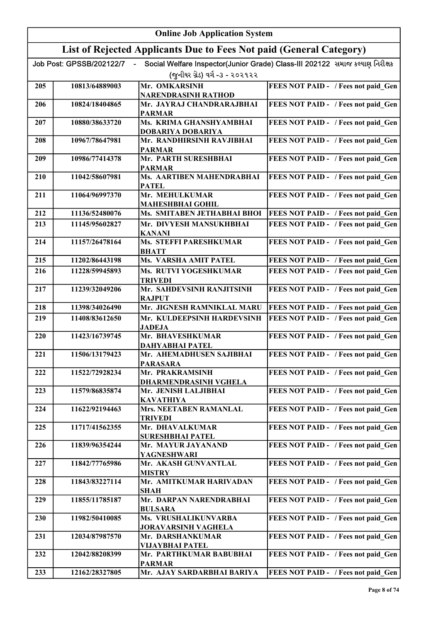|     | <b>Online Job Application System</b> |                                                                     |                                                                              |
|-----|--------------------------------------|---------------------------------------------------------------------|------------------------------------------------------------------------------|
|     |                                      | List of Rejected Applicants Due to Fees Not paid (General Category) |                                                                              |
|     | Job Post: GPSSB/202122/7             | (જુનીયર ગ્રેડ) વર્ગ -૩ - ૨૦૨૧૨૨                                     | Social Welfare Inspector(Junior Grade) Class-III 202122 સમાજ કલ્યાણ નિરીક્ષક |
|     |                                      |                                                                     |                                                                              |
| 205 | 10813/64889003                       | Mr. OMKARSINH<br><b>NARENDRASINH RATHOD</b>                         | FEES NOT PAID - / Fees not paid Gen                                          |
| 206 | 10824/18404865                       | Mr. JAYRAJ CHANDRARAJBHAI<br><b>PARMAR</b>                          | FEES NOT PAID - / Fees not paid Gen                                          |
| 207 | 10880/38633720                       | Ms. KRIMA GHANSHYAMBHAI<br><b>DOBARIYA DOBARIYA</b>                 | FEES NOT PAID - / Fees not paid Gen                                          |
| 208 | 10967/78647981                       | Mr. RANDHIRSINH RAVJIBHAI<br><b>PARMAR</b>                          | FEES NOT PAID - / Fees not paid_Gen                                          |
| 209 | 10986/77414378                       | Mr. PARTH SURESHBHAI<br><b>PARMAR</b>                               | FEES NOT PAID - / Fees not paid Gen                                          |
| 210 | 11042/58607981                       | Ms. AARTIBEN MAHENDRABHAI<br><b>PATEL</b>                           | FEES NOT PAID - / Fees not paid Gen                                          |
| 211 | 11064/96997370                       | Mr. MEHULKUMAR<br><b>MAHESHBHAI GOHIL</b>                           | FEES NOT PAID - / Fees not paid Gen                                          |
| 212 | 11136/52480076                       | Ms. SMITABEN JETHABHAI BHOI                                         | FEES NOT PAID - / Fees not paid Gen                                          |
| 213 | 11145/95602827                       | Mr. DIVYESH MANSUKHBHAI<br><b>KANANI</b>                            | FEES NOT PAID - / Fees not paid Gen                                          |
| 214 | 11157/26478164                       | <b>Ms. STEFFI PARESHKUMAR</b><br><b>BHATT</b>                       | FEES NOT PAID - / Fees not paid Gen                                          |
| 215 | 11202/86443198                       | <b>Ms. VARSHA AMIT PATEL</b>                                        | FEES NOT PAID - / Fees not paid Gen                                          |
| 216 | 11228/59945893                       | Ms. RUTVI YOGESHKUMAR<br>TRIVEDI                                    | FEES NOT PAID - / Fees not paid Gen                                          |
| 217 | 11239/32049206                       | Mr. SAHDEVSINH RANJITSINH<br><b>RAJPUT</b>                          | FEES NOT PAID - / Fees not paid Gen                                          |
| 218 | 11398/34026490                       | Mr. JIGNESH RAMNIKLAL MARU                                          | FEES NOT PAID - / Fees not paid Gen                                          |
| 219 | 11408/83612650                       | Mr. KULDEEPSINH HARDEVSINH<br><b>JADEJA</b>                         | FEES NOT PAID - / Fees not paid Gen                                          |
| 220 | 11423/16739745                       | Mr. BHAVESHKUMAR<br>DAHYABHAI PATEL                                 | FEES NOT PAID - / Fees not paid Gen                                          |
| 221 | 11506/13179423                       | Mr. AHEMADHUSEN SAJIBHAI<br><b>PARASARA</b>                         | FEES NOT PAID - / Fees not paid Gen                                          |
| 222 | 11522/72928234                       | Mr. PRAKRAMSINH<br>DHARMENDRASINH VGHELA                            | FEES NOT PAID - / Fees not paid Gen                                          |
| 223 | 11579/86835874                       | Mr. JENISH LALJIBHAI<br><b>KAVATHIYA</b>                            | FEES NOT PAID - / Fees not paid Gen                                          |
| 224 | 11622/92194463                       | Mrs. NEETABEN RAMANLAL<br><b>TRIVEDI</b>                            | FEES NOT PAID - / Fees not paid Gen                                          |
| 225 | 11717/41562355                       | Mr. DHAVALKUMAR<br><b>SURESHBHAI PATEL</b>                          | FEES NOT PAID - / Fees not paid Gen                                          |
| 226 | 11839/96354244                       | Mr. MAYUR JAYANAND<br>YAGNESHWARI                                   | FEES NOT PAID - / Fees not paid Gen                                          |
| 227 | 11842/77765986                       | Mr. AKASH GUNVANTLAL<br><b>MISTRY</b>                               | FEES NOT PAID - / Fees not paid Gen                                          |
| 228 | 11843/83227114                       | Mr. AMITKUMAR HARIVADAN<br>SHAH                                     | FEES NOT PAID - / Fees not paid Gen                                          |
| 229 | 11855/11785187                       | Mr. DARPAN NARENDRABHAI<br><b>BULSARA</b>                           | FEES NOT PAID - / Fees not paid Gen                                          |
| 230 | 11982/50410085                       | Ms. VRUSHALIKUNVARBA<br>JORAVARSINH VAGHELA                         | FEES NOT PAID - / Fees not paid Gen                                          |
| 231 | 12034/87987570                       | Mr. DARSHANKUMAR<br>VIJAYBHAI PATEL                                 | FEES NOT PAID - / Fees not paid Gen                                          |
| 232 | 12042/88208399                       | Mr. PARTHKUMAR BABUBHAI<br><b>PARMAR</b>                            | FEES NOT PAID - / Fees not paid Gen                                          |
| 233 | 12162/28327805                       | Mr. AJAY SARDARBHAI BARIYA                                          | FEES NOT PAID - / Fees not paid Gen                                          |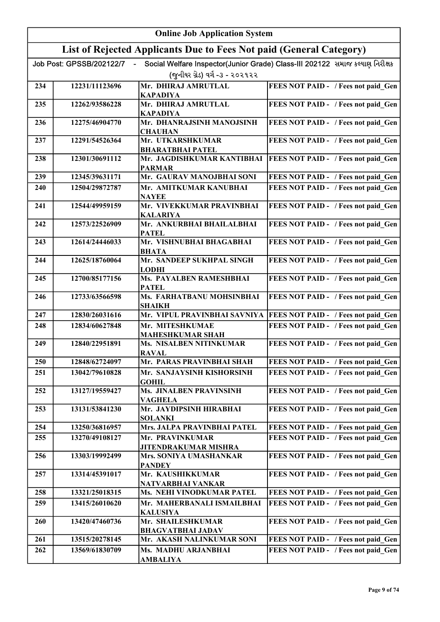| <b>Online Job Application System</b> |                                             |                                                                                                                                                                                                                                                                                                                                                                                                                                                                                                   |
|--------------------------------------|---------------------------------------------|---------------------------------------------------------------------------------------------------------------------------------------------------------------------------------------------------------------------------------------------------------------------------------------------------------------------------------------------------------------------------------------------------------------------------------------------------------------------------------------------------|
|                                      |                                             |                                                                                                                                                                                                                                                                                                                                                                                                                                                                                                   |
| Job Post: GPSSB/202122/7             |                                             | Social Welfare Inspector(Junior Grade) Class-III 202122 સમાજ કલ્યાણ નિરીક્ષક                                                                                                                                                                                                                                                                                                                                                                                                                      |
|                                      | (જુનીયર ગ્રેડ) વર્ગ -૩ - ૨૦૨૧૨૨             |                                                                                                                                                                                                                                                                                                                                                                                                                                                                                                   |
| 12231/11123696                       | Mr. DHIRAJ AMRUTLAL                         | FEES NOT PAID - / Fees not paid Gen                                                                                                                                                                                                                                                                                                                                                                                                                                                               |
| 12262/93586228                       | Mr. DHIRAJ AMRUTLAL                         | FEES NOT PAID - / Fees not paid Gen                                                                                                                                                                                                                                                                                                                                                                                                                                                               |
| 12275/46904770                       | Mr. DHANRAJSINH MANOJSINH<br><b>CHAUHAN</b> | FEES NOT PAID - / Fees not paid Gen                                                                                                                                                                                                                                                                                                                                                                                                                                                               |
| 12291/54526364                       | Mr. UTKARSHKUMAR                            | FEES NOT PAID - / Fees not paid Gen                                                                                                                                                                                                                                                                                                                                                                                                                                                               |
| 12301/30691112                       | Mr. JAGDISHKUMAR KANTIBHAI                  | <b>FEES NOT PAID - / Fees not paid Gen</b>                                                                                                                                                                                                                                                                                                                                                                                                                                                        |
| 12345/39631171                       | Mr. GAURAV MANOJBHAI SONI                   | FEES NOT PAID - / Fees not paid Gen                                                                                                                                                                                                                                                                                                                                                                                                                                                               |
| 12504/29872787                       | Mr. AMITKUMAR KANUBHAI                      | FEES NOT PAID - / Fees not paid Gen                                                                                                                                                                                                                                                                                                                                                                                                                                                               |
| 12544/49959159                       | Mr. VIVEKKUMAR PRAVINBHAI                   | FEES NOT PAID - / Fees not paid Gen                                                                                                                                                                                                                                                                                                                                                                                                                                                               |
| 12573/22526909                       | Mr. ANKURBHAI BHAILALBHAI                   | FEES NOT PAID - / Fees not paid Gen                                                                                                                                                                                                                                                                                                                                                                                                                                                               |
| 12614/24446033                       | Mr. VISHNUBHAI BHAGABHAI                    | FEES NOT PAID - / Fees not paid Gen                                                                                                                                                                                                                                                                                                                                                                                                                                                               |
| 12625/18760064                       | Mr. SANDEEP SUKHPAL SINGH                   | FEES NOT PAID - / Fees not paid_Gen                                                                                                                                                                                                                                                                                                                                                                                                                                                               |
| 12700/85177156                       | <b>Ms. PAYALBEN RAMESHBHAI</b>              | FEES NOT PAID - / Fees not paid_Gen                                                                                                                                                                                                                                                                                                                                                                                                                                                               |
| 12733/63566598                       | Ms. FARHATBANU MOHSINBHAI                   | FEES NOT PAID - / Fees not paid Gen                                                                                                                                                                                                                                                                                                                                                                                                                                                               |
| 12830/26031616                       | Mr. VIPUL PRAVINBHAI SAVNIYA                | FEES NOT PAID - / Fees not paid Gen                                                                                                                                                                                                                                                                                                                                                                                                                                                               |
| 12834/60627848                       | Mr. MITESHKUMAE                             | FEES NOT PAID - / Fees not paid Gen                                                                                                                                                                                                                                                                                                                                                                                                                                                               |
| 12840/22951891                       | Ms. NISALBEN NITINKUMAR                     | FEES NOT PAID - / Fees not paid Gen                                                                                                                                                                                                                                                                                                                                                                                                                                                               |
| 12848/62724097                       | Mr. PARAS PRAVINBHAI SHAH                   | FEES NOT PAID - / Fees not paid Gen                                                                                                                                                                                                                                                                                                                                                                                                                                                               |
| 13042/79610828                       | Mr. SANJAYSINH KISHORSINH                   | FEES NOT PAID - / Fees not paid Gen                                                                                                                                                                                                                                                                                                                                                                                                                                                               |
| 13127/19559427                       | Ms. JINALBEN PRAVINSINH                     | FEES NOT PAID - / Fees not paid Gen                                                                                                                                                                                                                                                                                                                                                                                                                                                               |
| 13131/53841230                       | Mr. JAYDIPSINH HIRABHAI                     | FEES NOT PAID - / Fees not paid Gen                                                                                                                                                                                                                                                                                                                                                                                                                                                               |
| 13250/36816957                       | Mrs. JALPA PRAVINBHAI PATEL                 | FEES NOT PAID - / Fees not paid Gen                                                                                                                                                                                                                                                                                                                                                                                                                                                               |
| 13270/49108127                       | Mr. PRAVINKUMAR                             | FEES NOT PAID - / Fees not paid Gen                                                                                                                                                                                                                                                                                                                                                                                                                                                               |
| 13303/19992499                       | Mrs. SONIYA UMASHANKAR                      | FEES NOT PAID - / Fees not paid_Gen                                                                                                                                                                                                                                                                                                                                                                                                                                                               |
| 13314/45391017                       | Mr. KAUSHIKKUMAR                            | FEES NOT PAID - / Fees not paid Gen                                                                                                                                                                                                                                                                                                                                                                                                                                                               |
| 13321/25018315                       | Ms. NEHI VINODKUMAR PATEL                   | FEES NOT PAID - / Fees not paid Gen                                                                                                                                                                                                                                                                                                                                                                                                                                                               |
| 13415/26010620                       | Mr. MAHERBANALI ISMAILBHAI                  | FEES NOT PAID - / Fees not paid Gen                                                                                                                                                                                                                                                                                                                                                                                                                                                               |
| 13420/47460736                       | Mr. SHAILESHKUMAR                           | FEES NOT PAID - / Fees not paid Gen                                                                                                                                                                                                                                                                                                                                                                                                                                                               |
| 13515/20278145                       | Mr. AKASH NALINKUMAR SONI                   | FEES NOT PAID - / Fees not paid Gen                                                                                                                                                                                                                                                                                                                                                                                                                                                               |
| 13569/61830709                       | Ms. MADHU ARJANBHAI                         | FEES NOT PAID - / Fees not paid Gen                                                                                                                                                                                                                                                                                                                                                                                                                                                               |
|                                      |                                             | List of Rejected Applicants Due to Fees Not paid (General Category)<br><b>KAPADIYA</b><br><b>KAPADIYA</b><br><b>BHARATBHAI PATEL</b><br><b>PARMAR</b><br><b>NAYEE</b><br><b>KALARIYA</b><br><b>PATEL</b><br><b>BHATA</b><br><b>LODHI</b><br><b>PATEL</b><br>SHAIKH<br><b>MAHESHKUMAR SHAH</b><br><b>RAVAL</b><br><b>GOHIL</b><br><b>VAGHELA</b><br><b>SOLANKI</b><br>JITENDRAKUMAR MISHRA<br><b>PANDEY</b><br>NATVARBHAI VANKAR<br><b>KALUSIYA</b><br><b>BHAGVATBHAI JADAV</b><br><b>AMBALIYA</b> |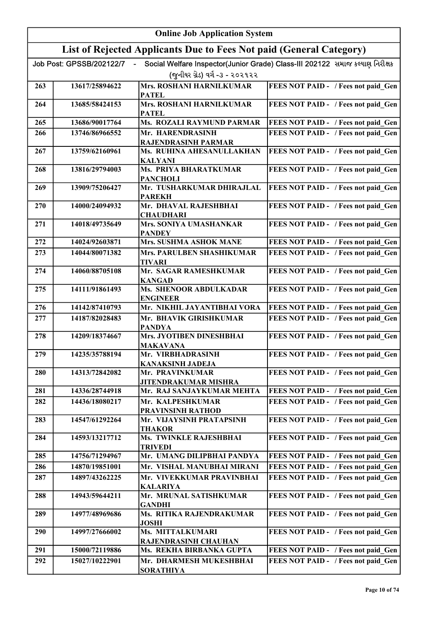|     | <b>Online Job Application System</b> |                                                                     |                                                                              |
|-----|--------------------------------------|---------------------------------------------------------------------|------------------------------------------------------------------------------|
|     |                                      | List of Rejected Applicants Due to Fees Not paid (General Category) |                                                                              |
|     | Job Post: GPSSB/202122/7             |                                                                     | Social Welfare Inspector(Junior Grade) Class-III 202122 સમાજ કલ્યાણ નિરીક્ષક |
|     |                                      | (જુનીયર ગ્રેડ) વર્ગ -૩ - ૨૦૨૧૨૨                                     |                                                                              |
| 263 | 13617/25894622                       | <b>Mrs. ROSHANI HARNILKUMAR</b>                                     | FEES NOT PAID - / Fees not paid Gen                                          |
|     |                                      | <b>PATEL</b>                                                        |                                                                              |
| 264 | 13685/58424153                       | Mrs. ROSHANI HARNILKUMAR                                            | FEES NOT PAID - / Fees not paid_Gen                                          |
| 265 | 13686/90017764                       | <b>PATEL</b><br>Ms. ROZALI RAYMUND PARMAR                           | FEES NOT PAID - / Fees not paid Gen                                          |
| 266 | 13746/86966552                       | Mr. HARENDRASINH                                                    | FEES NOT PAID - / Fees not paid Gen                                          |
|     |                                      | RAJENDRASINH PARMAR                                                 |                                                                              |
| 267 | 13759/62160961                       | Ms. RUHINA AHESANULLAKHAN                                           | FEES NOT PAID - / Fees not paid Gen                                          |
| 268 | 13816/29794003                       | <b>KALYANI</b><br>Ms. PRIYA BHARATKUMAR                             | FEES NOT PAID - / Fees not paid Gen                                          |
|     |                                      | <b>PANCHOLI</b>                                                     |                                                                              |
| 269 | 13909/75206427                       | Mr. TUSHARKUMAR DHIRAJLAL                                           | FEES NOT PAID - / Fees not paid Gen                                          |
| 270 | 14000/24094932                       | <b>PAREKH</b><br>Mr. DHAVAL RAJESHBHAI                              | FEES NOT PAID - / Fees not paid Gen                                          |
|     |                                      | <b>CHAUDHARI</b>                                                    |                                                                              |
| 271 | 14018/49735649                       | Mrs. SONIYA UMASHANKAR                                              | FEES NOT PAID - / Fees not paid Gen                                          |
|     |                                      | <b>PANDEY</b>                                                       |                                                                              |
| 272 | 14024/92603871                       | Mrs. SUSHMA ASHOK MANE                                              | FEES NOT PAID - / Fees not paid Gen                                          |
| 273 | 14044/80071382                       | Mrs. PARULBEN SHASHIKUMAR<br><b>TIVARI</b>                          | FEES NOT PAID - / Fees not paid Gen                                          |
| 274 | 14060/88705108                       | Mr. SAGAR RAMESHKUMAR                                               | FEES NOT PAID - / Fees not paid Gen                                          |
|     |                                      | <b>KANGAD</b>                                                       |                                                                              |
| 275 | 14111/91861493                       | <b>Ms. SHENOOR ABDULKADAR</b>                                       | FEES NOT PAID - / Fees not paid Gen                                          |
| 276 | 14142/87410793                       | <b>ENGINEER</b><br>Mr. NIKHIL JAYANTIBHAI VORA                      | <b>FEES NOT PAID - / Fees not paid Gen</b>                                   |
| 277 | 14187/82028483                       | Mr. BHAVIK GIRISHKUMAR                                              | FEES NOT PAID - / Fees not paid Gen                                          |
|     |                                      | <b>PANDYA</b>                                                       |                                                                              |
| 278 | 14209/18374667                       | Mrs. JYOTIBEN DINESHBHAI                                            | FEES NOT PAID - / Fees not paid Gen                                          |
|     |                                      | <b>MAKAVANA</b>                                                     |                                                                              |
| 279 | 14235/35788194                       | Mr. VIRBHADRASINH<br><b>KANAKSINH JADEJA</b>                        | FEES NOT PAID - / Fees not paid Gen                                          |
| 280 | 14313/72842082                       | Mr. PRAVINKUMAR                                                     | FEES NOT PAID - / Fees not paid Gen                                          |
|     |                                      | <b>JITENDRAKUMAR MISHRA</b>                                         |                                                                              |
| 281 | 14336/28744918                       | Mr. RAJ SANJAYKUMAR MEHTA                                           | FEES NOT PAID - / Fees not paid Gen                                          |
| 282 | 14436/18080217                       | Mr. KALPESHKUMAR<br>PRAVINSINH RATHOD                               | FEES NOT PAID - / Fees not paid Gen                                          |
| 283 | 14547/61292264                       | Mr. VIJAYSINH PRATAPSINH                                            | FEES NOT PAID - / Fees not paid Gen                                          |
|     |                                      | <b>THAKOR</b>                                                       |                                                                              |
| 284 | 14593/13217712                       | Ms. TWINKLE RAJESHBHAI                                              | FEES NOT PAID - / Fees not paid Gen                                          |
| 285 | 14756/71294967                       | <b>TRIVEDI</b><br>Mr. UMANG DILIPBHAI PANDYA                        | FEES NOT PAID - / Fees not paid Gen                                          |
| 286 | 14870/19851001                       | Mr. VISHAL MANUBHAI MIRANI                                          | FEES NOT PAID - / Fees not paid Gen                                          |
| 287 | 14897/43262225                       | Mr. VIVEKKUMAR PRAVINBHAI                                           | FEES NOT PAID - / Fees not paid Gen                                          |
|     |                                      | <b>KALARIYA</b>                                                     |                                                                              |
| 288 | 14943/59644211                       | Mr. MRUNAL SATISHKUMAR<br><b>GANDHI</b>                             | FEES NOT PAID - / Fees not paid Gen                                          |
| 289 | 14977/48969686                       | Ms. RITIKA RAJENDRAKUMAR                                            | FEES NOT PAID - / Fees not paid_Gen                                          |
|     |                                      | <b>JOSHI</b>                                                        |                                                                              |
| 290 | 14997/27666002                       | Ms. MITTALKUMARI                                                    | FEES NOT PAID - / Fees not paid Gen                                          |
| 291 | 15000/72119886                       | RAJENDRASINH CHAUHAN<br>Ms. REKHA BIRBANKA GUPTA                    | FEES NOT PAID - / Fees not paid Gen                                          |
| 292 | 15027/10222901                       | Mr. DHARMESH MUKESHBHAI                                             | FEES NOT PAID - / Fees not paid Gen                                          |
|     |                                      | <b>SORATHIYA</b>                                                    |                                                                              |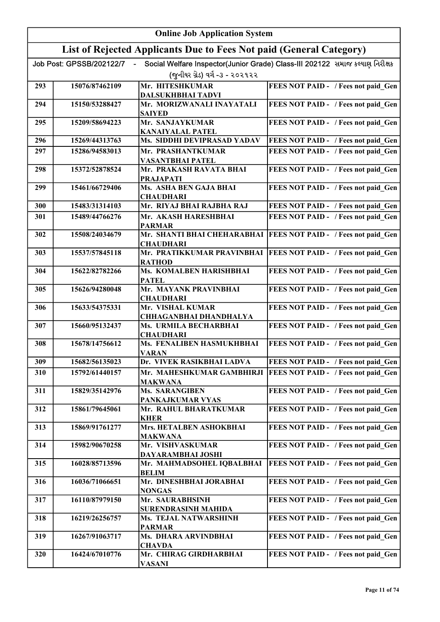|     | <b>Online Job Application System</b> |                                                                     |                                                                              |
|-----|--------------------------------------|---------------------------------------------------------------------|------------------------------------------------------------------------------|
|     |                                      | List of Rejected Applicants Due to Fees Not paid (General Category) |                                                                              |
|     | Job Post: GPSSB/202122/7             |                                                                     | Social Welfare Inspector(Junior Grade) Class-III 202122 સમાજ કલ્યાણ નિરીક્ષક |
|     |                                      | (જુનીયર ગ્રેડ) વર્ગ -૩ - ૨૦૨૧૨૨                                     |                                                                              |
| 293 | 15076/87462109                       | Mr. HITESHKUMAR                                                     | FEES NOT PAID - / Fees not paid Gen                                          |
|     |                                      | DALSUKHBHAI TADVI                                                   |                                                                              |
| 294 | 15150/53288427                       | Mr. MORIZWANALI INAYATALI<br><b>SAIYED</b>                          | FEES NOT PAID - / Fees not paid Gen                                          |
| 295 | 15209/58694223                       | Mr. SANJAYKUMAR<br><b>KANAIYALAL PATEL</b>                          | FEES NOT PAID - / Fees not paid Gen                                          |
| 296 | 15269/44313763                       | Ms. SIDDHI DEVIPRASAD YADAV                                         | FEES NOT PAID - / Fees not paid Gen                                          |
| 297 | 15286/94583013                       | Mr. PRASHANTKUMAR<br><b>VASANTBHAI PATEL</b>                        | FEES NOT PAID - / Fees not paid Gen                                          |
| 298 | 15372/52878524                       | Mr. PRAKASH RAVATA BHAI<br><b>PRAJAPATI</b>                         | FEES NOT PAID - / Fees not paid Gen                                          |
| 299 | 15461/66729406                       | Ms. ASHA BEN GAJA BHAI<br><b>CHAUDHARI</b>                          | FEES NOT PAID - / Fees not paid Gen                                          |
| 300 | 15483/31314103                       | Mr. RIYAJ BHAI RAJBHA RAJ                                           | FEES NOT PAID - / Fees not paid Gen                                          |
| 301 | 15489/44766276                       | Mr. AKASH HARESHBHAI<br><b>PARMAR</b>                               | FEES NOT PAID - / Fees not paid Gen                                          |
| 302 | 15508/24034679                       | Mr. SHANTI BHAI CHEHARABHAI<br><b>CHAUDHARI</b>                     | <b>FEES NOT PAID - / Fees not paid Gen</b>                                   |
| 303 | 15537/57845118                       | Mr. PRATIKKUMAR PRAVINBHAI<br><b>RATHOD</b>                         | FEES NOT PAID - / Fees not paid Gen                                          |
| 304 | 15622/82782266                       | Ms. KOMALBEN HARISHBHAI<br><b>PATEL</b>                             | FEES NOT PAID - / Fees not paid Gen                                          |
| 305 | 15626/94280048                       | Mr. MAYANK PRAVINBHAI<br><b>CHAUDHARI</b>                           | FEES NOT PAID - / Fees not paid_Gen                                          |
| 306 | 15633/54375331                       | Mr. VISHAL KUMAR<br><b>CHHAGANBHAI DHANDHALYA</b>                   | FEES NOT PAID - / Fees not paid Gen                                          |
| 307 | 15660/95132437                       | Ms. URMILA BECHARBHAI<br><b>CHAUDHARI</b>                           | FEES NOT PAID - / Fees not paid Gen                                          |
| 308 | 15678/14756612                       | Ms. FENALIBEN HASMUKHBHAI<br><b>VARAN</b>                           | FEES NOT PAID - / Fees not paid Gen                                          |
| 309 | 15682/56135023                       | Dr. VIVEK RASIKBHAI LADVA                                           | FEES NOT PAID - / Fees not paid Gen                                          |
| 310 | 15792/61440157                       | Mr. MAHESHKUMAR GAMBHIRJI<br><b>MAKWANA</b>                         | FEES NOT PAID - / Fees not paid Gen                                          |
| 311 | 15829/35142976                       | <b>Ms. SARANGIBEN</b>                                               | FEES NOT PAID - / Fees not paid Gen                                          |
| 312 | 15861/79645061                       | PANKAJKUMAR VYAS<br>Mr. RAHUL BHARATKUMAR<br><b>KHER</b>            | FEES NOT PAID - / Fees not paid Gen                                          |
| 313 | 15869/91761277                       | Mrs. HETALBEN ASHOKBHAI                                             | FEES NOT PAID - / Fees not paid Gen                                          |
| 314 | 15982/90670258                       | <b>MAKWANA</b><br>Mr. VISHVASKUMAR                                  | FEES NOT PAID - / Fees not paid Gen                                          |
| 315 | 16028/85713596                       | DAYARAMBHAI JOSHI<br>Mr. MAHMADSOHEL IQBALBHAI                      | FEES NOT PAID - / Fees not paid Gen                                          |
| 316 | 16036/71066651                       | <b>BELIM</b><br>Mr. DINESHBHAI JORABHAI                             | FEES NOT PAID - / Fees not paid Gen                                          |
| 317 | 16110/87979150                       | <b>NONGAS</b><br>Mr. SAURABHSINH                                    | FEES NOT PAID - / Fees not paid Gen                                          |
| 318 | 16219/26256757                       | <b>SURENDRASINH MAHIDA</b><br>Ms. TEJAL NATWARSHINH                 | FEES NOT PAID - / Fees not paid Gen                                          |
| 319 | 16267/91063717                       | <b>PARMAR</b><br>Ms. DHARA ARVINDBHAI                               | FEES NOT PAID - / Fees not paid Gen                                          |
|     |                                      | <b>CHAVDA</b>                                                       |                                                                              |
| 320 | 16424/67010776                       | Mr. CHIRAG GIRDHARBHAI<br><b>VASANI</b>                             | FEES NOT PAID - / Fees not paid Gen                                          |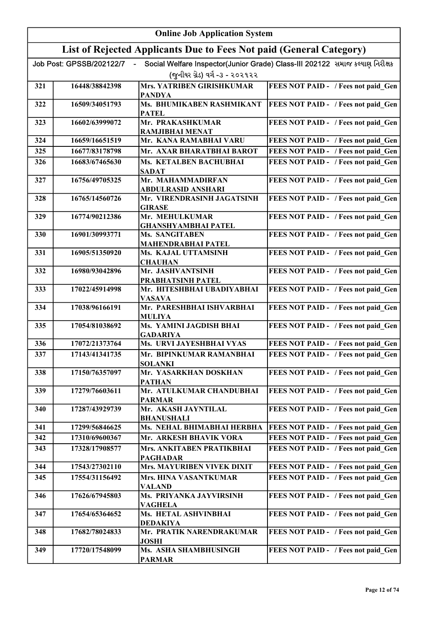|     | <b>Online Job Application System</b>                                |                                                             |                                                                              |
|-----|---------------------------------------------------------------------|-------------------------------------------------------------|------------------------------------------------------------------------------|
|     | List of Rejected Applicants Due to Fees Not paid (General Category) |                                                             |                                                                              |
|     | Job Post: GPSSB/202122/7                                            |                                                             | Social Welfare Inspector(Junior Grade) Class-III 202122 સમાજ કલ્યાણ નિરીક્ષક |
|     |                                                                     | (જુનીયર ગ્રેડ) વર્ગ -૩ - ૨૦૨૧૨૨                             |                                                                              |
| 321 | 16448/38842398                                                      | <b>Mrs. YATRIBEN GIRISHKUMAR</b>                            | FEES NOT PAID - / Fees not paid Gen                                          |
|     |                                                                     | <b>PANDYA</b>                                               |                                                                              |
| 322 | 16509/34051793                                                      | Ms. BHUMIKABEN RASHMIKANT<br><b>PATEL</b>                   | FEES NOT PAID - / Fees not paid Gen                                          |
| 323 | 16602/63999072                                                      | Mr. PRAKASHKUMAR                                            | FEES NOT PAID - / Fees not paid Gen                                          |
|     |                                                                     | <b>RAMJIBHAI MENAT</b>                                      |                                                                              |
| 324 | 16659/16651519                                                      | Mr. KANA RAMABHAI VARU                                      | FEES NOT PAID - / Fees not paid Gen                                          |
| 325 | 16677/83178798                                                      | Mr. AXAR BHARATBHAI BAROT                                   | FEES NOT PAID - / Fees not paid Gen                                          |
| 326 | 16683/67465630                                                      | Ms. KETALBEN BACHUBHAI<br><b>SADAT</b>                      | FEES NOT PAID - / Fees not paid Gen                                          |
| 327 | 16756/49705325                                                      | Mr. MAHAMMADIRFAN                                           | FEES NOT PAID - / Fees not paid Gen                                          |
|     |                                                                     | ABDULRASID ANSHARI                                          |                                                                              |
| 328 | 16765/14560726                                                      | Mr. VIRENDRASINH JAGATSINH                                  | FEES NOT PAID - / Fees not paid Gen                                          |
| 329 | 16774/90212386                                                      | <b>GIRASE</b><br>Mr. MEHULKUMAR                             | FEES NOT PAID - / Fees not paid_Gen                                          |
|     |                                                                     | <b>GHANSHYAMBHAI PATEL</b>                                  |                                                                              |
| 330 | 16901/30993771                                                      | Ms. SANGITABEN                                              | FEES NOT PAID - / Fees not paid_Gen                                          |
|     |                                                                     | <b>MAHENDRABHAI PATEL</b>                                   |                                                                              |
| 331 | 16905/51350920                                                      | Ms. KAJAL UTTAMSINH<br><b>CHAUHAN</b>                       | FEES NOT PAID - / Fees not paid_Gen                                          |
| 332 | 16980/93042896                                                      | Mr. JASHVANTSINH                                            | FEES NOT PAID - / Fees not paid_Gen                                          |
|     |                                                                     | PRABHATSINH PATEL                                           |                                                                              |
| 333 | 17022/45914998                                                      | Mr. HITESHBHAI UBADIYABHAI                                  | FEES NOT PAID - / Fees not paid Gen                                          |
| 334 | 17038/96166191                                                      | <b>VASAVA</b><br>Mr. PARESHBHAI ISHVARBHAI<br><b>MULIYA</b> | FEES NOT PAID - / Fees not paid_Gen                                          |
| 335 | 17054/81038692                                                      | Ms. YAMINI JAGDISH BHAI<br><b>GADARIYA</b>                  | FEES NOT PAID - / Fees not paid Gen                                          |
| 336 | 17072/21373764                                                      | Ms. URVI JAYESHBHAI VYAS                                    | FEES NOT PAID - / Fees not paid Gen                                          |
| 337 | 17143/41341735                                                      | Mr. BIPINKUMAR RAMANBHAI                                    | FEES NOT PAID - / Fees not paid_Gen                                          |
|     |                                                                     | <b>SOLANKI</b>                                              |                                                                              |
| 338 | 17150/76357097                                                      | Mr. YASARKHAN DOSKHAN<br><b>PATHAN</b>                      | FEES NOT PAID - / Fees not paid_Gen                                          |
| 339 | 17279/76603611                                                      | Mr. ATULKUMAR CHANDUBHAI<br><b>PARMAR</b>                   | FEES NOT PAID - / Fees not paid_Gen                                          |
| 340 | 17287/43929739                                                      | Mr. AKASH JAYNTILAL<br><b>BHANUSHALI</b>                    | FEES NOT PAID - / Fees not paid Gen                                          |
| 341 | 17299/56846625                                                      | Ms. NEHAL BHIMABHAI HERBHA                                  | FEES NOT PAID - / Fees not paid_Gen                                          |
| 342 | 17310/69600367                                                      | Mr. ARKESH BHAVIK VORA                                      | FEES NOT PAID - / Fees not paid Gen                                          |
| 343 | 17328/17908577                                                      | Mrs. ANKITABEN PRATIKBHAI                                   | FEES NOT PAID - / Fees not paid Gen                                          |
|     |                                                                     | <b>PAGHADAR</b>                                             |                                                                              |
| 344 | 17543/27302110                                                      | <b>Mrs. MAYURIBEN VIVEK DIXIT</b>                           | FEES NOT PAID - / Fees not paid_Gen                                          |
| 345 | 17554/31156492                                                      | Mrs. HINA VASANTKUMAR<br><b>VALAND</b>                      | FEES NOT PAID - / Fees not paid Gen                                          |
| 346 | 17626/67945803                                                      | Ms. PRIYANKA JAYVIRSINH<br>VAGHELA                          | FEES NOT PAID - / Fees not paid_Gen                                          |
| 347 | 17654/65364652                                                      | Ms. HETAL ASHVINBHAI<br><b>DEDAKIYA</b>                     | FEES NOT PAID - / Fees not paid_Gen                                          |
| 348 | 17682/78024833                                                      | Mr. PRATIK NARENDRAKUMAR<br>JOSHI                           | FEES NOT PAID - / Fees not paid_Gen                                          |
| 349 | 17720/17548099                                                      | Ms. ASHA SHAMBHUSINGH<br><b>PARMAR</b>                      | FEES NOT PAID - / Fees not paid Gen                                          |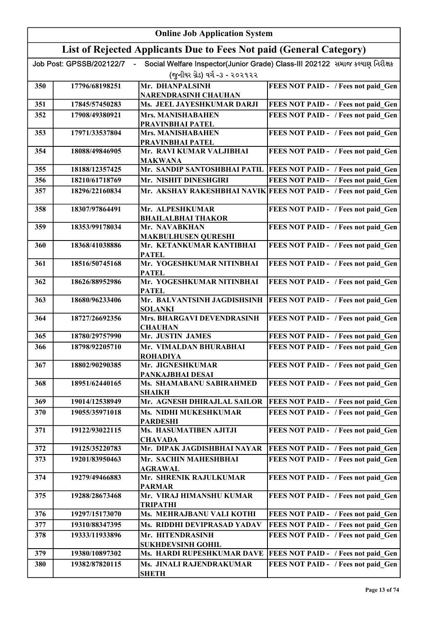|     | <b>Online Job Application System</b> |                                                                     |                                                                              |  |
|-----|--------------------------------------|---------------------------------------------------------------------|------------------------------------------------------------------------------|--|
|     |                                      | List of Rejected Applicants Due to Fees Not paid (General Category) |                                                                              |  |
|     | Job Post: GPSSB/202122/7             | (જુનીયર ગ્રેડ) વર્ગ -૩ - ૨૦૨૧૨૨                                     | Social Welfare Inspector(Junior Grade) Class-III 202122 સમાજ કલ્યાણ નિરીક્ષક |  |
| 350 | 17796/68198251                       | Mr. DHANPALSINH<br><b>NARENDRASINH CHAUHAN</b>                      | FEES NOT PAID - / Fees not paid Gen                                          |  |
| 351 | 17845/57450283                       | Ms. JEEL JAYESHKUMAR DARJI                                          | FEES NOT PAID - / Fees not paid_Gen                                          |  |
| 352 | 17908/49380921                       | Mrs. MANISHABAHEN                                                   | FEES NOT PAID - / Fees not paid Gen                                          |  |
|     |                                      | PRAVINBHAI PATEL                                                    |                                                                              |  |
| 353 | 17971/33537804                       | <b>Mrs. MANISHABAHEN</b><br>PRAVINBHAI PATEL                        | FEES NOT PAID - / Fees not paid Gen                                          |  |
| 354 | 18088/49846905                       | Mr. RAVI KUMAR VALJIBHAI<br><b>MAKWANA</b>                          | FEES NOT PAID - / Fees not paid Gen                                          |  |
| 355 | 18188/12357425                       |                                                                     | Mr. SANDIP SANTOSHBHAI PATIL  FEES NOT PAID - / Fees not paid Gen            |  |
| 356 | 18210/61718769                       | Mr. NISHIT DINESHGIRI                                               | FEES NOT PAID - / Fees not paid Gen                                          |  |
| 357 | 18296/22160834                       |                                                                     | Mr. AKSHAY RAKESHBHAI NAVIK FEES NOT PAID - / Fees not paid Gen              |  |
| 358 | 18307/97864491                       | Mr. ALPESHKUMAR<br><b>BHAILALBHAI THAKOR</b>                        | FEES NOT PAID - / Fees not paid Gen                                          |  |
| 359 | 18353/99178034                       | Mr. NAVABKHAN                                                       | FEES NOT PAID - / Fees not paid Gen                                          |  |
|     |                                      | <b>MAKBULHUSEN QURESHI</b>                                          |                                                                              |  |
| 360 | 18368/41038886                       | Mr. KETANKUMAR KANTIBHAI<br><b>PATEL</b>                            | FEES NOT PAID - / Fees not paid Gen                                          |  |
| 361 | 18516/50745168                       | Mr. YOGESHKUMAR NITINBHAI<br><b>PATEL</b>                           | FEES NOT PAID - / Fees not paid Gen                                          |  |
| 362 | 18626/88952986                       | Mr. YOGESHKUMAR NITINBHAI<br><b>PATEL</b>                           | FEES NOT PAID - / Fees not paid_Gen                                          |  |
| 363 | 18680/96233406                       | Mr. BALVANTSINH JAGDISHSINH<br><b>SOLANKI</b>                       | FEES NOT PAID - / Fees not paid Gen                                          |  |
| 364 | 18727/26692356                       | Mrs. BHARGAVI DEVENDRASINH<br><b>CHAUHAN</b>                        | FEES NOT PAID - / Fees not paid Gen                                          |  |
| 365 | 18780/29757990                       | Mr. JUSTIN JAMES                                                    | FEES NOT PAID - / Fees not paid Gen                                          |  |
| 366 | 18798/92205710                       | Mr. VIMALDAN BHURABHAI<br><b>ROHADIYA</b>                           | FEES NOT PAID - / Fees not paid Gen                                          |  |
| 367 | 18802/90290385                       | Mr. JIGNESHKUMAR                                                    | FEES NOT PAID - / Fees not paid Gen                                          |  |
| 368 | 18951/62440165                       | PANKAJBHAI DESAI<br>Ms. SHAMABANU SABIRAHMED                        | FEES NOT PAID - / Fees not paid Gen                                          |  |
| 369 | 19014/12538949                       | <b>SHAIKH</b><br>Mr. AGNESH DHIRAJLAL SAILOR                        | FEES NOT PAID - / Fees not paid Gen                                          |  |
| 370 | 19055/35971018                       | Ms. NIDHI MUKESHKUMAR                                               | FEES NOT PAID - / Fees not paid Gen                                          |  |
|     |                                      | <b>PARDESHI</b>                                                     |                                                                              |  |
| 371 | 19122/93022115                       | Ms. HASUMATIBEN AJITJI<br><b>CHAVADA</b>                            | FEES NOT PAID - / Fees not paid Gen                                          |  |
| 372 | 19125/35220783                       | Mr. DIPAK JAGDISHBHAI NAYAR                                         | FEES NOT PAID - / Fees not paid Gen                                          |  |
| 373 | 19201/83950463                       | Mr. SACHIN MAHESHBHAI<br><b>AGRAWAL</b>                             | FEES NOT PAID - / Fees not paid Gen                                          |  |
| 374 | 19279/49466883                       | Mr. SHRENIK RAJULKUMAR<br><b>PARMAR</b>                             | FEES NOT PAID - / Fees not paid Gen                                          |  |
| 375 | 19288/28673468                       | Mr. VIRAJ HIMANSHU KUMAR<br><b>TRIPATHI</b>                         | FEES NOT PAID - / Fees not paid Gen                                          |  |
| 376 | 19297/15173070                       | Ms. MEHRAJBANU VALI KOTHI                                           | FEES NOT PAID - / Fees not paid Gen                                          |  |
| 377 | 19310/88347395                       | Ms. RIDDHI DEVIPRASAD YADAV                                         | FEES NOT PAID - / Fees not paid Gen                                          |  |
| 378 | 19333/11933896                       | Mr. HITENDRASINH<br><b>SUKHDEVSINH GOHIL</b>                        | FEES NOT PAID - / Fees not paid Gen                                          |  |
| 379 | 19380/10897302                       | Ms. HARDI RUPESHKUMAR DAVE                                          | FEES NOT PAID - / Fees not paid Gen                                          |  |
| 380 | 19382/87820115                       | Ms. JINALI RAJENDRAKUMAR<br><b>SHETH</b>                            | FEES NOT PAID - / Fees not paid Gen                                          |  |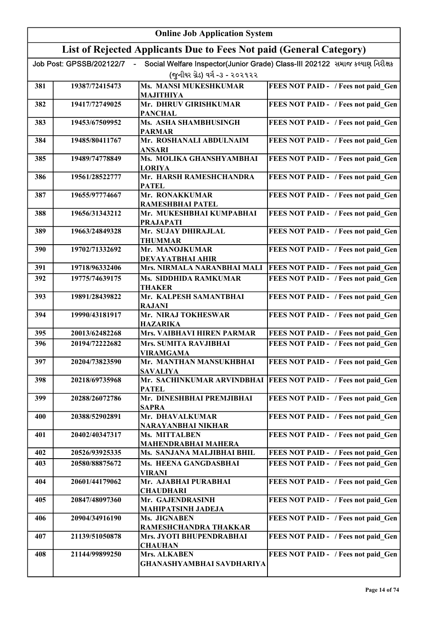| <b>Online Job Application System</b> |                          |                                                                     |                                                                              |
|--------------------------------------|--------------------------|---------------------------------------------------------------------|------------------------------------------------------------------------------|
|                                      |                          | List of Rejected Applicants Due to Fees Not paid (General Category) |                                                                              |
|                                      | Job Post: GPSSB/202122/7 |                                                                     | Social Welfare Inspector(Junior Grade) Class-III 202122 સમાજ કલ્યાણ નિરીક્ષક |
|                                      |                          | (જુનીયર ગ્રેડ) વર્ગ -૩ - ૨૦૨૧૨૨                                     |                                                                              |
| 381                                  | 19387/72415473           | <b>Ms. MANSI MUKESHKUMAR</b><br><b>MAJITHIYA</b>                    | FEES NOT PAID - / Fees not paid Gen                                          |
| 382                                  | 19417/72749025           | Mr. DHRUV GIRISHKUMAR<br><b>PANCHAL</b>                             | FEES NOT PAID - / Fees not paid Gen                                          |
| 383                                  | 19453/67509952           | Ms. ASHA SHAMBHUSINGH<br><b>PARMAR</b>                              | FEES NOT PAID - / Fees not paid Gen                                          |
| 384                                  | 19485/80411767           | Mr. ROSHANALI ABDULNAIM<br><b>ANSARI</b>                            | FEES NOT PAID - / Fees not paid Gen                                          |
| 385                                  | 19489/74778849           | Ms. MOLIKA GHANSHYAMBHAI<br><b>LORIYA</b>                           | FEES NOT PAID - / Fees not paid Gen                                          |
| 386                                  | 19561/28522777           | Mr. HARSH RAMESHCHANDRA<br><b>PATEL</b>                             | FEES NOT PAID - / Fees not paid Gen                                          |
| 387                                  | 19655/97774667           | Mr. RONAKKUMAR<br>RAMESHBHAI PATEL                                  | FEES NOT PAID - / Fees not paid Gen                                          |
| 388                                  | 19656/31343212           | Mr. MUKESHBHAI KUMPABHAI<br><b>PRAJAPATI</b>                        | FEES NOT PAID - / Fees not paid Gen                                          |
| 389                                  | 19663/24849328           | Mr. SUJAY DHIRAJLAL<br><b>THUMMAR</b>                               | FEES NOT PAID - / Fees not paid_Gen                                          |
| 390                                  | 19702/71332692           | Mr. MANOJKUMAR<br>DEVAYATBHAI AHIR                                  | FEES NOT PAID - / Fees not paid_Gen                                          |
| 391                                  | 19718/96332406           | Mrs. NIRMALA NARANBHAI MALI                                         | FEES NOT PAID - / Fees not paid Gen                                          |
| 392                                  | 19775/74639175           | Ms. SIDDHIDA RAMKUMAR<br><b>THAKER</b>                              | FEES NOT PAID - / Fees not paid Gen                                          |
| 393                                  | 19891/28439822           | Mr. KALPESH SAMANTBHAI<br><b>RAJANI</b>                             | FEES NOT PAID - / Fees not paid_Gen                                          |
| 394                                  | 19990/43181917           | Mr. NIRAJ TOKHESWAR<br><b>HAZARIKA</b>                              | FEES NOT PAID - / Fees not paid Gen                                          |
| 395                                  | 20013/62482268           | <b>Mrs. VAIBHAVI HIREN PARMAR</b>                                   | FEES NOT PAID - / Fees not paid Gen                                          |
| 396                                  | 20194/72222682           | Mrs. SUMITA RAVJIBHAI                                               | FEES NOT PAID - / Fees not paid Gen                                          |
| 397                                  | 20204/73823590           | <b>VIRAMGAMA</b><br>Mr. MANTHAN MANSUKHBHAI<br><b>SAVALIYA</b>      | FEES NOT PAID - / Fees not paid Gen                                          |
| 398                                  | 20218/69735968           | Mr. SACHINKUMAR ARVINDBHAI<br><b>PATEL</b>                          | FEES NOT PAID - / Fees not paid Gen                                          |
| 399                                  | 20288/26072786           | Mr. DINESHBHAI PREMJIBHAI<br><b>SAPRA</b>                           | FEES NOT PAID - / Fees not paid Gen                                          |
| 400                                  | 20388/52902891           | Mr. DHAVALKUMAR<br>NARAYANBHAI NIKHAR                               | FEES NOT PAID - / Fees not paid Gen                                          |
| 401                                  | 20402/40347317           | Ms. MITTALBEN<br>MAHENDRABHAI MAHERA                                | FEES NOT PAID - / Fees not paid Gen                                          |
| 402                                  | 20526/93925335           | Ms. SANJANA MALJIBHAI BHIL                                          | FEES NOT PAID - / Fees not paid Gen                                          |
| 403                                  | 20580/88875672           | Ms. HEENA GANGDASBHAI<br><b>VIRANI</b>                              | FEES NOT PAID - / Fees not paid Gen                                          |
| 404                                  | 20601/44179062           | Mr. AJABHAI PURABHAI<br><b>CHAUDHARI</b>                            | FEES NOT PAID - / Fees not paid Gen                                          |
| 405                                  | 20847/48097360           | Mr. GAJENDRASINH<br><b>MAHIPATSINH JADEJA</b>                       | FEES NOT PAID - / Fees not paid Gen                                          |
| 406                                  | 20904/34916190           | Ms. JIGNABEN<br>RAMESHCHANDRA THAKKAR                               | FEES NOT PAID - / Fees not paid_Gen                                          |
| 407                                  | 21139/51050878           | Mrs. JYOTI BHUPENDRABHAI<br><b>CHAUHAN</b>                          | FEES NOT PAID - / Fees not paid Gen                                          |
| 408                                  | 21144/99899250           | Mrs. ALKABEN<br>GHANASHYAMBHAI SAVDHARIYA                           | FEES NOT PAID - / Fees not paid Gen                                          |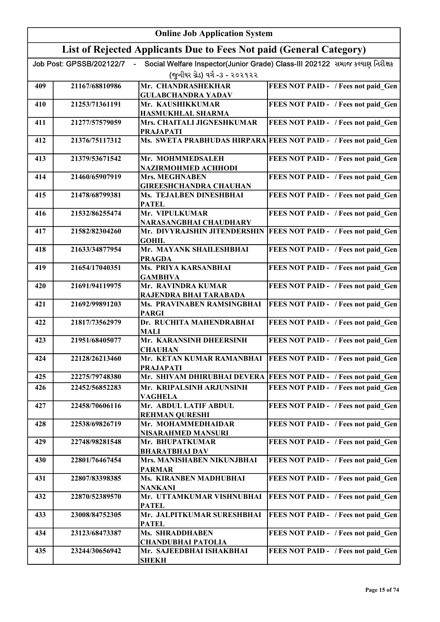|     | <b>Online Job Application System</b> |                                                                     |                                                                              |  |
|-----|--------------------------------------|---------------------------------------------------------------------|------------------------------------------------------------------------------|--|
|     |                                      | List of Rejected Applicants Due to Fees Not paid (General Category) |                                                                              |  |
|     | Job Post: GPSSB/202122/7             |                                                                     | Social Welfare Inspector(Junior Grade) Class-III 202122 સમાજ કલ્યાણ નિરીક્ષક |  |
|     |                                      | (જુનીયર ગ્રેડ) વર્ગ -૩ - ૨૦૨૧૨૨                                     |                                                                              |  |
| 409 | 21167/68810986                       | Mr. CHANDRASHEKHAR<br><b>GULABCHANDRA YADAV</b>                     | FEES NOT PAID - / Fees not paid Gen                                          |  |
| 410 | 21253/71361191                       | Mr. KAUSHIKKUMAR                                                    | FEES NOT PAID - / Fees not paid Gen                                          |  |
|     |                                      | HASMUKHLAL SHARMA                                                   |                                                                              |  |
| 411 | 21277/57579059                       | Mrs. CHAITALI JIGNESHKUMAR<br><b>PRAJAPATI</b>                      | FEES NOT PAID - / Fees not paid Gen                                          |  |
| 412 | 21376/75117312                       |                                                                     | Ms. SWETA PRABHUDAS HIRPARA FEES NOT PAID - / Fees not paid Gen              |  |
| 413 | 21379/53671542                       | Mr. MOHMMEDSALEH                                                    | FEES NOT PAID - / Fees not paid Gen                                          |  |
|     |                                      | NAZIRMOHMED ACHHODI                                                 |                                                                              |  |
| 414 | 21460/65907919                       | Mrs. MEGHNABEN<br><b>GIREESHCHANDRA CHAUHAN</b>                     | FEES NOT PAID - / Fees not paid Gen                                          |  |
| 415 | 21478/68799381                       | Ms. TEJALBEN DINESHBHAI<br><b>PATEL</b>                             | FEES NOT PAID - / Fees not paid Gen                                          |  |
| 416 | 21532/86255474                       | Mr. VIPULKUMAR<br><b>NARASANGBHAI CHAUDHARY</b>                     | FEES NOT PAID - / Fees not paid Gen                                          |  |
| 417 | 21582/82304260                       | Mr. DIVYRAJSHIN JITENDERSHIN<br><b>GOHIL</b>                        | FEES NOT PAID - / Fees not paid_Gen                                          |  |
| 418 | 21633/34877954                       | Mr. MAYANK SHAILESHBHAI                                             | FEES NOT PAID - / Fees not paid Gen                                          |  |
|     |                                      | <b>PRAGDA</b>                                                       |                                                                              |  |
| 419 | 21654/17040351                       | Ms. PRIYA KARSANBHAI<br><b>GAMBHVA</b>                              | FEES NOT PAID - / Fees not paid Gen                                          |  |
| 420 | 21691/94119975                       | Mr. RAVINDRA KUMAR<br>RAJENDRA BHAI TARABADA                        | FEES NOT PAID - / Fees not paid Gen                                          |  |
| 421 | 21692/99891203                       | Ms. PRAVINABEN RAMSINGBHAI<br><b>PARGI</b>                          | FEES NOT PAID - / Fees not paid Gen                                          |  |
| 422 | 21817/73562979                       | Dr. RUCHITA MAHENDRABHAI<br><b>MALI</b>                             | FEES NOT PAID - / Fees not paid_Gen                                          |  |
| 423 | 21951/68405077                       | Mr. KARANSINH DHEERSINH<br><b>CHAUHAN</b>                           | FEES NOT PAID - / Fees not paid Gen                                          |  |
| 424 | 22128/26213460                       | <b>PRAJAPATI</b>                                                    | Mr. KETAN KUMAR RAMANBHAI FEES NOT PAID - / Fees not paid Gen                |  |
| 425 | 22275/79748380                       |                                                                     | Mr. SHIVAM DHIRUBHAI DEVERA FEES NOT PAID - / Fees not paid Gen              |  |
| 426 | 22452/56852283                       | Mr. KRIPALSINH ARJUNSINH                                            | FEES NOT PAID - / Fees not paid Gen                                          |  |
| 427 | 22458/70606116                       | <b>VAGHELA</b><br>Mr. ABDUL LATIF ABDUL                             | FEES NOT PAID - / Fees not paid Gen                                          |  |
|     |                                      | <b>REHMAN QURESHI</b>                                               |                                                                              |  |
| 428 | 22538/69826719                       | Mr. MOHAMMEDHAIDAR<br>NISARAHMED MANSURI                            | FEES NOT PAID - / Fees not paid Gen                                          |  |
| 429 | 22748/98281548                       | Mr. BHUPATKUMAR<br><b>BHARATBHAI DAV</b>                            | FEES NOT PAID - / Fees not paid Gen                                          |  |
| 430 | 22801/76467454                       | Mrs. MANISHABEN NIKUNJBHAI<br><b>PARMAR</b>                         | FEES NOT PAID - / Fees not paid Gen                                          |  |
| 431 | 22807/83398385                       | Ms. KIRANBEN MADHUBHAI<br><b>NANKANI</b>                            | FEES NOT PAID - / Fees not paid Gen                                          |  |
| 432 | 22870/52389570                       | Mr. UTTAMKUMAR VISHNUBHAI<br><b>PATEL</b>                           | FEES NOT PAID - / Fees not paid Gen                                          |  |
| 433 | 23008/84752305                       | Mr. JALPITKUMAR SURESHBHAI                                          | FEES NOT PAID - / Fees not paid Gen                                          |  |
|     |                                      | <b>PATEL</b><br><b>Ms. SHRADDHABEN</b>                              |                                                                              |  |
| 434 | 23123/68473387                       | <b>CHANDUBHAI PATOLIA</b>                                           | FEES NOT PAID - / Fees not paid Gen                                          |  |
| 435 | 23244/30656942                       | Mr. SAJEEDBHAI ISHAKBHAI<br><b>SHEKH</b>                            | FEES NOT PAID - / Fees not paid Gen                                          |  |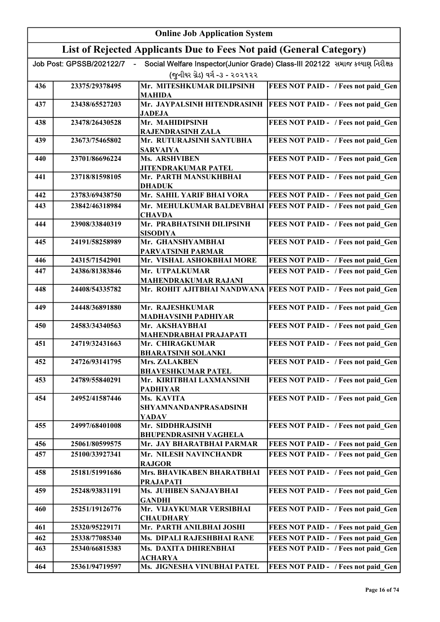|     | <b>Online Job Application System</b> |                                                                     |                                                                              |  |
|-----|--------------------------------------|---------------------------------------------------------------------|------------------------------------------------------------------------------|--|
|     |                                      | List of Rejected Applicants Due to Fees Not paid (General Category) |                                                                              |  |
|     | Job Post: GPSSB/202122/7             |                                                                     | Social Welfare Inspector(Junior Grade) Class-III 202122 સમાજ કલ્યાણ નિરીક્ષક |  |
|     |                                      | (જનીયર ગ્રેડ) વર્ગ -૩ - ૨૦૨૧૨૨                                      |                                                                              |  |
| 436 | 23375/29378495                       | Mr. MITESHKUMAR DILIPSINH                                           | FEES NOT PAID - / Fees not paid_Gen                                          |  |
|     |                                      | <b>MAHIDA</b>                                                       |                                                                              |  |
| 437 | 23438/65527203                       | Mr. JAYPALSINH HITENDRASINH<br><b>JADEJA</b>                        | <b>FEES NOT PAID - / Fees not paid Gen</b>                                   |  |
| 438 | 23478/26430528                       | Mr. MAHIDIPSINH                                                     | FEES NOT PAID - / Fees not paid Gen                                          |  |
|     |                                      | <b>RAJENDRASINH ZALA</b>                                            |                                                                              |  |
| 439 | 23673/75465802                       | Mr. RUTURAJSINH SANTUBHA<br><b>SARVAIYA</b>                         | FEES NOT PAID - / Fees not paid Gen                                          |  |
| 440 | 23701/86696224                       | Ms. ARSHVIBEN                                                       | FEES NOT PAID - / Fees not paid Gen                                          |  |
|     |                                      | <b>JITENDRAKUMAR PATEL</b>                                          |                                                                              |  |
| 441 | 23718/81598105                       | Mr. PARTH MANSUKHBHAI<br><b>DHADUK</b>                              | FEES NOT PAID - / Fees not paid Gen                                          |  |
| 442 | 23783/69438750                       | Mr. SAHIL YARIF BHAI VORA                                           | FEES NOT PAID - / Fees not paid Gen                                          |  |
| 443 | 23842/46318984                       | Mr. MEHULKUMAR BALDEVBHAI                                           | <b>FEES NOT PAID - / Fees not paid Gen</b>                                   |  |
|     |                                      | <b>CHAVDA</b>                                                       |                                                                              |  |
| 444 | 23908/33840319                       | Mr. PRABHATSINH DILIPSINH<br><b>SISODIYA</b>                        | FEES NOT PAID - / Fees not paid Gen                                          |  |
| 445 | 24191/58258989                       | Mr. GHANSHYAMBHAI                                                   | FEES NOT PAID - / Fees not paid Gen                                          |  |
|     |                                      | PARVATSINH PARMAR                                                   |                                                                              |  |
| 446 | 24315/71542901                       | Mr. VISHAL ASHOKBHAI MORE                                           | FEES NOT PAID - / Fees not paid Gen                                          |  |
| 447 | 24386/81383846                       | Mr. UTPALKUMAR<br><b>MAHENDRAKUMAR RAJANI</b>                       | FEES NOT PAID - / Fees not paid Gen                                          |  |
| 448 | 24408/54335782                       |                                                                     | Mr. ROHIT AJITBHAI NANDWANA FEES NOT PAID - / Fees not paid Gen              |  |
| 449 | 24448/36891880                       | Mr. RAJESHKUMAR                                                     | FEES NOT PAID - / Fees not paid Gen                                          |  |
|     |                                      | <b>MADHAVSINH PADHIYAR</b>                                          |                                                                              |  |
| 450 | 24583/34340563                       | Mr. AKSHAYBHAI<br><b>MAHENDRABHAI PRAJAPATI</b>                     | FEES NOT PAID - / Fees not paid Gen                                          |  |
| 451 | 24719/32431663                       | Mr. CHIRAGKUMAR                                                     | FEES NOT PAID - / Fees not paid Gen                                          |  |
|     |                                      | <b>BHARATSINH SOLANKI</b>                                           |                                                                              |  |
| 452 | 24726/93141795                       | Mrs. ZALAKBEN                                                       | FEES NOT PAID - / Fees not paid Gen                                          |  |
|     |                                      | <b>BHAVESHKUMAR PATEL</b>                                           |                                                                              |  |
| 453 | 24789/55840291                       | Mr. KIRITBHAI LAXMANSINH<br><b>PADHIYAR</b>                         | FEES NOT PAID - / Fees not paid Gen                                          |  |
| 454 | 24952/41587446                       | Ms. KAVITA                                                          | FEES NOT PAID - / Fees not paid Gen                                          |  |
|     |                                      | SHYAMNANDANPRASADSINH                                               |                                                                              |  |
| 455 | 24997/68401008                       | YADAV<br>Mr. SIDDHRAJSINH                                           | FEES NOT PAID - / Fees not paid Gen                                          |  |
|     |                                      | <b>BHUPENDRASINH VAGHELA</b>                                        |                                                                              |  |
| 456 | 25061/80599575                       | Mr. JAY BHARATBHAI PARMAR                                           | FEES NOT PAID - / Fees not paid Gen                                          |  |
| 457 | 25100/33927341                       | Mr. NILESH NAVINCHANDR                                              | FEES NOT PAID - / Fees not paid Gen                                          |  |
|     |                                      | <b>RAJGOR</b>                                                       |                                                                              |  |
| 458 | 25181/51991686                       | Mrs. BHAVIKABEN BHARATBHAI<br><b>PRAJAPATI</b>                      | FEES NOT PAID - / Fees not paid Gen                                          |  |
| 459 | 25248/93831191                       | Ms. JUHIBEN SANJAYBHAI<br><b>GANDHI</b>                             | FEES NOT PAID - / Fees not paid Gen                                          |  |
| 460 | 25251/19126776                       | Mr. VIJAYKUMAR VERSIBHAI<br><b>CHAUDHARY</b>                        | FEES NOT PAID - / Fees not paid Gen                                          |  |
| 461 | 25320/95229171                       | Mr. PARTH ANILBHAI JOSHI                                            | FEES NOT PAID - / Fees not paid Gen                                          |  |
| 462 | 25338/77085340                       | Ms. DIPALI RAJESHBHAI RANE                                          | FEES NOT PAID - / Fees not paid Gen                                          |  |
| 463 | 25340/66815383                       | Ms. DAXITA DHIRENBHAI                                               | FEES NOT PAID - / Fees not paid Gen                                          |  |
|     |                                      | <b>ACHARYA</b>                                                      |                                                                              |  |
| 464 | 25361/94719597                       | Ms. JIGNESHA VINUBHAI PATEL                                         | FEES NOT PAID - / Fees not paid Gen                                          |  |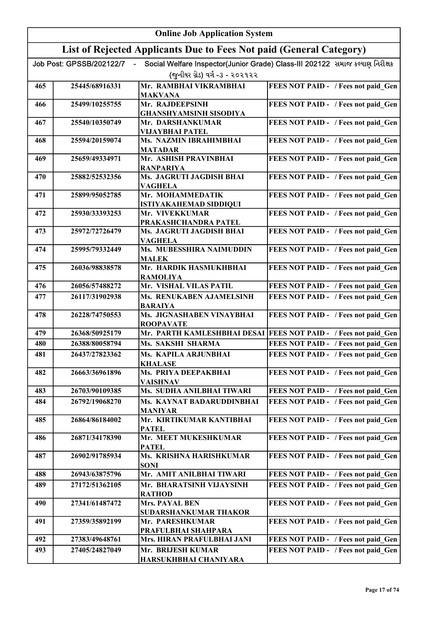|     | <b>Online Job Application System</b> |                                                                     |                                                                              |  |
|-----|--------------------------------------|---------------------------------------------------------------------|------------------------------------------------------------------------------|--|
|     |                                      | List of Rejected Applicants Due to Fees Not paid (General Category) |                                                                              |  |
|     | Job Post: GPSSB/202122/7             |                                                                     | Social Welfare Inspector(Junior Grade) Class-III 202122 સમાજ કલ્યાણ નિરીક્ષક |  |
|     |                                      | (જુનીયર ગ્રેડ) વર્ગ -૩ - ૨૦૨૧૨૨                                     |                                                                              |  |
| 465 | 25445/68916331                       | Mr. RAMBHAI VIKRAMBHAI<br><b>MAKVANA</b>                            | FEES NOT PAID - / Fees not paid Gen                                          |  |
| 466 | 25499/10255755                       | Mr. RAJDEEPSINH                                                     | FEES NOT PAID - / Fees not paid Gen                                          |  |
|     |                                      | <b>GHANSHYAMSINH SISODIYA</b>                                       |                                                                              |  |
| 467 | 25540/10350749                       | Mr. DARSHANKUMAR<br>VIJAYBHAI PATEL                                 | FEES NOT PAID - / Fees not paid Gen                                          |  |
| 468 | 25594/20159074                       | Ms. NAZMIN IBRAHIMBHAI<br><b>MATADAR</b>                            | FEES NOT PAID - / Fees not paid Gen                                          |  |
| 469 | 25659/49334971                       | Mr. ASHISH PRAVINBHAI                                               | FEES NOT PAID - / Fees not paid Gen                                          |  |
| 470 | 25882/52532356                       | <b>RANPARIYA</b><br>Ms. JAGRUTI JAGDISH BHAI                        | FEES NOT PAID - / Fees not paid Gen                                          |  |
|     |                                      | <b>VAGHELA</b>                                                      |                                                                              |  |
| 471 | 25899/95052785                       | Mr. MOHAMMEDATIK<br><b>ISTIYAKAHEMAD SIDDIQUI</b>                   | FEES NOT PAID - / Fees not paid Gen                                          |  |
| 472 | 25930/33393253                       | Mr. VIVEKKUMAR<br>PRAKASHCHANDRA PATEL                              | FEES NOT PAID - / Fees not paid_Gen                                          |  |
| 473 | 25972/72726479                       | Ms. JAGRUTI JAGDISH BHAI                                            | FEES NOT PAID - / Fees not paid Gen                                          |  |
| 474 | 25995/79332449                       | <b>VAGHELA</b><br>Ms. MUBESSHIRA NAIMUDDIN<br><b>MALEK</b>          | FEES NOT PAID - / Fees not paid Gen                                          |  |
| 475 | 26036/98838578                       | Mr. HARDIK HASMUKHBHAI<br><b>RAMOLIYA</b>                           | FEES NOT PAID - / Fees not paid Gen                                          |  |
| 476 | 26056/57488272                       | Mr. VISHAL VILAS PATIL                                              | FEES NOT PAID - / Fees not paid Gen                                          |  |
| 477 | 26117/31902938                       | Ms. RENUKABEN AJAMELSINH<br><b>BARAIYA</b>                          | FEES NOT PAID - / Fees not paid Gen                                          |  |
| 478 | 26228/74750553                       | Ms. JIGNASHABEN VINAYBHAI<br><b>ROOPAVATE</b>                       | FEES NOT PAID - / Fees not paid Gen                                          |  |
| 479 | 26368/50925179                       |                                                                     | Mr. PARTH KAMLESHBHAI DESAI FEES NOT PAID - / Fees not paid Gen              |  |
| 480 | 26388/80058794                       | Ms. SAKSHI SHARMA                                                   | FEES NOT PAID - / Fees not paid Gen                                          |  |
| 481 | 26437/27823362                       | Ms. KAPILA ARJUNBHAI<br><b>KHALASE</b>                              | FEES NOT PAID - / Fees not paid_Gen                                          |  |
| 482 | 26663/36961896                       | Ms. PRIYA DEEPAKBHAI<br><b>VAISHNAV</b>                             | FEES NOT PAID - / Fees not paid Gen                                          |  |
| 483 | 26703/90109385                       | Ms. SUDHA ANILBHAI TIWARI                                           | FEES NOT PAID - / Fees not paid Gen                                          |  |
| 484 | 26792/19068270                       | Ms. KAYNAT BADARUDDINBHAI<br><b>MANIYAR</b>                         | FEES NOT PAID - / Fees not paid Gen                                          |  |
| 485 | 26864/86184002                       | Mr. KIRTIKUMAR KANTIBHAI<br><b>PATEL</b>                            | FEES NOT PAID - / Fees not paid Gen                                          |  |
| 486 | 26871/34178390                       | Mr. MEET MUKESHKUMAR<br><b>PATEL</b>                                | FEES NOT PAID - / Fees not paid_Gen                                          |  |
| 487 | 26902/91785934                       | Ms. KRISHNA HARISHKUMAR<br><b>SONI</b>                              | FEES NOT PAID - / Fees not paid Gen                                          |  |
| 488 | 26943/63875796                       | Mr. AMIT ANILBHAI TIWARI                                            | FEES NOT PAID - / Fees not paid Gen                                          |  |
| 489 | 27172/51362105                       | Mr. BHARATSINH VIJAYSINH<br><b>RATHOD</b>                           | FEES NOT PAID - / Fees not paid Gen                                          |  |
| 490 | 27341/61487472                       | Mrs. PAYAL BEN                                                      | FEES NOT PAID - / Fees not paid Gen                                          |  |
| 491 | 27359/35892199                       | SUDARSHANKUMAR THAKOR<br>Mr. PARESHKUMAR                            | FEES NOT PAID - / Fees not paid Gen                                          |  |
|     |                                      | PRAFULBHAI SHAHPARA                                                 |                                                                              |  |
| 492 | 27383/49648761                       | Mrs. HIRAN PRAFULBHAI JANI                                          | FEES NOT PAID - / Fees not paid Gen                                          |  |
| 493 | 27405/24827049                       | Mr. BRIJESH KUMAR<br>HARSUKHBHAI CHANIYARA                          | FEES NOT PAID - / Fees not paid Gen                                          |  |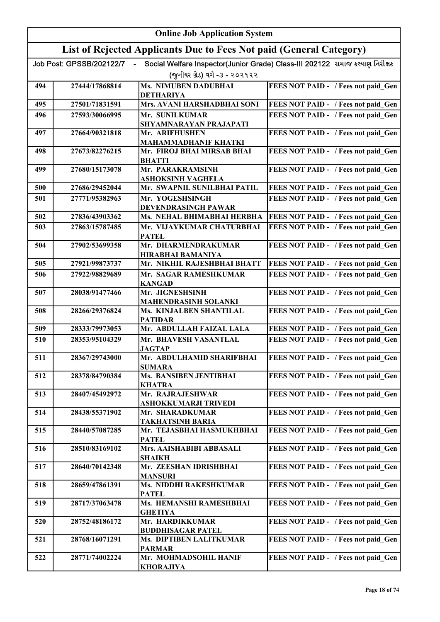|     | <b>Online Job Application System</b> |                                                                     |                                                                              |  |
|-----|--------------------------------------|---------------------------------------------------------------------|------------------------------------------------------------------------------|--|
|     |                                      | List of Rejected Applicants Due to Fees Not paid (General Category) |                                                                              |  |
|     | Job Post: GPSSB/202122/7             |                                                                     | Social Welfare Inspector(Junior Grade) Class-III 202122 સમાજ કલ્યાણ નિરીક્ષક |  |
|     |                                      | (જુનીયર ગ્રેડ) વર્ગ -૩ - ૨૦૨૧૨૨                                     |                                                                              |  |
| 494 | 27444/17868814                       | <b>Ms. NIMUBEN DADUBHAI</b><br><b>DETHARIYA</b>                     | FEES NOT PAID - / Fees not paid Gen                                          |  |
| 495 | 27501/71831591                       | Mrs. AVANI HARSHADBHAI SONI                                         | FEES NOT PAID - / Fees not paid Gen                                          |  |
| 496 | 27593/30066995                       | Mr. SUNILKUMAR                                                      | FEES NOT PAID - / Fees not paid Gen                                          |  |
|     | 27664/90321818                       | SHYAMNARAYAN PRAJAPATI                                              |                                                                              |  |
| 497 |                                      | Mr. ARIFHUSHEN<br><b>MAHAMMADHANIF KHATKI</b>                       | FEES NOT PAID - / Fees not paid Gen                                          |  |
| 498 | 27673/82276215                       | Mr. FIROJ BHAI MIRSAB BHAI<br><b>BHATTI</b>                         | FEES NOT PAID - / Fees not paid Gen                                          |  |
| 499 | 27680/15173078                       | Mr. PARAKRAMSINH<br>ASHOKSINH VAGHELA                               | FEES NOT PAID - / Fees not paid Gen                                          |  |
| 500 | 27686/29452044                       | Mr. SWAPNIL SUNILBHAI PATIL                                         | FEES NOT PAID - / Fees not paid Gen                                          |  |
| 501 | 27771/95382963                       | Mr. YOGESHSINGH                                                     | FEES NOT PAID - / Fees not paid Gen                                          |  |
| 502 | 27836/43903362                       | DEVENDRASINGH PAWAR<br>Ms. NEHAL BHIMABHAI HERBHA                   | FEES NOT PAID - / Fees not paid Gen                                          |  |
| 503 | 27863/15787485                       | Mr. VIJAYKUMAR CHATURBHAI                                           | FEES NOT PAID - / Fees not paid Gen                                          |  |
|     |                                      | <b>PATEL</b>                                                        |                                                                              |  |
| 504 | 27902/53699358                       | Mr. DHARMENDRAKUMAR<br><b>HIRABHAI BAMANIYA</b>                     | FEES NOT PAID - / Fees not paid Gen                                          |  |
| 505 | 27921/99873737                       | Mr. NIKHIL RAJESHBHAI BHATT                                         | FEES NOT PAID - / Fees not paid Gen                                          |  |
| 506 | 27922/98829689                       | Mr. SAGAR RAMESHKUMAR<br><b>KANGAD</b>                              | FEES NOT PAID - / Fees not paid Gen                                          |  |
| 507 | 28038/91477466                       | Mr. JIGNESHSINH                                                     | FEES NOT PAID - / Fees not paid Gen                                          |  |
|     |                                      | <b>MAHENDRASINH SOLANKI</b>                                         |                                                                              |  |
| 508 | 28266/29376824                       | Ms. KINJALBEN SHANTILAL<br><b>PATIDAR</b>                           | FEES NOT PAID - / Fees not paid Gen                                          |  |
| 509 | 28333/79973053                       | Mr. ABDULLAH FAIZAL LALA                                            | FEES NOT PAID - / Fees not paid Gen                                          |  |
| 510 | 28353/95104329                       | Mr. BHAVESH VASANTLAL<br><b>JAGTAP</b>                              | FEES NOT PAID - / Fees not paid Gen                                          |  |
| 511 | 28367/29743000                       | Mr. ABDULHAMID SHARIFBHAI<br><b>SUMARA</b>                          | <b>FEES NOT PAID - / Fees not paid Gen</b>                                   |  |
| 512 | 28378/84790384                       | Ms. BANSIBEN JENTIBHAI<br>KHATRA                                    | FEES NOT PAID - / Fees not paid Gen                                          |  |
| 513 | 28407/45492972                       | Mr. RAJRAJESHWAR                                                    | FEES NOT PAID - / Fees not paid Gen                                          |  |
| 514 | 28438/55371902                       | ASHOKKUMARJI TRIVEDI<br>Mr. SHARADKUMAR                             | FEES NOT PAID - / Fees not paid Gen                                          |  |
| 515 | 28440/57087285                       | TAKHATSINH BARIA<br>Mr. TEJASBHAI HASMUKHBHAI                       | FEES NOT PAID - / Fees not paid Gen                                          |  |
|     |                                      | <b>PATEL</b>                                                        |                                                                              |  |
| 516 | 28510/83169102                       | Mrs. AAISHABIBI ABBASALI<br><b>SHAIKH</b>                           | FEES NOT PAID - / Fees not paid Gen                                          |  |
| 517 | 28640/70142348                       | Mr. ZEESHAN IDRISHBHAI<br><b>MANSURI</b>                            | FEES NOT PAID - / Fees not paid Gen                                          |  |
| 518 | 28659/47861391                       | Ms. NIDDHI RAKESHKUMAR<br><b>PATEL</b>                              | FEES NOT PAID - / Fees not paid Gen                                          |  |
| 519 | 28717/37063478                       | Ms. HEMANSHI RAMESHBHAI<br><b>GHETIYA</b>                           | FEES NOT PAID - / Fees not paid Gen                                          |  |
| 520 | 28752/48186172                       | Mr. HARDIKKUMAR                                                     | FEES NOT PAID - / Fees not paid Gen                                          |  |
| 521 | 28768/16071291                       | <b>BUDDHISAGAR PATEL</b><br>Ms. DIPTIBEN LALITKUMAR                 | FEES NOT PAID - / Fees not paid Gen                                          |  |
|     |                                      | <b>PARMAR</b>                                                       |                                                                              |  |
| 522 | 28771/74002224                       | Mr. MOHMADSOHIL HANIF<br><b>KHORAJIYA</b>                           | FEES NOT PAID - / Fees not paid Gen                                          |  |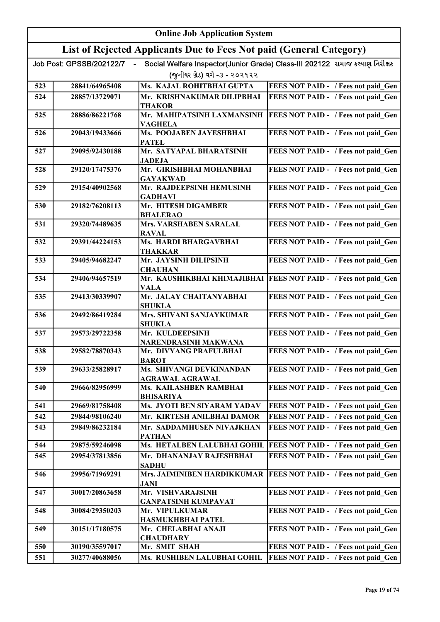|     | <b>Online Job Application System</b> |                                                                     |                                                                              |  |
|-----|--------------------------------------|---------------------------------------------------------------------|------------------------------------------------------------------------------|--|
|     |                                      | List of Rejected Applicants Due to Fees Not paid (General Category) |                                                                              |  |
|     | Job Post: GPSSB/202122/7             |                                                                     | Social Welfare Inspector(Junior Grade) Class-III 202122 સમાજ કલ્યાણ નિરીક્ષક |  |
|     |                                      | (જનીયર ગ્રેડ) વર્ગ -૩ - ૨૦૨૧૨૨                                      |                                                                              |  |
| 523 | 28841/64965408                       | Ms. KAJAL ROHITBHAI GUPTA                                           | FEES NOT PAID - / Fees not paid_Gen                                          |  |
| 524 | 28857/13729071                       | Mr. KRISHNAKUMAR DILIPBHAI<br><b>THAKOR</b>                         | FEES NOT PAID - / Fees not paid Gen                                          |  |
| 525 | 28886/86221768                       | Mr. MAHIPATSINH LAXMANSINH<br><b>VAGHELA</b>                        | FEES NOT PAID - / Fees not paid Gen                                          |  |
| 526 | 29043/19433666                       | Ms. POOJABEN JAYESHBHAI<br><b>PATEL</b>                             | FEES NOT PAID - / Fees not paid Gen                                          |  |
| 527 | 29095/92430188                       | Mr. SATYAPAL BHARATSINH<br><b>JADEJA</b>                            | FEES NOT PAID - / Fees not paid Gen                                          |  |
| 528 | 29120/17475376                       | Mr. GIRISHBHAI MOHANBHAI<br><b>GAYAKWAD</b>                         | FEES NOT PAID - / Fees not paid_Gen                                          |  |
| 529 | 29154/40902568                       | Mr. RAJDEEPSINH HEMUSINH<br><b>GADHAVI</b>                          | FEES NOT PAID - / Fees not paid_Gen                                          |  |
| 530 | 29182/76208113                       | Mr. HITESH DIGAMBER<br><b>BHALERAO</b>                              | FEES NOT PAID - / Fees not paid Gen                                          |  |
| 531 | 29320/74489635                       | Mrs. VARSHABEN SARALAL<br><b>RAVAL</b>                              | FEES NOT PAID - / Fees not paid_Gen                                          |  |
| 532 | 29391/44224153                       | Ms. HARDI BHARGAVBHAI<br><b>THAKKAR</b>                             | FEES NOT PAID - / Fees not paid_Gen                                          |  |
| 533 | 29405/94682247                       | Mr. JAYSINH DILIPSINH<br><b>CHAUHAN</b>                             | FEES NOT PAID - / Fees not paid_Gen                                          |  |
| 534 | 29406/94657519                       | <b>VALA</b>                                                         | Mr. KAUSHIKBHAI KHIMAJIBHAI FEES NOT PAID - / Fees not paid_Gen              |  |
| 535 | 29413/30339907                       | Mr. JALAY CHAITANYABHAI<br><b>SHUKLA</b>                            | FEES NOT PAID - / Fees not paid_Gen                                          |  |
| 536 | 29492/86419284                       | Mrs. SHIVANI SANJAYKUMAR<br><b>SHUKLA</b>                           | FEES NOT PAID - / Fees not paid Gen                                          |  |
| 537 | 29573/29722358                       | Mr. KULDEEPSINH<br><b>NARENDRASINH MAKWANA</b>                      | FEES NOT PAID - / Fees not paid Gen                                          |  |
| 538 | 29582/78870343                       | Mr. DIVYANG PRAFULBHAI<br><b>BAROT</b>                              | FEES NOT PAID - / Fees not paid Gen                                          |  |
| 539 | 29633/25828917                       | Ms. SHIVANGI DEVKINANDAN<br><b>AGRAWAL AGRAWAL</b>                  | FEES NOT PAID - / Fees not paid Gen                                          |  |
| 540 | 29666/82956999                       | Ms. KAILASHBEN RAMBHAI<br><b>BHISARIYA</b>                          | FEES NOT PAID - / Fees not paid Gen                                          |  |
| 541 | 29669/81758408                       | Ms. JYOTI BEN SIYARAM YADAV                                         | FEES NOT PAID - / Fees not paid Gen                                          |  |
| 542 | 29844/98106240                       | Mr. KIRTESH ANILBHAI DAMOR                                          | FEES NOT PAID - / Fees not paid Gen                                          |  |
| 543 | 29849/86232184                       | Mr. SADDAMHUSEN NIVAJKHAN<br><b>PATHAN</b>                          | FEES NOT PAID - / Fees not paid Gen                                          |  |
| 544 | 29875/59246098                       | Ms. HETALBEN LALUBHAI GOHIL                                         | FEES NOT PAID - / Fees not paid Gen                                          |  |
| 545 | 29954/37813856                       | Mr. DHANANJAY RAJESHBHAI<br><b>SADHU</b>                            | FEES NOT PAID - / Fees not paid Gen                                          |  |
| 546 | 29956/71969291                       | Mrs. JAIMINIBEN HARDIKKUMAR<br><b>JANI</b>                          | FEES NOT PAID - / Fees not paid Gen                                          |  |
| 547 | 30017/20863658                       | Mr. VISHVARAJSINH<br><b>GANPATSINH KUMPAVAT</b>                     | FEES NOT PAID - / Fees not paid Gen                                          |  |
| 548 | 30084/29350203                       | Mr. VIPULKUMAR<br>HASMUKHBHAI PATEL                                 | FEES NOT PAID - / Fees not paid Gen                                          |  |
| 549 | 30151/17180575                       | Mr. CHELABHAI ANAJI<br><b>CHAUDHARY</b>                             | FEES NOT PAID - / Fees not paid Gen                                          |  |
| 550 | 30190/35597017                       | Mr. SMIT SHAH                                                       | FEES NOT PAID - / Fees not paid Gen                                          |  |
| 551 | 30277/40688056                       | Ms. RUSHIBEN LALUBHAI GOHIL                                         | FEES NOT PAID - / Fees not paid Gen                                          |  |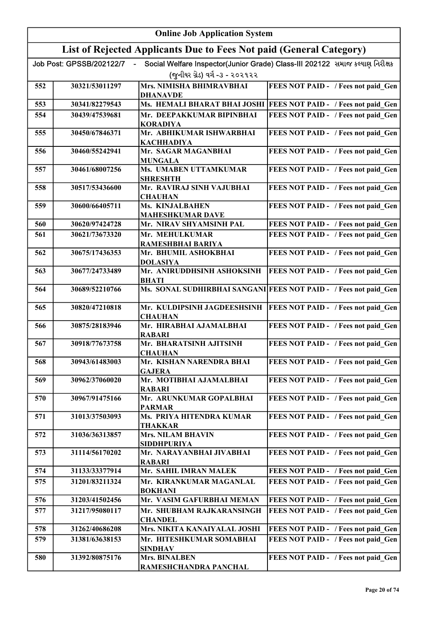|     | <b>Online Job Application System</b> |                                                                     |                                                                              |  |
|-----|--------------------------------------|---------------------------------------------------------------------|------------------------------------------------------------------------------|--|
|     |                                      | List of Rejected Applicants Due to Fees Not paid (General Category) |                                                                              |  |
|     | Job Post: GPSSB/202122/7             |                                                                     | Social Welfare Inspector(Junior Grade) Class-III 202122 સમાજ કલ્યાણ નિરીક્ષક |  |
|     |                                      | (જુનીયર ગ્રેડ) વર્ગ -૩ - ૨૦૨૧૨૨                                     |                                                                              |  |
| 552 | 30321/53011297                       | Mrs. NIMISHA BHIMRAVBHAI<br><b>DHANAVDE</b>                         | FEES NOT PAID - / Fees not paid_Gen                                          |  |
| 553 | 30341/82279543                       |                                                                     | Ms. HEMALI BHARAT BHAI JOSHI   FEES NOT PAID - / Fees not paid_Gen           |  |
| 554 | 30439/47539681                       | Mr. DEEPAKKUMAR BIPINBHAI<br><b>KORADIYA</b>                        | FEES NOT PAID - / Fees not paid Gen                                          |  |
| 555 | 30450/67846371                       | Mr. ABHIKUMAR ISHWARBHAI<br><b>KACHHADIYA</b>                       | FEES NOT PAID - / Fees not paid Gen                                          |  |
| 556 | 30460/55242941                       | Mr. SAGAR MAGANBHAI<br><b>MUNGALA</b>                               | FEES NOT PAID - / Fees not paid Gen                                          |  |
| 557 | 30461/68007256                       | Ms. UMABEN UTTAMKUMAR<br><b>SHRESHTH</b>                            | FEES NOT PAID - / Fees not paid Gen                                          |  |
| 558 | 30517/53436600                       | Mr. RAVIRAJ SINH VAJUBHAI<br><b>CHAUHAN</b>                         | FEES NOT PAID - / Fees not paid Gen                                          |  |
| 559 | 30600/66405711                       | Ms. KINJALBAHEN<br><b>MAHESHKUMAR DAVE</b>                          | FEES NOT PAID - / Fees not paid Gen                                          |  |
| 560 | 30620/97424728                       | Mr. NIRAV SHYAMSINH PAL                                             | FEES NOT PAID - / Fees not paid Gen                                          |  |
| 561 | 30621/73673320                       | Mr. MEHULKUMAR<br>RAMESHBHAI BARIYA                                 | FEES NOT PAID - / Fees not paid Gen                                          |  |
| 562 | 30675/17436353                       | Mr. BHUMIL ASHOKBHAI<br><b>DOLASIYA</b>                             | FEES NOT PAID - / Fees not paid Gen                                          |  |
| 563 | 30677/24733489                       | Mr. ANIRUDDHSINH ASHOKSINH<br><b>BHATI</b>                          | FEES NOT PAID - / Fees not paid Gen                                          |  |
| 564 | 30689/52210766                       |                                                                     | Ms. SONAL SUDHIRBHAI SANGANI FEES NOT PAID - / Fees not paid Gen             |  |
| 565 | 30820/47210818                       | Mr. KULDIPSINH JAGDEESHSINH<br><b>CHAUHAN</b>                       | <b>FEES NOT PAID - / Fees not paid Gen</b>                                   |  |
| 566 | 30875/28183946                       | Mr. HIRABHAI AJAMALBHAI<br><b>RABARI</b>                            | FEES NOT PAID - / Fees not paid Gen                                          |  |
| 567 | 30918/77673758                       | Mr. BHARATSINH AJITSINH<br><b>CHAUHAN</b>                           | FEES NOT PAID - / Fees not paid Gen                                          |  |
| 568 | 30943/61483003                       | Mr. KISHAN NARENDRA BHAI<br><b>GAJERA</b>                           | FEES NOT PAID - / Fees not paid Gen                                          |  |
| 569 | 30962/37060020                       | Mr. MOTIBHAI AJAMALBHAI<br><b>RABARI</b>                            | FEES NOT PAID - / Fees not paid Gen                                          |  |
| 570 | 30967/91475166                       | Mr. ARUNKUMAR GOPALBHAI<br><b>PARMAR</b>                            | FEES NOT PAID - / Fees not paid Gen                                          |  |
| 571 | 31013/37503093                       | Ms. PRIYA HITENDRA KUMAR<br>THAKKAR                                 | FEES NOT PAID - / Fees not paid Gen                                          |  |
| 572 | 31036/36313857                       | <b>Mrs. NILAM BHAVIN</b><br><b>SIDDHPURIYA</b>                      | FEES NOT PAID - / Fees not paid Gen                                          |  |
| 573 | 31114/56170202                       | Mr. NARAYANBHAI JIVABHAI<br><b>RABARI</b>                           | FEES NOT PAID - / Fees not paid Gen                                          |  |
| 574 | 31133/33377914                       | Mr. SAHIL IMRAN MALEK                                               | FEES NOT PAID - / Fees not paid Gen                                          |  |
| 575 | 31201/83211324                       | Mr. KIRANKUMAR MAGANLAL<br><b>BOKHANI</b>                           | FEES NOT PAID - / Fees not paid Gen                                          |  |
| 576 | 31203/41502456                       | Mr. VASIM GAFURBHAI MEMAN                                           | FEES NOT PAID - / Fees not paid Gen                                          |  |
| 577 | 31217/95080117                       | Mr. SHUBHAM RAJKARANSINGH<br><b>CHANDEL</b>                         | FEES NOT PAID - / Fees not paid Gen                                          |  |
| 578 | 31262/40686208                       | Mrs. NIKITA KANAIYALAL JOSHI                                        | FEES NOT PAID - / Fees not paid Gen                                          |  |
| 579 | 31381/63638153                       | Mr. HITESHKUMAR SOMABHAI<br><b>SINDHAV</b>                          | FEES NOT PAID - / Fees not paid Gen                                          |  |
| 580 | 31392/80875176                       | <b>Mrs. BINALBEN</b><br>RAMESHCHANDRA PANCHAL                       | FEES NOT PAID - / Fees not paid Gen                                          |  |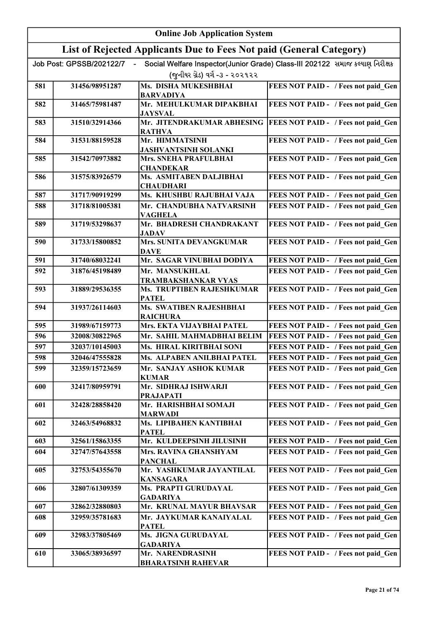|     | <b>Online Job Application System</b> |                                                                     |                                                                              |  |
|-----|--------------------------------------|---------------------------------------------------------------------|------------------------------------------------------------------------------|--|
|     |                                      | List of Rejected Applicants Due to Fees Not paid (General Category) |                                                                              |  |
|     | Job Post: GPSSB/202122/7             |                                                                     | Social Welfare Inspector(Junior Grade) Class-III 202122 સમાજ કલ્યાણ નિરીક્ષક |  |
|     |                                      | (જુનીયર ગ્રેડ) વર્ગ -૩ - ૨૦૨૧૨૨                                     |                                                                              |  |
| 581 | 31456/98951287                       | Ms. DISHA MUKESHBHAI                                                | FEES NOT PAID - / Fees not paid Gen                                          |  |
|     |                                      | <b>BARVADIYA</b>                                                    |                                                                              |  |
| 582 | 31465/75981487                       | Mr. MEHULKUMAR DIPAKBHAI<br><b>JAYSVAL</b>                          | FEES NOT PAID - / Fees not paid_Gen                                          |  |
| 583 | 31510/32914366                       | Mr. JITENDRAKUMAR ABHESING<br><b>RATHVA</b>                         | <b>FEES NOT PAID - / Fees not paid_Gen</b>                                   |  |
| 584 | 31531/88159528                       | Mr. HIMMATSINH<br><b>JASHVANTSINH SOLANKI</b>                       | FEES NOT PAID - / Fees not paid Gen                                          |  |
| 585 | 31542/70973882                       | Mrs. SNEHA PRAFULBHAI                                               | FEES NOT PAID - / Fees not paid Gen                                          |  |
|     |                                      | <b>CHANDEKAR</b>                                                    |                                                                              |  |
| 586 | 31575/83926579                       | Ms. ASMITABEN DALJIBHAI<br><b>CHAUDHARI</b>                         | FEES NOT PAID - / Fees not paid Gen                                          |  |
| 587 | 31717/90919299                       | Ms. KHUSHBU RAJUBHAI VAJA                                           | FEES NOT PAID - / Fees not paid Gen                                          |  |
| 588 | 31718/81005381                       | Mr. CHANDUBHA NATVARSINH<br><b>VAGHELA</b>                          | FEES NOT PAID - / Fees not paid Gen                                          |  |
| 589 | 31719/53298637                       | Mr. BHADRESH CHANDRAKANT<br><b>JADAV</b>                            | FEES NOT PAID - / Fees not paid Gen                                          |  |
| 590 | 31733/15800852                       | Mrs. SUNITA DEVANGKUMAR<br><b>DAVE</b>                              | FEES NOT PAID - / Fees not paid Gen                                          |  |
| 591 | 31740/68032241                       | Mr. SAGAR VINUBHAI DODIYA                                           | FEES NOT PAID - / Fees not paid Gen                                          |  |
| 592 | 31876/45198489                       | Mr. MANSUKHLAL                                                      | FEES NOT PAID - / Fees not paid Gen                                          |  |
|     |                                      | <b>TRAMBAKSHANKAR VYAS</b>                                          |                                                                              |  |
| 593 | 31889/29536355                       | Ms. TRUPTIBEN RAJESHKUMAR<br><b>PATEL</b>                           | FEES NOT PAID - / Fees not paid_Gen                                          |  |
| 594 | 31937/26114603                       | <b>Ms. SWATIBEN RAJESHBHAI</b><br><b>RAICHURA</b>                   | FEES NOT PAID - / Fees not paid Gen                                          |  |
| 595 | 31989/67159773                       | Mrs. EKTA VIJAYBHAI PATEL                                           | FEES NOT PAID - / Fees not paid_Gen                                          |  |
| 596 | 32008/30822965                       | Mr. SAHIL MAHMADBHAI BELIM                                          | <b>FEES NOT PAID - / Fees not paid Gen</b>                                   |  |
| 597 | 32037/10145003                       | Ms. HIRAL KIRITBHAI SONI                                            | FEES NOT PAID - / Fees not paid_Gen                                          |  |
| 598 | 32046/47555828                       | Ms. ALPABEN ANILBHAI PATEL                                          | FEES NOT PAID - / Fees not paid_Gen                                          |  |
| 599 | 32359/15723659                       | Mr. SANJAY ASHOK KUMAR<br><b>KUMAR</b>                              | FEES NOT PAID - / Fees not paid Gen                                          |  |
| 600 | 32417/80959791                       | Mr. SIDHRAJ ISHWARJI                                                | FEES NOT PAID - / Fees not paid Gen                                          |  |
| 601 | 32428/28858420                       | <b>PRAJAPATI</b><br>Mr. HARISHBHAI SOMAJI                           | FEES NOT PAID - / Fees not paid Gen                                          |  |
| 602 | 32463/54968832                       | <b>MARWADI</b><br>Ms. LIPIBAHEN KANTIBHAI                           | FEES NOT PAID - / Fees not paid Gen                                          |  |
| 603 | 32561/15863355                       | <b>PATEL</b><br>Mr. KULDEEPSINH JILUSINH                            | FEES NOT PAID - / Fees not paid Gen                                          |  |
| 604 | 32747/57643558                       | <b>Mrs. RAVINA GHANSHYAM</b>                                        | FEES NOT PAID - / Fees not paid Gen                                          |  |
|     |                                      | <b>PANCHAL</b>                                                      |                                                                              |  |
| 605 | 32753/54355670                       | Mr. YASHKUMAR JAYANTILAL<br><b>KANSAGARA</b>                        | FEES NOT PAID - / Fees not paid Gen                                          |  |
| 606 | 32807/61309359                       | Ms. PRAPTI GURUDAYAL<br><b>GADARIYA</b>                             | FEES NOT PAID - / Fees not paid Gen                                          |  |
| 607 | 32862/32880803                       | Mr. KRUNAL MAYUR BHAVSAR                                            | FEES NOT PAID - / Fees not paid Gen                                          |  |
| 608 | 32959/35781683                       | Mr. JAYKUMAR KANAIYALAL                                             | FEES NOT PAID - / Fees not paid Gen                                          |  |
|     |                                      | <b>PATEL</b>                                                        |                                                                              |  |
| 609 | 32983/37805469                       | Ms. JIGNA GURUDAYAL<br><b>GADARIYA</b>                              | FEES NOT PAID - / Fees not paid Gen                                          |  |
| 610 | 33065/38936597                       | Mr. NARENDRASINH<br><b>BHARATSINH RAHEVAR</b>                       | FEES NOT PAID - / Fees not paid Gen                                          |  |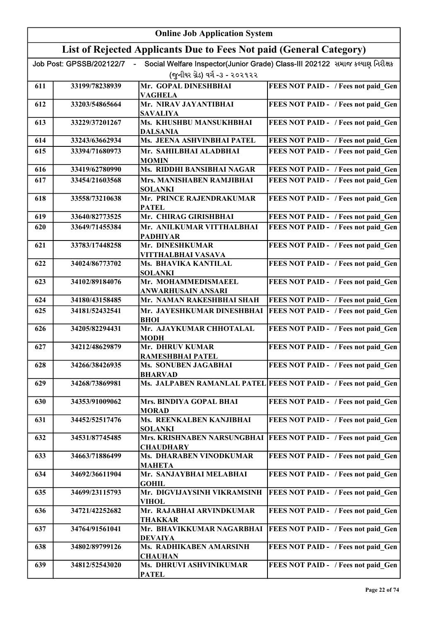|     | <b>Online Job Application System</b> |                                                                     |                                                                              |  |
|-----|--------------------------------------|---------------------------------------------------------------------|------------------------------------------------------------------------------|--|
|     |                                      | List of Rejected Applicants Due to Fees Not paid (General Category) |                                                                              |  |
|     | Job Post: GPSSB/202122/7             |                                                                     | Social Welfare Inspector(Junior Grade) Class-III 202122 સમાજ કલ્યાણ નિરીક્ષક |  |
|     |                                      | (જુનીયર ગ્રેડ) વર્ગ -૩ - ૨૦૨૧૨૨                                     |                                                                              |  |
| 611 | 33199/78238939                       | Mr. GOPAL DINESHBHAI<br><b>VAGHELA</b>                              | FEES NOT PAID - / Fees not paid Gen                                          |  |
| 612 | 33203/54865664                       | Mr. NIRAV JAYANTIBHAI<br><b>SAVALIYA</b>                            | FEES NOT PAID - / Fees not paid Gen                                          |  |
| 613 | 33229/37201267                       | Ms. KHUSHBU MANSUKHBHAI<br><b>DALSANIA</b>                          | FEES NOT PAID - / Fees not paid Gen                                          |  |
| 614 | 33243/63662934                       | Ms. JEENA ASHVINBHAI PATEL                                          | FEES NOT PAID - / Fees not paid Gen                                          |  |
| 615 | 33394/71680973                       | Mr. SAHILBHAI ALADBHAI<br><b>MOMIN</b>                              | FEES NOT PAID - / Fees not paid Gen                                          |  |
| 616 | 33419/62780990                       | Ms. RIDDHI BANSIBHAI NAGAR                                          | FEES NOT PAID - / Fees not paid Gen                                          |  |
| 617 | 33454/21603568                       | Mrs. MANISHABEN RAMJIBHAI<br><b>SOLANKI</b>                         | FEES NOT PAID - / Fees not paid Gen                                          |  |
| 618 | 33558/73210638                       | Mr. PRINCE RAJENDRAKUMAR<br><b>PATEL</b>                            | FEES NOT PAID - / Fees not paid Gen                                          |  |
| 619 | 33640/82773525                       | Mr. CHIRAG GIRISHBHAI                                               | FEES NOT PAID - / Fees not paid Gen                                          |  |
| 620 | 33649/71455384                       | Mr. ANILKUMAR VITTHALBHAI<br><b>PADHIYAR</b>                        | FEES NOT PAID - / Fees not paid Gen                                          |  |
| 621 | 33783/17448258                       | Mr. DINESHKUMAR<br>VITTHALBHAI VASAVA                               | FEES NOT PAID - / Fees not paid Gen                                          |  |
| 622 | 34024/86773702                       | Ms. BHAVIKA KANTILAL<br><b>SOLANKI</b>                              | FEES NOT PAID - / Fees not paid Gen                                          |  |
| 623 | 34102/89184076                       | Mr. MOHAMMEDISMAEEL<br>ANWARHUSAIN ANSARI                           | FEES NOT PAID - / Fees not paid Gen                                          |  |
| 624 | 34180/43158485                       | Mr. NAMAN RAKESHBHAI SHAH                                           | FEES NOT PAID - / Fees not paid Gen                                          |  |
| 625 | 34181/52432541                       | Mr. JAYESHKUMAR DINESHBHAI<br><b>BHOI</b>                           | FEES NOT PAID - / Fees not paid Gen                                          |  |
| 626 | 34205/82294431                       | Mr. AJAYKUMAR CHHOTALAL<br><b>MODH</b>                              | FEES NOT PAID - / Fees not paid Gen                                          |  |
| 627 | 34212/48629879                       | Mr. DHRUV KUMAR<br><b>RAMESHBHAI PATEL</b>                          | FEES NOT PAID - / Fees not paid_Gen                                          |  |
| 628 | 34266/38426935                       | Ms. SONUBEN JAGABHAI<br><b>BHARVAD</b>                              | FEES NOT PAID - / Fees not paid_Gen                                          |  |
| 629 | 34268/73869981                       |                                                                     | Ms. JALPABEN RAMANLAL PATEL FEES NOT PAID - / Fees not paid Gen              |  |
| 630 | 34353/91009062                       | Mrs. BINDIYA GOPAL BHAI<br><b>MORAD</b>                             | FEES NOT PAID - / Fees not paid Gen                                          |  |
| 631 | 34452/52517476                       | Ms. REENKALBEN KANJIBHAI<br><b>SOLANKI</b>                          | FEES NOT PAID - / Fees not paid Gen                                          |  |
| 632 | 34531/87745485                       | Mrs. KRISHNABEN NARSUNGBHAI<br><b>CHAUDHARY</b>                     | FEES NOT PAID - / Fees not paid Gen                                          |  |
| 633 | 34663/71886499                       | Ms. DHARABEN VINODKUMAR<br><b>MAHETA</b>                            | FEES NOT PAID - / Fees not paid Gen                                          |  |
| 634 | 34692/36611904                       | Mr. SANJAYBHAI MELABHAI<br><b>GOHIL</b>                             | FEES NOT PAID - / Fees not paid Gen                                          |  |
| 635 | 34699/23115793                       | Mr. DIGVIJAYSINH VIKRAMSINH<br>VIHOL                                | FEES NOT PAID - / Fees not paid Gen                                          |  |
| 636 | 34721/42252682                       | Mr. RAJABHAI ARVINDKUMAR<br><b>THAKKAR</b>                          | FEES NOT PAID - / Fees not paid Gen                                          |  |
| 637 | 34764/91561041                       | Mr. BHAVIKKUMAR NAGARBHAI<br><b>DEVAIYA</b>                         | FEES NOT PAID - / Fees not paid Gen                                          |  |
| 638 | 34802/89799126                       | Ms. RADHIKABEN AMARSINH<br><b>CHAUHAN</b>                           | FEES NOT PAID - / Fees not paid Gen                                          |  |
| 639 | 34812/52543020                       | Ms. DHRUVI ASHVINIKUMAR<br><b>PATEL</b>                             | FEES NOT PAID - / Fees not paid Gen                                          |  |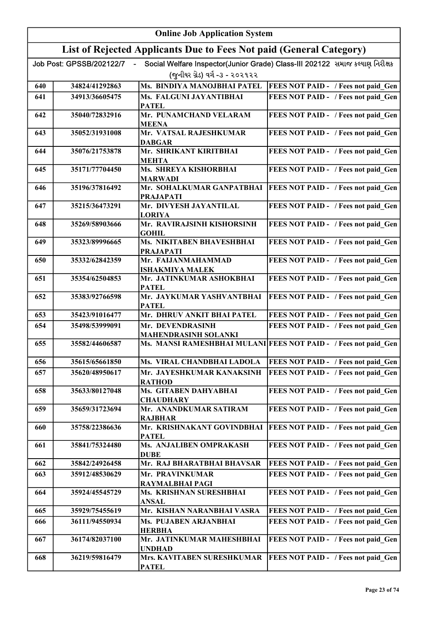|     | <b>Online Job Application System</b> |                                                                     |                                                                              |  |
|-----|--------------------------------------|---------------------------------------------------------------------|------------------------------------------------------------------------------|--|
|     |                                      | List of Rejected Applicants Due to Fees Not paid (General Category) |                                                                              |  |
|     | Job Post: GPSSB/202122/7             |                                                                     | Social Welfare Inspector(Junior Grade) Class-III 202122 સમાજ કલ્યાણ નિરીક્ષક |  |
|     |                                      | (જુનીયર ગ્રેડ) વર્ગ -૩ - ૨૦૨૧૨૨                                     |                                                                              |  |
| 640 | 34824/41292863                       | Ms. BINDIYA MANOJBHAI PATEL                                         | <b>FEES NOT PAID - / Fees not paid Gen</b>                                   |  |
| 641 | 34913/36605475                       | Ms. FALGUNI JAYANTIBHAI<br><b>PATEL</b>                             | FEES NOT PAID - / Fees not paid Gen                                          |  |
| 642 | 35040/72832916                       | Mr. PUNAMCHAND VELARAM<br><b>MEENA</b>                              | FEES NOT PAID - / Fees not paid Gen                                          |  |
| 643 | 35052/31931008                       | Mr. VATSAL RAJESHKUMAR<br><b>DABGAR</b>                             | FEES NOT PAID - / Fees not paid Gen                                          |  |
| 644 | 35076/21753878                       | Mr. SHRIKANT KIRITBHAI<br><b>MEHTA</b>                              | FEES NOT PAID - / Fees not paid Gen                                          |  |
| 645 | 35171/77704450                       | Ms. SHREYA KISHORBHAI<br><b>MARWADI</b>                             | FEES NOT PAID - / Fees not paid Gen                                          |  |
| 646 | 35196/37816492                       | Mr. SOHALKUMAR GANPATBHAI<br><b>PRAJAPATI</b>                       | <b>FEES NOT PAID - / Fees not paid Gen</b>                                   |  |
| 647 | 35215/36473291                       | Mr. DIVYESH JAYANTILAL<br><b>LORIYA</b>                             | FEES NOT PAID - / Fees not paid Gen                                          |  |
| 648 | 35269/58903666                       | Mr. RAVIRAJSINH KISHORSINH<br><b>GOHIL</b>                          | FEES NOT PAID - / Fees not paid Gen                                          |  |
| 649 | 35323/89996665                       | Ms. NIKITABEN BHAVESHBHAI<br><b>PRAJAPATI</b>                       | FEES NOT PAID - / Fees not paid Gen                                          |  |
| 650 | 35332/62842359                       | Mr. FAIJANMAHAMMAD<br><b>ISHAKMIYA MALEK</b>                        | FEES NOT PAID - / Fees not paid Gen                                          |  |
| 651 | 35354/62504853                       | Mr. JATINKUMAR ASHOKBHAI<br><b>PATEL</b>                            | FEES NOT PAID - / Fees not paid_Gen                                          |  |
| 652 | 35383/92766598                       | Mr. JAYKUMAR YASHVANTBHAI<br><b>PATEL</b>                           | FEES NOT PAID - / Fees not paid Gen                                          |  |
| 653 | 35423/91016477                       | Mr. DHRUV ANKIT BHAI PATEL                                          | FEES NOT PAID - / Fees not paid Gen                                          |  |
| 654 | 35498/53999091                       | Mr. DEVENDRASINH<br><b>MAHENDRASINH SOLANKI</b>                     | FEES NOT PAID - / Fees not paid Gen                                          |  |
| 655 | 35582/44606587                       |                                                                     | Ms. MANSI RAMESHBHAI MULANI FEES NOT PAID - / Fees not paid Gen              |  |
| 656 | 35615/65661850                       | Ms. VIRAL CHANDBHAI LADOLA                                          | <b>FEES NOT PAID - / Fees not paid Gen</b>                                   |  |
| 657 | 35620/48950617                       | Mr. JAYESHKUMAR KANAKSINH<br><b>RATHOD</b>                          | FEES NOT PAID - / Fees not paid Gen                                          |  |
| 658 | 35633/80127048                       | Ms. GITABEN DAHYABHAI<br><b>CHAUDHARY</b>                           | FEES NOT PAID - / Fees not paid Gen                                          |  |
| 659 | 35659/31723694                       | Mr. ANANDKUMAR SATIRAM<br><b>RAJBHAR</b>                            | FEES NOT PAID - / Fees not paid Gen                                          |  |
| 660 | 35758/22386636                       | Mr. KRISHNAKANT GOVINDBHAI<br><b>PATEL</b>                          | FEES NOT PAID - / Fees not paid Gen                                          |  |
| 661 | 35841/75324480                       | Ms. ANJALIBEN OMPRAKASH<br><b>DUBE</b>                              | FEES NOT PAID - / Fees not paid Gen                                          |  |
| 662 | 35842/24926458                       | Mr. RAJ BHARATBHAI BHAVSAR                                          | FEES NOT PAID - / Fees not paid Gen                                          |  |
| 663 | 35912/48530629                       | Mr. PRAVINKUMAR<br>RAYMALBHAI PAGI                                  | FEES NOT PAID - / Fees not paid Gen                                          |  |
| 664 | 35924/45545729                       | Ms. KRISHNAN SURESHBHAI<br>ANSAL                                    | FEES NOT PAID - / Fees not paid Gen                                          |  |
| 665 | 35929/75455619                       | Mr. KISHAN NARANBHAI VASRA                                          | FEES NOT PAID - / Fees not paid Gen                                          |  |
| 666 | 36111/94550934                       | Ms. PUJABEN ARJANBHAI<br><b>HERBHA</b>                              | FEES NOT PAID - / Fees not paid Gen                                          |  |
| 667 | 36174/82037100                       | Mr. JATINKUMAR MAHESHBHAI<br><b>UNDHAD</b>                          | FEES NOT PAID - / Fees not paid Gen                                          |  |
| 668 | 36219/59816479                       | Mrs. KAVITABEN SURESHKUMAR<br><b>PATEL</b>                          | FEES NOT PAID - / Fees not paid Gen                                          |  |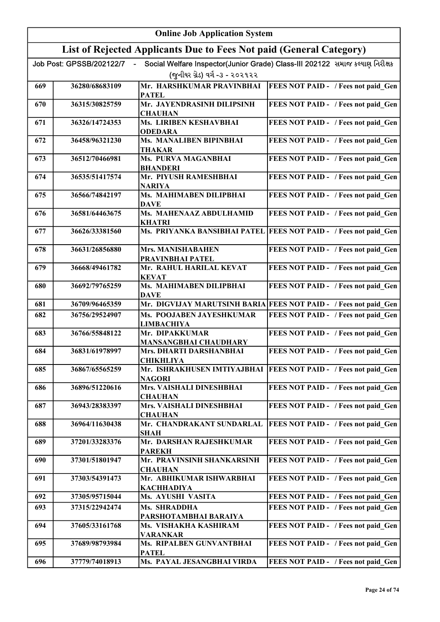| <b>Online Job Application System</b> |                          |                                                                     |                                                                              |
|--------------------------------------|--------------------------|---------------------------------------------------------------------|------------------------------------------------------------------------------|
|                                      |                          | List of Rejected Applicants Due to Fees Not paid (General Category) |                                                                              |
|                                      | Job Post: GPSSB/202122/7 |                                                                     | Social Welfare Inspector(Junior Grade) Class-III 202122 સમાજ કલ્યાણ નિરીક્ષક |
|                                      |                          | (જનીયર ગ્રેડ) વર્ગ -૩ - ૨૦૨૧૨૨                                      |                                                                              |
| 669                                  | 36280/68683109           | Mr. HARSHKUMAR PRAVINBHAI<br><b>PATEL</b>                           | <b>FEES NOT PAID - / Fees not paid Gen</b>                                   |
| 670                                  | 36315/30825759           | Mr. JAYENDRASINH DILIPSINH<br><b>CHAUHAN</b>                        | FEES NOT PAID - / Fees not paid_Gen                                          |
| 671                                  | 36326/14724353           | Ms. LIRIBEN KESHAVBHAI<br><b>ODEDARA</b>                            | FEES NOT PAID - / Fees not paid Gen                                          |
| 672                                  | 36458/96321230           | Ms. MANALIBEN BIPINBHAI<br>THAKAR                                   | FEES NOT PAID - / Fees not paid Gen                                          |
| 673                                  | 36512/70466981           | Ms. PURVA MAGANBHAI<br><b>BHANDERI</b>                              | FEES NOT PAID - / Fees not paid Gen                                          |
| 674                                  | 36535/51417574           | Mr. PIYUSH RAMESHBHAI<br><b>NARIYA</b>                              | FEES NOT PAID - / Fees not paid Gen                                          |
| 675                                  | 36566/74842197           | Ms. MAHIMABEN DILIPBHAI<br><b>DAVE</b>                              | FEES NOT PAID - / Fees not paid Gen                                          |
| 676                                  | 36581/64463675           | Ms. MAHENAAZ ABDULHAMID<br><b>KHATRI</b>                            | FEES NOT PAID - / Fees not paid Gen                                          |
| 677                                  | 36626/33381560           |                                                                     | Ms. PRIYANKA BANSIBHAI PATEL FEES NOT PAID - / Fees not paid Gen             |
| 678                                  | 36631/26856880           | <b>Mrs. MANISHABAHEN</b><br>PRAVINBHAI PATEL                        | FEES NOT PAID - / Fees not paid Gen                                          |
| 679                                  | 36668/49461782           | Mr. RAHUL HARILAL KEVAT<br><b>KEVAT</b>                             | FEES NOT PAID - / Fees not paid Gen                                          |
| 680                                  | 36692/79765259           | Ms. MAHIMABEN DILIPBHAI<br><b>DAVE</b>                              | FEES NOT PAID - / Fees not paid Gen                                          |
| 681                                  | 36709/96465359           |                                                                     | Mr. DIGVIJAY MARUTSINH BARIA FEES NOT PAID - / Fees not paid Gen             |
| 682                                  | 36756/29524907           | Ms. POOJABEN JAYESHKUMAR<br><b>LIMBACHIYA</b>                       | FEES NOT PAID - / Fees not paid Gen                                          |
| 683                                  | 36766/55848122           | Mr. DIPAKKUMAR<br><b>MANSANGBHAI CHAUDHARY</b>                      | FEES NOT PAID - / Fees not paid Gen                                          |
| 684                                  | 36831/61978997           | Mrs. DHARTI DARSHANBHAI<br><b>CHIKHLIYA</b>                         | FEES NOT PAID - / Fees not paid Gen                                          |
| 685                                  | 36867/65565259           | <b>NAGORI</b>                                                       | Mr. ISHRAKHUSEN IMTIYAJBHAI   FEES NOT PAID - / Fees not paid Gen            |
| 686                                  | 36896/51220616           | Mrs. VAISHALI DINESHBHAI<br><b>CHAUHAN</b>                          | FEES NOT PAID - / Fees not paid Gen                                          |
| 687                                  | 36943/28383397           | Mrs. VAISHALI DINESHBHAI<br><b>CHAUHAN</b>                          | FEES NOT PAID - / Fees not paid Gen                                          |
| 688                                  | 36964/11630438           | Mr. CHANDRAKANT SUNDARLAL<br><b>SHAH</b>                            | FEES NOT PAID - / Fees not paid Gen                                          |
| 689                                  | 37201/33283376           | Mr. DARSHAN RAJESHKUMAR<br>PAREKH                                   | FEES NOT PAID - / Fees not paid Gen                                          |
| 690                                  | 37301/51801947           | Mr. PRAVINSINH SHANKARSINH<br><b>CHAUHAN</b>                        | FEES NOT PAID - / Fees not paid Gen                                          |
| 691                                  | 37303/54391473           | Mr. ABHIKUMAR ISHWARBHAI<br><b>KACHHADIYA</b>                       | FEES NOT PAID - / Fees not paid Gen                                          |
| 692                                  | 37305/95715044           | Ms. AYUSHI VASITA                                                   | FEES NOT PAID - / Fees not paid Gen                                          |
| 693                                  | 37315/22942474           | Ms. SHRADDHA<br>PARSHOTAMBHAI BARAIYA                               | FEES NOT PAID - / Fees not paid Gen                                          |
| 694                                  | 37605/33161768           | Ms. VISHAKHA KASHIRAM<br>VARANKAR                                   | FEES NOT PAID - / Fees not paid Gen                                          |
| 695                                  | 37689/98793984           | Ms. RIPALBEN GUNVANTBHAI<br><b>PATEL</b>                            | FEES NOT PAID - / Fees not paid Gen                                          |
| 696                                  | 37779/74018913           | Ms. PAYAL JESANGBHAI VIRDA                                          | FEES NOT PAID - / Fees not paid Gen                                          |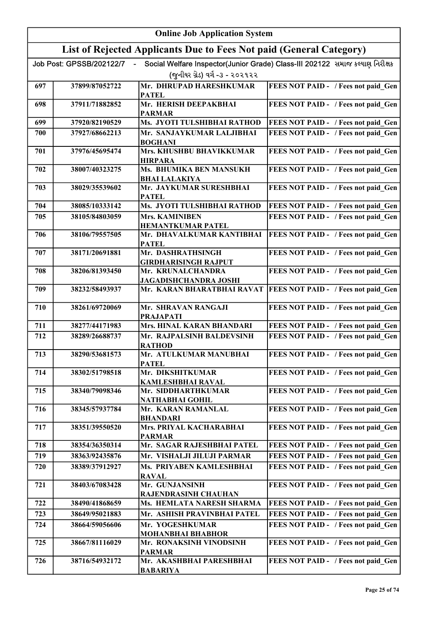|     | <b>Online Job Application System</b> |                                                                     |                                                                              |  |
|-----|--------------------------------------|---------------------------------------------------------------------|------------------------------------------------------------------------------|--|
|     |                                      | List of Rejected Applicants Due to Fees Not paid (General Category) |                                                                              |  |
|     | Job Post: GPSSB/202122/7             |                                                                     | Social Welfare Inspector(Junior Grade) Class-III 202122 સમાજ કલ્યાણ નિરીક્ષક |  |
|     |                                      | (જુનીયર ગ્રેડ) વર્ગ -૩ - ૨૦૨૧૨૨                                     |                                                                              |  |
| 697 | 37899/87052722                       | Mr. DHRUPAD HARESHKUMAR                                             | FEES NOT PAID - / Fees not paid Gen                                          |  |
| 698 | 37911/71882852                       | <b>PATEL</b><br>Mr. HERISH DEEPAKBHAI                               | FEES NOT PAID - / Fees not paid Gen                                          |  |
|     |                                      | <b>PARMAR</b>                                                       |                                                                              |  |
| 699 | 37920/82190529                       | Ms. JYOTI TULSHIBHAI RATHOD                                         | FEES NOT PAID - / Fees not paid Gen                                          |  |
| 700 | 37927/68662213                       | Mr. SANJAYKUMAR LALJIBHAI<br><b>BOGHANI</b>                         | FEES NOT PAID - / Fees not paid Gen                                          |  |
| 701 | 37976/45695474                       | Mrs. KHUSHBU BHAVIKKUMAR<br><b>HIRPARA</b>                          | FEES NOT PAID - / Fees not paid Gen                                          |  |
| 702 | 38007/40323275                       | Ms. BHUMIKA BEN MANSUKH<br><b>BHAI LALAKIYA</b>                     | FEES NOT PAID - / Fees not paid Gen                                          |  |
| 703 | 38029/35539602                       | Mr. JAYKUMAR SURESHBHAI<br><b>PATEL</b>                             | FEES NOT PAID - / Fees not paid Gen                                          |  |
| 704 | 38085/10333142                       | Ms. JYOTI TULSHIBHAI RATHOD                                         | FEES NOT PAID - / Fees not paid Gen                                          |  |
| 705 | 38105/84803059                       | <b>Mrs. KAMINIBEN</b><br><b>HEMANTKUMAR PATEL</b>                   | FEES NOT PAID - / Fees not paid Gen                                          |  |
| 706 | 38106/79557505                       | Mr. DHAVALKUMAR KANTIBHAI<br><b>PATEL</b>                           | FEES NOT PAID - / Fees not paid_Gen                                          |  |
| 707 | 38171/20691881                       | Mr. DASHRATHSINGH<br><b>GIRDHARISINGH RAJPUT</b>                    | FEES NOT PAID - / Fees not paid_Gen                                          |  |
| 708 | 38206/81393450                       | Mr. KRUNALCHANDRA<br><b>JAGADISHCHANDRA JOSHI</b>                   | FEES NOT PAID - / Fees not paid Gen                                          |  |
| 709 | 38232/58493937                       | Mr. KARAN BHARATBHAI RAVAT                                          | FEES NOT PAID - / Fees not paid Gen                                          |  |
| 710 | 38261/69720069                       | Mr. SHRAVAN RANGAJI<br><b>PRAJAPATI</b>                             | FEES NOT PAID - / Fees not paid Gen                                          |  |
| 711 | 38277/44171983                       | Mrs. HINAL KARAN BHANDARI                                           | FEES NOT PAID - / Fees not paid Gen                                          |  |
| 712 | 38289/26688737                       | Mr. RAJPALSINH BALDEVSINH<br><b>RATHOD</b>                          | FEES NOT PAID - / Fees not paid Gen                                          |  |
| 713 | 38290/53681573                       | Mr. ATULKUMAR MANUBHAI<br><b>PATEL</b>                              | FEES NOT PAID - / Fees not paid Gen                                          |  |
| 714 | 38302/51798518                       | Mr. DIKSHITKUMAR<br><b>KAMLESHBHAI RAVAL</b>                        | FEES NOT PAID - / Fees not paid Gen                                          |  |
| 715 | 38340/79098346                       | Mr. SIDDHARTHKUMAR<br><b>NATHABHAI GOHIL</b>                        | FEES NOT PAID - / Fees not paid Gen                                          |  |
| 716 | 38345/57937784                       | Mr. KARAN RAMANLAL<br><b>BHANDARI</b>                               | FEES NOT PAID - / Fees not paid Gen                                          |  |
| 717 | 38351/39550520                       | Mrs. PRIYAL KACHARABHAI<br><b>PARMAR</b>                            | FEES NOT PAID - / Fees not paid Gen                                          |  |
| 718 | 38354/36350314                       | Mr. SAGAR RAJESHBHAI PATEL                                          | FEES NOT PAID - / Fees not paid Gen                                          |  |
| 719 | 38363/92435876                       | Mr. VISHALJI JILUJI PARMAR                                          | FEES NOT PAID - / Fees not paid Gen                                          |  |
| 720 | 38389/37912927                       | Ms. PRIYABEN KAMLESHBHAI<br><b>RAVAL</b>                            | FEES NOT PAID - / Fees not paid Gen                                          |  |
| 721 | 38403/67083428                       | Mr. GUNJANSINH<br>RAJENDRASINH CHAUHAN                              | FEES NOT PAID - / Fees not paid Gen                                          |  |
| 722 | 38490/41868659                       | Ms. HEMLATA NARESH SHARMA                                           | FEES NOT PAID - / Fees not paid Gen                                          |  |
| 723 | 38649/95021883                       | Mr. ASHISH PRAVINBHAI PATEL                                         | FEES NOT PAID - / Fees not paid Gen                                          |  |
| 724 | 38664/59056606                       | Mr. YOGESHKUMAR<br><b>MOHANBHAI BHABHOR</b>                         | FEES NOT PAID - / Fees not paid Gen                                          |  |
| 725 | 38667/81116029                       | Mr. RONAKSINH VINODSINH<br><b>PARMAR</b>                            | FEES NOT PAID - / Fees not paid Gen                                          |  |
| 726 | 38716/54932172                       | Mr. AKASHBHAI PARESHBHAI<br><b>BABARIYA</b>                         | FEES NOT PAID - / Fees not paid Gen                                          |  |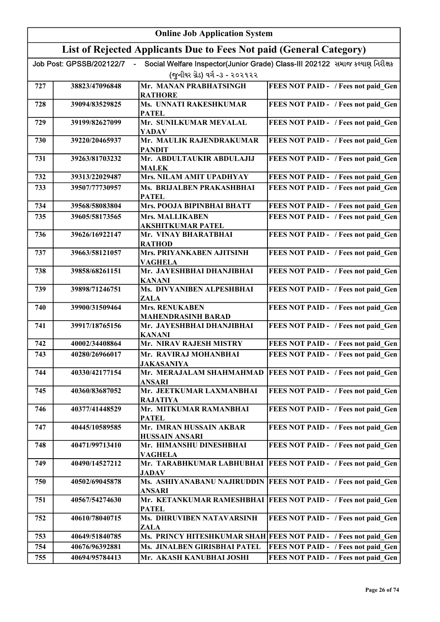|     | <b>Online Job Application System</b> |                                                                     |                                                                              |  |
|-----|--------------------------------------|---------------------------------------------------------------------|------------------------------------------------------------------------------|--|
|     |                                      | List of Rejected Applicants Due to Fees Not paid (General Category) |                                                                              |  |
|     | Job Post: GPSSB/202122/7             |                                                                     | Social Welfare Inspector(Junior Grade) Class-III 202122 સમાજ કલ્યાણ નિરીક્ષક |  |
|     |                                      | (જુનીયર ગ્રેડ) વર્ગ -૩ - ૨૦૨૧૨૨                                     |                                                                              |  |
| 727 | 38823/47096848                       | Mr. MANAN PRABHATSINGH<br><b>RATHORE</b>                            | FEES NOT PAID - / Fees not paid_Gen                                          |  |
| 728 | 39094/83529825                       | Ms. UNNATI RAKESHKUMAR<br><b>PATEL</b>                              | FEES NOT PAID - / Fees not paid Gen                                          |  |
| 729 | 39199/82627099                       | Mr. SUNILKUMAR MEVALAL<br><b>YADAV</b>                              | FEES NOT PAID - / Fees not paid Gen                                          |  |
| 730 | 39220/20465937                       | Mr. MAULIK RAJENDRAKUMAR<br><b>PANDIT</b>                           | FEES NOT PAID - / Fees not paid Gen                                          |  |
| 731 | 39263/81703232                       | Mr. ABDULTAUKIR ABDULAJIJ<br><b>MALEK</b>                           | FEES NOT PAID - / Fees not paid Gen                                          |  |
| 732 | 39313/22029487                       | Mrs. NILAM AMIT UPADHYAY                                            | FEES NOT PAID - / Fees not paid Gen                                          |  |
| 733 | 39507/77730957                       | Ms. BRIJALBEN PRAKASHBHAI<br><b>PATEL</b>                           | FEES NOT PAID - / Fees not paid Gen                                          |  |
| 734 | 39568/58083804                       | Mrs. POOJA BIPINBHAI BHATT                                          | FEES NOT PAID - / Fees not paid Gen                                          |  |
| 735 | 39605/58173565                       | <b>Mrs. MALLIKABEN</b><br>AKSHITKUMAR PATEL                         | FEES NOT PAID - / Fees not paid Gen                                          |  |
| 736 | 39626/16922147                       | Mr. VINAY BHARATBHAI<br><b>RATHOD</b>                               | FEES NOT PAID - / Fees not paid Gen                                          |  |
| 737 | 39663/58121057                       | Mrs. PRIYANKABEN AJITSINH<br><b>VAGHELA</b>                         | FEES NOT PAID - / Fees not paid_Gen                                          |  |
| 738 | 39858/68261151                       | Mr. JAYESHBHAI DHANJIBHAI<br>KANANI                                 | FEES NOT PAID - / Fees not paid Gen                                          |  |
| 739 | 39898/71246751                       | Ms. DIVYANIBEN ALPESHBHAI<br>ZALA                                   | FEES NOT PAID - / Fees not paid_Gen                                          |  |
| 740 | 39900/31509464                       | <b>Mrs. RENUKABEN</b><br><b>MAHENDRASINH BARAD</b>                  | FEES NOT PAID - / Fees not paid Gen                                          |  |
| 741 | 39917/18765156                       | Mr. JAYESHBHAI DHANJIBHAI<br><b>KANANI</b>                          | FEES NOT PAID - / Fees not paid Gen                                          |  |
| 742 | 40002/34408864                       | Mr. NIRAV RAJESH MISTRY                                             | FEES NOT PAID - / Fees not paid Gen                                          |  |
| 743 | 40280/26966017                       | Mr. RAVIRAJ MOHANBHAI<br><b>JAKASANIYA</b>                          | <b>FEES NOT PAID - / Fees not paid Gen</b>                                   |  |
| 744 | 40330/42177154                       | Mr. MERAJALAM SHAHMAHMAD<br>ANSARI                                  | <b>FEES NOT PAID - / Fees not paid Gen</b>                                   |  |
| 745 | 40360/83687052                       | Mr. JEETKUMAR LAXMANBHAI<br><b>RAJATIYA</b>                         | FEES NOT PAID - / Fees not paid Gen                                          |  |
| 746 | 40377/41448529                       | Mr. MITKUMAR RAMANBHAI<br><b>PATEL</b>                              | FEES NOT PAID - / Fees not paid Gen                                          |  |
| 747 | 40445/10589585                       | Mr. IMRAN HUSSAIN AKBAR<br><b>HUSSAIN ANSARI</b>                    | FEES NOT PAID - / Fees not paid Gen                                          |  |
| 748 | 40471/99713410                       | Mr. HIMANSHU DINESHBHAI<br>VAGHELA                                  | FEES NOT PAID - / Fees not paid Gen                                          |  |
| 749 | 40490/14527212                       | <b>JADAV</b>                                                        | Mr. TARABHKUMAR LABHUBHAI   FEES NOT PAID - / Fees not paid Gen              |  |
| 750 | 40502/69045878                       | ANSARI                                                              | Ms. ASHIYANABANU NAJIRUDDIN   FEES NOT PAID - / Fees not paid Gen            |  |
| 751 | 40567/54274630                       | <b>PATEL</b>                                                        | Mr. KETANKUMAR RAMESHBHAI   FEES NOT PAID - / Fees not paid Gen              |  |
| 752 | 40610/78040715                       | Ms. DHRUVIBEN NATAVARSINH<br>ZALA                                   | FEES NOT PAID - / Fees not paid Gen                                          |  |
| 753 | 40649/51840785                       |                                                                     | Ms. PRINCY HITESHKUMAR SHAH FEES NOT PAID - / Fees not paid Gen              |  |
| 754 | 40676/96392881                       | Ms. JINALBEN GIRISBHAI PATEL                                        | FEES NOT PAID - / Fees not paid Gen                                          |  |
| 755 | 40694/95784413                       | Mr. AKASH KANUBHAI JOSHI                                            | FEES NOT PAID - / Fees not paid Gen                                          |  |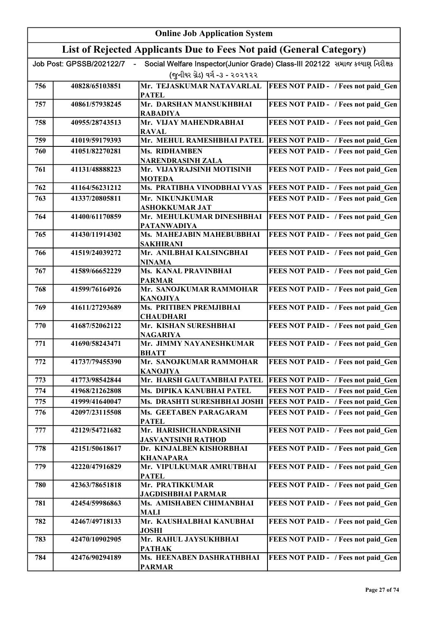|     |                          | <b>Online Job Application System</b>                                |                                                                              |
|-----|--------------------------|---------------------------------------------------------------------|------------------------------------------------------------------------------|
|     |                          | List of Rejected Applicants Due to Fees Not paid (General Category) |                                                                              |
|     | Job Post: GPSSB/202122/7 |                                                                     | Social Welfare Inspector(Junior Grade) Class-III 202122 સમાજ કલ્યાણ નિરીક્ષક |
|     |                          | (જુનીયર ગ્રેડ) વર્ગ -૩ - ૨૦૨૧૨૨                                     |                                                                              |
| 756 | 40828/65103851           | Mr. TEJASKUMAR NATAVARLAL<br><b>PATEL</b>                           | <b>FEES NOT PAID - / Fees not paid Gen</b>                                   |
| 757 | 40861/57938245           | Mr. DARSHAN MANSUKHBHAI<br><b>RABADIYA</b>                          | FEES NOT PAID - / Fees not paid Gen                                          |
| 758 | 40955/28743513           | Mr. VIJAY MAHENDRABHAI<br><b>RAVAL</b>                              | FEES NOT PAID - / Fees not paid Gen                                          |
| 759 | 41019/59179393           | Mr. MEHUL RAMESHBHAI PATEL                                          | FEES NOT PAID - / Fees not paid Gen                                          |
| 760 | 41051/82270281           | Ms. RIDHAMBEN<br><b>NARENDRASINH ZALA</b>                           | FEES NOT PAID - / Fees not paid Gen                                          |
| 761 | 41131/48888223           | Mr. VIJAYRAJSINH MOTISINH<br><b>MOTEDA</b>                          | FEES NOT PAID - / Fees not paid Gen                                          |
| 762 | 41164/56231212           | Ms. PRATIBHA VINODBHAI VYAS                                         | FEES NOT PAID - / Fees not paid Gen                                          |
| 763 | 41337/20805811           | Mr. NIKUNJKUMAR<br><b>ASHOKKUMAR JAT</b>                            | FEES NOT PAID - / Fees not paid Gen                                          |
| 764 | 41400/61170859           | Mr. MEHULKUMAR DINESHBHAI<br><b>PATANWADIYA</b>                     | FEES NOT PAID - / Fees not paid Gen                                          |
| 765 | 41430/11914302           | Ms. MAHEJABIN MAHEBUBBHAI<br>SAKHIRANI                              | FEES NOT PAID - / Fees not paid Gen                                          |
| 766 | 41519/24039272           | Mr. ANILBHAI KALSINGBHAI<br>NINAMA                                  | FEES NOT PAID - / Fees not paid Gen                                          |
| 767 | 41589/66652229           | Ms. KANAL PRAVINBHAI<br><b>PARMAR</b>                               | FEES NOT PAID - / Fees not paid Gen                                          |
| 768 | 41599/76164926           | Mr. SANOJKUMAR RAMMOHAR<br><b>KANOJIYA</b>                          | FEES NOT PAID - / Fees not paid Gen                                          |
| 769 | 41611/27293689           | Ms. PRITIBEN PREMJIBHAI<br><b>CHAUDHARI</b>                         | FEES NOT PAID - / Fees not paid Gen                                          |
| 770 | 41687/52062122           | Mr. KISHAN SURESHBHAI<br><b>NAGARIYA</b>                            | FEES NOT PAID - / Fees not paid Gen                                          |
| 771 | 41690/58243471           | Mr. JIMMY NAYANESHKUMAR<br><b>BHATT</b>                             | FEES NOT PAID - / Fees not paid Gen                                          |
| 772 | 41737/79455390           | Mr. SANOJKUMAR RAMMOHAR<br><b>KANOJIYA</b>                          | FEES NOT PAID - / Fees not paid Gen                                          |
| 773 | 41773/98542844           | Mr. HARSH GAUTAMBHAI PATEL                                          | FEES NOT PAID - / Fees not paid Gen                                          |
| 774 | 41968/21262808           | Ms. DIPIKA KANUBHAI PATEL                                           | FEES NOT PAID - / Fees not paid Gen                                          |
| 775 | 41999/41640047           | Ms. DRASHTI SURESHBHAI JOSHI                                        | FEES NOT PAID - / Fees not paid Gen                                          |
| 776 | 42097/23115508           | Ms. GEETABEN PARAGARAM<br><b>PATEL</b>                              | FEES NOT PAID - / Fees not paid Gen                                          |
| 777 | 42129/54721682           | Mr. HARISHCHANDRASINH<br><b>JASVANTSINH RATHOD</b>                  | FEES NOT PAID - / Fees not paid Gen                                          |
| 778 | 42151/50618617           | Dr. KINJALBEN KISHORBHAI<br><b>KHANAPARA</b>                        | FEES NOT PAID - / Fees not paid Gen                                          |
| 779 | 42220/47916829           | Mr. VIPULKUMAR AMRUTBHAI<br><b>PATEL</b>                            | FEES NOT PAID - / Fees not paid Gen                                          |
| 780 | 42363/78651818           | Mr. PRATIKKUMAR<br><b>JAGDISHBHAI PARMAR</b>                        | FEES NOT PAID - / Fees not paid Gen                                          |
| 781 | 42454/59986863           | Ms. AMISHABEN CHIMANBHAI<br><b>MALI</b>                             | FEES NOT PAID - / Fees not paid Gen                                          |
| 782 | 42467/49718133           | Mr. KAUSHALBHAI KANUBHAI<br><b>JOSHI</b>                            | FEES NOT PAID - / Fees not paid Gen                                          |
| 783 | 42470/10902905           | Mr. RAHUL JAYSUKHBHAI<br><b>PATHAK</b>                              | FEES NOT PAID - / Fees not paid Gen                                          |
| 784 | 42476/90294189           | Ms. HEENABEN DASHRATHBHAI<br><b>PARMAR</b>                          | FEES NOT PAID - / Fees not paid Gen                                          |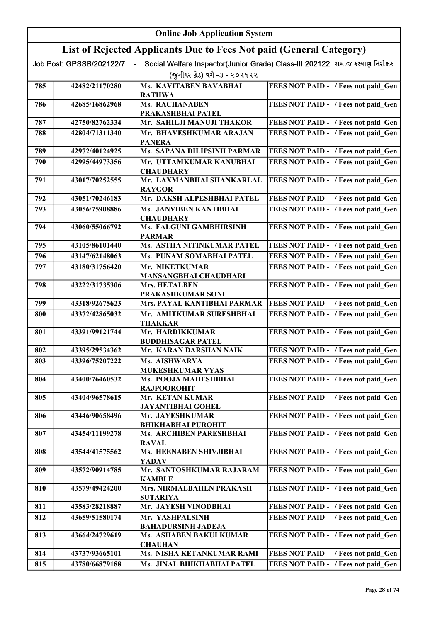|     | <b>Online Job Application System</b> |                                                                     |                                                                              |  |
|-----|--------------------------------------|---------------------------------------------------------------------|------------------------------------------------------------------------------|--|
|     |                                      | List of Rejected Applicants Due to Fees Not paid (General Category) |                                                                              |  |
|     | Job Post: GPSSB/202122/7             |                                                                     | Social Welfare Inspector(Junior Grade) Class-III 202122 સમાજ કલ્યાણ નિરીક્ષક |  |
|     |                                      | (જુનીયર ગ્રેડ) વર્ગ -૩ - ૨૦૨૧૨૨                                     |                                                                              |  |
| 785 | 42482/21170280                       | <b>Ms. KAVITABEN BAVABHAI</b>                                       | FEES NOT PAID - / Fees not paid Gen                                          |  |
|     |                                      | <b>RATHWA</b>                                                       |                                                                              |  |
| 786 | 42685/16862968                       | Ms. RACHANABEN<br>PRAKASHBHAI PATEL                                 | FEES NOT PAID - / Fees not paid Gen                                          |  |
| 787 | 42750/82762334                       | Mr. SAHILJI MANUJI THAKOR                                           | FEES NOT PAID - / Fees not paid Gen                                          |  |
| 788 | 42804/71311340                       | Mr. BHAVESHKUMAR ARAJAN                                             | FEES NOT PAID - / Fees not paid Gen                                          |  |
|     |                                      | <b>PANERA</b>                                                       |                                                                              |  |
| 789 | 42972/40124925                       | Ms. SAPANA DILIPSINH PARMAR                                         | FEES NOT PAID - / Fees not paid Gen                                          |  |
| 790 | 42995/44973356                       | Mr. UTTAMKUMAR KANUBHAI                                             | FEES NOT PAID - / Fees not paid Gen                                          |  |
| 791 | 43017/70252555                       | <b>CHAUDHARY</b><br>Mr. LAXMANBHAI SHANKARLAL                       | FEES NOT PAID - / Fees not paid Gen                                          |  |
|     |                                      | <b>RAYGOR</b>                                                       |                                                                              |  |
| 792 | 43051/70246183                       | Mr. DAKSH ALPESHBHAI PATEL                                          | FEES NOT PAID - / Fees not paid Gen                                          |  |
| 793 | 43056/75908886                       | Ms. JANVIBEN KANTIBHAI                                              | FEES NOT PAID - / Fees not paid Gen                                          |  |
|     |                                      | <b>CHAUDHARY</b>                                                    |                                                                              |  |
| 794 | 43060/55066792                       | Ms. FALGUNI GAMBHIRSINH<br><b>PARMAR</b>                            | FEES NOT PAID - / Fees not paid Gen                                          |  |
| 795 | 43105/86101440                       | Ms. ASTHA NITINKUMAR PATEL                                          | FEES NOT PAID - / Fees not paid Gen                                          |  |
| 796 | 43147/62148063                       | Ms. PUNAM SOMABHAI PATEL                                            | FEES NOT PAID - / Fees not paid Gen                                          |  |
| 797 | 43180/31756420                       | Mr. NIKETKUMAR                                                      | FEES NOT PAID - / Fees not paid Gen                                          |  |
|     |                                      | MANSANGBHAI CHAUDHARI                                               |                                                                              |  |
| 798 | 43222/31735306                       | Mrs. HETALBEN                                                       | FEES NOT PAID - / Fees not paid Gen                                          |  |
| 799 | 43318/92675623                       | PRAKASHKUMAR SONI<br>Mrs. PAYAL KANTIBHAI PARMAR                    | FEES NOT PAID - / Fees not paid Gen                                          |  |
| 800 | 43372/42865032                       | Mr. AMITKUMAR SURESHBHAI                                            | FEES NOT PAID - / Fees not paid Gen                                          |  |
|     |                                      | <b>THAKKAR</b>                                                      |                                                                              |  |
| 801 | 43391/99121744                       | Mr. HARDIKKUMAR                                                     | FEES NOT PAID - / Fees not paid Gen                                          |  |
|     |                                      | <b>BUDDHISAGAR PATEL</b>                                            |                                                                              |  |
| 802 | 43395/29534362<br>43396/75207222     | Mr. KARAN DARSHAN NAIK<br>Ms. AISHWARYA                             | FEES NOT PAID - / Fees not paid Gen<br>FEES NOT PAID - / Fees not paid Gen   |  |
| 803 |                                      | <b>MUKESHKUMAR VYAS</b>                                             |                                                                              |  |
| 804 | 43400/76460532                       | Ms. POOJA MAHESHBHAI                                                | FEES NOT PAID - / Fees not paid Gen                                          |  |
|     |                                      | <b>RAJPOOROHIT</b>                                                  |                                                                              |  |
| 805 | 43404/96578615                       | Mr. KETAN KUMAR                                                     | FEES NOT PAID - / Fees not paid Gen                                          |  |
| 806 | 43446/90658496                       | JAYANTIBHAI GOHEL<br>Mr. JAYESHKUMAR                                | FEES NOT PAID - / Fees not paid Gen                                          |  |
|     |                                      | <b>BHIKHABHAI PUROHIT</b>                                           |                                                                              |  |
| 807 | 43454/11199278                       | Ms. ARCHIBEN PARESHBHAI                                             | FEES NOT PAID - / Fees not paid Gen                                          |  |
|     |                                      | <b>RAVAL</b>                                                        |                                                                              |  |
| 808 | 43544/41575562                       | Ms. HEENABEN SHIVJIBHAI<br>YADAV                                    | FEES NOT PAID - / Fees not paid Gen                                          |  |
| 809 | 43572/90914785                       | Mr. SANTOSHKUMAR RAJARAM                                            | FEES NOT PAID - / Fees not paid Gen                                          |  |
|     |                                      | <b>KAMBLE</b>                                                       |                                                                              |  |
| 810 | 43579/49424200                       | <b>Mrs. NIRMALBAHEN PRAKASH</b>                                     | FEES NOT PAID - / Fees not paid Gen                                          |  |
| 811 | 43583/28218887                       | <b>SUTARIYA</b><br>Mr. JAYESH VINODBHAI                             |                                                                              |  |
| 812 | 43659/51580174                       | Mr. YASHPALSINH                                                     | FEES NOT PAID - / Fees not paid Gen<br>FEES NOT PAID - / Fees not paid Gen   |  |
|     |                                      | <b>BAHADURSINH JADEJA</b>                                           |                                                                              |  |
| 813 | 43664/24729619                       | Ms. ASHABEN BAKULKUMAR                                              | FEES NOT PAID - / Fees not paid Gen                                          |  |
|     |                                      | <b>CHAUHAN</b>                                                      |                                                                              |  |
| 814 | 43737/93665101                       | Ms. NISHA KETANKUMAR RAMI                                           | FEES NOT PAID - / Fees not paid Gen                                          |  |
| 815 | 43780/66879188                       | Ms. JINAL BHIKHABHAI PATEL                                          | FEES NOT PAID - / Fees not paid Gen                                          |  |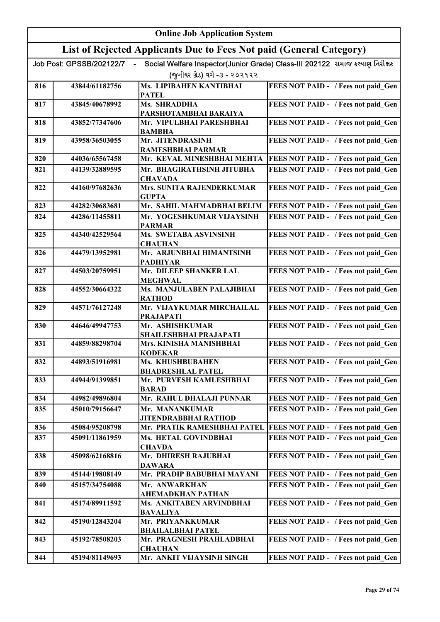|     | <b>Online Job Application System</b> |                                                                     |                                                                              |  |
|-----|--------------------------------------|---------------------------------------------------------------------|------------------------------------------------------------------------------|--|
|     |                                      | List of Rejected Applicants Due to Fees Not paid (General Category) |                                                                              |  |
|     | Job Post: GPSSB/202122/7             |                                                                     | Social Welfare Inspector(Junior Grade) Class-III 202122 સમાજ કલ્યાણ નિરીક્ષક |  |
|     |                                      | (જુનીયર ગ્રેડ) વર્ગ -૩ - ૨૦૨૧૨૨                                     |                                                                              |  |
| 816 | 43844/61182756                       | Ms. LIPIBAHEN KANTIBHAI<br><b>PATEL</b>                             | FEES NOT PAID - / Fees not paid_Gen                                          |  |
| 817 | 43845/40678992                       | Ms. SHRADDHA<br>PARSHOTAMBHAI BARAIYA                               | FEES NOT PAID - / Fees not paid Gen                                          |  |
| 818 | 43852/77347606                       | Mr. VIPULBHAI PARESHBHAI<br><b>BAMBHA</b>                           | FEES NOT PAID - / Fees not paid Gen                                          |  |
| 819 | 43958/36503055                       | Mr. JITENDRASINH                                                    | FEES NOT PAID - / Fees not paid Gen                                          |  |
| 820 | 44036/65567458                       | RAMESHBHAI PARMAR<br>Mr. KEVAL MINESHBHAI MEHTA                     | FEES NOT PAID - / Fees not paid Gen                                          |  |
| 821 | 44139/32889595                       | Mr. BHAGIRATHSINH JITUBHA                                           | FEES NOT PAID - / Fees not paid Gen                                          |  |
| 822 | 44160/97682636                       | <b>CHAVADA</b><br><b>Mrs. SUNITA RAJENDERKUMAR</b><br><b>GUPTA</b>  | FEES NOT PAID - / Fees not paid Gen                                          |  |
| 823 | 44282/30683681                       | Mr. SAHIL MAHMADBHAI BELIM                                          | FEES NOT PAID - / Fees not paid Gen                                          |  |
| 824 | 44286/11455811                       | Mr. YOGESHKUMAR VIJAYSINH<br><b>PARMAR</b>                          | FEES NOT PAID - / Fees not paid Gen                                          |  |
| 825 | 44340/42529564                       | Ms. SWETABA ASVINSINH<br><b>CHAUHAN</b>                             | FEES NOT PAID - / Fees not paid Gen                                          |  |
| 826 | 44479/13952981                       | Mr. ARJUNBHAI HIMANTSINH<br><b>PADHIYAR</b>                         | FEES NOT PAID - / Fees not paid_Gen                                          |  |
| 827 | 44503/20759951                       | Mr. DILEEP SHANKER LAL<br><b>MEGHWAL</b>                            | FEES NOT PAID - / Fees not paid Gen                                          |  |
| 828 | 44552/30664322                       | Ms. MANJULABEN PALAJIBHAI<br><b>RATHOD</b>                          | FEES NOT PAID - / Fees not paid Gen                                          |  |
| 829 | 44571/76127248                       | Mr. VIJAYKUMAR MIRCHAILAL<br><b>PRAJAPATI</b>                       | FEES NOT PAID - / Fees not paid Gen                                          |  |
| 830 | 44646/49947753                       | Mr. ASHISHKUMAR<br>SHAILESHBHAI PRAJAPATI                           | FEES NOT PAID - / Fees not paid Gen                                          |  |
| 831 | 44859/88298704                       | Mrs. KINISHA MANISHBHAI<br><b>KODEKAR</b>                           | FEES NOT PAID - / Fees not paid Gen                                          |  |
| 832 | 44893/51916981                       | Ms. KHUSHBUBAHEN<br><b>BHADRESHLAL PATEL</b>                        | FEES NOT PAID - / Fees not paid Gen                                          |  |
| 833 | 44944/91399851                       | Mr. PURVESH KAMLESHBHAI<br><b>BARAD</b>                             | FEES NOT PAID - / Fees not paid Gen                                          |  |
| 834 | 44982/49896804                       | Mr. RAHUL DHALAJI PUNNAR                                            | FEES NOT PAID - / Fees not paid Gen                                          |  |
| 835 | 45010/79156647                       | Mr. MANANKUMAR<br><b>JITENDRABBHAI RATHOD</b>                       | FEES NOT PAID - / Fees not paid Gen                                          |  |
| 836 | 45084/95208798                       | Mr. PRATIK RAMESHBHAI PATEL                                         | FEES NOT PAID - / Fees not paid Gen                                          |  |
| 837 | 45091/11861959                       | Ms. HETAL GOVINDBHAI<br><b>CHAVDA</b>                               | FEES NOT PAID - / Fees not paid Gen                                          |  |
| 838 | 45098/62168816                       | Mr. DHIRESH RAJUBHAI<br><b>DAWARA</b>                               | FEES NOT PAID - / Fees not paid Gen                                          |  |
| 839 | 45144/19808149                       | Mr. PRADIP BABUBHAI MAYANI                                          | FEES NOT PAID - / Fees not paid Gen                                          |  |
| 840 | 45157/34754088                       | Mr. ANWARKHAN<br>AHEMADKHAN PATHAN                                  | FEES NOT PAID - / Fees not paid Gen                                          |  |
| 841 | 45174/89911592                       | Ms. ANKITABEN ARVINDBHAI<br><b>BAVALIYA</b>                         | FEES NOT PAID - / Fees not paid Gen                                          |  |
| 842 | 45190/12843204                       | Mr. PRIYANKKUMAR<br><b>BHAILALBHAI PATEL</b>                        | FEES NOT PAID - / Fees not paid_Gen                                          |  |
| 843 | 45192/78508203                       | Mr. PRAGNESH PRAHLADBHAI<br><b>CHAUHAN</b>                          | FEES NOT PAID - / Fees not paid Gen                                          |  |
| 844 | 45194/81149693                       | Mr. ANKIT VIJAYSINH SINGH                                           | FEES NOT PAID - / Fees not paid Gen                                          |  |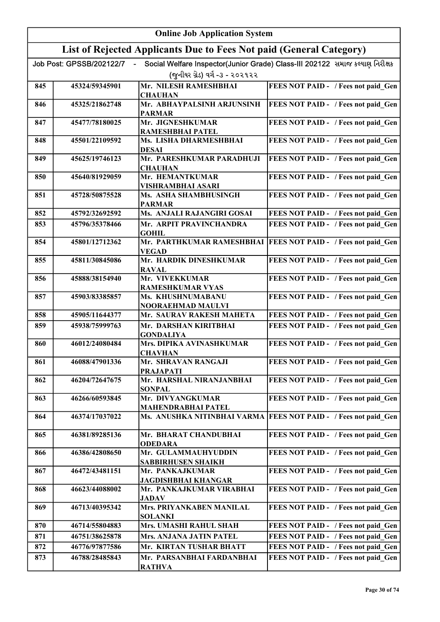|     | <b>Online Job Application System</b> |                                                                     |                                                                              |  |
|-----|--------------------------------------|---------------------------------------------------------------------|------------------------------------------------------------------------------|--|
|     |                                      | List of Rejected Applicants Due to Fees Not paid (General Category) |                                                                              |  |
|     | Job Post: GPSSB/202122/7             |                                                                     | Social Welfare Inspector(Junior Grade) Class-III 202122 સમાજ કલ્યાણ નિરીક્ષક |  |
|     |                                      | (જુનીયર ગ્રેડ) વર્ગ -૩ - ૨૦૨૧૨૨                                     |                                                                              |  |
| 845 | 45324/59345901                       | Mr. NILESH RAMESHBHAI                                               | FEES NOT PAID - / Fees not paid Gen                                          |  |
|     |                                      | <b>CHAUHAN</b>                                                      |                                                                              |  |
| 846 | 45325/21862748                       | Mr. ABHAYPALSINH ARJUNSINH<br><b>PARMAR</b>                         | FEES NOT PAID - / Fees not paid Gen                                          |  |
| 847 | 45477/78180025                       | Mr. JIGNESHKUMAR<br>RAMESHBHAI PATEL                                | FEES NOT PAID - / Fees not paid Gen                                          |  |
| 848 | 45501/22109592                       | Ms. LISHA DHARMESHBHAI<br><b>DESAI</b>                              | FEES NOT PAID - / Fees not paid Gen                                          |  |
| 849 | 45625/19746123                       | Mr. PARESHKUMAR PARADHUJI<br><b>CHAUHAN</b>                         | FEES NOT PAID - / Fees not paid Gen                                          |  |
| 850 | 45640/81929059                       | Mr. HEMANTKUMAR<br><b>VISHRAMBHAI ASARI</b>                         | FEES NOT PAID - / Fees not paid Gen                                          |  |
| 851 | 45728/50875528                       | Ms. ASHA SHAMBHUSINGH<br><b>PARMAR</b>                              | FEES NOT PAID - / Fees not paid Gen                                          |  |
| 852 | 45792/32692592                       | Ms. ANJALI RAJANGIRI GOSAI                                          | FEES NOT PAID - / Fees not paid Gen                                          |  |
| 853 | 45796/35378466                       | Mr. ARPIT PRAVINCHANDRA<br><b>GOHIL</b>                             | FEES NOT PAID - / Fees not paid Gen                                          |  |
| 854 | 45801/12712362                       | <b>VEGAD</b>                                                        | Mr. PARTHKUMAR RAMESHBHAI   FEES NOT PAID - / Fees not paid Gen              |  |
| 855 | 45811/30845086                       | Mr. HARDIK DINESHKUMAR<br><b>RAVAL</b>                              | FEES NOT PAID - / Fees not paid Gen                                          |  |
| 856 | 45888/38154940                       | Mr. VIVEKKUMAR<br><b>RAMESHKUMAR VYAS</b>                           | FEES NOT PAID - / Fees not paid_Gen                                          |  |
| 857 | 45903/83385857                       | Ms. KHUSHNUMABANU<br>NOORAEHMAD MAULVI                              | FEES NOT PAID - / Fees not paid Gen                                          |  |
| 858 | 45905/11644377                       | Mr. SAURAV RAKESH MAHETA                                            | FEES NOT PAID - / Fees not paid Gen                                          |  |
| 859 | 45938/75999763                       | Mr. DARSHAN KIRITBHAI<br><b>GONDALIYA</b>                           | FEES NOT PAID - / Fees not paid Gen                                          |  |
| 860 | 46012/24080484                       | Mrs. DIPIKA AVINASHKUMAR<br><b>CHAVHAN</b>                          | FEES NOT PAID - / Fees not paid Gen                                          |  |
| 861 | 46088/47901336                       | Mr. SHRAVAN RANGAJI<br><b>PRAJAPATI</b>                             | FEES NOT PAID - / Fees not paid Gen                                          |  |
| 862 | 46204/72647675                       | Mr. HARSHAL NIRANJANBHAI<br><b>SONPAL</b>                           | FEES NOT PAID - / Fees not paid Gen                                          |  |
| 863 | 46266/60593845                       | Mr. DIVYANGKUMAR<br><b>MAHENDRABHAI PATEL</b>                       | FEES NOT PAID - / Fees not paid_Gen                                          |  |
| 864 | 46374/17037022                       | Ms. ANUSHKA NITINBHAI VARMA                                         | FEES NOT PAID - / Fees not paid Gen                                          |  |
| 865 | 46381/89285136                       | Mr. BHARAT CHANDUBHAI<br><b>ODEDARA</b>                             | FEES NOT PAID - / Fees not paid Gen                                          |  |
| 866 | 46386/42808650                       | Mr. GULAMMAUHYUDDIN<br><b>SABBIRHUSEN SHAIKH</b>                    | FEES NOT PAID - / Fees not paid Gen                                          |  |
| 867 | 46472/43481151                       | Mr. PANKAJKUMAR<br>JAGDISHBHAI KHANGAR                              | FEES NOT PAID - / Fees not paid Gen                                          |  |
| 868 | 46623/44088002                       | Mr. PANKAJKUMAR VIRABHAI<br><b>JADAV</b>                            | FEES NOT PAID - / Fees not paid Gen                                          |  |
| 869 | 46713/40395342                       | Mrs. PRIYANKABEN MANILAL<br><b>SOLANKI</b>                          | FEES NOT PAID - / Fees not paid Gen                                          |  |
| 870 | 46714/55804883                       | Mrs. UMASHI RAHUL SHAH                                              | FEES NOT PAID - / Fees not paid Gen                                          |  |
| 871 | 46751/38625878                       | Mrs. ANJANA JATIN PATEL                                             | FEES NOT PAID - / Fees not paid Gen                                          |  |
| 872 | 46776/97877586                       | Mr. KIRTAN TUSHAR BHATT                                             | FEES NOT PAID - / Fees not paid Gen                                          |  |
| 873 | 46788/28485843                       | Mr. PARSANBHAI FARDANBHAI<br><b>RATHVA</b>                          | FEES NOT PAID - / Fees not paid Gen                                          |  |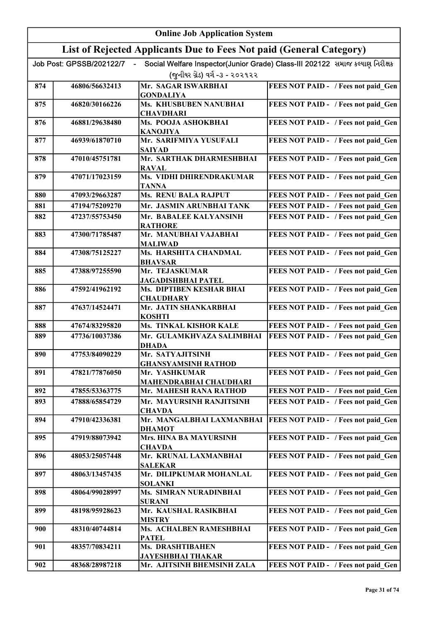|     |                          | <b>Online Job Application System</b>                                |                                                                              |
|-----|--------------------------|---------------------------------------------------------------------|------------------------------------------------------------------------------|
|     |                          | List of Rejected Applicants Due to Fees Not paid (General Category) |                                                                              |
|     | Job Post: GPSSB/202122/7 |                                                                     | Social Welfare Inspector(Junior Grade) Class-III 202122 સમાજ કલ્યાણ નિરીક્ષક |
|     |                          | (જુનીયર ગ્રેડ) વર્ગ -૩ - ૨૦૨૧૨૨                                     |                                                                              |
| 874 | 46806/56632413           | Mr. SAGAR ISWARBHAI                                                 | FEES NOT PAID - / Fees not paid Gen                                          |
| 875 | 46820/30166226           | <b>GONDALIYA</b><br>Ms. KHUSBUBEN NANUBHAI                          | FEES NOT PAID - / Fees not paid Gen                                          |
|     |                          | <b>CHAVDHARI</b>                                                    |                                                                              |
| 876 | 46881/29638480           | Ms. POOJA ASHOKBHAI<br><b>KANOJIYA</b>                              | FEES NOT PAID - / Fees not paid Gen                                          |
| 877 | 46939/61870710           | Mr. SARIFMIYA YUSUFALI<br><b>SAIYAD</b>                             | FEES NOT PAID - / Fees not paid Gen                                          |
| 878 | 47010/45751781           | Mr. SARTHAK DHARMESHBHAI<br><b>RAVAL</b>                            | FEES NOT PAID - / Fees not paid Gen                                          |
| 879 | 47071/17023159           | Ms. VIDHI DHIRENDRAKUMAR<br>TANNA                                   | FEES NOT PAID - / Fees not paid Gen                                          |
| 880 | 47093/29663287           | Ms. RENU BALA RAJPUT                                                | FEES NOT PAID - / Fees not paid Gen                                          |
| 881 | 47194/75209270           | Mr. JASMIN ARUNBHAI TANK                                            | FEES NOT PAID - / Fees not paid Gen                                          |
| 882 | 47237/55753450           | Mr. BABALEE KALYANSINH<br><b>RATHORE</b>                            | FEES NOT PAID - / Fees not paid Gen                                          |
| 883 | 47300/71785487           | Mr. MANUBHAI VAJABHAI<br>MALIWAD                                    | FEES NOT PAID - / Fees not paid Gen                                          |
| 884 | 47308/75125227           | Ms. HARSHITA CHANDMAL<br><b>BHAVSAR</b>                             | FEES NOT PAID - / Fees not paid_Gen                                          |
| 885 | 47388/97255590           | Mr. TEJASKUMAR<br><b>JAGADISHBHAI PATEL</b>                         | FEES NOT PAID - / Fees not paid Gen                                          |
| 886 | 47592/41962192           | Ms. DIPTIBEN KESHAR BHAI<br><b>CHAUDHARY</b>                        | FEES NOT PAID - / Fees not paid_Gen                                          |
| 887 | 47637/14524471           | Mr. JATIN SHANKARBHAI<br><b>KOSHTI</b>                              | FEES NOT PAID - / Fees not paid Gen                                          |
| 888 | 47674/83295820           | <b>Ms. TINKAL KISHOR KALE</b>                                       | FEES NOT PAID - / Fees not paid Gen                                          |
| 889 | 47736/10037386           | Mr. GULAMKHVAZA SALIMBHAI<br><b>DHADA</b>                           | FEES NOT PAID - / Fees not paid Gen                                          |
| 890 | 47753/84090229           | Mr. SATYAJITSINH<br><b>GHANSYAMSINH RATHOD</b>                      | <b>FEES NOT PAID - / Fees not paid Gen</b>                                   |
| 891 | 47821/77876050           | Mr. YASHKUMAR<br>MAHENDRABHAI CHAUDHARI                             | FEES NOT PAID - / Fees not paid Gen                                          |
| 892 | 47855/53363775           | Mr. MAHESH RANA RATHOD                                              | FEES NOT PAID - / Fees not paid Gen                                          |
| 893 | 47888/65854729           | Mr. MAYURSINH RANJITSINH<br><b>CHAVDA</b>                           | FEES NOT PAID - / Fees not paid Gen                                          |
| 894 | 47910/42336381           | Mr. MANGALBHAI LAXMANBHAI<br><b>DHAMOT</b>                          | FEES NOT PAID - / Fees not paid Gen                                          |
| 895 | 47919/88073942           | Mrs. HINA BA MAYURSINH<br><b>CHAVDA</b>                             | FEES NOT PAID - / Fees not paid Gen                                          |
| 896 | 48053/25057448           | Mr. KRUNAL LAXMANBHAI<br><b>SALEKAR</b>                             | FEES NOT PAID - / Fees not paid Gen                                          |
| 897 | 48063/13457435           | Mr. DILIPKUMAR MOHANLAL<br><b>SOLANKI</b>                           | FEES NOT PAID - / Fees not paid Gen                                          |
| 898 | 48064/99028997           | Ms. SIMRAN NURADINBHAI<br><b>SURANI</b>                             | FEES NOT PAID - / Fees not paid Gen                                          |
| 899 | 48198/95928623           | Mr. KAUSHAL RASIKBHAI<br><b>MISTRY</b>                              | FEES NOT PAID - / Fees not paid Gen                                          |
| 900 | 48310/40744814           | Ms. ACHALBEN RAMESHBHAI<br><b>PATEL</b>                             | FEES NOT PAID - / Fees not paid Gen                                          |
| 901 | 48357/70834211           | <b>Ms. DRASHTIBAHEN</b><br>JAYESHBHAI THAKAR                        | FEES NOT PAID - / Fees not paid Gen                                          |
| 902 | 48368/28987218           | Mr. AJITSINH BHEMSINH ZALA                                          | FEES NOT PAID - / Fees not paid Gen                                          |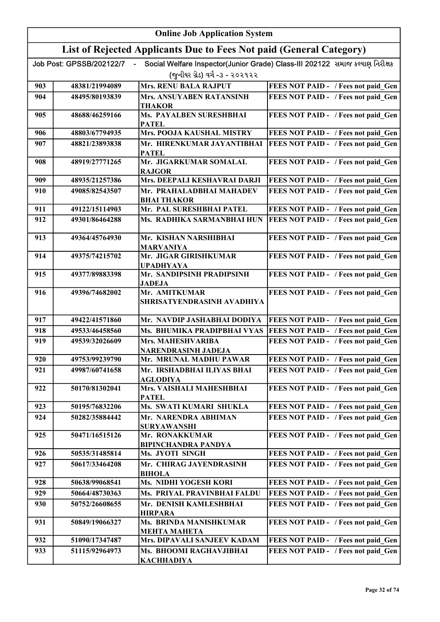|     | <b>Online Job Application System</b> |                                                                     |                                                                              |  |
|-----|--------------------------------------|---------------------------------------------------------------------|------------------------------------------------------------------------------|--|
|     |                                      | List of Rejected Applicants Due to Fees Not paid (General Category) |                                                                              |  |
|     | Job Post: GPSSB/202122/7             |                                                                     | Social Welfare Inspector(Junior Grade) Class-III 202122 સમાજ કલ્યાણ નિરીક્ષક |  |
|     |                                      | (જુનીયર ગ્રેડ) વર્ગ -૩ - ૨૦૨૧૨૨                                     |                                                                              |  |
| 903 | 48381/21994089                       | <b>Mrs. RENU BALA RAJPUT</b>                                        | FEES NOT PAID - / Fees not paid Gen                                          |  |
| 904 | 48495/80193839                       | Mrs. ANSUYABEN RATANSINH<br><b>THAKOR</b>                           | FEES NOT PAID - / Fees not paid Gen                                          |  |
| 905 | 48688/46259166                       | Ms. PAYALBEN SURESHBHAI<br><b>PATEL</b>                             | FEES NOT PAID - / Fees not paid Gen                                          |  |
| 906 | 48803/67794935                       | <b>Mrs. POOJA KAUSHAL MISTRY</b>                                    | FEES NOT PAID - / Fees not paid Gen                                          |  |
| 907 | 48821/23893838                       | Mr. HIRENKUMAR JAYANTIBHAI<br><b>PATEL</b>                          | FEES NOT PAID - / Fees not paid Gen                                          |  |
| 908 | 48919/27771265                       | Mr. JIGARKUMAR SOMALAL<br><b>RAJGOR</b>                             | FEES NOT PAID - / Fees not paid Gen                                          |  |
| 909 | 48935/21257386                       | Mrs. DEEPALI KESHAVRAI DARJI                                        | FEES NOT PAID - / Fees not paid Gen                                          |  |
| 910 | 49085/82543507                       | Mr. PRAHALADBHAI MAHADEV<br><b>BHAI THAKOR</b>                      | FEES NOT PAID - / Fees not paid Gen                                          |  |
| 911 | 49122/15114903                       | Mr. PAL SURESHBHAI PATEL                                            | FEES NOT PAID - / Fees not paid Gen                                          |  |
| 912 | 49301/86464288                       | Ms. RADHIKA SARMANBHAI HUN                                          | FEES NOT PAID - / Fees not paid Gen                                          |  |
| 913 | 49364/45764930                       | Mr. KISHAN NARSHIBHAI<br><b>MARVANIYA</b>                           | FEES NOT PAID - / Fees not paid Gen                                          |  |
| 914 | 49375/74215702                       | Mr. JIGAR GIRISHKUMAR<br><b>UPADHYAYA</b>                           | FEES NOT PAID - / Fees not paid_Gen                                          |  |
| 915 | 49377/89883398                       | Mr. SANDIPSINH PRADIPSINH<br><b>JADEJA</b>                          | FEES NOT PAID - / Fees not paid Gen                                          |  |
| 916 | 49396/74682002                       | Mr. AMITKUMAR<br>SHRISATYENDRASINH AVADHIYA                         | FEES NOT PAID - / Fees not paid Gen                                          |  |
| 917 | 49422/41571860                       | Mr. NAVDIP JASHABHAI DODIYA                                         | FEES NOT PAID - / Fees not paid Gen                                          |  |
| 918 | 49533/46458560                       | Ms. BHUMIKA PRADIPBHAI VYAS                                         | FEES NOT PAID - / Fees not paid Gen                                          |  |
| 919 | 49539/32026609                       | Mrs. MAHESHVARIBA<br>NARENDRASINH JADEJA                            | FEES NOT PAID - / Fees not paid Gen                                          |  |
| 920 | 49753/99239790                       | Mr. MRUNAL MADHU PAWAR                                              | FEES NOT PAID - / Fees not paid Gen                                          |  |
| 921 | 49987/60741658                       | Mr. IRSHADBHAI ILIYAS BHAI<br><b>AGLODIYA</b>                       | FEES NOT PAID - / Fees not paid Gen                                          |  |
| 922 | 50170/81302041                       | Mrs. VAISHALI MAHESHBHAI<br><b>PATEL</b>                            | FEES NOT PAID - / Fees not paid Gen                                          |  |
| 923 | 50195/76832206                       | Ms. SWATI KUMARI SHUKLA                                             | FEES NOT PAID - / Fees not paid Gen                                          |  |
| 924 | 50282/35884442                       | Mr. NARENDRA ABHIMAN<br><b>SURYAWANSHI</b>                          | FEES NOT PAID - / Fees not paid Gen                                          |  |
| 925 | 50471/16515126                       | Mr. RONAKKUMAR<br><b>BIPINCHANDRA PANDYA</b>                        | FEES NOT PAID - / Fees not paid Gen                                          |  |
| 926 | 50535/31485814                       | Ms. JYOTI SINGH                                                     | FEES NOT PAID - / Fees not paid Gen                                          |  |
| 927 | 50617/33464208                       | Mr. CHIRAG JAYENDRASINH<br><b>BIHOLA</b>                            | FEES NOT PAID - / Fees not paid Gen                                          |  |
| 928 | 50638/99068541                       | Ms. NIDHI YOGESH KORI                                               | FEES NOT PAID - / Fees not paid Gen                                          |  |
| 929 | 50664/48730363                       | Ms. PRIYAL PRAVINBHAI FALDU                                         | FEES NOT PAID - / Fees not paid Gen                                          |  |
| 930 | 50752/26608655                       | Mr. DENISH KAMLESHBHAI<br><b>HIRPARA</b>                            | FEES NOT PAID - / Fees not paid Gen                                          |  |
| 931 | 50849/19066327                       | Ms. BRINDA MANISHKUMAR<br>МЕНТА МАНЕТА                              | FEES NOT PAID - / Fees not paid Gen                                          |  |
| 932 | 51090/17347487                       | Mrs. DIPAVALI SANJEEV KADAM                                         | FEES NOT PAID - / Fees not paid Gen                                          |  |
| 933 | 51115/92964973                       | Ms. BHOOMI RAGHAVJIBHAI<br><b>KACHHADIYA</b>                        | FEES NOT PAID - / Fees not paid Gen                                          |  |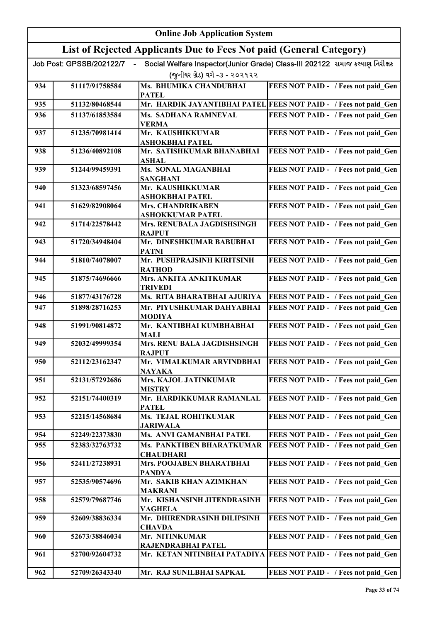|     | <b>Online Job Application System</b> |                                                                     |                                                                              |  |
|-----|--------------------------------------|---------------------------------------------------------------------|------------------------------------------------------------------------------|--|
|     |                                      | List of Rejected Applicants Due to Fees Not paid (General Category) |                                                                              |  |
|     | Job Post: GPSSB/202122/7             | (જુનીયર ગ્રેડ) વર્ગ -૩ - ૨૦૨૧૨૨                                     | Social Welfare Inspector(Junior Grade) Class-III 202122 સમાજ કલ્યાણ નિરીક્ષક |  |
| 934 | 51117/91758584                       | Ms. BHUMIKA CHANDUBHAI<br><b>PATEL</b>                              | FEES NOT PAID - / Fees not paid Gen                                          |  |
| 935 | 51132/80468544                       |                                                                     | Mr. HARDIK JAYANTIBHAI PATEL FEES NOT PAID - / Fees not paid_Gen             |  |
| 936 | 51137/61853584                       | Ms. SADHANA RAMNEVAL<br><b>VERMA</b>                                | FEES NOT PAID - / Fees not paid Gen                                          |  |
| 937 | 51235/70981414                       | Mr. KAUSHIKKUMAR<br>ASHOKBHAI PATEL                                 | FEES NOT PAID - / Fees not paid Gen                                          |  |
| 938 | 51236/40892108                       | Mr. SATISHKUMAR BHANABHAI<br><b>ASHAL</b>                           | FEES NOT PAID - / Fees not paid Gen                                          |  |
| 939 | 51244/99459391                       | Ms. SONAL MAGANBHAI<br><b>SANGHANI</b>                              | FEES NOT PAID - / Fees not paid_Gen                                          |  |
| 940 | 51323/68597456                       | Mr. KAUSHIKKUMAR<br><b>ASHOKBHAI PATEL</b>                          | FEES NOT PAID - / Fees not paid_Gen                                          |  |
| 941 | 51629/82908064                       | <b>Mrs. CHANDRIKABEN</b><br><b>ASHOKKUMAR PATEL</b>                 | FEES NOT PAID - / Fees not paid Gen                                          |  |
| 942 | 51714/22578442                       | Mrs. RENUBALA JAGDISHSINGH<br><b>RAJPUT</b>                         | FEES NOT PAID - / Fees not paid Gen                                          |  |
| 943 | 51720/34948404                       | Mr. DINESHKUMAR BABUBHAI<br><b>PATNI</b>                            | FEES NOT PAID - / Fees not paid Gen                                          |  |
| 944 | 51810/74078007                       | Mr. PUSHPRAJSINH KIRITSINH<br><b>RATHOD</b>                         | FEES NOT PAID - / Fees not paid_Gen                                          |  |
| 945 | 51875/74696666                       | Mrs. ANKITA ANKITKUMAR<br><b>TRIVEDI</b>                            | FEES NOT PAID - / Fees not paid_Gen                                          |  |
| 946 | 51877/43176728                       | Ms. RITA BHARATBHAI AJURIYA                                         | FEES NOT PAID - / Fees not paid Gen                                          |  |
| 947 | 51898/28716253                       | Mr. PIYUSHKUMAR DAHYABHAI<br><b>MODIYA</b>                          | FEES NOT PAID - / Fees not paid Gen                                          |  |
| 948 | 51991/90814872                       | Mr. KANTIBHAI KUMBHABHAI<br><b>MALI</b>                             | FEES NOT PAID - / Fees not paid Gen                                          |  |
| 949 | 52032/49999354                       | Mrs. RENU BALA JAGDISHSINGH<br><b>RAJPUT</b>                        | FEES NOT PAID - / Fees not paid Gen                                          |  |
| 950 | 52112/23162347                       | Mr. VIMALKUMAR ARVINDBHAI<br><b>NAYAKA</b>                          | <b>FEES NOT PAID - / Fees not paid Gen</b>                                   |  |
| 951 | 52131/57292686                       | Mrs. KAJOL JATINKUMAR<br><b>MISTRY</b>                              | FEES NOT PAID - / Fees not paid Gen                                          |  |
| 952 | 52151/74400319                       | Mr. HARDIKKUMAR RAMANLAL<br><b>PATEL</b>                            | FEES NOT PAID - / Fees not paid Gen                                          |  |
| 953 | 52215/14568684                       | Ms. TEJAL ROHITKUMAR<br><b>JARIWALA</b>                             | FEES NOT PAID - / Fees not paid Gen                                          |  |
| 954 | 52249/22373830                       | Ms. ANVI GAMANBHAI PATEL                                            | FEES NOT PAID - / Fees not paid Gen                                          |  |
| 955 | 52383/32763732                       | Ms. PANKTIBEN BHARATKUMAR<br><b>CHAUDHARI</b>                       | FEES NOT PAID - / Fees not paid Gen                                          |  |
| 956 | 52411/27238931                       | Mrs. POOJABEN BHARATBHAI<br><b>PANDYA</b>                           | FEES NOT PAID - / Fees not paid Gen                                          |  |
| 957 | 52535/90574696                       | Mr. SAKIB KHAN AZIMKHAN<br><b>MAKRANI</b>                           | FEES NOT PAID - / Fees not paid Gen                                          |  |
| 958 | 52579/79687746                       | Mr. KISHANSINH JITENDRASINH<br><b>VAGHELA</b>                       | FEES NOT PAID - / Fees not paid Gen                                          |  |
| 959 | 52609/38836334                       | Mr. DHIRENDRASINH DILIPSINH<br><b>CHAVDA</b>                        | FEES NOT PAID - / Fees not paid Gen                                          |  |
| 960 | 52673/38846034                       | Mr. NITINKUMAR<br>RAJENDRABHAI PATEL                                | FEES NOT PAID - / Fees not paid Gen                                          |  |
| 961 | 52700/92604732                       |                                                                     | Mr. KETAN NITINBHAI PATADIYA   FEES NOT PAID - / Fees not paid Gen           |  |
| 962 | 52709/26343340                       | Mr. RAJ SUNILBHAI SAPKAL                                            | FEES NOT PAID - / Fees not paid Gen                                          |  |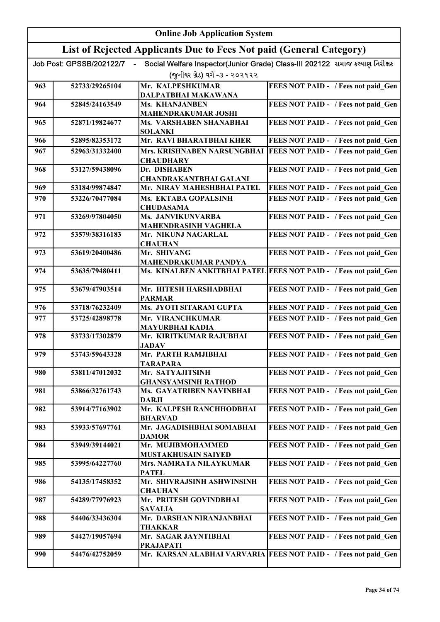|     | <b>Online Job Application System</b> |                                                                     |                                                                              |  |
|-----|--------------------------------------|---------------------------------------------------------------------|------------------------------------------------------------------------------|--|
|     |                                      | List of Rejected Applicants Due to Fees Not paid (General Category) |                                                                              |  |
|     | Job Post: GPSSB/202122/7             |                                                                     | Social Welfare Inspector(Junior Grade) Class-III 202122 સમાજ કલ્યાણ નિરીક્ષક |  |
|     |                                      | (જુનીયર ગ્રેડ) વર્ગ -૩ - ૨૦૨૧૨૨                                     |                                                                              |  |
| 963 | 52733/29265104                       | Mr. KALPESHKUMAR<br>DALPATBHAI MAKAWANA                             | FEES NOT PAID - / Fees not paid Gen                                          |  |
| 964 | 52845/24163549                       | Ms. KHANJANBEN                                                      | FEES NOT PAID - / Fees not paid Gen                                          |  |
| 965 | 52871/19824677                       | <b>MAHENDRAKUMAR JOSHI</b><br>Ms. VARSHABEN SHANABHAI               | FEES NOT PAID - / Fees not paid Gen                                          |  |
|     |                                      | <b>SOLANKI</b>                                                      |                                                                              |  |
| 966 | 52895/82353172                       | Mr. RAVI BHARATBHAI KHER                                            | FEES NOT PAID - / Fees not paid Gen                                          |  |
| 967 | 52963/31332400                       | Mrs. KRISHNABEN NARSUNGBHAI<br><b>CHAUDHARY</b>                     | FEES NOT PAID - / Fees not paid Gen                                          |  |
| 968 | 53127/59438096                       | Dr. DISHABEN<br><b>CHANDRAKANTBHAI GALANI</b>                       | FEES NOT PAID - / Fees not paid Gen                                          |  |
| 969 | 53184/99874847                       | Mr. NIRAV MAHESHBHAI PATEL                                          | FEES NOT PAID - / Fees not paid Gen                                          |  |
| 970 | 53226/70477084                       | Ms. EKTABA GOPALSINH                                                | FEES NOT PAID - / Fees not paid Gen                                          |  |
|     |                                      | <b>CHUDASAMA</b>                                                    |                                                                              |  |
| 971 | 53269/97804050                       | Ms. JANVIKUNVARBA                                                   | FEES NOT PAID - / Fees not paid Gen                                          |  |
|     |                                      | <b>MAHENDRASINH VAGHELA</b>                                         |                                                                              |  |
| 972 | 53579/38316183                       | Mr. NIKUNJ NAGARLAL<br><b>CHAUHAN</b>                               | FEES NOT PAID - / Fees not paid Gen                                          |  |
| 973 | 53619/20400486                       | Mr. SHIVANG<br><b>MAHENDRAKUMAR PANDYA</b>                          | FEES NOT PAID - / Fees not paid Gen                                          |  |
| 974 | 53635/79480411                       |                                                                     | Ms. KINALBEN ANKITBHAI PATEL FEES NOT PAID - / Fees not paid Gen             |  |
| 975 | 53679/47903514                       | Mr. HITESH HARSHADBHAI<br><b>PARMAR</b>                             | FEES NOT PAID - / Fees not paid Gen                                          |  |
| 976 | 53718/76232409                       | Ms. JYOTI SITARAM GUPTA                                             | FEES NOT PAID - / Fees not paid Gen                                          |  |
| 977 | 53725/42898778                       | Mr. VIRANCHKUMAR                                                    | FEES NOT PAID - / Fees not paid Gen                                          |  |
|     |                                      | <b>MAYURBHAI KADIA</b>                                              |                                                                              |  |
| 978 | 53733/17302879                       | Mr. KIRITKUMAR RAJUBHAI<br><b>JADAV</b>                             | FEES NOT PAID - / Fees not paid Gen                                          |  |
| 979 | 53743/59643328                       | Mr. PARTH RAMJIBHAI<br><b>TARAPARA</b>                              | <b>FEES NOT PAID - / Fees not paid_Gen  </b>                                 |  |
| 980 | 53811/47012032                       | Mr. SATYAJITSINH                                                    | FEES NOT PAID - / Fees not paid Gen                                          |  |
| 981 | 53866/32761743                       | <b>GHANSYAMSINH RATHOD</b><br>Ms. GAYATRIBEN NAVINBHAI              | FEES NOT PAID - / Fees not paid Gen                                          |  |
|     |                                      | <b>DARJI</b>                                                        |                                                                              |  |
| 982 | 53914/77163902                       | Mr. KALPESH RANCHHODBHAI<br><b>BHARVAD</b>                          | FEES NOT PAID - / Fees not paid Gen                                          |  |
| 983 | 53933/57697761                       | Mr. JAGADISHBHAI SOMABHAI<br><b>DAMOR</b>                           | FEES NOT PAID - / Fees not paid Gen                                          |  |
| 984 | 53949/39144021                       | Mr. MUJIBMOHAMMED                                                   | FEES NOT PAID - / Fees not paid Gen                                          |  |
| 985 | 53995/64227760                       | MUSTAKHUSAIN SAIYED<br>Mrs. NAMRATA NILAYKUMAR                      | FEES NOT PAID - / Fees not paid Gen                                          |  |
| 986 | 54135/17458352                       | <b>PATEL</b><br>Mr. SHIVRAJSINH ASHWINSINH                          | FEES NOT PAID - / Fees not paid Gen                                          |  |
|     |                                      | <b>CHAUHAN</b>                                                      |                                                                              |  |
| 987 | 54289/77976923                       | Mr. PRITESH GOVINDBHAI<br><b>SAVALIA</b>                            | FEES NOT PAID - / Fees not paid Gen                                          |  |
| 988 | 54406/33436304                       | Mr. DARSHAN NIRANJANBHAI<br>THAKKAR                                 | FEES NOT PAID - / Fees not paid Gen                                          |  |
| 989 | 54427/19057694                       | Mr. SAGAR JAYNTIBHAI                                                | FEES NOT PAID - / Fees not paid Gen                                          |  |
| 990 | 54476/42752059                       | <b>PRAJAPATI</b>                                                    | Mr. KARSAN ALABHAI VARVARIA FEES NOT PAID - / Fees not paid Gen              |  |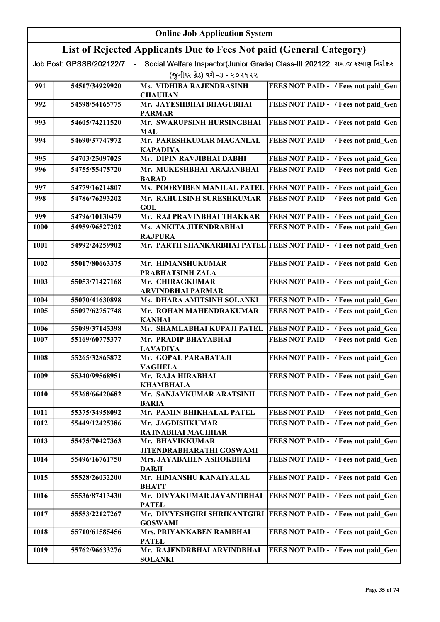|      | <b>Online Job Application System</b> |                                                                     |                                                                              |  |
|------|--------------------------------------|---------------------------------------------------------------------|------------------------------------------------------------------------------|--|
|      |                                      | List of Rejected Applicants Due to Fees Not paid (General Category) |                                                                              |  |
|      | Job Post: GPSSB/202122/7             |                                                                     | Social Welfare Inspector(Junior Grade) Class-III 202122 સમાજ કલ્યાણ નિરીક્ષક |  |
|      |                                      | (જુનીયર ગ્રેડ) વર્ગ -૩ - ૨૦૨૧૨૨                                     |                                                                              |  |
| 991  | 54517/34929920                       | Ms. VIDHIBA RAJENDRASINH<br><b>CHAUHAN</b>                          | FEES NOT PAID - / Fees not paid Gen                                          |  |
| 992  | 54598/54165775                       | Mr. JAYESHBHAI BHAGUBHAI<br><b>PARMAR</b>                           | FEES NOT PAID - / Fees not paid_Gen                                          |  |
| 993  | 54605/74211520                       | Mr. SWARUPSINH HURSINGBHAI<br><b>MAL</b>                            | FEES NOT PAID - / Fees not paid_Gen                                          |  |
| 994  | 54690/37747972                       | Mr. PARESHKUMAR MAGANLAL<br><b>KAPADIYA</b>                         | FEES NOT PAID - / Fees not paid Gen                                          |  |
| 995  | 54703/25097025                       | Mr. DIPIN RAVJIBHAI DABHI                                           | FEES NOT PAID - / Fees not paid Gen                                          |  |
| 996  | 54755/55475720                       | Mr. MUKESHBHAI ARAJANBHAI<br><b>BARAD</b>                           | FEES NOT PAID - / Fees not paid Gen                                          |  |
| 997  | 54779/16214807                       | <b>Ms. POORVIBEN MANILAL PATEL</b>                                  | FEES NOT PAID - / Fees not paid_Gen                                          |  |
| 998  | 54786/76293202                       | Mr. RAHULSINH SURESHKUMAR<br><b>GOL</b>                             | FEES NOT PAID - / Fees not paid Gen                                          |  |
| 999  | 54796/10130479                       | Mr. RAJ PRAVINBHAI THAKKAR                                          | FEES NOT PAID - / Fees not paid Gen                                          |  |
| 1000 | 54959/96527202                       | Ms. ANKITA JITENDRABHAI<br><b>RAJPURA</b>                           | FEES NOT PAID - / Fees not paid Gen                                          |  |
| 1001 | 54992/24259902                       |                                                                     | Mr. PARTH SHANKARBHAI PATEL FEES NOT PAID - / Fees not paid Gen              |  |
| 1002 | 55017/80663375                       | Mr. HIMANSHUKUMAR<br>PRABHATSINH ZALA                               | FEES NOT PAID - / Fees not paid Gen                                          |  |
| 1003 | 55053/71427168                       | Mr. CHIRAGKUMAR<br>ARVINDBHAI PARMAR                                | FEES NOT PAID - / Fees not paid Gen                                          |  |
| 1004 | 55070/41630898                       | Ms. DHARA AMITSINH SOLANKI                                          | FEES NOT PAID - / Fees not paid Gen                                          |  |
| 1005 | 55097/62757748                       | Mr. ROHAN MAHENDRAKUMAR<br><b>KANHAI</b>                            | FEES NOT PAID - / Fees not paid Gen                                          |  |
| 1006 | 55099/37145398                       | Mr. SHAMLABHAI KUPAJI PATEL                                         | <b>FEES NOT PAID - / Fees not paid Gen</b>                                   |  |
| 1007 | 55169/60775377                       | Mr. PRADIP BHAYABHAI<br><u>LAVADIYA</u>                             | FEES NOT PAID - / Fees not paid Gen                                          |  |
| 1008 | 55265/32865872                       | Mr. GOPAL PARABATAJI<br><b>VAGHELA</b>                              | FEES NOT PAID - / Fees not paid Gen                                          |  |
| 1009 | 55340/99568951                       | Mr. RAJA HIRABHAI<br><b>KHAMBHALA</b>                               | FEES NOT PAID - / Fees not paid Gen                                          |  |
| 1010 | 55368/66420682                       | Mr. SANJAYKUMAR ARATSINH<br><b>BARIA</b>                            | FEES NOT PAID - / Fees not paid Gen                                          |  |
| 1011 | 55375/34958092                       | Mr. PAMIN BHIKHALAL PATEL                                           | FEES NOT PAID - / Fees not paid Gen                                          |  |
| 1012 | 55449/12425386                       | Mr. JAGDISHKUMAR<br>RATNABHAI MACHHAR                               | FEES NOT PAID - / Fees not paid Gen                                          |  |
| 1013 | 55475/70427363                       | Mr. BHAVIKKUMAR<br>JITENDRABHARATHI GOSWAMI                         | FEES NOT PAID - / Fees not paid Gen                                          |  |
| 1014 | 55496/16761750                       | Mrs. JAYABAHEN ASHOKBHAI<br><b>DARJI</b>                            | FEES NOT PAID - / Fees not paid_Gen                                          |  |
| 1015 | 55528/26032200                       | Mr. HIMANSHU KANAIYALAL<br><b>BHATT</b>                             | FEES NOT PAID - / Fees not paid_Gen                                          |  |
| 1016 | 55536/87413430                       | Mr. DIVYAKUMAR JAYANTIBHAI<br><b>PATEL</b>                          | FEES NOT PAID - / Fees not paid Gen                                          |  |
| 1017 | 55553/22127267                       | Mr. DIVYESHGIRI SHRIKANTGIRI<br><b>GOSWAMI</b>                      | FEES NOT PAID - / Fees not paid Gen                                          |  |
| 1018 | 55710/61585456                       | Mrs. PRIYANKABEN RAMBHAI<br><b>PATEL</b>                            | FEES NOT PAID - / Fees not paid Gen                                          |  |
| 1019 | 55762/96633276                       | Mr. RAJENDRBHAI ARVINDBHAI<br><b>SOLANKI</b>                        | FEES NOT PAID - / Fees not paid Gen                                          |  |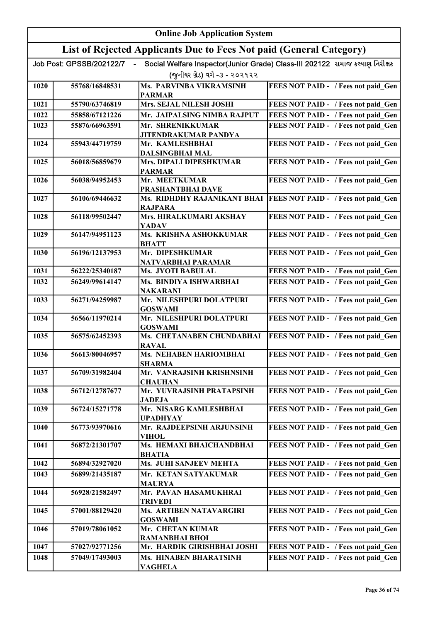|      |                          | <b>Online Job Application System</b>                                |                                                                              |
|------|--------------------------|---------------------------------------------------------------------|------------------------------------------------------------------------------|
|      |                          | List of Rejected Applicants Due to Fees Not paid (General Category) |                                                                              |
|      | Job Post: GPSSB/202122/7 |                                                                     | Social Welfare Inspector(Junior Grade) Class-III 202122 સમાજ કલ્યાણ નિરીક્ષક |
|      |                          | (જુનીયર ગ્રેડ) વર્ગ -૩ - ૨૦૨૧૨૨                                     |                                                                              |
| 1020 | 55768/16848531           | <b>Ms. PARVINBA VIKRAMSINH</b>                                      | FEES NOT PAID - / Fees not paid Gen                                          |
|      |                          | <b>PARMAR</b>                                                       |                                                                              |
| 1021 | 55790/63746819           | Mrs. SEJAL NILESH JOSHI                                             | FEES NOT PAID - / Fees not paid Gen                                          |
| 1022 | 55858/67121226           | Mr. JAIPALSING NIMBA RAJPUT                                         | FEES NOT PAID - / Fees not paid Gen                                          |
| 1023 | 55876/66963591           | Mr. SHRENIKKUMAR<br>JITENDRAKUMAR PANDYA                            | FEES NOT PAID - / Fees not paid Gen                                          |
| 1024 | 55943/44719759           | Mr. KAMLESHBHAI<br><b>DALSINGBHAI MAL</b>                           | FEES NOT PAID - / Fees not paid Gen                                          |
| 1025 | 56018/56859679           | Mrs. DIPALI DIPESHKUMAR                                             | FEES NOT PAID - / Fees not paid Gen                                          |
|      |                          | <b>PARMAR</b>                                                       |                                                                              |
| 1026 | 56038/94952453           | Mr. MEETKUMAR                                                       | FEES NOT PAID - / Fees not paid Gen                                          |
| 1027 | 56106/69446632           | PRASHANTBHAI DAVE                                                   | Ms. RIDHDHY RAJANIKANT BHAI   FEES NOT PAID - / Fees not paid Gen            |
|      |                          | <b>RAJPARA</b>                                                      |                                                                              |
| 1028 | 56118/99502447           | Mrs. HIRALKUMARI AKSHAY<br>YADAV                                    | FEES NOT PAID - / Fees not paid_Gen                                          |
| 1029 | 56147/94951123           | Ms. KRISHNA ASHOKKUMAR<br><b>BHATT</b>                              | FEES NOT PAID - / Fees not paid_Gen                                          |
| 1030 | 56196/12137953           | Mr. DIPESHKUMAR                                                     | FEES NOT PAID - / Fees not paid_Gen                                          |
|      |                          | NATVARBHAI PARAMAR                                                  |                                                                              |
| 1031 | 56222/25340187           | Ms. JYOTI BABULAL                                                   | FEES NOT PAID - / Fees not paid Gen                                          |
| 1032 | 56249/99614147           | Ms. BINDIYA ISHWARBHAI<br><b>NAKARANI</b>                           | FEES NOT PAID - / Fees not paid Gen                                          |
| 1033 | 56271/94259987           | Mr. NILESHPURI DOLATPURI<br><b>GOSWAMI</b>                          | FEES NOT PAID - / Fees not paid Gen                                          |
| 1034 | 56566/11970214           | Mr. NILESHPURI DOLATPURI<br><b>GOSWAMI</b>                          | FEES NOT PAID - / Fees not paid Gen                                          |
| 1035 | 56575/62452393           | Ms. CHETANABEN CHUNDABHAI<br><b>RAVAL</b>                           | <b>FEES NOT PAID - / Fees not paid Gen</b>                                   |
| 1036 | 56613/80046957           | Ms. NEHABEN HARIOMBHAI<br><b>SHARMA</b>                             | FEES NOT PAID - / Fees not paid_Gen                                          |
| 1037 | 56709/31982404           | Mr. VANRAJSINH KRISHNSINH<br><b>CHAUHAN</b>                         | FEES NOT PAID - / Fees not paid Gen                                          |
| 1038 | 56712/12787677           | Mr. YUVRAJSINH PRATAPSINH<br><b>JADEJA</b>                          | FEES NOT PAID - / Fees not paid Gen                                          |
| 1039 | 56724/15271778           | Mr. NISARG KAMLESHBHAI<br><b>UPADHYAY</b>                           | FEES NOT PAID - / Fees not paid Gen                                          |
| 1040 | 56773/93970616           | Mr. RAJDEEPSINH ARJUNSINH<br><b>VIHOL</b>                           | FEES NOT PAID - / Fees not paid Gen                                          |
| 1041 | 56872/21301707           | Ms. HEMAXI BHAICHANDBHAI<br><b>BHATIA</b>                           | FEES NOT PAID - / Fees not paid Gen                                          |
| 1042 | 56894/32927020           | Ms. JUHI SANJEEV MEHTA                                              | FEES NOT PAID - / Fees not paid_Gen                                          |
| 1043 | 56899/21435187           | Mr. KETAN SATYAKUMAR                                                | FEES NOT PAID - / Fees not paid Gen                                          |
| 1044 | 56928/21582497           | <b>MAURYA</b><br>Mr. PAVAN HASAMUKHRAI                              | FEES NOT PAID - / Fees not paid Gen                                          |
|      |                          | <b>TRIVEDI</b>                                                      |                                                                              |
| 1045 | 57001/88129420           | Ms. ARTIBEN NATAVARGIRI<br><b>GOSWAMI</b>                           | FEES NOT PAID - / Fees not paid Gen                                          |
| 1046 | 57019/78061052           | Mr. CHETAN KUMAR                                                    | FEES NOT PAID - / Fees not paid_Gen                                          |
| 1047 | 57027/92771256           | <b>RAMANBHAI BHOI</b><br>Mr. HARDIK GIRISHBHAI JOSHI                | FEES NOT PAID - / Fees not paid Gen                                          |
| 1048 | 57049/17493003           | Ms. HINABEN BHARATSINH                                              | FEES NOT PAID - / Fees not paid Gen                                          |
|      |                          | <b>VAGHELA</b>                                                      |                                                                              |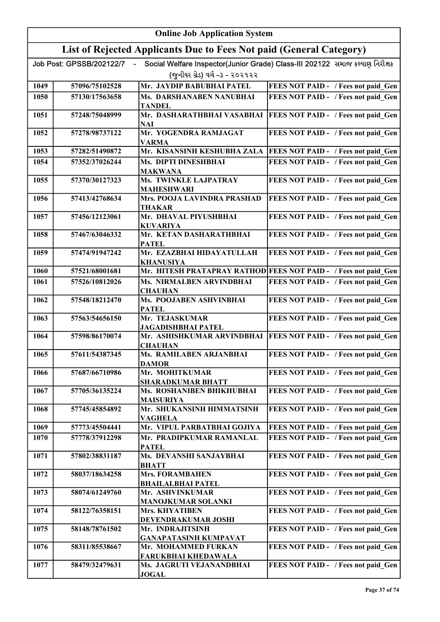|      |                          | <b>Online Job Application System</b>                                |                                                                              |
|------|--------------------------|---------------------------------------------------------------------|------------------------------------------------------------------------------|
|      |                          | List of Rejected Applicants Due to Fees Not paid (General Category) |                                                                              |
|      | Job Post: GPSSB/202122/7 |                                                                     | Social Welfare Inspector(Junior Grade) Class-III 202122 સમાજ કલ્યાણ નિરીક્ષક |
|      |                          | (જુનીયર ગ્રેડ) વર્ગ -૩ - ૨૦૨૧૨૨                                     |                                                                              |
| 1049 | 57096/75102528           | Mr. JAYDIP BABUBHAI PATEL                                           | FEES NOT PAID - / Fees not paid Gen                                          |
| 1050 | 57130/17563658           | Ms. DARSHANABEN NANUBHAI                                            | FEES NOT PAID - / Fees not paid Gen                                          |
| 1051 | 57248/75048999           | <b>TANDEL</b><br>Mr. DASHARATHBHAI VASABHAI                         | FEES NOT PAID - / Fees not paid Gen                                          |
|      |                          | NAI                                                                 |                                                                              |
| 1052 | 57278/98737122           | Mr. YOGENDRA RAMJAGAT<br><b>VARMA</b>                               | FEES NOT PAID - / Fees not paid Gen                                          |
| 1053 | 57282/51490872           | Mr. KISANSINH KESHUBHA ZALA                                         | FEES NOT PAID - / Fees not paid Gen                                          |
| 1054 | 57352/37026244           | Ms. DIPTI DINESHBHAI<br><b>MAKWANA</b>                              | FEES NOT PAID - / Fees not paid Gen                                          |
| 1055 | 57370/30127323           | Ms. TWINKLE LAJPATRAY                                               | FEES NOT PAID - / Fees not paid Gen                                          |
|      |                          | <b>MAHESHWARI</b>                                                   |                                                                              |
| 1056 | 57413/42768634           | Mrs. POOJA LAVINDRA PRASHAD<br><b>THAKAR</b>                        | FEES NOT PAID - / Fees not paid Gen                                          |
| 1057 | 57456/12123061           | Mr. DHAVAL PIYUSHBHAI<br><b>KUVARIYA</b>                            | FEES NOT PAID - / Fees not paid_Gen                                          |
| 1058 | 57467/63046332           | Mr. KETAN DASHARATHBHAI<br><b>PATEL</b>                             | FEES NOT PAID - / Fees not paid_Gen                                          |
| 1059 | 57474/91947242           | Mr. EZAZBHAI HIDAYATULLAH<br><b>KHANUSIYA</b>                       | FEES NOT PAID - / Fees not paid_Gen                                          |
| 1060 | 57521/68001681           |                                                                     | Mr. HITESH PRATAPRAY RATHOD FEES NOT PAID - / Fees not paid_Gen              |
| 1061 | 57526/10812026           | Ms. NIRMALBEN ARVINDBHAI<br><b>CHAUHAN</b>                          | FEES NOT PAID - / Fees not paid Gen                                          |
| 1062 | 57548/18212470           | Ms. POOJABEN ASHVINBHAI<br><b>PATEL</b>                             | FEES NOT PAID - / Fees not paid Gen                                          |
| 1063 | 57563/54656150           | Mr. TEJASKUMAR<br>JAGADISHBHAI PATEL                                | FEES NOT PAID - / Fees not paid Gen                                          |
| 1064 | 57598/86170074           | Mr. ASHISHKUMAR ARVINDBHAI<br><b>CHAUHAN</b>                        | <b>FEES NOT PAID - / Fees not paid Gen</b>                                   |
| 1065 | 57611/54387345           | Ms. RAMILABEN ARJANBHAI<br><b>DAMOR</b>                             | FEES NOT PAID - / Fees not paid_Gen                                          |
| 1066 | 57687/66710986           | Mr. MOHITKUMAR                                                      | FEES NOT PAID - / Fees not paid Gen                                          |
|      |                          | <b>SHARADKUMAR BHATT</b>                                            |                                                                              |
| 1067 | 57705/36135224           | Ms. ROSHANIBEN BHIKHUBHAI<br><b>MAISURIYA</b>                       | FEES NOT PAID - / Fees not paid Gen                                          |
| 1068 | 57745/45854892           | Mr. SHUKANSINH HIMMATSINH<br><b>VAGHELA</b>                         | FEES NOT PAID - / Fees not paid Gen                                          |
| 1069 | 57773/45504441           | Mr. VIPUL PARBATBHAI GOJIYA                                         | FEES NOT PAID - / Fees not paid Gen                                          |
| 1070 | 57778/37912298           | Mr. PRADIPKUMAR RAMANLAL<br><b>PATEL</b>                            | FEES NOT PAID - / Fees not paid Gen                                          |
| 1071 | 57802/38831187           | Ms. DEVANSHI SANJAYBHAI<br><b>BHATT</b>                             | FEES NOT PAID - / Fees not paid Gen                                          |
| 1072 | 58037/18634258           | <b>Mrs. FORAMBAHEN</b>                                              | FEES NOT PAID - / Fees not paid Gen                                          |
| 1073 | 58074/61249760           | <b>BHAILALBHAI PATEL</b><br>Mr. ASHVINKUMAR                         | FEES NOT PAID - / Fees not paid Gen                                          |
| 1074 | 58122/76358151           | <b>MANOJKUMAR SOLANKI</b><br>Mrs. KHYATIBEN                         | FEES NOT PAID - / Fees not paid Gen                                          |
|      |                          | DEVENDRAKUMAR JOSHI                                                 |                                                                              |
| 1075 | 58148/78761502           | Mr. INDRAJITSINH<br><b>GANAPATASINH KUMPAVAT</b>                    | FEES NOT PAID - / Fees not paid Gen                                          |
| 1076 | 58311/85538667           | Mr. MOHAMMED FURKAN                                                 | FEES NOT PAID - / Fees not paid Gen                                          |
| 1077 | 58479/32479631           | <b>FARUKBHAI KHEDAWALA</b><br>Ms. JAGRUTI VEJANANDBHAI              | FEES NOT PAID - / Fees not paid Gen                                          |
|      |                          | <b>JOGAL</b>                                                        |                                                                              |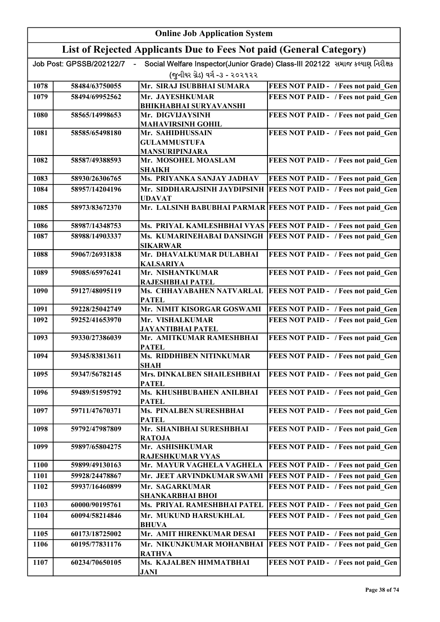|      | <b>Online Job Application System</b> |                                                                     |                                                                              |
|------|--------------------------------------|---------------------------------------------------------------------|------------------------------------------------------------------------------|
|      |                                      | List of Rejected Applicants Due to Fees Not paid (General Category) |                                                                              |
|      | Job Post: GPSSB/202122/7             |                                                                     | Social Welfare Inspector(Junior Grade) Class-III 202122 સમાજ કલ્યાણ નિરીક્ષક |
|      |                                      | (જુનીયર ગ્રેડ) વર્ગ -૩ - ૨૦૨૧૨૨                                     |                                                                              |
| 1078 | 58484/63750055                       | Mr. SIRAJ ISUBBHAI SUMARA                                           | FEES NOT PAID - / Fees not paid Gen                                          |
| 1079 | 58494/69952562                       | Mr. JAYESHKUMAR                                                     | FEES NOT PAID - / Fees not paid Gen                                          |
| 1080 |                                      | <b>BHIKHABHAI SURYAVANSHI</b><br>Mr. DIGVIJAYSINH                   |                                                                              |
|      | 58565/14998653                       | <b>MAHAVIRSINH GOHIL</b>                                            | FEES NOT PAID - / Fees not paid Gen                                          |
| 1081 | 58585/65498180                       | Mr. SAHIDHUSSAIN                                                    | FEES NOT PAID - / Fees not paid Gen                                          |
|      |                                      | <b>GULAMMUSTUFA</b>                                                 |                                                                              |
|      |                                      | <b>MANSURIPINJARA</b>                                               |                                                                              |
| 1082 | 58587/49388593                       | Mr. MOSOHEL MOASLAM<br><b>SHAIKH</b>                                | FEES NOT PAID - / Fees not paid Gen                                          |
| 1083 | 58930/26306765                       | Ms. PRIYANKA SANJAY JADHAV                                          | FEES NOT PAID - / Fees not paid Gen                                          |
| 1084 | 58957/14204196                       |                                                                     | Mr. SIDDHARAJSINH JAYDIPSINH  FEES NOT PAID - / Fees not paid Gen            |
|      |                                      | <b>UDAVAT</b>                                                       |                                                                              |
| 1085 | 58973/83672370                       |                                                                     | Mr. LALSINH BABUBHAI PARMAR FEES NOT PAID - / Fees not paid Gen              |
| 1086 | 58987/14348753                       |                                                                     | Ms. PRIYAL KAMLESHBHAI VYAS FEES NOT PAID - / Fees not paid Gen              |
| 1087 | 58988/14903337                       | Ms. KUMARINEHABAI DANSINGH                                          | FEES NOT PAID - / Fees not paid Gen                                          |
|      |                                      | <b>SIKARWAR</b>                                                     |                                                                              |
| 1088 | 59067/26931838                       | Mr. DHAVALKUMAR DULABHAI                                            | FEES NOT PAID - / Fees not paid Gen                                          |
| 1089 | 59085/65976241                       | <b>KALSARIYA</b><br>Mr. NISHANTKUMAR                                | FEES NOT PAID - / Fees not paid Gen                                          |
|      |                                      | RAJESHBHAI PATEL                                                    |                                                                              |
| 1090 | 59127/48095119                       | Ms. CHHAYABAHEN NATVARLAL                                           | <b>FEES NOT PAID - / Fees not paid Gen</b>                                   |
|      |                                      | <b>PATEL</b>                                                        |                                                                              |
| 1091 | 59228/25042749                       | Mr. NIMIT KISORGAR GOSWAMI                                          | FEES NOT PAID - / Fees not paid Gen                                          |
| 1092 | 59252/41653970                       | Mr. VISHALKUMAR<br><b>JAYANTIBHAI PATEL</b>                         | FEES NOT PAID - / Fees not paid Gen                                          |
| 1093 | 59330/27386039                       | Mr. AMITKUMAR RAMESHBHAI                                            | FEES NOT PAID - / Fees not paid Gen                                          |
|      |                                      | <b>PATEL</b>                                                        |                                                                              |
| 1094 | 59345/83813611                       | Ms. RIDDHIBEN NITINKUMAR<br><b>SHAH</b>                             | FEES NOT PAID - / Fees not paid_Gen                                          |
| 1095 | 59347/56782145                       | Mrs. DINKALBEN SHAILESHBHAI                                         | FEES NOT PAID - / Fees not paid Gen                                          |
|      |                                      | <b>PATEL</b>                                                        |                                                                              |
| 1096 | 59489/51595792                       | Ms. KHUSHBUBAHEN ANILBHAI<br><b>PATEL</b>                           | FEES NOT PAID - / Fees not paid Gen                                          |
| 1097 | 59711/47670371                       | Ms. PINALBEN SURESHBHAI                                             | FEES NOT PAID - / Fees not paid Gen                                          |
|      |                                      | <b>PATEL</b>                                                        |                                                                              |
| 1098 | 59792/47987809                       | Mr. SHANIBHAI SURESHBHAI                                            | FEES NOT PAID - / Fees not paid Gen                                          |
| 1099 | 59897/65804275                       | <b>RATOJA</b><br>Mr. ASHISHKUMAR                                    | FEES NOT PAID - / Fees not paid Gen                                          |
|      |                                      | <b>RAJESHKUMAR VYAS</b>                                             |                                                                              |
| 1100 | 59899/49130163                       | Mr. MAYUR VAGHELA VAGHELA                                           | FEES NOT PAID - / Fees not paid Gen                                          |
| 1101 | 59928/24478867                       | Mr. JEET ARVINDKUMAR SWAMI                                          | FEES NOT PAID - / Fees not paid Gen                                          |
| 1102 | 59937/16460899                       | Mr. SAGARKUMAR                                                      | FEES NOT PAID - / Fees not paid Gen                                          |
| 1103 | 60000/90195761                       | <b>SHANKARBHAI BHOI</b><br>Ms. PRIYAL RAMESHBHAI PATEL              | FEES NOT PAID - / Fees not paid Gen                                          |
| 1104 | 60094/58214846                       | Mr. MUKUND HARSUKHLAL                                               | FEES NOT PAID - / Fees not paid Gen                                          |
|      |                                      | <b>BHUVA</b>                                                        |                                                                              |
| 1105 | 60173/18725002                       | Mr. AMIT HIRENKUMAR DESAI                                           | FEES NOT PAID - / Fees not paid Gen                                          |
| 1106 | 60195/77831176                       | Mr. NIKUNJKUMAR MOHANBHAI                                           | FEES NOT PAID - / Fees not paid Gen                                          |
| 1107 | 60234/70650105                       | <b>RATHVA</b><br>Ms. KAJALBEN HIMMATBHAI                            | FEES NOT PAID - / Fees not paid Gen                                          |
|      |                                      | JANI                                                                |                                                                              |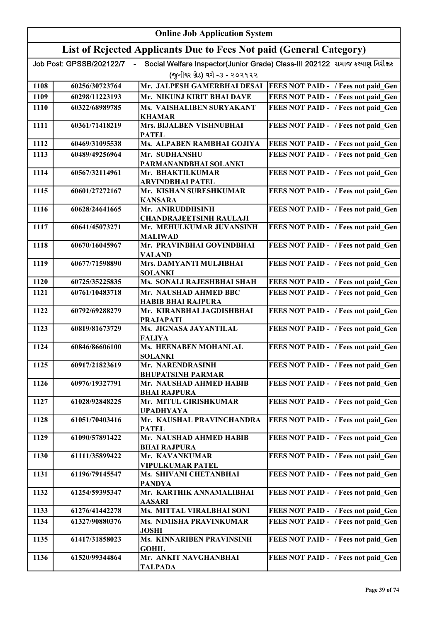|      | <b>Online Job Application System</b> |                                                                     |                                                                              |
|------|--------------------------------------|---------------------------------------------------------------------|------------------------------------------------------------------------------|
|      |                                      | List of Rejected Applicants Due to Fees Not paid (General Category) |                                                                              |
|      | Job Post: GPSSB/202122/7             |                                                                     | Social Welfare Inspector(Junior Grade) Class-III 202122 સમાજ કલ્યાણ નિરીક્ષક |
|      |                                      | (જુનીયર ગ્રેડ) વર્ગ -૩ - ૨૦૨૧૨૨                                     |                                                                              |
| 1108 | 60256/30723764                       | Mr. JALPESH GAMERBHAI DESAI                                         | <b>FEES NOT PAID - / Fees not paid Gen</b>                                   |
| 1109 | 60298/11223193                       | Mr. NIKUNJ KIRIT BHAI DAVE                                          | FEES NOT PAID - / Fees not paid Gen                                          |
| 1110 | 60322/68989785                       | Ms. VAISHALIBEN SURYAKANT                                           | FEES NOT PAID - / Fees not paid Gen                                          |
|      |                                      | <b>KHAMAR</b>                                                       |                                                                              |
| 1111 | 60361/71418219                       | <b>Mrs. BIJALBEN VISHNUBHAI</b><br><b>PATEL</b>                     | FEES NOT PAID - / Fees not paid Gen                                          |
| 1112 | 60469/31095538                       | Ms. ALPABEN RAMBHAI GOJIYA                                          | FEES NOT PAID - / Fees not paid Gen                                          |
| 1113 | 60489/49256964                       | Mr. SUDHANSHU<br>PARMANANDBHAI SOLANKI                              | FEES NOT PAID - / Fees not paid Gen                                          |
| 1114 | 60567/32114961                       | Mr. BHAKTILKUMAR<br><b>ARVINDBHAI PATEL</b>                         | FEES NOT PAID - / Fees not paid Gen                                          |
| 1115 | 60601/27272167                       | Mr. KISHAN SURESHKUMAR<br><b>KANSARA</b>                            | FEES NOT PAID - / Fees not paid Gen                                          |
| 1116 | 60628/24641665                       | Mr. ANIRUDDHSINH                                                    | FEES NOT PAID - / Fees not paid Gen                                          |
|      |                                      | <b>CHANDRAJEETSINH RAULAJI</b>                                      |                                                                              |
| 1117 | 60641/45073271                       | Mr. MEHULKUMAR JUVANSINH<br><b>MALIWAD</b>                          | FEES NOT PAID - / Fees not paid_Gen                                          |
| 1118 | 60670/16045967                       | Mr. PRAVINBHAI GOVINDBHAI<br><b>VALAND</b>                          | FEES NOT PAID - / Fees not paid Gen                                          |
| 1119 | 60677/71598890                       | Mrs. DAMYANTI MULJIBHAI<br><b>SOLANKI</b>                           | FEES NOT PAID - / Fees not paid Gen                                          |
| 1120 | 60725/35225835                       | Ms. SONALI RAJESHBHAI SHAH                                          | FEES NOT PAID - / Fees not paid Gen                                          |
| 1121 | 60761/10483718                       | Mr. NAUSHAD AHMED BBC<br><b>HABIB BHAI RAJPURA</b>                  | FEES NOT PAID - / Fees not paid Gen                                          |
| 1122 | 60792/69288279                       | Mr. KIRANBHAI JAGDISHBHAI<br><b>PRAJAPATI</b>                       | FEES NOT PAID - / Fees not paid Gen                                          |
| 1123 | 60819/81673729                       | Ms. JIGNASA JAYANTILAL<br><b>FALIYA</b>                             | FEES NOT PAID - / Fees not paid Gen                                          |
| 1124 | 60846/86606100                       | Ms. HEENABEN MOHANLAL<br><b>SOLANKI</b>                             | FEES NOT PAID - / Fees not paid Gen                                          |
| 1125 | 60917/21823619                       | Mr. NARENDRASINH<br><b>BHUPATSINH PARMAR</b>                        | FEES NOT PAID - / Fees not paid Gen                                          |
| 1126 | 60976/19327791                       | Mr. NAUSHAD AHMED HABIB<br><b>BHAI RAJPURA</b>                      | FEES NOT PAID - / Fees not paid Gen                                          |
| 1127 | 61028/92848225                       | Mr. MITUL GIRISHKUMAR<br><b>UPADHYAYA</b>                           | FEES NOT PAID - / Fees not paid Gen                                          |
| 1128 | 61051/70403416                       | Mr. KAUSHAL PRAVINCHANDRA<br>PATEL                                  | FEES NOT PAID - / Fees not paid Gen                                          |
| 1129 | 61090/57891422                       | Mr. NAUSHAD AHMED HABIB<br><b>BHAI RAJPURA</b>                      | FEES NOT PAID - / Fees not paid Gen                                          |
| 1130 | 61111/35899422                       | Mr. KAVANKUMAR<br>VIPULKUMAR PATEL                                  | FEES NOT PAID - / Fees not paid Gen                                          |
| 1131 | 61196/79145547                       | Ms. SHIVANI CHETANBHAI                                              | FEES NOT PAID - / Fees not paid Gen                                          |
| 1132 | 61254/59395347                       | PANDYA<br>Mr. KARTHIK ANNAMALIBHAI<br>AASARI                        | FEES NOT PAID - / Fees not paid Gen                                          |
| 1133 | 61276/41442278                       | Ms. MITTAL VIRALBHAI SONI                                           | FEES NOT PAID - / Fees not paid Gen                                          |
| 1134 | 61327/90880376                       | <b>Ms. NIMISHA PRAVINKUMAR</b>                                      | FEES NOT PAID - / Fees not paid Gen                                          |
| 1135 | 61417/31858023                       | <b>JOSHI</b><br>Ms. KINNARIBEN PRAVINSINH                           | FEES NOT PAID - / Fees not paid Gen                                          |
|      |                                      | <b>GOHIL</b>                                                        |                                                                              |
| 1136 | 61520/99344864                       | Mr. ANKIT NAVGHANBHAI<br>TALPADA                                    | FEES NOT PAID - / Fees not paid Gen                                          |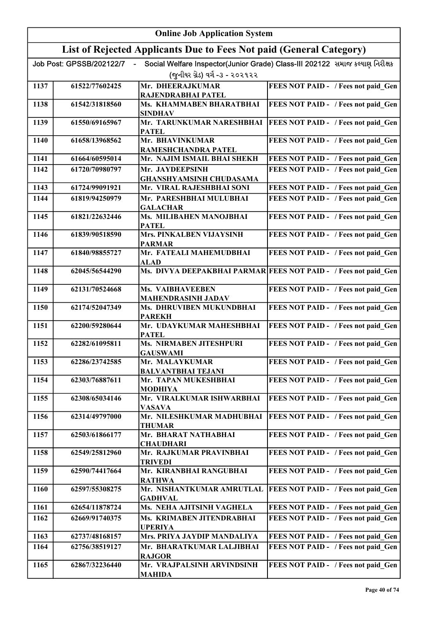| List of Rejected Applicants Due to Fees Not paid (General Category)<br>Social Welfare Inspector(Junior Grade) Class-III 202122 સમાજ કલ્યાણ નિરીક્ષક<br>Job Post: GPSSB/202122/7<br>(જુનીયર ગ્રેડ) વર્ગ -૩ - ૨૦૨૧૨૨<br>FEES NOT PAID - / Fees not paid Gen<br>Mr. DHEERAJKUMAR<br>1137<br>61522/77602425<br>RAJENDRABHAI PATEL<br>Ms. KHAMMABEN BHARATBHAI<br>FEES NOT PAID - / Fees not paid Gen<br>1138<br>61542/31818560<br><b>SINDHAV</b><br>Mr. TARUNKUMAR NARESHBHAI<br>61550/69165967<br>FEES NOT PAID - / Fees not paid Gen<br>1139<br><b>PATEL</b><br>Mr. BHAVINKUMAR<br>1140<br>61658/13968562<br>FEES NOT PAID - / Fees not paid Gen<br>RAMESHCHANDRA PATEL<br>1141<br>Mr. NAJIM ISMAIL BHAI SHEKH<br>FEES NOT PAID - / Fees not paid Gen<br>61664/60595014<br>FEES NOT PAID - / Fees not paid Gen<br>1142<br>61720/70980797<br>Mr. JAYDEEPSINH<br><b>GHANSHYAMSINH CHUDASAMA</b><br>Mr. VIRAL RAJESHBHAI SONI<br>FEES NOT PAID - / Fees not paid Gen<br>1143<br>61724/99091921<br>FEES NOT PAID - / Fees not paid Gen<br>1144<br>Mr. PARESHBHAI MULUBHAI<br>61819/94250979<br><b>GALACHAR</b><br>Ms. MILIBAHEN MANOJBHAI<br>FEES NOT PAID - / Fees not paid_Gen<br>1145<br>61821/22632446<br><b>PATEL</b><br><b>Mrs. PINKALBEN VIJAYSINH</b><br>FEES NOT PAID - / Fees not paid_Gen<br>61839/90518590<br>1146<br><b>PARMAR</b><br>Mr. FATEALI MAHEMUDBHAI<br>FEES NOT PAID - / Fees not paid Gen<br>1147<br>61840/98855727<br><b>ALAD</b><br>Ms. DIVYA DEEPAKBHAI PARMAR FEES NOT PAID - / Fees not paid Gen<br>1148<br>62045/56544290<br>FEES NOT PAID - / Fees not paid Gen<br>1149<br>62131/70524668<br><b>Ms. VAIBHAVEEBEN</b> |  |
|-----------------------------------------------------------------------------------------------------------------------------------------------------------------------------------------------------------------------------------------------------------------------------------------------------------------------------------------------------------------------------------------------------------------------------------------------------------------------------------------------------------------------------------------------------------------------------------------------------------------------------------------------------------------------------------------------------------------------------------------------------------------------------------------------------------------------------------------------------------------------------------------------------------------------------------------------------------------------------------------------------------------------------------------------------------------------------------------------------------------------------------------------------------------------------------------------------------------------------------------------------------------------------------------------------------------------------------------------------------------------------------------------------------------------------------------------------------------------------------------------------------------------------------------------------------------------------------------------------------------------------------------------|--|
|                                                                                                                                                                                                                                                                                                                                                                                                                                                                                                                                                                                                                                                                                                                                                                                                                                                                                                                                                                                                                                                                                                                                                                                                                                                                                                                                                                                                                                                                                                                                                                                                                                               |  |
|                                                                                                                                                                                                                                                                                                                                                                                                                                                                                                                                                                                                                                                                                                                                                                                                                                                                                                                                                                                                                                                                                                                                                                                                                                                                                                                                                                                                                                                                                                                                                                                                                                               |  |
|                                                                                                                                                                                                                                                                                                                                                                                                                                                                                                                                                                                                                                                                                                                                                                                                                                                                                                                                                                                                                                                                                                                                                                                                                                                                                                                                                                                                                                                                                                                                                                                                                                               |  |
|                                                                                                                                                                                                                                                                                                                                                                                                                                                                                                                                                                                                                                                                                                                                                                                                                                                                                                                                                                                                                                                                                                                                                                                                                                                                                                                                                                                                                                                                                                                                                                                                                                               |  |
|                                                                                                                                                                                                                                                                                                                                                                                                                                                                                                                                                                                                                                                                                                                                                                                                                                                                                                                                                                                                                                                                                                                                                                                                                                                                                                                                                                                                                                                                                                                                                                                                                                               |  |
|                                                                                                                                                                                                                                                                                                                                                                                                                                                                                                                                                                                                                                                                                                                                                                                                                                                                                                                                                                                                                                                                                                                                                                                                                                                                                                                                                                                                                                                                                                                                                                                                                                               |  |
|                                                                                                                                                                                                                                                                                                                                                                                                                                                                                                                                                                                                                                                                                                                                                                                                                                                                                                                                                                                                                                                                                                                                                                                                                                                                                                                                                                                                                                                                                                                                                                                                                                               |  |
|                                                                                                                                                                                                                                                                                                                                                                                                                                                                                                                                                                                                                                                                                                                                                                                                                                                                                                                                                                                                                                                                                                                                                                                                                                                                                                                                                                                                                                                                                                                                                                                                                                               |  |
|                                                                                                                                                                                                                                                                                                                                                                                                                                                                                                                                                                                                                                                                                                                                                                                                                                                                                                                                                                                                                                                                                                                                                                                                                                                                                                                                                                                                                                                                                                                                                                                                                                               |  |
|                                                                                                                                                                                                                                                                                                                                                                                                                                                                                                                                                                                                                                                                                                                                                                                                                                                                                                                                                                                                                                                                                                                                                                                                                                                                                                                                                                                                                                                                                                                                                                                                                                               |  |
|                                                                                                                                                                                                                                                                                                                                                                                                                                                                                                                                                                                                                                                                                                                                                                                                                                                                                                                                                                                                                                                                                                                                                                                                                                                                                                                                                                                                                                                                                                                                                                                                                                               |  |
|                                                                                                                                                                                                                                                                                                                                                                                                                                                                                                                                                                                                                                                                                                                                                                                                                                                                                                                                                                                                                                                                                                                                                                                                                                                                                                                                                                                                                                                                                                                                                                                                                                               |  |
|                                                                                                                                                                                                                                                                                                                                                                                                                                                                                                                                                                                                                                                                                                                                                                                                                                                                                                                                                                                                                                                                                                                                                                                                                                                                                                                                                                                                                                                                                                                                                                                                                                               |  |
|                                                                                                                                                                                                                                                                                                                                                                                                                                                                                                                                                                                                                                                                                                                                                                                                                                                                                                                                                                                                                                                                                                                                                                                                                                                                                                                                                                                                                                                                                                                                                                                                                                               |  |
|                                                                                                                                                                                                                                                                                                                                                                                                                                                                                                                                                                                                                                                                                                                                                                                                                                                                                                                                                                                                                                                                                                                                                                                                                                                                                                                                                                                                                                                                                                                                                                                                                                               |  |
|                                                                                                                                                                                                                                                                                                                                                                                                                                                                                                                                                                                                                                                                                                                                                                                                                                                                                                                                                                                                                                                                                                                                                                                                                                                                                                                                                                                                                                                                                                                                                                                                                                               |  |
|                                                                                                                                                                                                                                                                                                                                                                                                                                                                                                                                                                                                                                                                                                                                                                                                                                                                                                                                                                                                                                                                                                                                                                                                                                                                                                                                                                                                                                                                                                                                                                                                                                               |  |
| <b>MAHENDRASINH JADAV</b>                                                                                                                                                                                                                                                                                                                                                                                                                                                                                                                                                                                                                                                                                                                                                                                                                                                                                                                                                                                                                                                                                                                                                                                                                                                                                                                                                                                                                                                                                                                                                                                                                     |  |
| 62174/52047349<br>Ms. DHRUVIBEN MUKUNDBHAI<br>FEES NOT PAID - / Fees not paid_Gen<br>1150<br><b>PAREKH</b>                                                                                                                                                                                                                                                                                                                                                                                                                                                                                                                                                                                                                                                                                                                                                                                                                                                                                                                                                                                                                                                                                                                                                                                                                                                                                                                                                                                                                                                                                                                                    |  |
| Mr. UDAYKUMAR MAHESHBHAI<br>FEES NOT PAID - / Fees not paid Gen<br>1151<br>62200/59280644<br><b>PATEL</b>                                                                                                                                                                                                                                                                                                                                                                                                                                                                                                                                                                                                                                                                                                                                                                                                                                                                                                                                                                                                                                                                                                                                                                                                                                                                                                                                                                                                                                                                                                                                     |  |
| Ms. NIRMABEN JITESHPURI<br>62282/61095811<br>FEES NOT PAID - / Fees not paid Gen<br>1152<br><b>GAUSWAMI</b>                                                                                                                                                                                                                                                                                                                                                                                                                                                                                                                                                                                                                                                                                                                                                                                                                                                                                                                                                                                                                                                                                                                                                                                                                                                                                                                                                                                                                                                                                                                                   |  |
| FEES NOT PAID - / Fees not paid Gen<br>1153<br>62286/23742585<br>Mr. MALAYKUMAR<br><b>BALVANTBHAI TEJANI</b>                                                                                                                                                                                                                                                                                                                                                                                                                                                                                                                                                                                                                                                                                                                                                                                                                                                                                                                                                                                                                                                                                                                                                                                                                                                                                                                                                                                                                                                                                                                                  |  |
| FEES NOT PAID - / Fees not paid Gen<br>1154<br>62303/76887611<br>Mr. TAPAN MUKESHBHAI<br><b>MODHIYA</b>                                                                                                                                                                                                                                                                                                                                                                                                                                                                                                                                                                                                                                                                                                                                                                                                                                                                                                                                                                                                                                                                                                                                                                                                                                                                                                                                                                                                                                                                                                                                       |  |
| 1155<br>62308/65034146<br>Mr. VIRALKUMAR ISHWARBHAI<br>FEES NOT PAID - / Fees not paid Gen<br><b>VASAVA</b>                                                                                                                                                                                                                                                                                                                                                                                                                                                                                                                                                                                                                                                                                                                                                                                                                                                                                                                                                                                                                                                                                                                                                                                                                                                                                                                                                                                                                                                                                                                                   |  |
| 62314/49797000<br>Mr. NILESHKUMAR MADHUBHAI<br>FEES NOT PAID - / Fees not paid_Gen<br>1156<br><b>THUMAR</b>                                                                                                                                                                                                                                                                                                                                                                                                                                                                                                                                                                                                                                                                                                                                                                                                                                                                                                                                                                                                                                                                                                                                                                                                                                                                                                                                                                                                                                                                                                                                   |  |
| Mr. BHARAT NATHABHAI<br>1157<br>62503/61866177<br>FEES NOT PAID - / Fees not paid Gen<br><b>CHAUDHARI</b>                                                                                                                                                                                                                                                                                                                                                                                                                                                                                                                                                                                                                                                                                                                                                                                                                                                                                                                                                                                                                                                                                                                                                                                                                                                                                                                                                                                                                                                                                                                                     |  |
| 1158<br>62549/25812960<br>Mr. RAJKUMAR PRAVINBHAI<br>FEES NOT PAID - / Fees not paid Gen<br><b>TRIVEDI</b>                                                                                                                                                                                                                                                                                                                                                                                                                                                                                                                                                                                                                                                                                                                                                                                                                                                                                                                                                                                                                                                                                                                                                                                                                                                                                                                                                                                                                                                                                                                                    |  |
| 62590/74417664<br>Mr. KIRANBHAI RANGUBHAI<br>FEES NOT PAID - / Fees not paid Gen<br>1159<br><b>RATHWA</b>                                                                                                                                                                                                                                                                                                                                                                                                                                                                                                                                                                                                                                                                                                                                                                                                                                                                                                                                                                                                                                                                                                                                                                                                                                                                                                                                                                                                                                                                                                                                     |  |
| 1160<br>62597/55308275<br>Mr. NISHANTKUMAR AMRUTLAL<br>FEES NOT PAID - / Fees not paid Gen                                                                                                                                                                                                                                                                                                                                                                                                                                                                                                                                                                                                                                                                                                                                                                                                                                                                                                                                                                                                                                                                                                                                                                                                                                                                                                                                                                                                                                                                                                                                                    |  |
| <b>GADHVAL</b><br>Ms. NEHA AJITSINH VAGHELA<br>62654/11878724<br>1161<br>FEES NOT PAID - / Fees not paid_Gen                                                                                                                                                                                                                                                                                                                                                                                                                                                                                                                                                                                                                                                                                                                                                                                                                                                                                                                                                                                                                                                                                                                                                                                                                                                                                                                                                                                                                                                                                                                                  |  |
| FEES NOT PAID - / Fees not paid Gen<br>1162<br>62669/91740375<br>Ms. KRIMABEN JITENDRABHAI                                                                                                                                                                                                                                                                                                                                                                                                                                                                                                                                                                                                                                                                                                                                                                                                                                                                                                                                                                                                                                                                                                                                                                                                                                                                                                                                                                                                                                                                                                                                                    |  |
| <b>UPERIYA</b><br>1163<br>62737/48168157<br>Mrs. PRIYA JAYDIP MANDALIYA<br>FEES NOT PAID - / Fees not paid Gen                                                                                                                                                                                                                                                                                                                                                                                                                                                                                                                                                                                                                                                                                                                                                                                                                                                                                                                                                                                                                                                                                                                                                                                                                                                                                                                                                                                                                                                                                                                                |  |
| 1164<br>62756/38519127<br>Mr. BHARATKUMAR LALJIBHAI<br>FEES NOT PAID - / Fees not paid Gen                                                                                                                                                                                                                                                                                                                                                                                                                                                                                                                                                                                                                                                                                                                                                                                                                                                                                                                                                                                                                                                                                                                                                                                                                                                                                                                                                                                                                                                                                                                                                    |  |
| <b>RAJGOR</b><br>Mr. VRAJPALSINH ARVINDSINH<br>1165<br>62867/32236440<br>FEES NOT PAID - / Fees not paid Gen<br><b>MAHIDA</b>                                                                                                                                                                                                                                                                                                                                                                                                                                                                                                                                                                                                                                                                                                                                                                                                                                                                                                                                                                                                                                                                                                                                                                                                                                                                                                                                                                                                                                                                                                                 |  |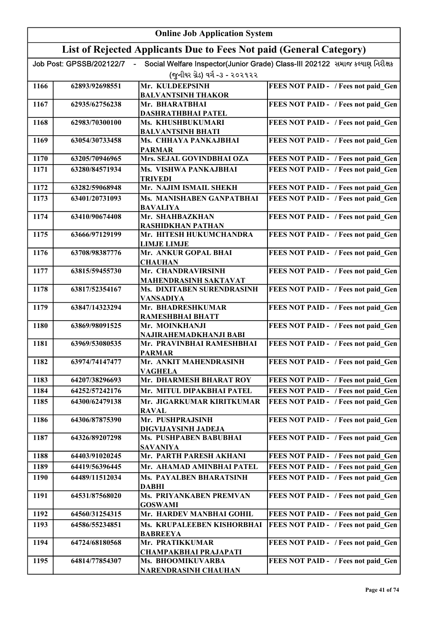|      |                          | <b>Online Job Application System</b>                                |                                                                              |
|------|--------------------------|---------------------------------------------------------------------|------------------------------------------------------------------------------|
|      |                          | List of Rejected Applicants Due to Fees Not paid (General Category) |                                                                              |
|      | Job Post: GPSSB/202122/7 |                                                                     | Social Welfare Inspector(Junior Grade) Class-III 202122 સમાજ કલ્યાણ નિરીક્ષક |
|      |                          | (જુનીયર ગ્રેડ) વર્ગ -૩ - ૨૦૨૧૨૨                                     |                                                                              |
| 1166 | 62893/92698551           | Mr. KULDEEPSINH                                                     | FEES NOT PAID - / Fees not paid Gen                                          |
|      |                          | <b>BALVANTSINH THAKOR</b>                                           |                                                                              |
| 1167 | 62935/62756238           | Mr. BHARATBHAI<br><b>DASHRATHBHAI PATEL</b>                         | FEES NOT PAID - / Fees not paid Gen                                          |
| 1168 | 62983/70300100           | Ms. KHUSHBUKUMARI                                                   | FEES NOT PAID - / Fees not paid Gen                                          |
|      |                          | <b>BALVANTSINH BHATI</b>                                            |                                                                              |
| 1169 | 63054/30733458           | Ms. CHHAYA PANKAJBHAI<br><b>PARMAR</b>                              | FEES NOT PAID - / Fees not paid Gen                                          |
| 1170 | 63205/70946965           | Mrs. SEJAL GOVINDBHAI OZA                                           | FEES NOT PAID - / Fees not paid Gen                                          |
| 1171 | 63280/84571934           | Ms. VISHWA PANKAJBHAI                                               | FEES NOT PAID - / Fees not paid Gen                                          |
| 1172 | 63282/59068948           | <b>TRIVEDI</b><br>Mr. NAJIM ISMAIL SHEKH                            | FEES NOT PAID - / Fees not paid Gen                                          |
| 1173 | 63401/20731093           | Ms. MANISHABEN GANPATBHAI                                           | FEES NOT PAID - / Fees not paid Gen                                          |
|      |                          | <b>BAVALIYA</b>                                                     |                                                                              |
| 1174 | 63410/90674408           | Mr. SHAHBAZKHAN<br><b>RASHIDKHAN PATHAN</b>                         | FEES NOT PAID - / Fees not paid_Gen                                          |
| 1175 | 63666/97129199           | Mr. HITESH HUKUMCHANDRA                                             | FEES NOT PAID - / Fees not paid_Gen                                          |
|      |                          | <b>LIMJE LIMJE</b>                                                  |                                                                              |
| 1176 | 63708/98387776           | Mr. ANKUR GOPAL BHAI<br><b>CHAUHAN</b>                              | FEES NOT PAID - / Fees not paid Gen                                          |
| 1177 | 63815/59455730           | Mr. CHANDRAVIRSINH                                                  | FEES NOT PAID - / Fees not paid Gen                                          |
| 1178 | 63817/52354167           | MAHENDRASINH SAKTAVAT<br>Ms. DIXITABEN SURENDRASINH                 | FEES NOT PAID - / Fees not paid Gen                                          |
|      |                          | <b>VANSADIYA</b>                                                    |                                                                              |
| 1179 | 63847/14323294           | Mr. BHADRESHKUMAR<br><b>RAMESHBHAI BHATT</b>                        | FEES NOT PAID - / Fees not paid_Gen                                          |
| 1180 | 63869/98091525           | Mr. MOINKHANJI                                                      | FEES NOT PAID - / Fees not paid Gen                                          |
|      |                          | NAJIRAHEMADKHANJI BABI                                              |                                                                              |
| 1181 | 63969/53080535           | Mr. PRAVINBHAI RAMESHBHAI<br><b>PARMAR</b>                          | FEES NOT PAID - / Fees not paid Gen                                          |
| 1182 | 63974/74147477           | Mr. ANKIT MAHENDRASINH                                              | FEES NOT PAID - / Fees not paid Gen                                          |
| 1183 | 64207/38296693           | <b>VAGHELA</b><br>Mr. DHARMESH BHARAT ROY                           | FEES NOT PAID - / Fees not paid Gen                                          |
| 1184 | 64252/57242176           | Mr. MITUL DIPAKBHAI PATEL                                           | FEES NOT PAID - / Fees not paid Gen                                          |
| 1185 | 64300/62479138           | Mr. JIGARKUMAR KIRITKUMAR                                           | FEES NOT PAID - / Fees not paid Gen                                          |
|      |                          | <b>RAVAL</b>                                                        |                                                                              |
| 1186 | 64306/87875390           | Mr. PUSHPRAJSINH                                                    | FEES NOT PAID - / Fees not paid Gen                                          |
| 1187 | 64326/89207298           | DIGVIJAYSINH JADEJA<br>Ms. PUSHPABEN BABUBHAI                       | FEES NOT PAID - / Fees not paid Gen                                          |
|      |                          | <b>SAVANIYA</b>                                                     |                                                                              |
| 1188 | 64403/91020245           | Mr. PARTH PARESH AKHANI                                             | FEES NOT PAID - / Fees not paid Gen                                          |
| 1189 | 64419/56396445           | Mr. AHAMAD AMINBHAI PATEL                                           | FEES NOT PAID - / Fees not paid Gen                                          |
| 1190 | 64489/11512034           | Ms. PAYALBEN BHARATSINH                                             | FEES NOT PAID - / Fees not paid Gen                                          |
|      |                          | <b>DABHI</b>                                                        |                                                                              |
| 1191 | 64531/87568020           | Ms. PRIYANKABEN PREMVAN<br><b>GOSWAMI</b>                           | FEES NOT PAID - / Fees not paid Gen                                          |
| 1192 | 64560/31254315           | Mr. HARDEV MANBHAI GOHIL                                            | FEES NOT PAID - / Fees not paid Gen                                          |
| 1193 | 64586/55234851           | Ms. KRUPALEEBEN KISHORBHAI                                          | FEES NOT PAID - / Fees not paid Gen                                          |
|      |                          | <b>BABREEYA</b>                                                     |                                                                              |
| 1194 | 64724/68180568           | Mr. PRATIKKUMAR                                                     | FEES NOT PAID - / Fees not paid Gen                                          |
| 1195 | 64814/77854307           | <b>CHAMPAKBHAI PRAJAPATI</b><br>Ms. BHOOMIKUVARBA                   | FEES NOT PAID - / Fees not paid Gen                                          |
|      |                          | NARENDRASINH CHAUHAN                                                |                                                                              |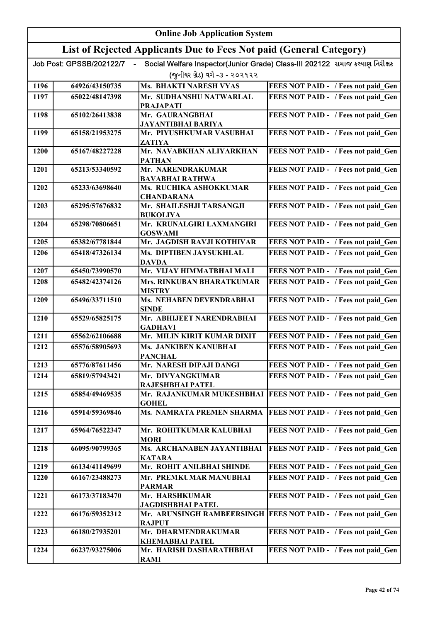|      | <b>Online Job Application System</b> |                                                                     |                                                                              |
|------|--------------------------------------|---------------------------------------------------------------------|------------------------------------------------------------------------------|
|      |                                      | List of Rejected Applicants Due to Fees Not paid (General Category) |                                                                              |
|      | Job Post: GPSSB/202122/7             |                                                                     | Social Welfare Inspector(Junior Grade) Class-III 202122 સમાજ કલ્યાણ નિરીક્ષક |
|      |                                      | (જુનીયર ગ્રેડ) વર્ગ -૩ - ૨૦૨૧૨૨                                     |                                                                              |
| 1196 | 64926/43150735                       | <b>Ms. BHAKTI NARESH VYAS</b>                                       | FEES NOT PAID - / Fees not paid Gen                                          |
| 1197 | 65022/48147398                       | Mr. SUDHANSHU NATWARLAL<br><b>PRAJAPATI</b>                         | FEES NOT PAID - / Fees not paid Gen                                          |
| 1198 | 65102/26413838                       | Mr. GAURANGBHAI                                                     | FEES NOT PAID - / Fees not paid Gen                                          |
|      |                                      | JAYANTIBHAI BARIYA                                                  |                                                                              |
| 1199 | 65158/21953275                       | Mr. PIYUSHKUMAR VASUBHAI<br>ZATIYA                                  | FEES NOT PAID - / Fees not paid Gen                                          |
| 1200 | 65167/48227228                       | Mr. NAVABKHAN ALIYARKHAN<br><b>PATHAN</b>                           | FEES NOT PAID - / Fees not paid Gen                                          |
| 1201 | 65213/53340592                       | Mr. NARENDRAKUMAR                                                   | FEES NOT PAID - / Fees not paid Gen                                          |
| 1202 | 65233/63698640                       | <b>BAVABHAI RATHWA</b><br>Ms. RUCHIKA ASHOKKUMAR                    | FEES NOT PAID - / Fees not paid Gen                                          |
|      |                                      | <b>CHANDARANA</b>                                                   |                                                                              |
| 1203 | 65295/57676832                       | Mr. SHAILESHJI TARSANGJI<br><b>BUKOLIYA</b>                         | FEES NOT PAID - / Fees not paid Gen                                          |
| 1204 | 65298/70806651                       | Mr. KRUNALGIRI LAXMANGIRI<br><b>GOSWAMI</b>                         | FEES NOT PAID - / Fees not paid Gen                                          |
| 1205 | 65382/67781844                       | Mr. JAGDISH RAVJI KOTHIVAR                                          | FEES NOT PAID - / Fees not paid Gen                                          |
| 1206 | 65418/47326134                       | Ms. DIPTIBEN JAYSUKHLAL<br><b>DAVDA</b>                             | FEES NOT PAID - / Fees not paid Gen                                          |
| 1207 | 65450/73990570                       | Mr. VIJAY HIMMATBHAI MALI                                           | FEES NOT PAID - / Fees not paid Gen                                          |
| 1208 | 65482/42374126                       | Mrs. RINKUBAN BHARATKUMAR<br><b>MISTRY</b>                          | FEES NOT PAID - / Fees not paid Gen                                          |
| 1209 | 65496/33711510                       | Ms. NEHABEN DEVENDRABHAI<br><b>SINDE</b>                            | FEES NOT PAID - / Fees not paid Gen                                          |
| 1210 | 65529/65825175                       | Mr. ABHIJEET NARENDRABHAI<br><b>GADHAVI</b>                         | FEES NOT PAID - / Fees not paid Gen                                          |
| 1211 | 65562/62106688                       | Mr. MILIN KIRIT KUMAR DIXIT                                         | FEES NOT PAID - / Fees not paid Gen                                          |
| 1212 | 65576/58905693                       | Ms. JANKIBEN KANUBHAI                                               | FEES NOT PAID - / Fees not paid Gen                                          |
| 1213 | 65776/87611456                       | <b>PANCHAL</b><br>Mr. NARESH DIPAJI DANGI                           | FEES NOT PAID - / Fees not paid Gen                                          |
| 1214 | 65819/57943421                       | Mr. DIVYANGKUMAR                                                    | FEES NOT PAID - / Fees not paid Gen                                          |
|      |                                      | RAJESHBHAI PATEL                                                    |                                                                              |
| 1215 | 65854/49469535                       | Mr. RAJANKUMAR MUKESHBHAI<br><b>GOHEL</b>                           | FEES NOT PAID - / Fees not paid Gen                                          |
| 1216 | 65914/59369846                       | Ms. NAMRATA PREMEN SHARMA                                           | FEES NOT PAID - / Fees not paid Gen                                          |
| 1217 | 65964/76522347                       | Mr. ROHITKUMAR KALUBHAI<br><b>MORI</b>                              | FEES NOT PAID - / Fees not paid Gen                                          |
| 1218 | 66095/90799365                       | Ms. ARCHANABEN JAYANTIBHAI<br><b>KATARA</b>                         | FEES NOT PAID - / Fees not paid Gen                                          |
| 1219 | 66134/41149699                       | Mr. ROHIT ANILBHAI SHINDE                                           | FEES NOT PAID - / Fees not paid Gen                                          |
| 1220 | 66167/23488273                       | Mr. PREMKUMAR MANUBHAI                                              | FEES NOT PAID - / Fees not paid Gen                                          |
| 1221 | 66173/37183470                       | <b>PARMAR</b><br>Mr. HARSHKUMAR                                     | FEES NOT PAID - / Fees not paid Gen                                          |
|      |                                      | JAGDISHBHAI PATEL                                                   |                                                                              |
| 1222 | 66176/59352312                       | Mr. ARUNSINGH RAMBEERSINGH  <br><b>RAJPUT</b>                       | FEES NOT PAID - / Fees not paid Gen                                          |
| 1223 | 66180/27935201                       | Mr. DHARMENDRAKUMAR<br><b>KHEMABHAI PATEL</b>                       | FEES NOT PAID - / Fees not paid Gen                                          |
| 1224 | 66237/93275006                       | Mr. HARISH DASHARATHBHAI<br><b>RAMI</b>                             | FEES NOT PAID - / Fees not paid Gen                                          |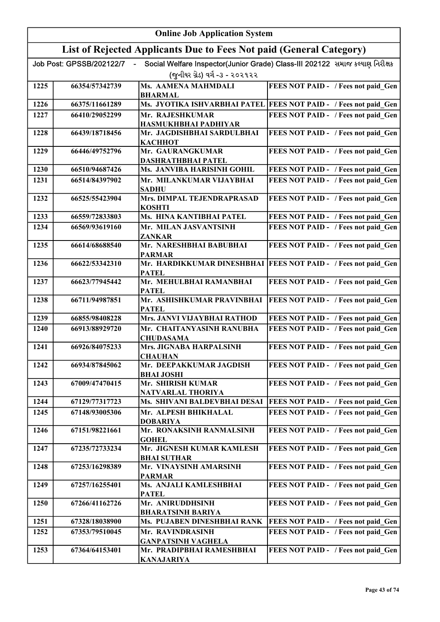|      |                          | <b>Online Job Application System</b>                                |                                                                              |
|------|--------------------------|---------------------------------------------------------------------|------------------------------------------------------------------------------|
|      |                          | List of Rejected Applicants Due to Fees Not paid (General Category) |                                                                              |
|      | Job Post: GPSSB/202122/7 |                                                                     | Social Welfare Inspector(Junior Grade) Class-III 202122 સમાજ કલ્યાણ નિરીક્ષક |
|      |                          | (જુનીયર ગ્રેડ) વર્ગ -૩ - ૨૦૨૧૨૨                                     |                                                                              |
| 1225 | 66354/57342739           | Ms. AAMENA MAHMDALI<br><b>BHARMAL</b>                               | FEES NOT PAID - / Fees not paid Gen                                          |
| 1226 | 66375/11661289           |                                                                     | Ms. JYOTIKA ISHVARBHAI PATEL FEES NOT PAID - / Fees not paid_Gen             |
| 1227 | 66410/29052299           | Mr. RAJESHKUMAR                                                     | FEES NOT PAID - / Fees not paid Gen                                          |
|      |                          | HASMUKHBHAI PADHIYAR                                                |                                                                              |
| 1228 | 66439/18718456           | Mr. JAGDISHBHAI SARDULBHAI<br><b>КАСННОТ</b>                        | FEES NOT PAID - / Fees not paid Gen                                          |
| 1229 | 66446/49752796           | Mr. GAURANGKUMAR                                                    | FEES NOT PAID - / Fees not paid Gen                                          |
|      |                          | DASHRATHBHAI PATEL                                                  |                                                                              |
| 1230 | 66510/94687426           | Ms. JANVIBA HARISINH GOHIL                                          | FEES NOT PAID - / Fees not paid Gen                                          |
| 1231 | 66514/84397902           | Mr. MILANKUMAR VIJAYBHAI<br><b>SADHU</b>                            | FEES NOT PAID - / Fees not paid Gen                                          |
| 1232 | 66525/55423904           | Mrs. DIMPAL TEJENDRAPRASAD                                          | FEES NOT PAID - / Fees not paid_Gen                                          |
|      |                          | <b>KOSHTI</b>                                                       |                                                                              |
| 1233 | 66559/72833803           | Ms. HINA KANTIBHAI PATEL                                            | FEES NOT PAID - / Fees not paid Gen                                          |
| 1234 | 66569/93619160           | Mr. MILAN JASVANTSINH<br><b>ZANKAR</b>                              | FEES NOT PAID - / Fees not paid Gen                                          |
| 1235 | 66614/68688540           | Mr. NARESHBHAI BABUBHAI                                             | FEES NOT PAID - / Fees not paid Gen                                          |
|      |                          | <b>PARMAR</b>                                                       |                                                                              |
| 1236 | 66622/53342310           | <b>PATEL</b>                                                        | Mr. HARDIKKUMAR DINESHBHAI   FEES NOT PAID - / Fees not paid_Gen             |
| 1237 | 66623/77945442           | Mr. MEHULBHAI RAMANBHAI<br><b>PATEL</b>                             | FEES NOT PAID - / Fees not paid Gen                                          |
| 1238 | 66711/94987851           | Mr. ASHISHKUMAR PRAVINBHAI<br><b>PATEL</b>                          | <b>FEES NOT PAID - / Fees not paid Gen</b>                                   |
| 1239 | 66855/98408228           | Mrs. JANVI VIJAYBHAI RATHOD                                         | FEES NOT PAID - / Fees not paid Gen                                          |
| 1240 | 66913/88929720           | Mr. CHAITANYASINH RANUBHA<br><b>CHUDASAMA</b>                       | FEES NOT PAID - / Fees not paid Gen                                          |
| 1241 | 66926/84075233           | Mrs. JIGNABA HARPALSINH<br><b>CHAUHAN</b>                           | FEES NOT PAID - / Fees not paid Gen                                          |
| 1242 | 66934/87845062           | Mr. DEEPAKKUMAR JAGDISH<br><b>BHAI JOSHI</b>                        | FEES NOT PAID - / Fees not paid Gen                                          |
| 1243 | 67009/47470415           | Mr. SHIRISH KUMAR                                                   | FEES NOT PAID - / Fees not paid Gen                                          |
|      |                          | NATVARLAL THORIYA                                                   |                                                                              |
| 1244 | 67129/77317723           | Ms. SHIVANI BALDEVBHAI DESAI                                        | FEES NOT PAID - / Fees not paid Gen                                          |
| 1245 | 67148/93005306           | Mr. ALPESH BHIKHALAL<br><b>DOBARIYA</b>                             | FEES NOT PAID - / Fees not paid Gen                                          |
| 1246 | 67151/98221661           | Mr. RONAKSINH RANMALSINH<br><b>GOHEL</b>                            | FEES NOT PAID - / Fees not paid Gen                                          |
| 1247 | 67235/72733234           | Mr. JIGNESH KUMAR KAMLESH<br><b>BHAI SUTHAR</b>                     | FEES NOT PAID - / Fees not paid Gen                                          |
| 1248 | 67253/16298389           | Mr. VINAYSINH AMARSINH<br><b>PARMAR</b>                             | FEES NOT PAID - / Fees not paid Gen                                          |
| 1249 | 67257/16255401           | Ms. ANJALI KAMLESHBHAI<br><b>PATEL</b>                              | FEES NOT PAID - / Fees not paid Gen                                          |
| 1250 | 67266/41162726           | Mr. ANIRUDDHSINH<br><b>BHARATSINH BARIYA</b>                        | FEES NOT PAID - / Fees not paid Gen                                          |
| 1251 | 67328/18038900           | Ms. PUJABEN DINESHBHAI RANK                                         | FEES NOT PAID - / Fees not paid Gen                                          |
| 1252 | 67353/79510045           | Mr. RAVINDRASINH                                                    | FEES NOT PAID - / Fees not paid Gen                                          |
|      |                          | <b>GANPATSINH VAGHELA</b>                                           |                                                                              |
| 1253 | 67364/64153401           | Mr. PRADIPBHAI RAMESHBHAI<br><b>KANAJARIYA</b>                      | FEES NOT PAID - / Fees not paid Gen                                          |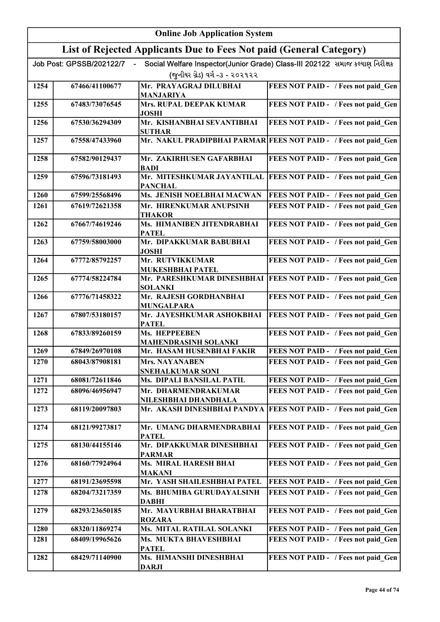|      |                          | <b>Online Job Application System</b>                                |                                                                              |
|------|--------------------------|---------------------------------------------------------------------|------------------------------------------------------------------------------|
|      |                          | List of Rejected Applicants Due to Fees Not paid (General Category) |                                                                              |
|      | Job Post: GPSSB/202122/7 |                                                                     | Social Welfare Inspector(Junior Grade) Class-III 202122 સમાજ કલ્યાણ નિરીક્ષક |
|      |                          | (જુનીયર ગ્રેડ) વર્ગ -૩ - ૨૦૨૧૨૨                                     |                                                                              |
| 1254 | 67466/41100677           | Mr. PRAYAGRAJ DILUBHAI                                              | FEES NOT PAID - / Fees not paid Gen                                          |
|      |                          | <b>MANJARIYA</b>                                                    |                                                                              |
| 1255 | 67483/73076545           | Mrs. RUPAL DEEPAK KUMAR<br><b>JOSHI</b>                             | FEES NOT PAID - / Fees not paid Gen                                          |
| 1256 | 67530/36294309           | Mr. KISHANBHAI SEVANTIBHAI<br><b>SUTHAR</b>                         | FEES NOT PAID - / Fees not paid Gen                                          |
| 1257 | 67558/47433960           |                                                                     | Mr. NAKUL PRADIPBHAI PARMAR FEES NOT PAID - / Fees not paid_Gen              |
| 1258 | 67582/90129437           | Mr. ZAKIRHUSEN GAFARBHAI<br>BADI                                    | FEES NOT PAID - / Fees not paid Gen                                          |
| 1259 | 67596/73181493           | Mr. MITESHKUMAR JAYANTILAL<br><b>PANCHAL</b>                        | FEES NOT PAID - / Fees not paid Gen                                          |
| 1260 | 67599/25568496           | Ms. JENISH NOELBHAI MACWAN                                          | FEES NOT PAID - / Fees not paid Gen                                          |
| 1261 | 67619/72621358           | Mr. HIRENKUMAR ANUPSINH<br><b>THAKOR</b>                            | FEES NOT PAID - / Fees not paid Gen                                          |
| 1262 | 67667/74619246           | Ms. HIMANIBEN JITENDRABHAI<br><b>PATEL</b>                          | FEES NOT PAID - / Fees not paid Gen                                          |
| 1263 | 67759/58003000           | Mr. DIPAKKUMAR BABUBHAI<br><b>JOSHI</b>                             | FEES NOT PAID - / Fees not paid Gen                                          |
| 1264 | 67772/85792257           | Mr. RUTVIKKUMAR<br><b>MUKESHBHAI PATEL</b>                          | FEES NOT PAID - / Fees not paid_Gen                                          |
| 1265 | 67774/58224784           | <b>SOLANKI</b>                                                      | Mr. PARESHKUMAR DINESHBHAI   FEES NOT PAID - / Fees not paid_Gen             |
| 1266 | 67776/71458322           | Mr. RAJESH GORDHANBHAI<br><b>MUNGALPARA</b>                         | FEES NOT PAID - / Fees not paid_Gen                                          |
| 1267 | 67807/53180157           | Mr. JAYESHKUMAR ASHOKBHAI                                           | FEES NOT PAID - / Fees not paid_Gen                                          |
| 1268 | 67833/89260159           | <b>PATEL</b><br>Ms. HEPPEEBEN                                       | FEES NOT PAID - / Fees not paid Gen                                          |
| 1269 | 67849/26970108           | <b>MAHENDRASINH SOLANKI</b><br>Mr. HASAM HUSENBHAI FAKIR            | FEES NOT PAID - / Fees not paid Gen                                          |
| 1270 | 68043/87908181           | <b>Mrs. NAYANABEN</b>                                               | FEES NOT PAID - / Fees not paid Gen                                          |
| 1271 | 68081/72611846           | SNEHALKUMAR SONI<br>Ms. DIPALI BANSILAL PATIL                       | FEES NOT PAID - / Fees not paid Gen                                          |
| 1272 | 68096/46956947           | Mr. DHARMENDRAKUMAR                                                 | FEES NOT PAID - / Fees not paid Gen                                          |
|      |                          | NILESHBHAI DHANDHALA                                                |                                                                              |
| 1273 | 68119/20097803           | Mr. AKASH DINESHBHAI PANDYA                                         | FEES NOT PAID - / Fees not paid Gen                                          |
| 1274 | 68121/99273817           | Mr. UMANG DHARMENDRABHAI<br><b>PATEL</b>                            | FEES NOT PAID - / Fees not paid Gen                                          |
| 1275 | 68130/44155146           | Mr. DIPAKKUMAR DINESHBHAI<br><b>PARMAR</b>                          | FEES NOT PAID - / Fees not paid Gen                                          |
| 1276 | 68160/77924964           | Ms. MIRAL HARESH BHAI<br><b>MAKANI</b>                              | FEES NOT PAID - / Fees not paid Gen                                          |
| 1277 | 68191/23695598           | Mr. YASH SHAILESHBHAI PATEL                                         | FEES NOT PAID - / Fees not paid Gen                                          |
| 1278 | 68204/73217359           | Ms. BHUMIBA GURUDAYALSINH<br><b>DABHI</b>                           | FEES NOT PAID - / Fees not paid Gen                                          |
| 1279 | 68293/23650185           | Mr. MAYURBHAI BHARATBHAI<br><b>ROZARA</b>                           | FEES NOT PAID - / Fees not paid Gen                                          |
| 1280 | 68320/11869274           | Ms. MITAL RATILAL SOLANKI                                           | FEES NOT PAID - / Fees not paid Gen                                          |
| 1281 | 68409/19965626           | Ms. MUKTA BHAVESHBHAI<br><b>PATEL</b>                               | FEES NOT PAID - / Fees not paid Gen                                          |
| 1282 | 68429/71140900           | Ms. HIMANSHI DINESHBHAI<br><b>DARJI</b>                             | FEES NOT PAID - / Fees not paid Gen                                          |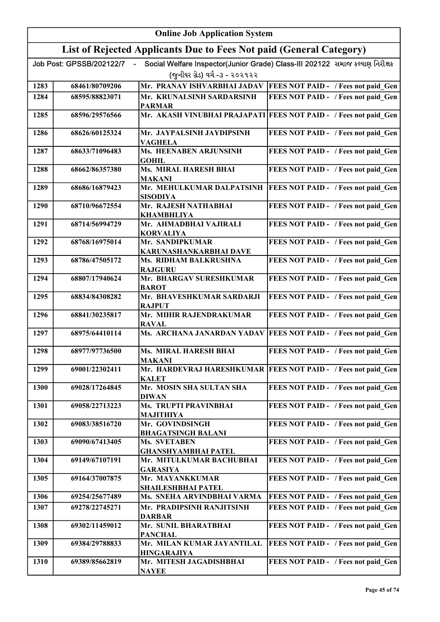|      |                          | <b>Online Job Application System</b>                                |                                                                              |
|------|--------------------------|---------------------------------------------------------------------|------------------------------------------------------------------------------|
|      |                          | List of Rejected Applicants Due to Fees Not paid (General Category) |                                                                              |
|      | Job Post: GPSSB/202122/7 |                                                                     | Social Welfare Inspector(Junior Grade) Class-III 202122 સમાજ કલ્યાણ નિરીક્ષક |
|      |                          | (જુનીયર ગ્રેડ) વર્ગ -૩ - ૨૦૨૧૨૨                                     |                                                                              |
| 1283 | 68461/80709206           | Mr. PRANAY ISHVARBHAI JADAV                                         | FEES NOT PAID - / Fees not paid Gen                                          |
| 1284 | 68595/88823071           | Mr. KRUNALSINH SARDARSINH<br><b>PARMAR</b>                          | FEES NOT PAID - / Fees not paid Gen                                          |
| 1285 | 68596/29576566           |                                                                     | Mr. AKASH VINUBHAI PRAJAPATI FEES NOT PAID - / Fees not paid Gen             |
| 1286 | 68626/60125324           | Mr. JAYPALSINH JAYDIPSINH<br>VAGHELA                                | FEES NOT PAID - / Fees not paid Gen                                          |
| 1287 | 68633/71096483           | Ms. HEENABEN ARJUNSINH<br><b>GOHIL</b>                              | FEES NOT PAID - / Fees not paid Gen                                          |
| 1288 | 68662/86357380           | Ms. MIRAL HARESH BHAI<br><b>MAKANI</b>                              | FEES NOT PAID - / Fees not paid_Gen                                          |
| 1289 | 68686/16879423           | Mr. MEHULKUMAR DALPATSINH<br><b>SISODIYA</b>                        | <b>FEES NOT PAID - / Fees not paid Gen</b>                                   |
| 1290 | 68710/96672554           | Mr. RAJESH NATHABHAI<br><b>KHAMBHLIYA</b>                           | FEES NOT PAID - / Fees not paid Gen                                          |
| 1291 | 68714/56994729           | Mr. AHMADBHAI VAJIRALI<br><b>KORVALIYA</b>                          | FEES NOT PAID - / Fees not paid_Gen                                          |
| 1292 | 68768/16975014           | Mr. SANDIPKUMAR<br>KARUNASHANKARBHAI DAVE                           | FEES NOT PAID - / Fees not paid_Gen                                          |
| 1293 | 68786/47505172           | Ms. RIDHAM BALKRUSHNA<br><b>RAJGURU</b>                             | FEES NOT PAID - / Fees not paid_Gen                                          |
| 1294 | 68807/17940624           | Mr. BHARGAV SURESHKUMAR<br><b>BAROT</b>                             | FEES NOT PAID - / Fees not paid_Gen                                          |
| 1295 | 68834/84308282           | Mr. BHAVESHKUMAR SARDARJI<br><b>RAJPUT</b>                          | FEES NOT PAID - / Fees not paid Gen                                          |
| 1296 | 68841/30235817           | Mr. MIHIR RAJENDRAKUMAR<br><b>RAVAL</b>                             | FEES NOT PAID - / Fees not paid_Gen                                          |
| 1297 | 68975/64410114           | Ms. ARCHANA JANARDAN YADAV                                          | FEES NOT PAID - / Fees not paid Gen                                          |
| 1298 | 68977/97736500           | Ms. MIRAL HARESH BHAI<br><b>MAKANI</b>                              | FEES NOT PAID - / Fees not paid Gen                                          |
| 1299 | 69001/22302411           | <b>KALET</b>                                                        | Mr. HARDEVRAJ HARESHKUMAR FEES NOT PAID - / Fees not paid Gen                |
| 1300 | 69028/17264845           | Mr. MOSIN SHA SULTAN SHA<br><b>DIWAN</b>                            | FEES NOT PAID - / Fees not paid Gen                                          |
| 1301 | 69058/22713223           | Ms. TRUPTI PRAVINBHAI<br><b>MAJITHIYA</b>                           | FEES NOT PAID - / Fees not paid Gen                                          |
| 1302 | 69083/38516720           | Mr. GOVINDSINGH<br><b>BHAGATSINGH BALANI</b>                        | FEES NOT PAID - / Fees not paid Gen                                          |
| 1303 | 69090/67413405           | Ms. SVETABEN<br><b>GHANSHYAMBHAI PATEL</b>                          | FEES NOT PAID - / Fees not paid Gen                                          |
| 1304 | 69149/67107191           | Mr. MITULKUMAR BACHUBHAI<br><b>GARASIYA</b>                         | FEES NOT PAID - / Fees not paid Gen                                          |
| 1305 | 69164/37007875           | Mr. MAYANKKUMAR<br>SHAILESHBHAI PATEL                               | FEES NOT PAID - / Fees not paid Gen                                          |
| 1306 | 69254/25677489           | Ms. SNEHA ARVINDBHAI VARMA                                          | FEES NOT PAID - / Fees not paid Gen                                          |
| 1307 | 69278/22745271           | Mr. PRADIPSINH RANJITSINH<br><b>DARBAR</b>                          | FEES NOT PAID - / Fees not paid Gen                                          |
| 1308 | 69302/11459012           | Mr. SUNIL BHARATBHAI<br><b>PANCHAL</b>                              | FEES NOT PAID - / Fees not paid Gen                                          |
| 1309 | 69384/29788833           | Mr. MILAN KUMAR JAYANTILAL                                          | FEES NOT PAID - / Fees not paid Gen                                          |
| 1310 | 69389/85662819           | <b>HINGARAJIYA</b><br>Mr. MITESH JAGADISHBHAI<br><b>NAYEE</b>       | FEES NOT PAID - / Fees not paid Gen                                          |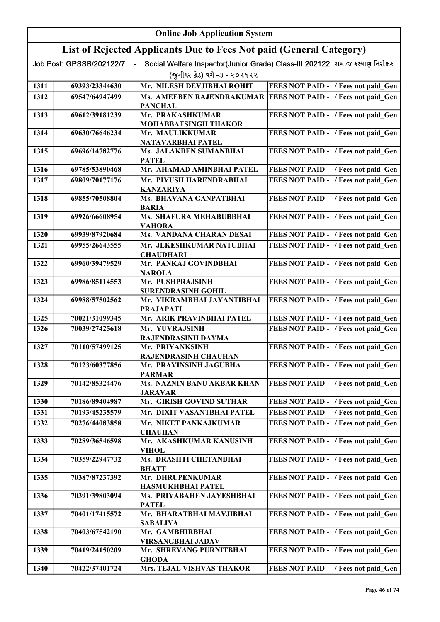|      |                          | <b>Online Job Application System</b>                                |                                                                              |
|------|--------------------------|---------------------------------------------------------------------|------------------------------------------------------------------------------|
|      |                          | List of Rejected Applicants Due to Fees Not paid (General Category) |                                                                              |
|      | Job Post: GPSSB/202122/7 |                                                                     | Social Welfare Inspector(Junior Grade) Class-III 202122 સમાજ કલ્યાણ નિરીક્ષક |
|      |                          | (જુનીયર ગ્રેડ) વર્ગ -૩ - ૨૦૨૧૨૨                                     |                                                                              |
| 1311 | 69393/23344630           | Mr. NILESH DEVJIBHAI ROHIT                                          | FEES NOT PAID - / Fees not paid_Gen                                          |
| 1312 | 69547/64947499           |                                                                     | Ms. AMEEBEN RAJENDRAKUMAR FEES NOT PAID - / Fees not paid Gen                |
|      |                          | <b>PANCHAL</b>                                                      |                                                                              |
| 1313 | 69612/39181239           | Mr. PRAKASHKUMAR                                                    | FEES NOT PAID - / Fees not paid_Gen                                          |
|      |                          | MOHABBATSINGH THAKOR                                                |                                                                              |
| 1314 | 69630/76646234           | Mr. MAULIKKUMAR                                                     | FEES NOT PAID - / Fees not paid Gen                                          |
| 1315 | 69696/14782776           | NATAVARBHAI PATEL<br>Ms. JALAKBEN SUMANBHAI                         | FEES NOT PAID - / Fees not paid Gen                                          |
|      |                          | <b>PATEL</b>                                                        |                                                                              |
| 1316 | 69785/53890468           | Mr. AHAMAD AMINBHAI PATEL                                           | FEES NOT PAID - / Fees not paid Gen                                          |
| 1317 | 69809/70177176           | Mr. PIYUSH HARENDRABHAI                                             | FEES NOT PAID - / Fees not paid Gen                                          |
|      |                          | <b>KANZARIYA</b>                                                    |                                                                              |
| 1318 | 69855/70508804           | Ms. BHAVANA GANPATBHAI                                              | FEES NOT PAID - / Fees not paid Gen                                          |
|      |                          | <b>BARIA</b>                                                        |                                                                              |
| 1319 | 69926/66608954           | Ms. SHAFURA MEHABUBBHAI<br><b>VAHORA</b>                            | FEES NOT PAID - / Fees not paid Gen                                          |
| 1320 | 69939/87920684           | Ms. VANDANA CHARAN DESAI                                            | FEES NOT PAID - / Fees not paid Gen                                          |
| 1321 | 69955/26643555           | Mr. JEKESHKUMAR NATUBHAI                                            | FEES NOT PAID - / Fees not paid Gen                                          |
|      |                          | <b>CHAUDHARI</b>                                                    |                                                                              |
| 1322 | 69960/39479529           | Mr. PANKAJ GOVINDBHAI<br><b>NAROLA</b>                              | FEES NOT PAID - / Fees not paid Gen                                          |
| 1323 | 69986/85114553           | Mr. PUSHPRAJSINH                                                    | FEES NOT PAID - / Fees not paid Gen                                          |
|      |                          | <b>SURENDRASINH GOHIL</b>                                           |                                                                              |
| 1324 | 69988/57502562           | Mr. VIKRAMBHAI JAYANTIBHAI                                          | FEES NOT PAID - / Fees not paid Gen                                          |
| 1325 | 70021/31099345           | <b>PRAJAPATI</b><br>Mr. ARIK PRAVINBHAI PATEL                       | FEES NOT PAID - / Fees not paid Gen                                          |
| 1326 | 70039/27425618           | Mr. YUVRAJSINH                                                      | FEES NOT PAID - / Fees not paid Gen                                          |
|      |                          | RAJENDRASINH DAYMA                                                  |                                                                              |
| 1327 | 70110/57499125           | Mr. PRIYANKSINH                                                     | FEES NOT PAID - / Fees not paid Gen                                          |
|      |                          | RAJENDRASINH CHAUHAN                                                |                                                                              |
| 1328 | 70123/60377856           | Mr. PRAVINSINH JAGUBHA                                              | FEES NOT PAID - / Fees not paid_Gen                                          |
| 1329 | 70142/85324476           | <b>PARMAR</b><br>Ms. NAZNIN BANU AKBAR KHAN                         | FEES NOT PAID - / Fees not paid Gen                                          |
|      |                          | <b>JARAVAR</b>                                                      |                                                                              |
| 1330 | 70186/89404987           | Mr. GIRISH GOVIND SUTHAR                                            | FEES NOT PAID - / Fees not paid_Gen                                          |
| 1331 | 70193/45235579           | Mr. DIXIT VASANTBHAI PATEL                                          | FEES NOT PAID - / Fees not paid Gen                                          |
| 1332 | 70276/44083858           | Mr. NIKET PANKAJKUMAR                                               | FEES NOT PAID - / Fees not paid Gen                                          |
|      |                          | <b>CHAUHAN</b>                                                      |                                                                              |
| 1333 | 70289/36546598           | Mr. AKASHKUMAR KANUSINH<br><b>VIHOL</b>                             | FEES NOT PAID - / Fees not paid Gen                                          |
| 1334 | 70359/22947732           | Ms. DRASHTI CHETANBHAI                                              | FEES NOT PAID - / Fees not paid_Gen                                          |
|      |                          | <b>BHATT</b>                                                        |                                                                              |
| 1335 | 70387/87237392           | Mr. DHRUPENKUMAR                                                    | FEES NOT PAID - / Fees not paid_Gen                                          |
|      |                          | <b>HASMUKHBHAI PATEL</b>                                            |                                                                              |
| 1336 | 70391/39803094           | Ms. PRIYABAHEN JAYESHBHAI<br><b>PATEL</b>                           | FEES NOT PAID - / Fees not paid_Gen                                          |
| 1337 | 70401/17415572           | Mr. BHARATBHAI MAVJIBHAI<br><b>SABALIYA</b>                         | FEES NOT PAID - / Fees not paid Gen                                          |
| 1338 | 70403/67542190           | Mr. GAMBHIRBHAI                                                     | FEES NOT PAID - / Fees not paid_Gen                                          |
|      |                          | <b>VIRSANGBHAI JADAV</b>                                            |                                                                              |
| 1339 | 70419/24150209           | Mr. SHREYANG PURNITBHAI                                             | FEES NOT PAID - / Fees not paid Gen                                          |
|      |                          | <b>GHODA</b>                                                        |                                                                              |
| 1340 | 70422/37401724           | Mrs. TEJAL VISHVAS THAKOR                                           | FEES NOT PAID - / Fees not paid_Gen                                          |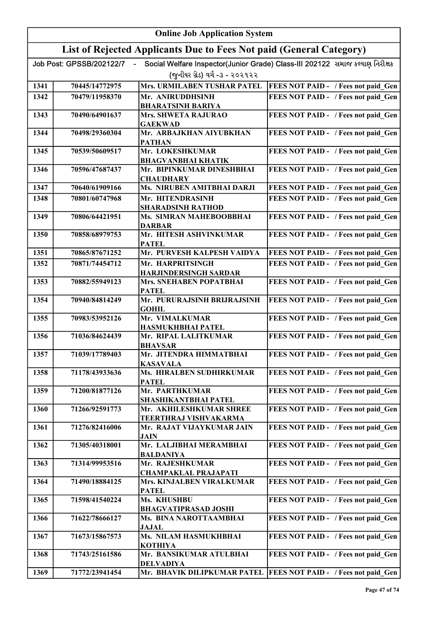|      |                          | <b>Online Job Application System</b>                                |                                                                              |
|------|--------------------------|---------------------------------------------------------------------|------------------------------------------------------------------------------|
|      |                          | List of Rejected Applicants Due to Fees Not paid (General Category) |                                                                              |
|      | Job Post: GPSSB/202122/7 |                                                                     | Social Welfare Inspector(Junior Grade) Class-III 202122 સમાજ કલ્યાણ નિરીક્ષક |
|      |                          | (જુનીયર ગ્રેડ) વર્ગ -૩ - ૨૦૨૧૨૨                                     |                                                                              |
| 1341 | 70445/14772975           | Mrs. URMILABEN TUSHAR PATEL                                         | <b>FEES NOT PAID - / Fees not paid_Gen</b>                                   |
| 1342 | 70479/11958370           | Mr. ANIRUDDHSINH                                                    | FEES NOT PAID - / Fees not paid Gen                                          |
| 1343 | 70490/64901637           | <b>BHARATSINH BARIYA</b><br>Mrs. SHWETA RAJURAO                     | FEES NOT PAID - / Fees not paid Gen                                          |
|      |                          | <b>GAEKWAD</b>                                                      |                                                                              |
| 1344 | 70498/29360304           | Mr. ARBAJKHAN AIYUBKHAN<br><b>PATHAN</b>                            | FEES NOT PAID - / Fees not paid Gen                                          |
| 1345 | 70539/50609517           | Mr. LOKESHKUMAR<br><b>BHAGVANBHAI KHATIK</b>                        | FEES NOT PAID - / Fees not paid Gen                                          |
| 1346 | 70596/47687437           | Mr. BIPINKUMAR DINESHBHAI<br><b>CHAUDHARY</b>                       | FEES NOT PAID - / Fees not paid Gen                                          |
| 1347 | 70640/61909166           | Ms. NIRUBEN AMITBHAI DARJI                                          | FEES NOT PAID - / Fees not paid Gen                                          |
| 1348 | 70801/60747968           | Mr. HITENDRASINH<br><b>SHARADSINH RATHOD</b>                        | FEES NOT PAID - / Fees not paid Gen                                          |
| 1349 | 70806/64421951           | Ms. SIMRAN MAHEBOOBBHAI<br><b>DARBAR</b>                            | FEES NOT PAID - / Fees not paid Gen                                          |
| 1350 | 70858/68979753           | Mr. HITESH ASHVINKUMAR<br><b>PATEL</b>                              | FEES NOT PAID - / Fees not paid Gen                                          |
| 1351 | 70865/87671252           | Mr. PURVESH KALPESH VAIDYA                                          | FEES NOT PAID - / Fees not paid Gen                                          |
| 1352 | 70871/74454712           | Mr. HARPRITSINGH<br><b>HARJINDERSINGH SARDAR</b>                    | FEES NOT PAID - / Fees not paid Gen                                          |
| 1353 | 70882/55949123           | Mrs. SNEHABEN POPATBHAI<br><b>PATEL</b>                             | FEES NOT PAID - / Fees not paid Gen                                          |
| 1354 | 70940/84814249           | Mr. PURURAJSINH BRIJRAJSINH<br><b>GOHIL</b>                         | FEES NOT PAID - / Fees not paid Gen                                          |
| 1355 | 70983/53952126           | Mr. VIMALKUMAR<br>HASMUKHBHAI PATEL                                 | FEES NOT PAID - / Fees not paid Gen                                          |
| 1356 | 71036/84624439           | Mr. RIPAL LALITKUMAR<br><b>BHAVSAR</b>                              | FEES NOT PAID - / Fees not paid Gen                                          |
| 1357 | 71039/17789403           | Mr. JITENDRA HIMMATBHAI<br><b>KASAVALA</b>                          | <b>FEES NOT PAID - / Fees not paid Gen</b>                                   |
| 1358 | 71178/43933636           | Ms. HIRALBEN SUDHIRKUMAR<br><b>PATEL</b>                            | FEES NOT PAID - / Fees not paid Gen                                          |
| 1359 | 71200/81877126           | Mr. PARTHKUMAR<br>SHASHIKANTBHAI PATEL                              | FEES NOT PAID - / Fees not paid Gen                                          |
| 1360 | 71266/92591773           | Mr. AKHILESHKUMAR SHREE<br>TEERTHRAJ VISHVAKARMA                    | FEES NOT PAID - / Fees not paid Gen                                          |
| 1361 | 71276/82416006           | Mr. RAJAT VIJAYKUMAR JAIN<br><b>JAIN</b>                            | FEES NOT PAID - / Fees not paid Gen                                          |
| 1362 | 71305/40318001           | Mr. LALJIBHAI MERAMBHAI<br><b>BALDANIYA</b>                         | FEES NOT PAID - / Fees not paid Gen                                          |
| 1363 | 71314/99953516           | Mr. RAJESHKUMAR<br><b>CHAMPAKLAL PRAJAPATI</b>                      | FEES NOT PAID - / Fees not paid Gen                                          |
| 1364 | 71490/18884125           | Mrs. KINJALBEN VIRALKUMAR<br><b>PATEL</b>                           | FEES NOT PAID - / Fees not paid Gen                                          |
| 1365 | 71598/41540224           | Ms. KHUSHBU<br><b>BHAGVATIPRASAD JOSHI</b>                          | FEES NOT PAID - / Fees not paid Gen                                          |
| 1366 | 71622/78666127           | Ms. BINA NAROTTAAMBHAI<br><b>JAJAL</b>                              | FEES NOT PAID - / Fees not paid Gen                                          |
| 1367 | 71673/15867573           | Ms. NILAM HASMUKHBHAI<br><b>KOTHIYA</b>                             | FEES NOT PAID - / Fees not paid Gen                                          |
| 1368 | 71743/25161586           | Mr. BANSIKUMAR ATULBHAI<br><b>DELVADIYA</b>                         | FEES NOT PAID - / Fees not paid Gen                                          |
| 1369 | 71772/23941454           |                                                                     | Mr. BHAVIK DILIPKUMAR PATEL  FEES NOT PAID - / Fees not paid Gen             |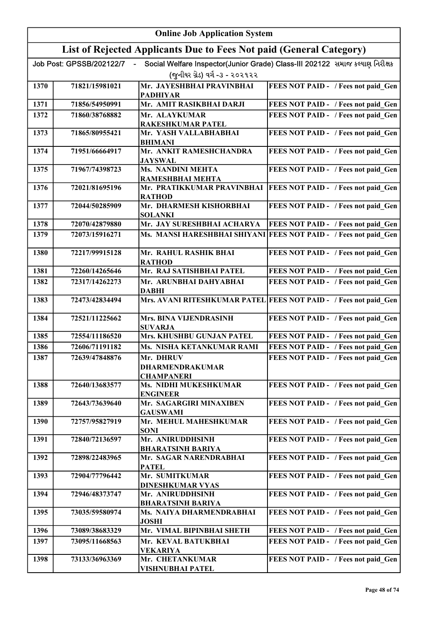|      |                          | <b>Online Job Application System</b>                                |                                                                              |
|------|--------------------------|---------------------------------------------------------------------|------------------------------------------------------------------------------|
|      |                          | List of Rejected Applicants Due to Fees Not paid (General Category) |                                                                              |
|      | Job Post: GPSSB/202122/7 |                                                                     | Social Welfare Inspector(Junior Grade) Class-III 202122 સમાજ કલ્યાણ નિરીક્ષક |
|      |                          | (જુનીયર ગ્રેડ) વર્ગ -૩ - ૨૦૨૧૨૨                                     |                                                                              |
| 1370 | 71821/15981021           | Mr. JAYESHBHAI PRAVINBHAI                                           | FEES NOT PAID - / Fees not paid Gen                                          |
|      |                          | <b>PADHIYAR</b>                                                     |                                                                              |
| 1371 | 71856/54950991           | Mr. AMIT RASIKBHAI DARJI                                            | FEES NOT PAID - / Fees not paid Gen                                          |
| 1372 | 71860/38768882           | Mr. ALAYKUMAR<br><b>RAKESHKUMAR PATEL</b>                           | FEES NOT PAID - / Fees not paid Gen                                          |
| 1373 | 71865/80955421           | Mr. YASH VALLABHABHAI                                               | FEES NOT PAID - / Fees not paid Gen                                          |
|      |                          | <b>BHIMANI</b>                                                      |                                                                              |
| 1374 | 71951/66664917           | Mr. ANKIT RAMESHCHANDRA<br><b>JAYSWAL</b>                           | FEES NOT PAID - / Fees not paid Gen                                          |
| 1375 | 71967/74398723           | <b>Ms. NANDINI MEHTA</b><br>RAMESHBHAI MEHTA                        | FEES NOT PAID - / Fees not paid_Gen                                          |
| 1376 | 72021/81695196           |                                                                     | Mr. PRATIKKUMAR PRAVINBHAI   FEES NOT PAID - / Fees not paid Gen             |
|      |                          | <b>RATHOD</b>                                                       |                                                                              |
| 1377 | 72044/50285909           | Mr. DHARMESH KISHORBHAI<br><b>SOLANKI</b>                           | FEES NOT PAID - / Fees not paid Gen                                          |
| 1378 | 72070/42879880           | Mr. JAY SURESHBHAI ACHARYA                                          | FEES NOT PAID - / Fees not paid Gen                                          |
| 1379 | 72073/15916271           | Ms. MANSI HARESHBHAI SHIYANI                                        | FEES NOT PAID - / Fees not paid Gen                                          |
|      |                          |                                                                     |                                                                              |
| 1380 | 72217/99915128           | Mr. RAHUL RASHIK BHAI                                               | FEES NOT PAID - / Fees not paid Gen                                          |
| 1381 | 72260/14265646           | <b>RATHOD</b><br>Mr. RAJ SATISHBHAI PATEL                           | FEES NOT PAID - / Fees not paid_Gen                                          |
| 1382 | 72317/14262273           | Mr. ARUNBHAI DAHYABHAI                                              | FEES NOT PAID - / Fees not paid Gen                                          |
|      |                          | <b>DABHI</b>                                                        |                                                                              |
| 1383 | 72473/42834494           |                                                                     | Mrs. AVANI RITESHKUMAR PATEL FEES NOT PAID - / Fees not paid Gen             |
| 1384 | 72521/11225662           | <b>Mrs. BINA VIJENDRASINH</b>                                       | FEES NOT PAID - / Fees not paid Gen                                          |
| 1385 | 72554/11186520           | <b>SUVARJA</b><br>Mrs. KHUSHBU GUNJAN PATEL                         | FEES NOT PAID - / Fees not paid Gen                                          |
| 1386 | 72606/71191182           | Ms. NISHA KETANKUMAR RAMI                                           | FEES NOT PAID - / Fees not paid_Gen                                          |
| 1387 | 72639/47848876           | Mr. DHRUV                                                           | FEES NOT PAID - / Fees not paid Gen                                          |
|      |                          | <b>DHARMENDRAKUMAR</b>                                              |                                                                              |
| 1388 | 72640/13683577           | <b>CHAMPANERI</b><br>Ms. NIDHI MUKESHKUMAR                          | FEES NOT PAID - / Fees not paid Gen                                          |
|      |                          | <b>ENGINEER</b>                                                     |                                                                              |
| 1389 | 72643/73639640           | Mr. SAGARGIRI MINAXIBEN<br><b>GAUSWAMI</b>                          | FEES NOT PAID - / Fees not paid Gen                                          |
| 1390 | 72757/95827919           | Mr. MEHUL MAHESHKUMAR                                               | FEES NOT PAID - / Fees not paid Gen                                          |
| 1391 | 72840/72136597           | <b>SONI</b><br>Mr. ANIRUDDHSINH                                     | FEES NOT PAID - / Fees not paid Gen                                          |
|      |                          | <b>BHARATSINH BARIYA</b>                                            |                                                                              |
| 1392 | 72898/22483965           | Mr. SAGAR NARENDRABHAI<br><b>PATEL</b>                              | FEES NOT PAID - / Fees not paid Gen                                          |
| 1393 | 72904/77796442           | Mr. SUMITKUMAR                                                      | FEES NOT PAID - / Fees not paid Gen                                          |
|      |                          | <b>DINESHKUMAR VYAS</b>                                             |                                                                              |
| 1394 | 72946/48373747           | Mr. ANIRUDDHSINH<br><b>BHARATSINH BARIYA</b>                        | FEES NOT PAID - / Fees not paid Gen                                          |
| 1395 | 73035/59580974           | Ms. NAIYA DHARMENDRABHAI<br><b>JOSHI</b>                            | FEES NOT PAID - / Fees not paid Gen                                          |
| 1396 | 73089/38683329           | Mr. VIMAL BIPINBHAI SHETH                                           | FEES NOT PAID - / Fees not paid Gen                                          |
| 1397 | 73095/11668563           | Mr. KEVAL BATUKBHAI                                                 | FEES NOT PAID - / Fees not paid Gen                                          |
| 1398 | 73133/36963369           | <b>VEKARIYA</b><br>Mr. CHETANKUMAR                                  | FEES NOT PAID - / Fees not paid Gen                                          |
|      |                          | <b>VISHNUBHAI PATEL</b>                                             |                                                                              |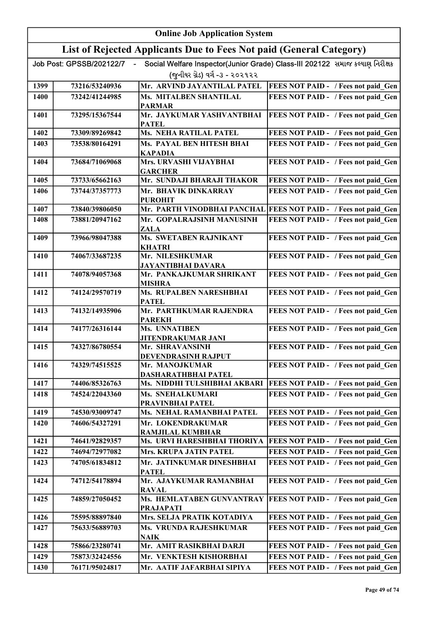| List of Rejected Applicants Due to Fees Not paid (General Category)<br>Social Welfare Inspector(Junior Grade) Class-III 202122 સમાજ કલ્યાણ નિરીક્ષક<br>Job Post: GPSSB/202122/7<br>(જુનીયર ગ્રેડ) વર્ગ -૩ - ૨૦૨૧૨૨<br>Mr. ARVIND JAYANTILAL PATEL<br>FEES NOT PAID - / Fees not paid_Gen<br>1399<br>73216/53240936<br>Ms. MITALBEN SHANTILAL<br>FEES NOT PAID - / Fees not paid Gen<br>1400<br>73242/41244985<br><b>PARMAR</b><br>Mr. JAYKUMAR YASHVANTBHAI<br>FEES NOT PAID - / Fees not paid Gen<br>1401<br>73295/15367544<br><b>PATEL</b><br><b>Ms. NEHA RATILAL PATEL</b><br>73309/89269842<br>FEES NOT PAID - / Fees not paid Gen<br>1402<br>Ms. PAYAL BEN HITESH BHAI<br>FEES NOT PAID - / Fees not paid Gen<br>1403<br>73538/80164291<br><b>KAPADIA</b><br>Mrs. URVASHI VIJAYBHAI<br>FEES NOT PAID - / Fees not paid_Gen<br>1404<br>73684/71069068<br><b>GARCHER</b><br>Mr. SUNDAJI BHARAJI THAKOR<br>FEES NOT PAID - / Fees not paid Gen<br>1405<br>73733/65662163<br>FEES NOT PAID - / Fees not paid Gen<br>1406<br>73744/37357773<br>Mr. BHAVIK DINKARRAY<br><b>PUROHIT</b><br>Mr. PARTH VINODBHAI PANCHAL FEES NOT PAID - / Fees not paid_Gen<br>1407<br>73840/39806050<br>FEES NOT PAID - / Fees not paid Gen<br>Mr. GOPALRAJSINH MANUSINH<br>1408<br>73881/20947162<br><b>ZALA</b><br>Ms. SWETABEN RAJNIKANT<br>FEES NOT PAID - / Fees not paid Gen<br>1409<br>73966/98047388<br><b>KHATRI</b><br>Mr. NILESHKUMAR<br>FEES NOT PAID - / Fees not paid Gen<br>1410<br>74067/33687235<br>JAYANTIBHAI DAVARA<br>1411<br>FEES NOT PAID - / Fees not paid Gen<br>74078/94057368<br>Mr. PANKAJKUMAR SHRIKANT<br><b>MISHRA</b><br>1412<br>Ms. RUPALBEN NARESHBHAI<br>FEES NOT PAID - / Fees not paid Gen<br>74124/29570719<br><b>PATEL</b><br>Mr. PARTHKUMAR RAJENDRA<br>FEES NOT PAID - / Fees not paid Gen<br>1413<br>74132/14935906<br><b>PAREKH</b><br>FEES NOT PAID - / Fees not paid_Gen<br>Ms. UNNATIBEN<br>1414<br>74177/26316144<br><b>JITENDRAKUMAR JANI</b><br>74327/86780554<br>FEES NOT PAID - / Fees not paid Gen<br>1415<br>Mr. SHRAVANSINH<br>DEVENDRASINH RAJPUT<br>1416<br>Mr. MANOJKUMAR<br>FEES NOT PAID - / Fees not paid Gen<br>74329/74515525<br>DASHARATHBHAI PATEL<br>1417<br>74406/85326763<br>Ms. NIDDHI TULSHIBHAI AKBARI<br>FEES NOT PAID - / Fees not paid Gen<br>FEES NOT PAID - / Fees not paid Gen<br>1418<br>74524/22043360<br>Ms. SNEHALKUMARI<br>PRAVINBHAI PATEL<br>1419<br>74530/93009747<br>Ms. NEHAL RAMANBHAI PATEL<br>FEES NOT PAID - / Fees not paid Gen<br>Mr. LOKENDRAKUMAR<br>1420<br>74606/54327291<br>FEES NOT PAID - / Fees not paid Gen<br><b>RAMJILAL KUMBHAR</b><br>1421<br>74641/92829357<br>Ms. URVI HARESHBHAI THORIYA<br>FEES NOT PAID - / Fees not paid Gen<br>1422<br>Mrs. KRUPA JATIN PATEL<br>FEES NOT PAID - / Fees not paid Gen<br>74694/72977082<br>Mr. JATINKUMAR DINESHBHAI<br>FEES NOT PAID - / Fees not paid Gen<br>1423<br>74705/61834812<br><b>PATEL</b><br>1424<br>Mr. AJAYKUMAR RAMANBHAI<br>FEES NOT PAID - / Fees not paid Gen<br>74712/54178894<br><b>RAVAL</b><br>Ms. HEMLATABEN GUNVANTRAY<br>1425<br>74859/27050452<br>FEES NOT PAID - / Fees not paid Gen<br><b>PRAJAPATI</b><br>1426<br>75595/88897840<br>Mrs. SELJA PRATIK KOTADIYA<br>FEES NOT PAID - / Fees not paid Gen<br>Ms. VRUNDA RAJESHKUMAR<br>FEES NOT PAID - / Fees not paid Gen<br>1427<br>75633/56889703<br><b>NAIK</b><br>Mr. AMIT RASIKBHAI DARJI<br>75866/23280741<br>1428<br>FEES NOT PAID - / Fees not paid Gen<br>FEES NOT PAID - / Fees not paid Gen<br>1429<br>Mr. VENKTESH KISHORBHAI<br>75873/32424556 | <b>Online Job Application System</b> |  |  |  |
|--------------------------------------------------------------------------------------------------------------------------------------------------------------------------------------------------------------------------------------------------------------------------------------------------------------------------------------------------------------------------------------------------------------------------------------------------------------------------------------------------------------------------------------------------------------------------------------------------------------------------------------------------------------------------------------------------------------------------------------------------------------------------------------------------------------------------------------------------------------------------------------------------------------------------------------------------------------------------------------------------------------------------------------------------------------------------------------------------------------------------------------------------------------------------------------------------------------------------------------------------------------------------------------------------------------------------------------------------------------------------------------------------------------------------------------------------------------------------------------------------------------------------------------------------------------------------------------------------------------------------------------------------------------------------------------------------------------------------------------------------------------------------------------------------------------------------------------------------------------------------------------------------------------------------------------------------------------------------------------------------------------------------------------------------------------------------------------------------------------------------------------------------------------------------------------------------------------------------------------------------------------------------------------------------------------------------------------------------------------------------------------------------------------------------------------------------------------------------------------------------------------------------------------------------------------------------------------------------------------------------------------------------------------------------------------------------------------------------------------------------------------------------------------------------------------------------------------------------------------------------------------------------------------------------------------------------------------------------------------------------------------------------------------------------------------------------------------------------------------------------------------------------------------------------------------------------------------------------------------------------------------------------------------------------------------------------------------------------------------------------------------------------------------------------------------------------------------------------------------------------------------------------------------------------------------------|--------------------------------------|--|--|--|
|                                                                                                                                                                                                                                                                                                                                                                                                                                                                                                                                                                                                                                                                                                                                                                                                                                                                                                                                                                                                                                                                                                                                                                                                                                                                                                                                                                                                                                                                                                                                                                                                                                                                                                                                                                                                                                                                                                                                                                                                                                                                                                                                                                                                                                                                                                                                                                                                                                                                                                                                                                                                                                                                                                                                                                                                                                                                                                                                                                                                                                                                                                                                                                                                                                                                                                                                                                                                                                                                                                                                                                    |                                      |  |  |  |
|                                                                                                                                                                                                                                                                                                                                                                                                                                                                                                                                                                                                                                                                                                                                                                                                                                                                                                                                                                                                                                                                                                                                                                                                                                                                                                                                                                                                                                                                                                                                                                                                                                                                                                                                                                                                                                                                                                                                                                                                                                                                                                                                                                                                                                                                                                                                                                                                                                                                                                                                                                                                                                                                                                                                                                                                                                                                                                                                                                                                                                                                                                                                                                                                                                                                                                                                                                                                                                                                                                                                                                    |                                      |  |  |  |
|                                                                                                                                                                                                                                                                                                                                                                                                                                                                                                                                                                                                                                                                                                                                                                                                                                                                                                                                                                                                                                                                                                                                                                                                                                                                                                                                                                                                                                                                                                                                                                                                                                                                                                                                                                                                                                                                                                                                                                                                                                                                                                                                                                                                                                                                                                                                                                                                                                                                                                                                                                                                                                                                                                                                                                                                                                                                                                                                                                                                                                                                                                                                                                                                                                                                                                                                                                                                                                                                                                                                                                    |                                      |  |  |  |
|                                                                                                                                                                                                                                                                                                                                                                                                                                                                                                                                                                                                                                                                                                                                                                                                                                                                                                                                                                                                                                                                                                                                                                                                                                                                                                                                                                                                                                                                                                                                                                                                                                                                                                                                                                                                                                                                                                                                                                                                                                                                                                                                                                                                                                                                                                                                                                                                                                                                                                                                                                                                                                                                                                                                                                                                                                                                                                                                                                                                                                                                                                                                                                                                                                                                                                                                                                                                                                                                                                                                                                    |                                      |  |  |  |
|                                                                                                                                                                                                                                                                                                                                                                                                                                                                                                                                                                                                                                                                                                                                                                                                                                                                                                                                                                                                                                                                                                                                                                                                                                                                                                                                                                                                                                                                                                                                                                                                                                                                                                                                                                                                                                                                                                                                                                                                                                                                                                                                                                                                                                                                                                                                                                                                                                                                                                                                                                                                                                                                                                                                                                                                                                                                                                                                                                                                                                                                                                                                                                                                                                                                                                                                                                                                                                                                                                                                                                    |                                      |  |  |  |
|                                                                                                                                                                                                                                                                                                                                                                                                                                                                                                                                                                                                                                                                                                                                                                                                                                                                                                                                                                                                                                                                                                                                                                                                                                                                                                                                                                                                                                                                                                                                                                                                                                                                                                                                                                                                                                                                                                                                                                                                                                                                                                                                                                                                                                                                                                                                                                                                                                                                                                                                                                                                                                                                                                                                                                                                                                                                                                                                                                                                                                                                                                                                                                                                                                                                                                                                                                                                                                                                                                                                                                    |                                      |  |  |  |
|                                                                                                                                                                                                                                                                                                                                                                                                                                                                                                                                                                                                                                                                                                                                                                                                                                                                                                                                                                                                                                                                                                                                                                                                                                                                                                                                                                                                                                                                                                                                                                                                                                                                                                                                                                                                                                                                                                                                                                                                                                                                                                                                                                                                                                                                                                                                                                                                                                                                                                                                                                                                                                                                                                                                                                                                                                                                                                                                                                                                                                                                                                                                                                                                                                                                                                                                                                                                                                                                                                                                                                    |                                      |  |  |  |
|                                                                                                                                                                                                                                                                                                                                                                                                                                                                                                                                                                                                                                                                                                                                                                                                                                                                                                                                                                                                                                                                                                                                                                                                                                                                                                                                                                                                                                                                                                                                                                                                                                                                                                                                                                                                                                                                                                                                                                                                                                                                                                                                                                                                                                                                                                                                                                                                                                                                                                                                                                                                                                                                                                                                                                                                                                                                                                                                                                                                                                                                                                                                                                                                                                                                                                                                                                                                                                                                                                                                                                    |                                      |  |  |  |
|                                                                                                                                                                                                                                                                                                                                                                                                                                                                                                                                                                                                                                                                                                                                                                                                                                                                                                                                                                                                                                                                                                                                                                                                                                                                                                                                                                                                                                                                                                                                                                                                                                                                                                                                                                                                                                                                                                                                                                                                                                                                                                                                                                                                                                                                                                                                                                                                                                                                                                                                                                                                                                                                                                                                                                                                                                                                                                                                                                                                                                                                                                                                                                                                                                                                                                                                                                                                                                                                                                                                                                    |                                      |  |  |  |
|                                                                                                                                                                                                                                                                                                                                                                                                                                                                                                                                                                                                                                                                                                                                                                                                                                                                                                                                                                                                                                                                                                                                                                                                                                                                                                                                                                                                                                                                                                                                                                                                                                                                                                                                                                                                                                                                                                                                                                                                                                                                                                                                                                                                                                                                                                                                                                                                                                                                                                                                                                                                                                                                                                                                                                                                                                                                                                                                                                                                                                                                                                                                                                                                                                                                                                                                                                                                                                                                                                                                                                    |                                      |  |  |  |
|                                                                                                                                                                                                                                                                                                                                                                                                                                                                                                                                                                                                                                                                                                                                                                                                                                                                                                                                                                                                                                                                                                                                                                                                                                                                                                                                                                                                                                                                                                                                                                                                                                                                                                                                                                                                                                                                                                                                                                                                                                                                                                                                                                                                                                                                                                                                                                                                                                                                                                                                                                                                                                                                                                                                                                                                                                                                                                                                                                                                                                                                                                                                                                                                                                                                                                                                                                                                                                                                                                                                                                    |                                      |  |  |  |
|                                                                                                                                                                                                                                                                                                                                                                                                                                                                                                                                                                                                                                                                                                                                                                                                                                                                                                                                                                                                                                                                                                                                                                                                                                                                                                                                                                                                                                                                                                                                                                                                                                                                                                                                                                                                                                                                                                                                                                                                                                                                                                                                                                                                                                                                                                                                                                                                                                                                                                                                                                                                                                                                                                                                                                                                                                                                                                                                                                                                                                                                                                                                                                                                                                                                                                                                                                                                                                                                                                                                                                    |                                      |  |  |  |
|                                                                                                                                                                                                                                                                                                                                                                                                                                                                                                                                                                                                                                                                                                                                                                                                                                                                                                                                                                                                                                                                                                                                                                                                                                                                                                                                                                                                                                                                                                                                                                                                                                                                                                                                                                                                                                                                                                                                                                                                                                                                                                                                                                                                                                                                                                                                                                                                                                                                                                                                                                                                                                                                                                                                                                                                                                                                                                                                                                                                                                                                                                                                                                                                                                                                                                                                                                                                                                                                                                                                                                    |                                      |  |  |  |
|                                                                                                                                                                                                                                                                                                                                                                                                                                                                                                                                                                                                                                                                                                                                                                                                                                                                                                                                                                                                                                                                                                                                                                                                                                                                                                                                                                                                                                                                                                                                                                                                                                                                                                                                                                                                                                                                                                                                                                                                                                                                                                                                                                                                                                                                                                                                                                                                                                                                                                                                                                                                                                                                                                                                                                                                                                                                                                                                                                                                                                                                                                                                                                                                                                                                                                                                                                                                                                                                                                                                                                    |                                      |  |  |  |
|                                                                                                                                                                                                                                                                                                                                                                                                                                                                                                                                                                                                                                                                                                                                                                                                                                                                                                                                                                                                                                                                                                                                                                                                                                                                                                                                                                                                                                                                                                                                                                                                                                                                                                                                                                                                                                                                                                                                                                                                                                                                                                                                                                                                                                                                                                                                                                                                                                                                                                                                                                                                                                                                                                                                                                                                                                                                                                                                                                                                                                                                                                                                                                                                                                                                                                                                                                                                                                                                                                                                                                    |                                      |  |  |  |
|                                                                                                                                                                                                                                                                                                                                                                                                                                                                                                                                                                                                                                                                                                                                                                                                                                                                                                                                                                                                                                                                                                                                                                                                                                                                                                                                                                                                                                                                                                                                                                                                                                                                                                                                                                                                                                                                                                                                                                                                                                                                                                                                                                                                                                                                                                                                                                                                                                                                                                                                                                                                                                                                                                                                                                                                                                                                                                                                                                                                                                                                                                                                                                                                                                                                                                                                                                                                                                                                                                                                                                    |                                      |  |  |  |
|                                                                                                                                                                                                                                                                                                                                                                                                                                                                                                                                                                                                                                                                                                                                                                                                                                                                                                                                                                                                                                                                                                                                                                                                                                                                                                                                                                                                                                                                                                                                                                                                                                                                                                                                                                                                                                                                                                                                                                                                                                                                                                                                                                                                                                                                                                                                                                                                                                                                                                                                                                                                                                                                                                                                                                                                                                                                                                                                                                                                                                                                                                                                                                                                                                                                                                                                                                                                                                                                                                                                                                    |                                      |  |  |  |
|                                                                                                                                                                                                                                                                                                                                                                                                                                                                                                                                                                                                                                                                                                                                                                                                                                                                                                                                                                                                                                                                                                                                                                                                                                                                                                                                                                                                                                                                                                                                                                                                                                                                                                                                                                                                                                                                                                                                                                                                                                                                                                                                                                                                                                                                                                                                                                                                                                                                                                                                                                                                                                                                                                                                                                                                                                                                                                                                                                                                                                                                                                                                                                                                                                                                                                                                                                                                                                                                                                                                                                    |                                      |  |  |  |
|                                                                                                                                                                                                                                                                                                                                                                                                                                                                                                                                                                                                                                                                                                                                                                                                                                                                                                                                                                                                                                                                                                                                                                                                                                                                                                                                                                                                                                                                                                                                                                                                                                                                                                                                                                                                                                                                                                                                                                                                                                                                                                                                                                                                                                                                                                                                                                                                                                                                                                                                                                                                                                                                                                                                                                                                                                                                                                                                                                                                                                                                                                                                                                                                                                                                                                                                                                                                                                                                                                                                                                    |                                      |  |  |  |
|                                                                                                                                                                                                                                                                                                                                                                                                                                                                                                                                                                                                                                                                                                                                                                                                                                                                                                                                                                                                                                                                                                                                                                                                                                                                                                                                                                                                                                                                                                                                                                                                                                                                                                                                                                                                                                                                                                                                                                                                                                                                                                                                                                                                                                                                                                                                                                                                                                                                                                                                                                                                                                                                                                                                                                                                                                                                                                                                                                                                                                                                                                                                                                                                                                                                                                                                                                                                                                                                                                                                                                    |                                      |  |  |  |
|                                                                                                                                                                                                                                                                                                                                                                                                                                                                                                                                                                                                                                                                                                                                                                                                                                                                                                                                                                                                                                                                                                                                                                                                                                                                                                                                                                                                                                                                                                                                                                                                                                                                                                                                                                                                                                                                                                                                                                                                                                                                                                                                                                                                                                                                                                                                                                                                                                                                                                                                                                                                                                                                                                                                                                                                                                                                                                                                                                                                                                                                                                                                                                                                                                                                                                                                                                                                                                                                                                                                                                    |                                      |  |  |  |
|                                                                                                                                                                                                                                                                                                                                                                                                                                                                                                                                                                                                                                                                                                                                                                                                                                                                                                                                                                                                                                                                                                                                                                                                                                                                                                                                                                                                                                                                                                                                                                                                                                                                                                                                                                                                                                                                                                                                                                                                                                                                                                                                                                                                                                                                                                                                                                                                                                                                                                                                                                                                                                                                                                                                                                                                                                                                                                                                                                                                                                                                                                                                                                                                                                                                                                                                                                                                                                                                                                                                                                    |                                      |  |  |  |
|                                                                                                                                                                                                                                                                                                                                                                                                                                                                                                                                                                                                                                                                                                                                                                                                                                                                                                                                                                                                                                                                                                                                                                                                                                                                                                                                                                                                                                                                                                                                                                                                                                                                                                                                                                                                                                                                                                                                                                                                                                                                                                                                                                                                                                                                                                                                                                                                                                                                                                                                                                                                                                                                                                                                                                                                                                                                                                                                                                                                                                                                                                                                                                                                                                                                                                                                                                                                                                                                                                                                                                    |                                      |  |  |  |
|                                                                                                                                                                                                                                                                                                                                                                                                                                                                                                                                                                                                                                                                                                                                                                                                                                                                                                                                                                                                                                                                                                                                                                                                                                                                                                                                                                                                                                                                                                                                                                                                                                                                                                                                                                                                                                                                                                                                                                                                                                                                                                                                                                                                                                                                                                                                                                                                                                                                                                                                                                                                                                                                                                                                                                                                                                                                                                                                                                                                                                                                                                                                                                                                                                                                                                                                                                                                                                                                                                                                                                    |                                      |  |  |  |
|                                                                                                                                                                                                                                                                                                                                                                                                                                                                                                                                                                                                                                                                                                                                                                                                                                                                                                                                                                                                                                                                                                                                                                                                                                                                                                                                                                                                                                                                                                                                                                                                                                                                                                                                                                                                                                                                                                                                                                                                                                                                                                                                                                                                                                                                                                                                                                                                                                                                                                                                                                                                                                                                                                                                                                                                                                                                                                                                                                                                                                                                                                                                                                                                                                                                                                                                                                                                                                                                                                                                                                    |                                      |  |  |  |
|                                                                                                                                                                                                                                                                                                                                                                                                                                                                                                                                                                                                                                                                                                                                                                                                                                                                                                                                                                                                                                                                                                                                                                                                                                                                                                                                                                                                                                                                                                                                                                                                                                                                                                                                                                                                                                                                                                                                                                                                                                                                                                                                                                                                                                                                                                                                                                                                                                                                                                                                                                                                                                                                                                                                                                                                                                                                                                                                                                                                                                                                                                                                                                                                                                                                                                                                                                                                                                                                                                                                                                    |                                      |  |  |  |
|                                                                                                                                                                                                                                                                                                                                                                                                                                                                                                                                                                                                                                                                                                                                                                                                                                                                                                                                                                                                                                                                                                                                                                                                                                                                                                                                                                                                                                                                                                                                                                                                                                                                                                                                                                                                                                                                                                                                                                                                                                                                                                                                                                                                                                                                                                                                                                                                                                                                                                                                                                                                                                                                                                                                                                                                                                                                                                                                                                                                                                                                                                                                                                                                                                                                                                                                                                                                                                                                                                                                                                    |                                      |  |  |  |
|                                                                                                                                                                                                                                                                                                                                                                                                                                                                                                                                                                                                                                                                                                                                                                                                                                                                                                                                                                                                                                                                                                                                                                                                                                                                                                                                                                                                                                                                                                                                                                                                                                                                                                                                                                                                                                                                                                                                                                                                                                                                                                                                                                                                                                                                                                                                                                                                                                                                                                                                                                                                                                                                                                                                                                                                                                                                                                                                                                                                                                                                                                                                                                                                                                                                                                                                                                                                                                                                                                                                                                    |                                      |  |  |  |
|                                                                                                                                                                                                                                                                                                                                                                                                                                                                                                                                                                                                                                                                                                                                                                                                                                                                                                                                                                                                                                                                                                                                                                                                                                                                                                                                                                                                                                                                                                                                                                                                                                                                                                                                                                                                                                                                                                                                                                                                                                                                                                                                                                                                                                                                                                                                                                                                                                                                                                                                                                                                                                                                                                                                                                                                                                                                                                                                                                                                                                                                                                                                                                                                                                                                                                                                                                                                                                                                                                                                                                    |                                      |  |  |  |
|                                                                                                                                                                                                                                                                                                                                                                                                                                                                                                                                                                                                                                                                                                                                                                                                                                                                                                                                                                                                                                                                                                                                                                                                                                                                                                                                                                                                                                                                                                                                                                                                                                                                                                                                                                                                                                                                                                                                                                                                                                                                                                                                                                                                                                                                                                                                                                                                                                                                                                                                                                                                                                                                                                                                                                                                                                                                                                                                                                                                                                                                                                                                                                                                                                                                                                                                                                                                                                                                                                                                                                    |                                      |  |  |  |
|                                                                                                                                                                                                                                                                                                                                                                                                                                                                                                                                                                                                                                                                                                                                                                                                                                                                                                                                                                                                                                                                                                                                                                                                                                                                                                                                                                                                                                                                                                                                                                                                                                                                                                                                                                                                                                                                                                                                                                                                                                                                                                                                                                                                                                                                                                                                                                                                                                                                                                                                                                                                                                                                                                                                                                                                                                                                                                                                                                                                                                                                                                                                                                                                                                                                                                                                                                                                                                                                                                                                                                    |                                      |  |  |  |
|                                                                                                                                                                                                                                                                                                                                                                                                                                                                                                                                                                                                                                                                                                                                                                                                                                                                                                                                                                                                                                                                                                                                                                                                                                                                                                                                                                                                                                                                                                                                                                                                                                                                                                                                                                                                                                                                                                                                                                                                                                                                                                                                                                                                                                                                                                                                                                                                                                                                                                                                                                                                                                                                                                                                                                                                                                                                                                                                                                                                                                                                                                                                                                                                                                                                                                                                                                                                                                                                                                                                                                    |                                      |  |  |  |
|                                                                                                                                                                                                                                                                                                                                                                                                                                                                                                                                                                                                                                                                                                                                                                                                                                                                                                                                                                                                                                                                                                                                                                                                                                                                                                                                                                                                                                                                                                                                                                                                                                                                                                                                                                                                                                                                                                                                                                                                                                                                                                                                                                                                                                                                                                                                                                                                                                                                                                                                                                                                                                                                                                                                                                                                                                                                                                                                                                                                                                                                                                                                                                                                                                                                                                                                                                                                                                                                                                                                                                    |                                      |  |  |  |
|                                                                                                                                                                                                                                                                                                                                                                                                                                                                                                                                                                                                                                                                                                                                                                                                                                                                                                                                                                                                                                                                                                                                                                                                                                                                                                                                                                                                                                                                                                                                                                                                                                                                                                                                                                                                                                                                                                                                                                                                                                                                                                                                                                                                                                                                                                                                                                                                                                                                                                                                                                                                                                                                                                                                                                                                                                                                                                                                                                                                                                                                                                                                                                                                                                                                                                                                                                                                                                                                                                                                                                    |                                      |  |  |  |
|                                                                                                                                                                                                                                                                                                                                                                                                                                                                                                                                                                                                                                                                                                                                                                                                                                                                                                                                                                                                                                                                                                                                                                                                                                                                                                                                                                                                                                                                                                                                                                                                                                                                                                                                                                                                                                                                                                                                                                                                                                                                                                                                                                                                                                                                                                                                                                                                                                                                                                                                                                                                                                                                                                                                                                                                                                                                                                                                                                                                                                                                                                                                                                                                                                                                                                                                                                                                                                                                                                                                                                    |                                      |  |  |  |
|                                                                                                                                                                                                                                                                                                                                                                                                                                                                                                                                                                                                                                                                                                                                                                                                                                                                                                                                                                                                                                                                                                                                                                                                                                                                                                                                                                                                                                                                                                                                                                                                                                                                                                                                                                                                                                                                                                                                                                                                                                                                                                                                                                                                                                                                                                                                                                                                                                                                                                                                                                                                                                                                                                                                                                                                                                                                                                                                                                                                                                                                                                                                                                                                                                                                                                                                                                                                                                                                                                                                                                    |                                      |  |  |  |
|                                                                                                                                                                                                                                                                                                                                                                                                                                                                                                                                                                                                                                                                                                                                                                                                                                                                                                                                                                                                                                                                                                                                                                                                                                                                                                                                                                                                                                                                                                                                                                                                                                                                                                                                                                                                                                                                                                                                                                                                                                                                                                                                                                                                                                                                                                                                                                                                                                                                                                                                                                                                                                                                                                                                                                                                                                                                                                                                                                                                                                                                                                                                                                                                                                                                                                                                                                                                                                                                                                                                                                    |                                      |  |  |  |
|                                                                                                                                                                                                                                                                                                                                                                                                                                                                                                                                                                                                                                                                                                                                                                                                                                                                                                                                                                                                                                                                                                                                                                                                                                                                                                                                                                                                                                                                                                                                                                                                                                                                                                                                                                                                                                                                                                                                                                                                                                                                                                                                                                                                                                                                                                                                                                                                                                                                                                                                                                                                                                                                                                                                                                                                                                                                                                                                                                                                                                                                                                                                                                                                                                                                                                                                                                                                                                                                                                                                                                    |                                      |  |  |  |
|                                                                                                                                                                                                                                                                                                                                                                                                                                                                                                                                                                                                                                                                                                                                                                                                                                                                                                                                                                                                                                                                                                                                                                                                                                                                                                                                                                                                                                                                                                                                                                                                                                                                                                                                                                                                                                                                                                                                                                                                                                                                                                                                                                                                                                                                                                                                                                                                                                                                                                                                                                                                                                                                                                                                                                                                                                                                                                                                                                                                                                                                                                                                                                                                                                                                                                                                                                                                                                                                                                                                                                    |                                      |  |  |  |
|                                                                                                                                                                                                                                                                                                                                                                                                                                                                                                                                                                                                                                                                                                                                                                                                                                                                                                                                                                                                                                                                                                                                                                                                                                                                                                                                                                                                                                                                                                                                                                                                                                                                                                                                                                                                                                                                                                                                                                                                                                                                                                                                                                                                                                                                                                                                                                                                                                                                                                                                                                                                                                                                                                                                                                                                                                                                                                                                                                                                                                                                                                                                                                                                                                                                                                                                                                                                                                                                                                                                                                    |                                      |  |  |  |
|                                                                                                                                                                                                                                                                                                                                                                                                                                                                                                                                                                                                                                                                                                                                                                                                                                                                                                                                                                                                                                                                                                                                                                                                                                                                                                                                                                                                                                                                                                                                                                                                                                                                                                                                                                                                                                                                                                                                                                                                                                                                                                                                                                                                                                                                                                                                                                                                                                                                                                                                                                                                                                                                                                                                                                                                                                                                                                                                                                                                                                                                                                                                                                                                                                                                                                                                                                                                                                                                                                                                                                    |                                      |  |  |  |
|                                                                                                                                                                                                                                                                                                                                                                                                                                                                                                                                                                                                                                                                                                                                                                                                                                                                                                                                                                                                                                                                                                                                                                                                                                                                                                                                                                                                                                                                                                                                                                                                                                                                                                                                                                                                                                                                                                                                                                                                                                                                                                                                                                                                                                                                                                                                                                                                                                                                                                                                                                                                                                                                                                                                                                                                                                                                                                                                                                                                                                                                                                                                                                                                                                                                                                                                                                                                                                                                                                                                                                    |                                      |  |  |  |
|                                                                                                                                                                                                                                                                                                                                                                                                                                                                                                                                                                                                                                                                                                                                                                                                                                                                                                                                                                                                                                                                                                                                                                                                                                                                                                                                                                                                                                                                                                                                                                                                                                                                                                                                                                                                                                                                                                                                                                                                                                                                                                                                                                                                                                                                                                                                                                                                                                                                                                                                                                                                                                                                                                                                                                                                                                                                                                                                                                                                                                                                                                                                                                                                                                                                                                                                                                                                                                                                                                                                                                    |                                      |  |  |  |
|                                                                                                                                                                                                                                                                                                                                                                                                                                                                                                                                                                                                                                                                                                                                                                                                                                                                                                                                                                                                                                                                                                                                                                                                                                                                                                                                                                                                                                                                                                                                                                                                                                                                                                                                                                                                                                                                                                                                                                                                                                                                                                                                                                                                                                                                                                                                                                                                                                                                                                                                                                                                                                                                                                                                                                                                                                                                                                                                                                                                                                                                                                                                                                                                                                                                                                                                                                                                                                                                                                                                                                    |                                      |  |  |  |
| FEES NOT PAID - / Fees not paid Gen<br>1430<br>76171/95024817<br>Mr. AATIF JAFARBHAI SIPIYA                                                                                                                                                                                                                                                                                                                                                                                                                                                                                                                                                                                                                                                                                                                                                                                                                                                                                                                                                                                                                                                                                                                                                                                                                                                                                                                                                                                                                                                                                                                                                                                                                                                                                                                                                                                                                                                                                                                                                                                                                                                                                                                                                                                                                                                                                                                                                                                                                                                                                                                                                                                                                                                                                                                                                                                                                                                                                                                                                                                                                                                                                                                                                                                                                                                                                                                                                                                                                                                                        |                                      |  |  |  |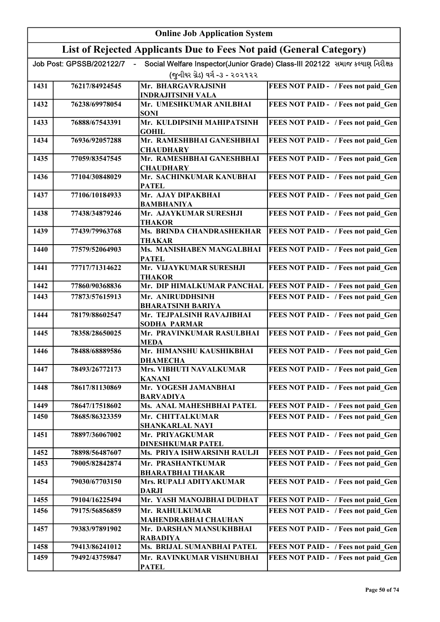|              | <b>Online Job Application System</b> |                                                                     |                                                                              |  |
|--------------|--------------------------------------|---------------------------------------------------------------------|------------------------------------------------------------------------------|--|
|              |                                      | List of Rejected Applicants Due to Fees Not paid (General Category) |                                                                              |  |
|              | Job Post: GPSSB/202122/7             |                                                                     | Social Welfare Inspector(Junior Grade) Class-III 202122 સમાજ કલ્યાણ નિરીક્ષક |  |
|              |                                      | (જુનીયર ગ્રેડ) વર્ગ -૩ - ૨૦૨૧૨૨                                     |                                                                              |  |
| 1431         | 76217/84924545                       | Mr. BHARGAVRAJSINH                                                  | FEES NOT PAID - / Fees not paid Gen                                          |  |
|              |                                      | <b>INDRAJITSINH VALA</b>                                            |                                                                              |  |
| 1432         | 76238/69978054                       | Mr. UMESHKUMAR ANILBHAI<br><b>SONI</b>                              | FEES NOT PAID - / Fees not paid Gen                                          |  |
| 1433         | 76888/67543391                       | Mr. KULDIPSINH MAHIPATSINH<br><b>GOHIL</b>                          | FEES NOT PAID - / Fees not paid Gen                                          |  |
| 1434         | 76936/92057288                       | Mr. RAMESHBHAI GANESHBHAI<br><b>CHAUDHARY</b>                       | FEES NOT PAID - / Fees not paid Gen                                          |  |
| 1435         | 77059/83547545                       | Mr. RAMESHBHAI GANESHBHAI<br><b>CHAUDHARY</b>                       | FEES NOT PAID - / Fees not paid Gen                                          |  |
| 1436         | 77104/30848029                       | Mr. SACHINKUMAR KANUBHAI                                            | FEES NOT PAID - / Fees not paid Gen                                          |  |
| 1437         | 77106/10184933                       | <b>PATEL</b><br>Mr. AJAY DIPAKBHAI                                  | FEES NOT PAID - / Fees not paid Gen                                          |  |
| 1438         | 77438/34879246                       | <b>BAMBHANIYA</b><br>Mr. AJAYKUMAR SURESHJI                         | FEES NOT PAID - / Fees not paid Gen                                          |  |
|              |                                      | THAKOR                                                              |                                                                              |  |
| 1439         | 77439/79963768                       | Ms. BRINDA CHANDRASHEKHAR<br>THAKAR                                 | FEES NOT PAID - / Fees not paid Gen                                          |  |
| 1440         | 77579/52064903                       | Ms. MANISHABEN MANGALBHAI<br><b>PATEL</b>                           | FEES NOT PAID - / Fees not paid Gen                                          |  |
| 1441         | 77717/71314622                       | Mr. VIJAYKUMAR SURESHJI<br><b>THAKOR</b>                            | FEES NOT PAID - / Fees not paid Gen                                          |  |
| 1442         | 77860/90368836                       | Mr. DIP HIMALKUMAR PANCHAL                                          | FEES NOT PAID - / Fees not paid Gen                                          |  |
| 1443         | 77873/57615913                       | Mr. ANIRUDDHSINH                                                    | FEES NOT PAID - / Fees not paid Gen                                          |  |
|              |                                      | <b>BHARATSINH BARIYA</b>                                            |                                                                              |  |
| 1444         | 78179/88602547                       | Mr. TEJPALSINH RAVAJIBHAI<br><b>SODHA PARMAR</b>                    | FEES NOT PAID - / Fees not paid_Gen                                          |  |
| 1445         | 78358/28650025                       | Mr. PRAVINKUMAR RASULBHAI<br><b>MEDA</b>                            | FEES NOT PAID - / Fees not paid Gen                                          |  |
| 1446         | 78488/68889586                       | Mr. HIMANSHU KAUSHIKBHAI<br><b><i>DHAMECHA</i></b>                  | FEES NOT PAID - / Fees not paid Gen                                          |  |
| 1447         | 78493/26772173                       | <b>Mrs. VIBHUTI NAVALKUMAR</b><br><b>KANANI</b>                     | FEES NOT PAID - / Fees not paid Gen                                          |  |
| 1448         | 78617/81130869                       | Mr. YOGESH JAMANBHAI<br><b>BARVADIYA</b>                            | FEES NOT PAID - / Fees not paid Gen                                          |  |
| 1449         | 78647/17518602                       | Ms. ANAL MAHESHBHAI PATEL                                           | FEES NOT PAID - / Fees not paid Gen                                          |  |
| 1450         | 78685/86323359                       | Mr. CHITTALKUMAR                                                    | FEES NOT PAID - / Fees not paid Gen                                          |  |
|              |                                      | <b>SHANKARLAL NAYI</b>                                              |                                                                              |  |
| 1451         | 78897/36067002                       | Mr. PRIYAGKUMAR                                                     | FEES NOT PAID - / Fees not paid Gen                                          |  |
|              |                                      | <b>DINESHKUMAR PATEL</b><br>Ms. PRIYA ISHWARSINH RAULJI             |                                                                              |  |
| 1452<br>1453 | 78898/56487607<br>79005/82842874     | Mr. PRASHANTKUMAR                                                   | FEES NOT PAID - / Fees not paid Gen<br>FEES NOT PAID - / Fees not paid Gen   |  |
|              |                                      | <b>BHARATBHAI THAKAR</b>                                            |                                                                              |  |
| 1454         | 79030/67703150                       | Mrs. RUPALI ADITYAKUMAR<br><b>DARJI</b>                             | FEES NOT PAID - / Fees not paid Gen                                          |  |
| 1455         | 79104/16225494                       | Mr. YASH MANOJBHAI DUDHAT                                           | FEES NOT PAID - / Fees not paid Gen                                          |  |
| 1456         | 79175/56856859                       | Mr. RAHULKUMAR<br><b>MAHENDRABHAI CHAUHAN</b>                       | FEES NOT PAID - / Fees not paid Gen                                          |  |
| 1457         | 79383/97891902                       | Mr. DARSHAN MANSUKHBHAI<br><b>RABADIYA</b>                          | FEES NOT PAID - / Fees not paid Gen                                          |  |
| 1458         | 79413/86241012                       | Ms. BRIJAL SUMANBHAI PATEL                                          | FEES NOT PAID - / Fees not paid Gen                                          |  |
| 1459         | 79492/43759847                       | Mr. RAVINKUMAR VISHNUBHAI<br><b>PATEL</b>                           | FEES NOT PAID - / Fees not paid Gen                                          |  |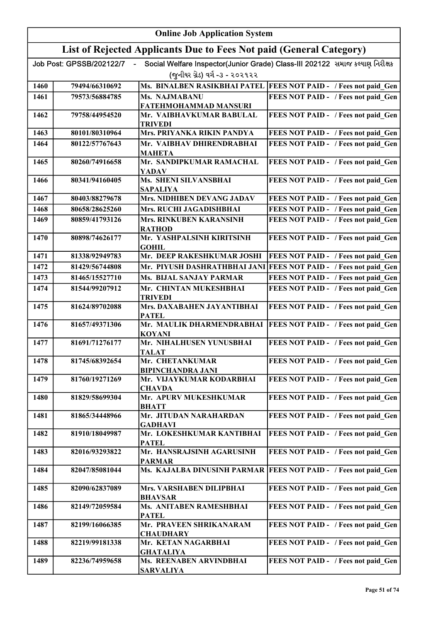|      | <b>Online Job Application System</b> |                                                                     |                                                                              |  |
|------|--------------------------------------|---------------------------------------------------------------------|------------------------------------------------------------------------------|--|
|      |                                      | List of Rejected Applicants Due to Fees Not paid (General Category) |                                                                              |  |
|      | Job Post: GPSSB/202122/7             |                                                                     | Social Welfare Inspector(Junior Grade) Class-III 202122 સમાજ કલ્યાણ નિરીક્ષક |  |
|      |                                      | (જુનીયર ગ્રેડ) વર્ગ -૩ - ૨૦૨૧૨૨                                     |                                                                              |  |
| 1460 | 79494/66310692                       |                                                                     | Ms. BINALBEN RASIKBHAI PATEL FEES NOT PAID - / Fees not paid Gen             |  |
| 1461 | 79573/56884785                       | Ms. NAJMABANU                                                       | FEES NOT PAID - / Fees not paid Gen                                          |  |
|      |                                      | FATEHMOHAMMAD MANSURI                                               |                                                                              |  |
| 1462 | 79758/44954520                       | Mr. VAIBHAVKUMAR BABULAL<br><b>TRIVEDI</b>                          | FEES NOT PAID - / Fees not paid Gen                                          |  |
| 1463 | 80101/80310964                       | Mrs. PRIYANKA RIKIN PANDYA                                          | FEES NOT PAID - / Fees not paid Gen                                          |  |
| 1464 | 80122/57767643                       | Mr. VAIBHAV DHIRENDRABHAI<br><b>MAHETA</b>                          | FEES NOT PAID - / Fees not paid Gen                                          |  |
| 1465 | 80260/74916658                       | Mr. SANDIPKUMAR RAMACHAL                                            | FEES NOT PAID - / Fees not paid Gen                                          |  |
|      |                                      | <b>YADAV</b>                                                        |                                                                              |  |
| 1466 | 80341/94160405                       | <b>Ms. SHENI SILVANSBHAI</b><br><b>SAPALIYA</b>                     | FEES NOT PAID - / Fees not paid Gen                                          |  |
| 1467 | 80403/88279678                       | Mrs. NIDHIBEN DEVANG JADAV                                          | FEES NOT PAID - / Fees not paid Gen                                          |  |
| 1468 | 80658/28625260                       | Mrs. RUCHI JAGADISHBHAI                                             | FEES NOT PAID - / Fees not paid Gen                                          |  |
| 1469 | 80859/41793126                       | Mrs. RINKUBEN KARANSINH<br><b>RATHOD</b>                            | <b>FEES NOT PAID - / Fees not paid Gen</b>                                   |  |
| 1470 | 80898/74626177                       | Mr. YASHPALSINH KIRITSINH<br><b>GOHIL</b>                           | FEES NOT PAID - / Fees not paid Gen                                          |  |
| 1471 | 81338/92949783                       | Mr. DEEP RAKESHKUMAR JOSHI                                          | FEES NOT PAID - / Fees not paid Gen                                          |  |
| 1472 | 81429/56744808                       | Mr. PIYUSH DASHRATHBHAI JANI                                        | FEES NOT PAID - / Fees not paid Gen                                          |  |
| 1473 | 81465/15527710                       | <b>Ms. BIJAL SANJAY PARMAR</b>                                      | FEES NOT PAID - / Fees not paid Gen                                          |  |
| 1474 | 81544/99207912                       | Mr. CHINTAN MUKESHBHAI                                              | FEES NOT PAID - / Fees not paid Gen                                          |  |
| 1475 | 81624/89702088                       | <b>TRIVEDI</b><br>Mrs. DAXABAHEN JAYANTIBHAI<br><b>PATEL</b>        | FEES NOT PAID - / Fees not paid Gen                                          |  |
| 1476 | 81657/49371306                       | Mr. MAULIK DHARMENDRABHAI<br><b>KOYANI</b>                          | FEES NOT PAID - / Fees not paid Gen                                          |  |
| 1477 | 81691/71276177                       | Mr. NIHALHUSEN YUNUSBHAI<br><b>TALAT</b>                            | FEES NOT PAID - / Fees not paid Gen                                          |  |
| 1478 | 81745/68392654                       | Mr. CHETANKUMAR                                                     | <b>FEES NOT PAID - / Fees not paid Gen</b>                                   |  |
| 1479 | 81760/19271269                       | <b>BIPINCHANDRA JANI</b><br>Mr. VIJAYKUMAR KODARBHAI                | FEES NOT PAID - / Fees not paid Gen                                          |  |
| 1480 | 81829/58699304                       | <b>CHAVDA</b><br>Mr. APURV MUKESHKUMAR                              | FEES NOT PAID - / Fees not paid Gen                                          |  |
|      |                                      | <b>BHATT</b>                                                        |                                                                              |  |
| 1481 | 81865/34448966                       | Mr. JITUDAN NARAHARDAN<br><b>GADHAVI</b>                            | FEES NOT PAID - / Fees not paid Gen                                          |  |
| 1482 | 81910/18049987                       | Mr. LOKESHKUMAR KANTIBHAI<br><b>PATEL</b>                           | FEES NOT PAID - / Fees not paid Gen                                          |  |
| 1483 | 82016/93293822                       | Mr. HANSRAJSINH AGARUSINH                                           | FEES NOT PAID - / Fees not paid Gen                                          |  |
| 1484 | 82047/85081044                       | <b>PARMAR</b><br>Ms. KAJALBA DINUSINH PARMAR                        | FEES NOT PAID - / Fees not paid Gen                                          |  |
| 1485 | 82090/62837089                       | Mrs. VARSHABEN DILIPBHAI<br><b>BHAVSAR</b>                          | FEES NOT PAID - / Fees not paid Gen                                          |  |
| 1486 | 82149/72059584                       | Ms. ANITABEN RAMESHBHAI<br><b>PATEL</b>                             | FEES NOT PAID - / Fees not paid Gen                                          |  |
| 1487 | 82199/16066385                       | Mr. PRAVEEN SHRIKANARAM<br><b>CHAUDHARY</b>                         | FEES NOT PAID - / Fees not paid Gen                                          |  |
| 1488 | 82219/99181338                       | Mr. KETAN NAGARBHAI                                                 | FEES NOT PAID - / Fees not paid Gen                                          |  |
| 1489 | 82236/74959658                       | <b>GHATALIYA</b><br>Ms. REENABEN ARVINDBHAI                         | FEES NOT PAID - / Fees not paid Gen                                          |  |
|      |                                      | <b>SARVALIYA</b>                                                    |                                                                              |  |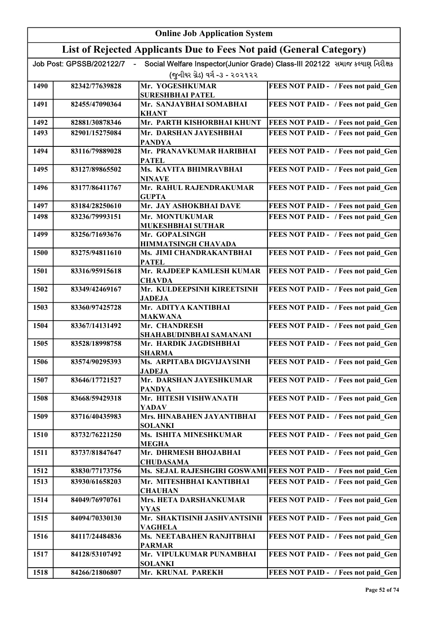|      | <b>Online Job Application System</b> |                                                                     |                                                                              |  |
|------|--------------------------------------|---------------------------------------------------------------------|------------------------------------------------------------------------------|--|
|      |                                      | List of Rejected Applicants Due to Fees Not paid (General Category) |                                                                              |  |
|      | Job Post: GPSSB/202122/7             |                                                                     | Social Welfare Inspector(Junior Grade) Class-III 202122 સમાજ કલ્યાણ નિરીક્ષક |  |
|      |                                      | (જુનીયર ગ્રેડ) વર્ગ -૩ - ૨૦૨૧૨૨                                     |                                                                              |  |
| 1490 | 82342/77639828                       | Mr. YOGESHKUMAR                                                     | FEES NOT PAID - / Fees not paid Gen                                          |  |
|      |                                      | <b>SURESHBHAI PATEL</b>                                             |                                                                              |  |
| 1491 | 82455/47090364                       | Mr. SANJAYBHAI SOMABHAI<br><b>KHANT</b>                             | FEES NOT PAID - / Fees not paid Gen                                          |  |
| 1492 | 82881/30878346                       | Mr. PARTH KISHORBHAI KHUNT                                          | FEES NOT PAID - / Fees not paid Gen                                          |  |
| 1493 | 82901/15275084                       | Mr. DARSHAN JAYESHBHAI<br><b>PANDYA</b>                             | FEES NOT PAID - / Fees not paid Gen                                          |  |
| 1494 | 83116/79889028                       | Mr. PRANAVKUMAR HARIBHAI<br><b>PATEL</b>                            | FEES NOT PAID - / Fees not paid Gen                                          |  |
| 1495 | 83127/89865502                       | Ms. KAVITA BHIMRAVBHAI<br><b>NINAVE</b>                             | FEES NOT PAID - / Fees not paid Gen                                          |  |
| 1496 | 83177/86411767                       | Mr. RAHUL RAJENDRAKUMAR<br><b>GUPTA</b>                             | FEES NOT PAID - / Fees not paid Gen                                          |  |
| 1497 | 83184/28250610                       | Mr. JAY ASHOKBHAI DAVE                                              | FEES NOT PAID - / Fees not paid Gen                                          |  |
| 1498 | 83236/79993151                       | Mr. MONTUKUMAR                                                      | FEES NOT PAID - / Fees not paid Gen                                          |  |
| 1499 | 83256/71693676                       | MUKESHBHAI SUTHAR<br>Mr. GOPALSINGH                                 | FEES NOT PAID - / Fees not paid_Gen                                          |  |
| 1500 | 83275/94811610                       | HIMMATSINGH CHAVADA<br>Ms. JIMI CHANDRAKANTBHAI                     | FEES NOT PAID - / Fees not paid_Gen                                          |  |
|      |                                      | <b>PATEL</b>                                                        |                                                                              |  |
| 1501 | 83316/95915618                       | Mr. RAJDEEP KAMLESH KUMAR<br><b>CHAVDA</b>                          | FEES NOT PAID - / Fees not paid Gen                                          |  |
| 1502 | 83349/42469167                       | Mr. KULDEEPSINH KIREETSINH<br><b>JADEJA</b>                         | FEES NOT PAID - / Fees not paid Gen                                          |  |
| 1503 | 83360/97425728                       | Mr. ADITYA KANTIBHAI<br><b>MAKWANA</b>                              | FEES NOT PAID - / Fees not paid Gen                                          |  |
| 1504 | 83367/14131492                       | Mr. CHANDRESH                                                       | FEES NOT PAID - / Fees not paid Gen                                          |  |
| 1505 | 83528/18998758                       | SHAHABUDINBHAI SAMANANI<br>Mr. HARDIK JAGDISHBHAI                   | FEES NOT PAID - / Fees not paid Gen                                          |  |
| 1506 | 83574/90295393                       | <b>SHARMA</b><br>Ms. ARPITABA DIGVIJAYSINH                          | FEES NOT PAID - / Fees not paid Gen                                          |  |
|      |                                      | <b>JADEJA</b>                                                       |                                                                              |  |
| 1507 | 83646/17721527                       | Mr. DARSHAN JAYESHKUMAR<br><b>PANDYA</b>                            | FEES NOT PAID - / Fees not paid Gen                                          |  |
| 1508 | 83668/59429318                       | Mr. HITESH VISHWANATH<br><b>YADAV</b>                               | FEES NOT PAID - / Fees not paid_Gen                                          |  |
| 1509 | 83716/40435983                       | Mrs. HINABAHEN JAYANTIBHAI<br><b>SOLANKI</b>                        | FEES NOT PAID - / Fees not paid Gen                                          |  |
| 1510 | 83732/76221250                       | Ms. ISHITA MINESHKUMAR                                              | FEES NOT PAID - / Fees not paid Gen                                          |  |
| 1511 | 83737/81847647                       | <b>MEGHA</b><br>Mr. DHRMESH BHOJABHAI                               | FEES NOT PAID - / Fees not paid Gen                                          |  |
| 1512 | 83830/77173756                       | <b>CHUDASAMA</b>                                                    | Ms. SEJAL RAJESHGIRI GOSWAMI FEES NOT PAID - / Fees not paid Gen             |  |
| 1513 | 83930/61658203                       | Mr. MITESHBHAI KANTIBHAI                                            | FEES NOT PAID - / Fees not paid Gen                                          |  |
|      |                                      | <b>CHAUHAN</b>                                                      |                                                                              |  |
| 1514 | 84049/76970761                       | Mrs. HETA DARSHANKUMAR<br><b>VYAS</b>                               | FEES NOT PAID - / Fees not paid Gen                                          |  |
| 1515 | 84094/70330130                       | Mr. SHAKTISINH JASHVANTSINH<br><b>VAGHELA</b>                       | FEES NOT PAID - / Fees not paid Gen                                          |  |
| 1516 | 84117/24484836                       | Ms. NEETABAHEN RANJITBHAI<br><b>PARMAR</b>                          | FEES NOT PAID - / Fees not paid Gen                                          |  |
| 1517 | 84128/53107492                       | Mr. VIPULKUMAR PUNAMBHAI<br><b>SOLANKI</b>                          | FEES NOT PAID - / Fees not paid Gen                                          |  |
| 1518 | 84266/21806807                       | Mr. KRUNAL PAREKH                                                   | FEES NOT PAID - / Fees not paid Gen                                          |  |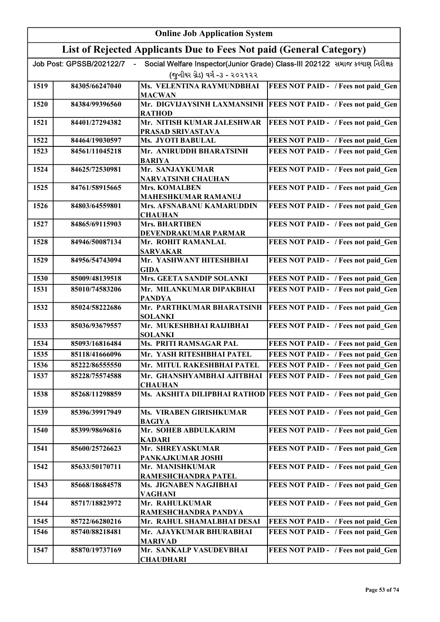|      | <b>Online Job Application System</b> |                                                                     |                                                                              |  |
|------|--------------------------------------|---------------------------------------------------------------------|------------------------------------------------------------------------------|--|
|      |                                      | List of Rejected Applicants Due to Fees Not paid (General Category) |                                                                              |  |
|      | Job Post: GPSSB/202122/7             |                                                                     | Social Welfare Inspector(Junior Grade) Class-III 202122 સમાજ કલ્યાણ નિરીક્ષક |  |
|      |                                      | (જુનીયર ગ્રેડ) વર્ગ -૩ - ૨૦૨૧૨૨                                     |                                                                              |  |
| 1519 | 84305/66247040                       | <b>Ms. VELENTINA RAYMUNDBHAI</b><br><b>MACWAN</b>                   | FEES NOT PAID - / Fees not paid_Gen                                          |  |
| 1520 | 84384/99396560                       | Mr. DIGVIJAYSINH LAXMANSINH                                         | <b>FEES NOT PAID - / Fees not paid Gen</b>                                   |  |
| 1521 | 84401/27294382                       | <b>RATHOD</b><br>Mr. NITISH KUMAR JALESHWAR                         | FEES NOT PAID - / Fees not paid Gen                                          |  |
| 1522 | 84464/19030597                       | PRASAD SRIVASTAVA<br>Ms. JYOTI BABULAL                              | FEES NOT PAID - / Fees not paid Gen                                          |  |
| 1523 | 84561/11045218                       | Mr. ANIRUDDH BHARATSINH                                             | FEES NOT PAID - / Fees not paid Gen                                          |  |
|      |                                      | <b>BARIYA</b>                                                       |                                                                              |  |
| 1524 | 84625/72530981                       | Mr. SANJAYKUMAR<br><b>NARVATSINH CHAUHAN</b>                        | FEES NOT PAID - / Fees not paid Gen                                          |  |
| 1525 | 84761/58915665                       | <b>Mrs. KOMALBEN</b><br><b>MAHESHKUMAR RAMANUJ</b>                  | FEES NOT PAID - / Fees not paid Gen                                          |  |
| 1526 | 84803/64559801                       | Mrs. AFSNABANU KAMARUDDIN<br><b>CHAUHAN</b>                         | FEES NOT PAID - / Fees not paid Gen                                          |  |
| 1527 | 84865/69115903                       | <b>Mrs. BHARTIBEN</b><br>DEVENDRAKUMAR PARMAR                       | FEES NOT PAID - / Fees not paid Gen                                          |  |
| 1528 | 84946/50087134                       | Mr. ROHIT RAMANLAL                                                  | FEES NOT PAID - / Fees not paid Gen                                          |  |
| 1529 | 84956/54743094                       | <b>SARVAKAR</b><br>Mr. YASHWANT HITESHBHAI<br>GIDA                  | FEES NOT PAID - / Fees not paid_Gen                                          |  |
| 1530 | 85009/48139518                       | Mrs. GEETA SANDIP SOLANKI                                           | FEES NOT PAID - / Fees not paid Gen                                          |  |
| 1531 | 85010/74583206                       | Mr. MILANKUMAR DIPAKBHAI                                            | FEES NOT PAID - / Fees not paid Gen                                          |  |
|      |                                      | <b>PANDYA</b>                                                       |                                                                              |  |
| 1532 | 85024/58222686                       | Mr. PARTHKUMAR BHARATSINH<br><b>SOLANKI</b>                         | FEES NOT PAID - / Fees not paid Gen                                          |  |
| 1533 | 85036/93679557                       | Mr. MUKESHBHAI RAIJIBHAI<br><b>SOLANKI</b>                          | FEES NOT PAID - / Fees not paid Gen                                          |  |
| 1534 | 85093/16816484                       | Ms. PRITI RAMSAGAR PAL                                              | FEES NOT PAID - / Fees not paid Gen                                          |  |
| 1535 | 85118/41666096                       | Mr. YASH RITESHBHAI PATEL                                           | FEES NOT PAID - / Fees not paid_Gen                                          |  |
| 1536 | 85222/86555550                       | Mr. MITUL RAKESHBHAI PATEL                                          | FEES NOT PAID - / Fees not paid Gen                                          |  |
| 1537 | 85228/75574588                       | Mr. GHANSHYAMBHAI AJITBHAI<br><b>CHAUHAN</b>                        | FEES NOT PAID - / Fees not paid Gen                                          |  |
| 1538 | 85268/11298859                       | Ms. AKSHITA DILIPBHAI RATHOD                                        | FEES NOT PAID - / Fees not paid_Gen                                          |  |
| 1539 | 85396/39917949                       | Ms. VIRABEN GIRISHKUMAR<br><b>BAGIYA</b>                            | FEES NOT PAID - / Fees not paid Gen                                          |  |
| 1540 | 85399/98696816                       | Mr. SOHEB ABDULKARIM<br><b>KADARI</b>                               | FEES NOT PAID - / Fees not paid Gen                                          |  |
| 1541 | 85600/25726623                       | Mr. SHREYASKUMAR<br>PANKAJKUMAR JOSHI                               | FEES NOT PAID - / Fees not paid Gen                                          |  |
| 1542 | 85633/50170711                       | Mr. MANISHKUMAR<br>RAMESHCHANDRA PATEL                              | FEES NOT PAID - / Fees not paid Gen                                          |  |
| 1543 | 85668/18684578                       | Ms. JIGNABEN NAGJIBHAI                                              | FEES NOT PAID - / Fees not paid Gen                                          |  |
| 1544 | 85717/18823972                       | <b>VAGHANI</b><br>Mr. RAHULKUMAR                                    | FEES NOT PAID - / Fees not paid Gen                                          |  |
| 1545 | 85722/66280216                       | RAMESHCHANDRA PANDYA<br>Mr. RAHUL SHAMALBHAI DESAI                  | FEES NOT PAID - / Fees not paid Gen                                          |  |
| 1546 | 85740/88218481                       | Mr. AJAYKUMAR BHURABHAI                                             | FEES NOT PAID - / Fees not paid Gen                                          |  |
|      |                                      | <b>MARIVAD</b>                                                      |                                                                              |  |
| 1547 | 85870/19737169                       | Mr. SANKALP VASUDEVBHAI<br><b>CHAUDHARI</b>                         | FEES NOT PAID - / Fees not paid Gen                                          |  |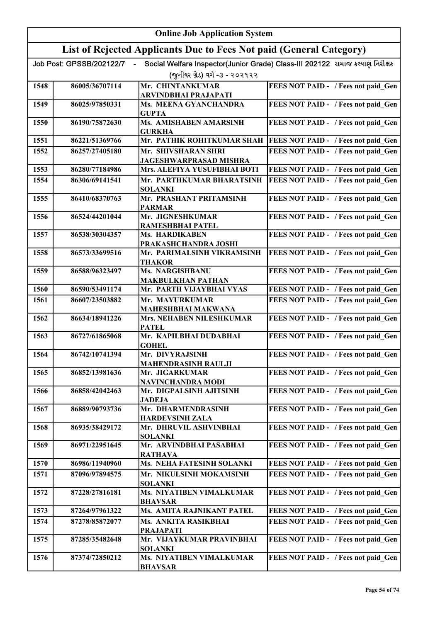|      |                          | <b>Online Job Application System</b>                                |                                                                              |
|------|--------------------------|---------------------------------------------------------------------|------------------------------------------------------------------------------|
|      |                          | List of Rejected Applicants Due to Fees Not paid (General Category) |                                                                              |
|      | Job Post: GPSSB/202122/7 |                                                                     | Social Welfare Inspector(Junior Grade) Class-III 202122 સમાજ કલ્યાણ નિરીક્ષક |
|      |                          | (જુનીયર ગ્રેડ) વર્ગ -૩ - ૨૦૨૧૨૨                                     |                                                                              |
| 1548 | 86005/36707114           | Mr. CHINTANKUMAR                                                    | FEES NOT PAID - / Fees not paid Gen                                          |
|      |                          | ARVINDBHAI PRAJAPATI                                                |                                                                              |
| 1549 | 86025/97850331           | Ms. MEENA GYANCHANDRA<br><b>GUPTA</b>                               | FEES NOT PAID - / Fees not paid Gen                                          |
| 1550 | 86190/75872630           | Ms. AMISHABEN AMARSINH<br><b>GURKHA</b>                             | FEES NOT PAID - / Fees not paid Gen                                          |
| 1551 | 86221/51369766           | Mr. PATHIK ROHITKUMAR SHAH                                          | <b>FEES NOT PAID - / Fees not paid Gen</b>                                   |
| 1552 | 86257/27405180           | Mr. SHIVSHARAN SHRI<br><b>JAGESHWARPRASAD MISHRA</b>                | FEES NOT PAID - / Fees not paid Gen                                          |
| 1553 | 86280/77184986           | Mrs. ALEFIYA YUSUFIBHAI BOTI                                        | FEES NOT PAID - / Fees not paid Gen                                          |
| 1554 | 86306/69141541           | Mr. PARTHKUMAR BHARATSINH<br><b>SOLANKI</b>                         | FEES NOT PAID - / Fees not paid Gen                                          |
| 1555 | 86410/68370763           | Mr. PRASHANT PRITAMSINH<br><b>PARMAR</b>                            | FEES NOT PAID - / Fees not paid Gen                                          |
| 1556 | 86524/44201044           | Mr. JIGNESHKUMAR<br>RAMESHBHAI PATEL                                | FEES NOT PAID - / Fees not paid_Gen                                          |
| 1557 | 86538/30304357           | Ms. HARDIKABEN                                                      | FEES NOT PAID - / Fees not paid_Gen                                          |
| 1558 | 86573/33699516           | PRAKASHCHANDRA JOSHI<br>Mr. PARIMALSINH VIKRAMSINH                  | FEES NOT PAID - / Fees not paid_Gen                                          |
| 1559 | 86588/96323497           | THAKOR<br>Ms. NARGISHBANU                                           | FEES NOT PAID - / Fees not paid Gen                                          |
|      |                          | <b>MAKBULKHAN PATHAN</b>                                            |                                                                              |
| 1560 | 86590/53491174           | Mr. PARTH VIJAYBHAI VYAS                                            | FEES NOT PAID - / Fees not paid Gen                                          |
| 1561 | 86607/23503882           | Mr. MAYURKUMAR<br><b>MAHESHBHAI MAKWANA</b>                         | <b>FEES NOT PAID - / Fees not paid_Gen</b>                                   |
| 1562 | 86634/18941226           | Mrs. NEHABEN NILESHKUMAR<br><b>PATEL</b>                            | FEES NOT PAID - / Fees not paid Gen                                          |
| 1563 | 86727/61865068           | Mr. KAPILBHAI DUDABHAI<br><b>GOHEL</b>                              | FEES NOT PAID - / Fees not paid Gen                                          |
| 1564 | 86742/10741394           | Mr. DIVYRAJSINH<br><b>MAHENDRASINH RAULJI</b>                       | <b>FEES NOT PAID - / Fees not paid_Gen</b>                                   |
| 1565 | 86852/13981636           | Mr. JIGARKUMAR                                                      | FEES NOT PAID - / Fees not paid Gen                                          |
| 1566 | 86858/42042463           | NAVINCHANDRA MODI<br>Mr. DIGPALSINH AJITSINH                        | FEES NOT PAID - / Fees not paid Gen                                          |
|      |                          | <b>JADEJA</b>                                                       |                                                                              |
| 1567 | 86889/90793736           | Mr. DHARMENDRASINH<br><b>HARDEVSINH ZALA</b>                        | FEES NOT PAID - / Fees not paid Gen                                          |
| 1568 | 86935/38429172           | Mr. DHRUVIL ASHVINBHAI<br><b>SOLANKI</b>                            | FEES NOT PAID - / Fees not paid Gen                                          |
| 1569 | 86971/22951645           | Mr. ARVINDBHAI PASABHAI<br><b>RATHAVA</b>                           | FEES NOT PAID - / Fees not paid Gen                                          |
| 1570 | 86986/11940960           | Ms. NEHA FATESINH SOLANKI                                           | FEES NOT PAID - / Fees not paid_Gen                                          |
| 1571 | 87096/97894575           | Mr. NIKULSINH MOKAMSINH<br><b>SOLANKI</b>                           | FEES NOT PAID - / Fees not paid Gen                                          |
| 1572 | 87228/27816181           | Ms. NIYATIBEN VIMALKUMAR<br><b>BHAVSAR</b>                          | FEES NOT PAID - / Fees not paid Gen                                          |
| 1573 | 87264/97961322           | Ms. AMITA RAJNIKANT PATEL                                           | FEES NOT PAID - / Fees not paid Gen                                          |
| 1574 | 87278/85872077           | Ms. ANKITA RASIKBHAI                                                | FEES NOT PAID - / Fees not paid Gen                                          |
|      |                          | <b>PRAJAPATI</b>                                                    |                                                                              |
| 1575 | 87285/35482648           | Mr. VIJAYKUMAR PRAVINBHAI<br><b>SOLANKI</b>                         | FEES NOT PAID - / Fees not paid Gen                                          |
| 1576 | 87374/72850212           | Ms. NIYATIBEN VIMALKUMAR<br><b>BHAVSAR</b>                          | FEES NOT PAID - / Fees not paid Gen                                          |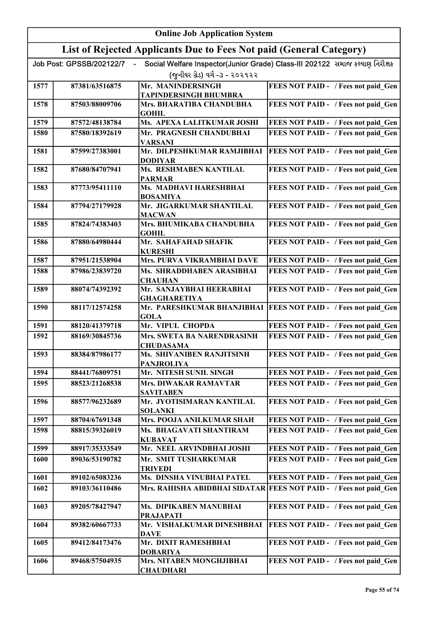|      | <b>Online Job Application System</b> |                                                                     |                                                                              |  |
|------|--------------------------------------|---------------------------------------------------------------------|------------------------------------------------------------------------------|--|
|      |                                      | List of Rejected Applicants Due to Fees Not paid (General Category) |                                                                              |  |
|      | Job Post: GPSSB/202122/7             |                                                                     | Social Welfare Inspector(Junior Grade) Class-III 202122 સમાજ કલ્યાણ નિરીક્ષક |  |
|      |                                      | (જુનીયર ગ્રેડ) વર્ગ -૩ - ૨૦૨૧૨૨                                     |                                                                              |  |
| 1577 | 87381/63516875                       | Mr. MANINDERSINGH                                                   | FEES NOT PAID - / Fees not paid Gen                                          |  |
|      |                                      | <b>TAPINDERSINGH BHUMBRA</b>                                        |                                                                              |  |
| 1578 | 87503/88009706                       | Mrs. BHARATIBA CHANDUBHA<br><b>GOHIL</b>                            | FEES NOT PAID - / Fees not paid Gen                                          |  |
| 1579 | 87572/48138784                       | Ms. APEXA LALITKUMAR JOSHI                                          | FEES NOT PAID - / Fees not paid Gen                                          |  |
| 1580 | 87580/18392619                       | Mr. PRAGNESH CHANDUBHAI<br><b>VARSANI</b>                           | FEES NOT PAID - / Fees not paid Gen                                          |  |
| 1581 | 87599/27383001                       | Mr. DILPESHKUMAR RAMJIBHAI<br><b>DODIYAR</b>                        | FEES NOT PAID - / Fees not paid Gen                                          |  |
| 1582 | 87680/84707941                       | Ms. RESHMABEN KANTILAL<br><b>PARMAR</b>                             | FEES NOT PAID - / Fees not paid Gen                                          |  |
| 1583 | 87773/95411110                       | Ms. MADHAVI HARESHBHAI<br><b>BOSAMIYA</b>                           | FEES NOT PAID - / Fees not paid Gen                                          |  |
| 1584 | 87794/27179928                       | Mr. JIGARKUMAR SHANTILAL<br><b>MACWAN</b>                           | FEES NOT PAID - / Fees not paid_Gen                                          |  |
| 1585 | 87824/74383403                       | Mrs. BHUMIKABA CHANDUBHA<br><b>GOHIL</b>                            | FEES NOT PAID - / Fees not paid Gen                                          |  |
| 1586 | 87880/64980444                       | Mr. SAHAFAHAD SHAFIK<br><b>KURESHI</b>                              | FEES NOT PAID - / Fees not paid Gen                                          |  |
| 1587 | 87951/21538904                       | Mrs. PURVA VIKRAMBHAI DAVE                                          | FEES NOT PAID - / Fees not paid Gen                                          |  |
| 1588 | 87986/23839720                       | Ms. SHRADDHABEN ARASIBHAI<br><b>CHAUHAN</b>                         | FEES NOT PAID - / Fees not paid Gen                                          |  |
| 1589 | 88074/74392392                       | Mr. SANJAYBHAI HEERABHAI<br><b>GHAGHARETIYA</b>                     | FEES NOT PAID - / Fees not paid Gen                                          |  |
| 1590 | 88117/12574258                       | Mr. PARESHKUMAR BHANJIBHAI<br><b>GOLA</b>                           | FEES NOT PAID - / Fees not paid_Gen                                          |  |
| 1591 | 88120/41379718                       | Mr. VIPUL CHOPDA                                                    | FEES NOT PAID - / Fees not paid Gen                                          |  |
| 1592 | 88169/30845736                       | Mrs. SWETA BA NARENDRASINH<br><b>CHUDASAMA</b>                      | FEES NOT PAID - / Fees not paid Gen                                          |  |
| 1593 | 88384/87986177                       | Ms. SHIVANIBEN RANJITSINH<br><b>PANJROLIYA</b>                      | FEES NOT PAID - / Fees not paid Gen                                          |  |
| 1594 | 88441/76809751                       | Mr. NITESH SUNIL SINGH                                              | FEES NOT PAID - / Fees not paid Gen                                          |  |
| 1595 | 88523/21268538                       | Mrs. DIWAKAR RAMAVTAR<br><b>SAVITABEN</b>                           | FEES NOT PAID - / Fees not paid Gen                                          |  |
| 1596 | 88577/96232689                       | Mr. JYOTISIMARAN KANTILAL<br><b>SOLANKI</b>                         | FEES NOT PAID - / Fees not paid Gen                                          |  |
| 1597 | 88704/67691348                       | Mrs. POOJA ANILKUMAR SHAH                                           | FEES NOT PAID - / Fees not paid Gen                                          |  |
| 1598 | 88815/39326019                       | Ms. BHAGAVATI SHANTIRAM<br><b>KUBAVAT</b>                           | FEES NOT PAID - / Fees not paid Gen                                          |  |
| 1599 | 88917/35333549                       | Mr. NEEL ARVINDBHAI JOSHI                                           | FEES NOT PAID - / Fees not paid Gen                                          |  |
| 1600 | 89036/53190782                       | Mr. SMIT TUSHARKUMAR<br><b>TRIVEDI</b>                              | FEES NOT PAID - / Fees not paid Gen                                          |  |
| 1601 | 89102/65083236                       | Ms. DINSHA VINUBHAI PATEL                                           | FEES NOT PAID - / Fees not paid_Gen                                          |  |
| 1602 | 89103/36110486                       | Mrs. RAHISHA ABIDBHAI SIDATAR                                       | FEES NOT PAID - / Fees not paid Gen                                          |  |
| 1603 | 89205/78427947                       | Ms. DIPIKABEN MANUBHAI<br><b>PRAJAPATI</b>                          | FEES NOT PAID - / Fees not paid Gen                                          |  |
| 1604 | 89382/60667733                       | Mr. VISHALKUMAR DINESHBHAI<br><b>DAVE</b>                           | FEES NOT PAID - / Fees not paid_Gen                                          |  |
| 1605 | 89412/84173476                       | Mr. DIXIT RAMESHBHAI<br><b>DOBARIYA</b>                             | FEES NOT PAID - / Fees not paid Gen                                          |  |
| 1606 | 89468/57504935                       | Mrs. NITABEN MONGHJIBHAI<br><b>CHAUDHARI</b>                        | FEES NOT PAID - / Fees not paid Gen                                          |  |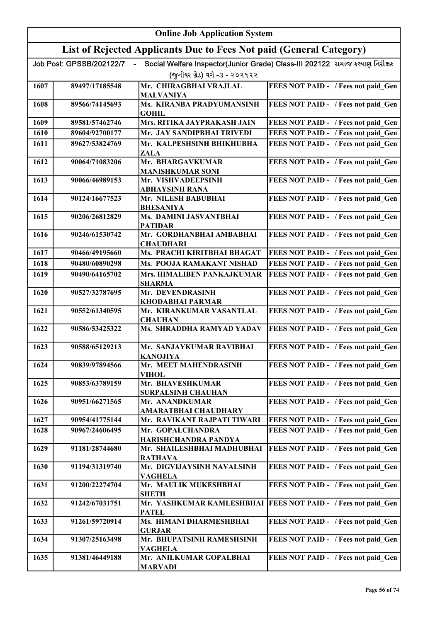|      | <b>Online Job Application System</b> |                                                                     |                                                                              |  |
|------|--------------------------------------|---------------------------------------------------------------------|------------------------------------------------------------------------------|--|
|      |                                      | List of Rejected Applicants Due to Fees Not paid (General Category) |                                                                              |  |
|      | Job Post: GPSSB/202122/7             |                                                                     | Social Welfare Inspector(Junior Grade) Class-III 202122 સમાજ કલ્યાણ નિરીક્ષક |  |
|      |                                      | (જુનીયર ગ્રેડ) વર્ગ -૩ - ૨૦૨૧૨૨                                     |                                                                              |  |
| 1607 | 89497/17185548                       | Mr. CHIRAGBHAI VRAJLAL                                              | FEES NOT PAID - / Fees not paid Gen                                          |  |
|      |                                      | <b>MALVANIYA</b>                                                    |                                                                              |  |
| 1608 | 89566/74145693                       | Ms. KIRANBA PRADYUMANSINH                                           | FEES NOT PAID - / Fees not paid_Gen                                          |  |
| 1609 | 89581/57462746                       | <b>GOHIL</b><br>Mrs. RITIKA JAYPRAKASH JAIN                         | FEES NOT PAID - / Fees not paid_Gen                                          |  |
| 1610 | 89604/92700177                       | Mr. JAY SANDIPBHAI TRIVEDI                                          | FEES NOT PAID - / Fees not paid Gen                                          |  |
| 1611 | 89627/53824769                       | Mr. KALPESHSINH BHIKHUBHA                                           | FEES NOT PAID - / Fees not paid Gen                                          |  |
|      |                                      | <b>ZALA</b>                                                         |                                                                              |  |
| 1612 | 90064/71083206                       | Mr. BHARGAVKUMAR                                                    | FEES NOT PAID - / Fees not paid Gen                                          |  |
|      |                                      | <b>MANISHKUMAR SONI</b>                                             |                                                                              |  |
| 1613 | 90066/46989153                       | Mr. VISHVADEEPSINH<br><b>ABHAYSINH RANA</b>                         | FEES NOT PAID - / Fees not paid Gen                                          |  |
| 1614 | 90124/16677523                       | Mr. NILESH BABUBHAI                                                 | FEES NOT PAID - / Fees not paid Gen                                          |  |
|      |                                      | <b>BHESANIYA</b>                                                    |                                                                              |  |
| 1615 | 90206/26812829                       | Ms. DAMINI JASVANTBHAI<br><b>PATIDAR</b>                            | FEES NOT PAID - / Fees not paid_Gen                                          |  |
| 1616 | 90246/61530742                       | Mr. GORDHANBHAI AMBABHAI<br><b>CHAUDHARI</b>                        | FEES NOT PAID - / Fees not paid Gen                                          |  |
| 1617 | 90466/49195660                       | Ms. PRACHI KIRITBHAI BHAGAT                                         | FEES NOT PAID - / Fees not paid_Gen                                          |  |
| 1618 | 90480/60890298                       | Ms. POOJA RAMAKANT NISHAD                                           | FEES NOT PAID - / Fees not paid Gen                                          |  |
| 1619 | 90490/64165702                       | Mrs. HIMALIBEN PANKAJKUMAR                                          | FEES NOT PAID - / Fees not paid Gen                                          |  |
|      |                                      | <b>SHARMA</b>                                                       |                                                                              |  |
| 1620 | 90527/32787695                       | Mr. DEVENDRASINH<br><b>KHODABHAI PARMAR</b>                         | FEES NOT PAID - / Fees not paid Gen                                          |  |
| 1621 | 90552/61340595                       | Mr. KIRANKUMAR VASANTLAL<br><b>CHAUHAN</b>                          | FEES NOT PAID - / Fees not paid Gen                                          |  |
| 1622 | 90586/53425322                       | Ms. SHRADDHA RAMYAD YADAV                                           | FEES NOT PAID - / Fees not paid Gen                                          |  |
| 1623 | 90588/65129213                       | Mr. SANJAYKUMAR RAVIBHAI<br><b>KANOJIYA</b>                         | FEES NOT PAID - / Fees not paid Gen                                          |  |
| 1624 | 90839/97894566                       | Mr. MEET MAHENDRASINH<br><b>VIHOL</b>                               | FEES NOT PAID - / Fees not paid Gen                                          |  |
| 1625 | 90853/63789159                       | Mr. BHAVESHKUMAR                                                    | FEES NOT PAID - / Fees not paid Gen                                          |  |
|      |                                      | <b>SURPALSINH CHAUHAN</b>                                           |                                                                              |  |
| 1626 | 90951/66271565                       | Mr. ANANDKUMAR<br><b>AMARATBHAI CHAUDHARY</b>                       | FEES NOT PAID - / Fees not paid Gen                                          |  |
| 1627 | 90954/41775144                       | Mr. RAVIKANT RAJPATI TIWARI                                         | FEES NOT PAID - / Fees not paid Gen                                          |  |
| 1628 | 90967/24606495                       | Mr. GOPALCHANDRA<br>HARISHCHANDRA PANDYA                            | FEES NOT PAID - / Fees not paid Gen                                          |  |
| 1629 | 91181/28744680                       | Mr. SHAILESHBHAI MADHUBHAI<br><b>RATHAVA</b>                        | FEES NOT PAID - / Fees not paid Gen                                          |  |
| 1630 | 91194/31319740                       | Mr. DIGVIJAYSINH NAVALSINH<br><b>VAGHELA</b>                        | FEES NOT PAID - / Fees not paid Gen                                          |  |
| 1631 | 91200/22274704                       | Mr. MAULIK MUKESHBHAI<br><b>SHETH</b>                               | FEES NOT PAID - / Fees not paid Gen                                          |  |
| 1632 | 91242/67031751                       | <b>PATEL</b>                                                        | Mr. YASHKUMAR KAMLESHBHAI   FEES NOT PAID - / Fees not paid Gen              |  |
| 1633 | 91261/59720914                       | Ms. HIMANI DHARMESHBHAI                                             | FEES NOT PAID - / Fees not paid Gen                                          |  |
|      |                                      | <b>GURJAR</b>                                                       |                                                                              |  |
| 1634 | 91307/25163498                       | Mr. BHUPATSINH RAMESHSINH<br><b>VAGHELA</b>                         | FEES NOT PAID - / Fees not paid Gen                                          |  |
| 1635 | 91381/46449188                       | Mr. ANILKUMAR GOPALBHAI<br><b>MARVADI</b>                           | FEES NOT PAID - / Fees not paid Gen                                          |  |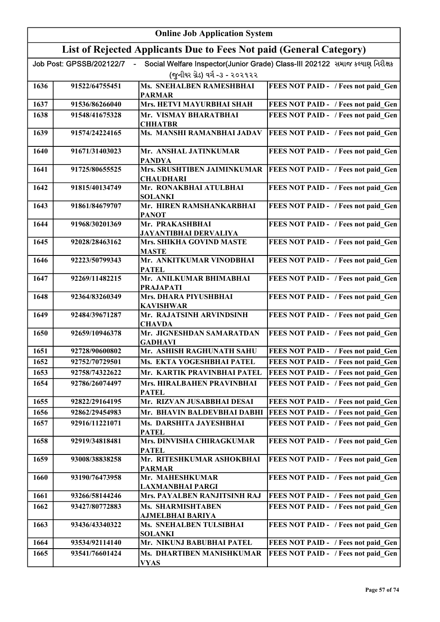|      | <b>Online Job Application System</b> |                                                                     |                                                                              |  |
|------|--------------------------------------|---------------------------------------------------------------------|------------------------------------------------------------------------------|--|
|      |                                      | List of Rejected Applicants Due to Fees Not paid (General Category) |                                                                              |  |
|      | Job Post: GPSSB/202122/7             |                                                                     | Social Welfare Inspector(Junior Grade) Class-III 202122 સમાજ કલ્યાણ નિરીક્ષક |  |
|      |                                      | (જુનીયર ગ્રેડ) વર્ગ -૩ - ૨૦૨૧૨૨                                     |                                                                              |  |
| 1636 | 91522/64755451                       | <b>Ms. SNEHALBEN RAMESHBHAI</b><br><b>PARMAR</b>                    | FEES NOT PAID - / Fees not paid_Gen                                          |  |
| 1637 | 91536/86266040                       | Mrs. HETVI MAYURBHAI SHAH                                           | FEES NOT PAID - / Fees not paid Gen                                          |  |
| 1638 | 91548/41675328                       | Mr. VISMAY BHARATBHAI<br><b>CHHATBR</b>                             | FEES NOT PAID - / Fees not paid Gen                                          |  |
| 1639 | 91574/24224165                       | Ms. MANSHI RAMANBHAI JADAV                                          | FEES NOT PAID - / Fees not paid Gen                                          |  |
| 1640 | 91671/31403023                       | Mr. ANSHAL JATINKUMAR<br><b>PANDYA</b>                              | FEES NOT PAID - / Fees not paid Gen                                          |  |
| 1641 | 91725/80655525                       | Mrs. SRUSHTIBEN JAIMINKUMAR<br><b>CHAUDHARI</b>                     | FEES NOT PAID - / Fees not paid Gen                                          |  |
| 1642 | 91815/40134749                       | Mr. RONAKBHAI ATULBHAI<br><b>SOLANKI</b>                            | FEES NOT PAID - / Fees not paid Gen                                          |  |
| 1643 | 91861/84679707                       | Mr. HIREN RAMSHANKARBHAI<br><b>PANOT</b>                            | FEES NOT PAID - / Fees not paid Gen                                          |  |
| 1644 | 91968/30201369                       | Mr. PRAKASHBHAI<br><b>JAYANTIBHAI DERVALIYA</b>                     | FEES NOT PAID - / Fees not paid_Gen                                          |  |
| 1645 | 92028/28463162                       | Mrs. SHIKHA GOVIND MASTE<br><b>MASTE</b>                            | FEES NOT PAID - / Fees not paid Gen                                          |  |
| 1646 | 92223/50799343                       | Mr. ANKITKUMAR VINODBHAI<br><b>PATEL</b>                            | FEES NOT PAID - / Fees not paid_Gen                                          |  |
| 1647 | 92269/11482215                       | Mr. ANILKUMAR BHIMABHAI<br><b>PRAJAPATI</b>                         | FEES NOT PAID - / Fees not paid_Gen                                          |  |
| 1648 | 92364/83260349                       | Mrs. DHARA PIYUSHBHAI<br><b>KAVISHWAR</b>                           | FEES NOT PAID - / Fees not paid_Gen                                          |  |
| 1649 | 92484/39671287                       | Mr. RAJATSINH ARVINDSINH<br><b>CHAVDA</b>                           | FEES NOT PAID - / Fees not paid_Gen                                          |  |
| 1650 | 92659/10946378                       | Mr. JIGNESHDAN SAMARATDAN<br><b>GADHAVI</b>                         | FEES NOT PAID - / Fees not paid Gen                                          |  |
| 1651 | 92728/90600802                       | Mr. ASHISH RAGHUNATH SAHU                                           | FEES NOT PAID - / Fees not paid Gen                                          |  |
| 1652 | 92752/70729501                       | Ms. EKTA YOGESHBHAI PATEL                                           | FEES NOT PAID - / Fees not paid Gen                                          |  |
| 1653 | 92758/74322622                       | Mr. KARTIK PRAVINBHAI PATEL                                         | FEES NOT PAID - / Fees not paid Gen                                          |  |
| 1654 | 92786/26074497                       | Mrs. HIRALBAHEN PRAVINBHAI<br><b>PATEL</b>                          | FEES NOT PAID - / Fees not paid Gen                                          |  |
| 1655 | 92822/29164195                       | Mr. RIZVAN JUSABBHAI DESAI                                          | FEES NOT PAID - / Fees not paid Gen                                          |  |
| 1656 | 92862/29454983                       | Mr. BHAVIN BALDEVBHAI DABHI                                         | FEES NOT PAID - / Fees not paid Gen                                          |  |
| 1657 | 92916/11221071                       | Ms. DARSHITA JAYESHBHAI<br><b>PATEL</b>                             | FEES NOT PAID - / Fees not paid Gen                                          |  |
| 1658 | 92919/34818481                       | Mrs. DINVISHA CHIRAGKUMAR<br><b>PATEL</b>                           | FEES NOT PAID - / Fees not paid Gen                                          |  |
| 1659 | 93008/38838258                       | Mr. RITESHKUMAR ASHOKBHAI<br><b>PARMAR</b>                          | FEES NOT PAID - / Fees not paid Gen                                          |  |
| 1660 | 93190/76473958                       | Mr. MAHESHKUMAR<br>LAXMANBHAI PARGI                                 | FEES NOT PAID - / Fees not paid Gen                                          |  |
| 1661 | 93266/58144246                       | Mrs. PAYALBEN RANJITSINH RAJ                                        | FEES NOT PAID - / Fees not paid Gen                                          |  |
| 1662 | 93427/80772883                       | Ms. SHARMISHTABEN<br>AJMELBHAI BARIYA                               | FEES NOT PAID - / Fees not paid Gen                                          |  |
| 1663 | 93436/43340322                       | Ms. SNEHALBEN TULSIBHAI<br><b>SOLANKI</b>                           | FEES NOT PAID - / Fees not paid Gen                                          |  |
| 1664 | 93534/92114140                       | Mr. NIKUNJ BABUBHAI PATEL                                           | FEES NOT PAID - / Fees not paid Gen                                          |  |
| 1665 | 93541/76601424                       | Ms. DHARTIBEN MANISHKUMAR<br><b>VYAS</b>                            | FEES NOT PAID - / Fees not paid Gen                                          |  |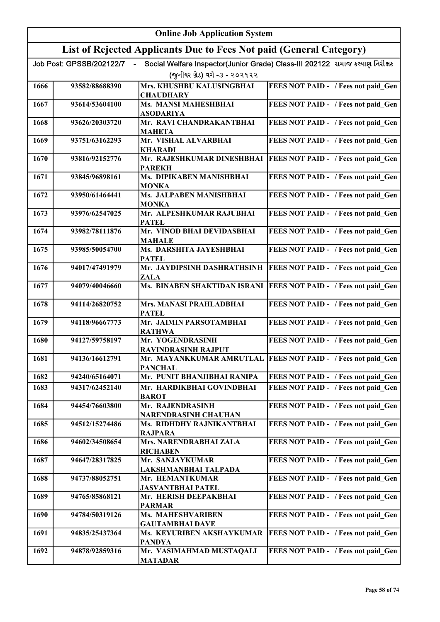|      |                          | <b>Online Job Application System</b>                                |                                                                              |
|------|--------------------------|---------------------------------------------------------------------|------------------------------------------------------------------------------|
|      |                          | List of Rejected Applicants Due to Fees Not paid (General Category) |                                                                              |
|      | Job Post: GPSSB/202122/7 |                                                                     | Social Welfare Inspector(Junior Grade) Class-III 202122 સમાજ કલ્યાણ નિરીક્ષક |
|      |                          | (જુનીયર ગ્રેડ) વર્ગ -૩ - ૨૦૨૧૨૨                                     |                                                                              |
| 1666 | 93582/88688390           | Mrs. KHUSHBU KALUSINGBHAI<br><b>CHAUDHARY</b>                       | FEES NOT PAID - / Fees not paid Gen                                          |
| 1667 | 93614/53604100           | <b>Ms. MANSI MAHESHBHAI</b><br><b>ASODARIYA</b>                     | FEES NOT PAID - / Fees not paid Gen                                          |
| 1668 | 93626/20303720           | Mr. RAVI CHANDRAKANTBHAI<br><b>MAHETA</b>                           | FEES NOT PAID - / Fees not paid Gen                                          |
| 1669 | 93751/63162293           | Mr. VISHAL ALVARBHAI<br><b>KHARADI</b>                              | FEES NOT PAID - / Fees not paid Gen                                          |
| 1670 | 93816/92152776           | Mr. RAJESHKUMAR DINESHBHAI<br><b>PAREKH</b>                         | FEES NOT PAID - / Fees not paid Gen                                          |
| 1671 | 93845/96898161           | Ms. DIPIKABEN MANISHBHAI<br><b>MONKA</b>                            | FEES NOT PAID - / Fees not paid Gen                                          |
| 1672 | 93950/61464441           | Ms. JALPABEN MANISHBHAI<br><b>MONKA</b>                             | FEES NOT PAID - / Fees not paid Gen                                          |
| 1673 | 93976/62547025           | Mr. ALPESHKUMAR RAJUBHAI<br><b>PATEL</b>                            | FEES NOT PAID - / Fees not paid Gen                                          |
| 1674 | 93982/78111876           | Mr. VINOD BHAI DEVIDASBHAI<br><b>MAHALE</b>                         | FEES NOT PAID - / Fees not paid_Gen                                          |
| 1675 | 93985/50054700           | Ms. DARSHITA JAYESHBHAI<br><b>PATEL</b>                             | FEES NOT PAID - / Fees not paid Gen                                          |
| 1676 | 94017/47491979           | Mr. JAYDIPSINH DASHRATHSINH<br><b>ZALA</b>                          | FEES NOT PAID - / Fees not paid Gen                                          |
| 1677 | 94079/40046660           | Ms. BINABEN SHAKTIDAN ISRANI                                        | <b>FEES NOT PAID - / Fees not paid Gen</b>                                   |
| 1678 | 94114/26820752           | Mrs. MANASI PRAHLADBHAI<br><b>PATEL</b>                             | FEES NOT PAID - / Fees not paid Gen                                          |
| 1679 | 94118/96667773           | Mr. JAIMIN PARSOTAMBHAI<br><b>RATHWA</b>                            | FEES NOT PAID - / Fees not paid_Gen                                          |
| 1680 | 94127/59758197           | Mr. YOGENDRASINH<br><b>RAVINDRASINH RAJPUT</b>                      | FEES NOT PAID - / Fees not paid Gen                                          |
| 1681 | 94136/16612791           | <b>PANCHAL</b>                                                      | Mr. MAYANKKUMAR AMRUTLAL FEES NOT PAID - / Fees not paid Gen                 |
| 1682 | 94240/65164071           | Mr. PUNIT BHANJIBHAI RANIPA                                         | FEES NOT PAID - / Fees not paid Gen                                          |
| 1683 | 94317/62452140           | Mr. HARDIKBHAI GOVINDBHAI<br><b>BAROT</b>                           | FEES NOT PAID - / Fees not paid Gen                                          |
| 1684 | 94454/76603800           | Mr. RAJENDRASINH<br><b>NARENDRASINH CHAUHAN</b>                     | FEES NOT PAID - / Fees not paid Gen                                          |
| 1685 | 94512/15274486           | Ms. RIDHDHY RAJNIKANTBHAI<br><b>RAJPARA</b>                         | FEES NOT PAID - / Fees not paid Gen                                          |
| 1686 | 94602/34508654           | Mrs. NARENDRABHAI ZALA<br><b>RICHABEN</b>                           | FEES NOT PAID - / Fees not paid_Gen                                          |
| 1687 | 94647/28317825           | Mr. SANJAYKUMAR<br>LAKSHMANBHAI TALPADA                             | FEES NOT PAID - / Fees not paid Gen                                          |
| 1688 | 94737/88052751           | Mr. HEMANTKUMAR<br><b>JASVANTBHAI PATEL</b>                         | FEES NOT PAID - / Fees not paid Gen                                          |
| 1689 | 94765/85868121           | Mr. HERISH DEEPAKBHAI<br><b>PARMAR</b>                              | FEES NOT PAID - / Fees not paid Gen                                          |
| 1690 | 94784/50319126           | <b>Ms. MAHESHVARIBEN</b><br><b>GAUTAMBHAI DAVE</b>                  | FEES NOT PAID - / Fees not paid Gen                                          |
| 1691 | 94835/25437364           | Ms. KEYURIBEN AKSHAYKUMAR<br><b>PANDYA</b>                          | FEES NOT PAID - / Fees not paid Gen                                          |
| 1692 | 94878/92859316           | Mr. VASIMAHMAD MUSTAQALI<br><b>MATADAR</b>                          | FEES NOT PAID - / Fees not paid Gen                                          |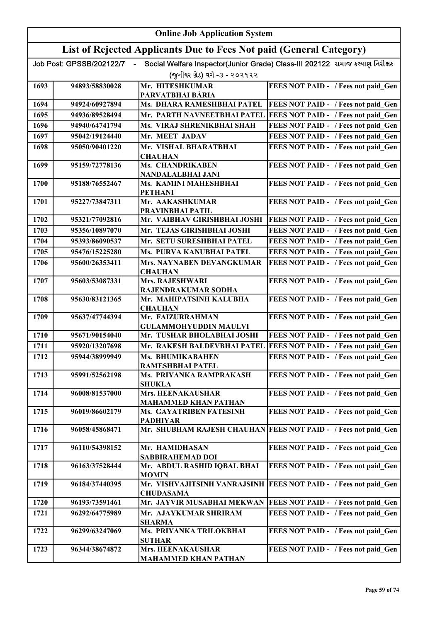|      | <b>Online Job Application System</b> |                                                                     |                                                                              |  |
|------|--------------------------------------|---------------------------------------------------------------------|------------------------------------------------------------------------------|--|
|      |                                      | List of Rejected Applicants Due to Fees Not paid (General Category) |                                                                              |  |
|      | Job Post: GPSSB/202122/7             |                                                                     | Social Welfare Inspector(Junior Grade) Class-III 202122 સમાજ કલ્યાણ નિરીક્ષક |  |
|      |                                      | (જુનીયર ગ્રેડ) વર્ગ -૩ - ૨૦૨૧૨૨                                     |                                                                              |  |
| 1693 | 94893/58830028                       | Mr. HITESHKUMAR                                                     | FEES NOT PAID - / Fees not paid Gen                                          |  |
|      |                                      | PARVATBHAI BÀRIA                                                    |                                                                              |  |
| 1694 | 94924/60927894                       | Ms. DHARA RAMESHBHAI PATEL                                          | FEES NOT PAID - / Fees not paid Gen                                          |  |
| 1695 | 94936/89528494                       | Mr. PARTH NAVNEETBHAI PATEL                                         | FEES NOT PAID - / Fees not paid Gen                                          |  |
| 1696 | 94940/64741794                       | Ms. VIRAJ SHRENIKBHAI SHAH                                          | FEES NOT PAID - / Fees not paid_Gen                                          |  |
| 1697 | 95042/19124440                       | Mr. MEET JADAV                                                      | FEES NOT PAID - / Fees not paid Gen                                          |  |
| 1698 | 95050/90401220                       | Mr. VISHAL BHARATBHAI                                               | FEES NOT PAID - / Fees not paid Gen                                          |  |
| 1699 | 95159/72778136                       | <b>CHAUHAN</b><br>Ms. CHANDRIKABEN                                  |                                                                              |  |
|      |                                      | NANDALALBHAI JANI                                                   | FEES NOT PAID - / Fees not paid_Gen                                          |  |
| 1700 | 95188/76552467                       | Ms. KAMINI MAHESHBHAI                                               | FEES NOT PAID - / Fees not paid Gen                                          |  |
|      |                                      | <b>PETHANI</b>                                                      |                                                                              |  |
| 1701 | 95227/73847311                       | Mr. AAKASHKUMAR                                                     | FEES NOT PAID - / Fees not paid Gen                                          |  |
| 1702 | 95321/77092816                       | PRAVINBHAI PATIL<br>Mr. VAIBHAV GIRISHBHAI JOSHI                    |                                                                              |  |
| 1703 |                                      | Mr. TEJAS GIRISHBHAI JOSHI                                          | FEES NOT PAID - / Fees not paid Gen                                          |  |
|      | 95356/10897070                       |                                                                     | FEES NOT PAID - / Fees not paid Gen                                          |  |
| 1704 | 95393/86090537                       | Mr. SETU SURESHBHAI PATEL                                           | FEES NOT PAID - / Fees not paid Gen                                          |  |
| 1705 | 95476/15225280                       | Ms. PURVA KANUBHAI PATEL                                            | FEES NOT PAID - / Fees not paid Gen                                          |  |
| 1706 | 95600/26353411                       | Mrs. NAYNABEN DEVANGKUMAR<br><b>CHAUHAN</b>                         | FEES NOT PAID - / Fees not paid Gen                                          |  |
| 1707 | 95603/53087331                       | <b>Mrs. RAJESHWARI</b>                                              | FEES NOT PAID - / Fees not paid Gen                                          |  |
|      |                                      | RAJENDRAKUMAR SODHA                                                 |                                                                              |  |
| 1708 | 95630/83121365                       | Mr. MAHIPATSINH KALUBHA<br><b>CHAUHAN</b>                           | FEES NOT PAID - / Fees not paid Gen                                          |  |
| 1709 | 95637/47744394                       | Mr. FAIZURRAHMAN                                                    | FEES NOT PAID - / Fees not paid Gen                                          |  |
|      |                                      | <b>GULAMMOHYUDDIN MAULVI</b>                                        |                                                                              |  |
| 1710 | 95671/90154040                       | Mr. TUSHAR BHOLABHAI JOSHI                                          | FEES NOT PAID - / Fees not paid Gen                                          |  |
| 1711 | 95920/13207698                       | Mr. RAKESH BALDEVBHAI PATEL                                         | FEES NOT PAID - / Fees not paid_Gen                                          |  |
| 1712 | 95944/38999949                       | Ms. BHUMIKABAHEN                                                    | FEES NOT PAID - / Fees not paid_Gen                                          |  |
|      |                                      | RAMESHBHAI PATEL                                                    |                                                                              |  |
| 1713 | 95991/52562198                       | Ms. PRIYANKA RAMPRAKASH                                             | FEES NOT PAID - / Fees not paid Gen                                          |  |
| 1714 | 96008/81537000                       | <b>SHUKLA</b><br>Mrs. HEENAKAUSHAR                                  | FEES NOT PAID - / Fees not paid Gen                                          |  |
|      |                                      | <b>MAHAMMED KHAN PATHAN</b>                                         |                                                                              |  |
| 1715 | 96019/86602179                       | Ms. GAYATRIBEN FATESINH                                             | FEES NOT PAID - / Fees not paid Gen                                          |  |
|      |                                      | <b>PADHIYAR</b>                                                     |                                                                              |  |
| 1716 | 96058/45868471                       |                                                                     | Mr. SHUBHAM RAJESH CHAUHAN FEES NOT PAID - / Fees not paid Gen               |  |
| 1717 | 96110/54398152                       | Mr. HAMIDHASAN                                                      | FEES NOT PAID - / Fees not paid Gen                                          |  |
|      |                                      | <b>SABBIRAHEMAD DOI</b>                                             |                                                                              |  |
| 1718 | 96163/37528444                       | Mr. ABDUL RASHID IQBAL BHAI                                         | FEES NOT PAID - / Fees not paid Gen                                          |  |
|      |                                      | <b>MOMIN</b>                                                        |                                                                              |  |
| 1719 | 96184/37440395                       | <b>CHUDASAMA</b>                                                    | Mr. VISHVAJITSINH VANRAJSINH   FEES NOT PAID - / Fees not paid Gen           |  |
| 1720 | 96193/73591461                       |                                                                     | Mr. JAYVIR MUSABHAI MEKWAN   FEES NOT PAID - / Fees not paid Gen             |  |
| 1721 | 96292/64775989                       | Mr. AJAYKUMAR SHRIRAM                                               | FEES NOT PAID - / Fees not paid Gen                                          |  |
|      |                                      | <b>SHARMA</b>                                                       |                                                                              |  |
| 1722 | 96299/63247069                       | Ms. PRIYANKA TRILOKBHAI                                             | FEES NOT PAID - / Fees not paid Gen                                          |  |
| 1723 | 96344/38674872                       | <b>SUTHAR</b><br><b>Mrs. HEENAKAUSHAR</b>                           | FEES NOT PAID - / Fees not paid Gen                                          |  |
|      |                                      | <b>MAHAMMED KHAN PATHAN</b>                                         |                                                                              |  |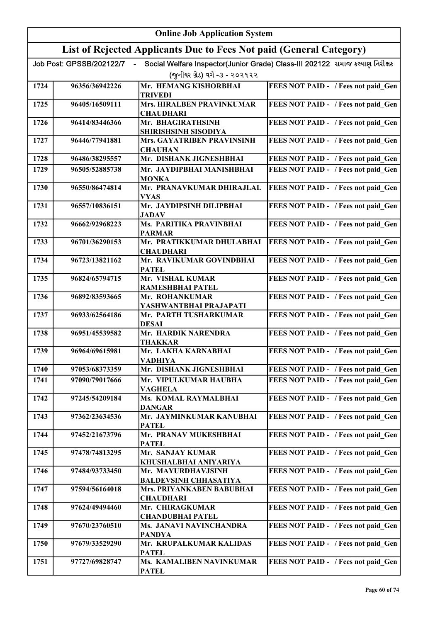|      | <b>Online Job Application System</b> |                                                                     |                                                                              |  |
|------|--------------------------------------|---------------------------------------------------------------------|------------------------------------------------------------------------------|--|
|      |                                      | List of Rejected Applicants Due to Fees Not paid (General Category) |                                                                              |  |
|      | Job Post: GPSSB/202122/7             |                                                                     | Social Welfare Inspector(Junior Grade) Class-III 202122 સમાજ કલ્યાણ નિરીક્ષક |  |
|      |                                      | (જુનીયર ગ્રેડ) વર્ગ -૩ - ૨૦૨૧૨૨                                     |                                                                              |  |
| 1724 | 96356/36942226                       | Mr. HEMANG KISHORBHAI                                               | FEES NOT PAID - / Fees not paid Gen                                          |  |
| 1725 | 96405/16509111                       | <b>TRIVEDI</b><br><b>Mrs. HIRALBEN PRAVINKUMAR</b>                  | FEES NOT PAID - / Fees not paid Gen                                          |  |
|      |                                      | <b>CHAUDHARI</b>                                                    |                                                                              |  |
| 1726 | 96414/83446366                       | Mr. BHAGIRATHSINH                                                   | FEES NOT PAID - / Fees not paid Gen                                          |  |
| 1727 | 96446/77941881                       | SHIRISHSINH SISODIYA<br>Mrs. GAYATRIBEN PRAVINSINH                  | FEES NOT PAID - / Fees not paid Gen                                          |  |
|      |                                      | <b>CHAUHAN</b>                                                      |                                                                              |  |
| 1728 | 96486/38295557                       | Mr. DISHANK JIGNESHBHAI                                             | FEES NOT PAID - / Fees not paid Gen                                          |  |
| 1729 | 96505/52885738                       | Mr. JAYDIPBHAI MANISHBHAI<br><b>MONKA</b>                           | FEES NOT PAID - / Fees not paid Gen                                          |  |
| 1730 | 96550/86474814                       | Mr. PRANAVKUMAR DHIRAJLAL                                           | FEES NOT PAID - / Fees not paid Gen                                          |  |
|      |                                      | <b>VYAS</b><br>Mr. JAYDIPSINH DILIPBHAI                             |                                                                              |  |
| 1731 | 96557/10836151                       | <b>JADAV</b>                                                        | FEES NOT PAID - / Fees not paid Gen                                          |  |
| 1732 | 96662/92968223                       | Ms. PARITIKA PRAVINBHAI                                             | FEES NOT PAID - / Fees not paid Gen                                          |  |
| 1733 | 96701/36290153                       | <b>PARMAR</b><br>Mr. PRATIKKUMAR DHULABHAI                          | FEES NOT PAID - / Fees not paid Gen                                          |  |
|      |                                      | <b>CHAUDHARI</b>                                                    |                                                                              |  |
| 1734 | 96723/13821162                       | Mr. RAVIKUMAR GOVINDBHAI<br><b>PATEL</b>                            | FEES NOT PAID - / Fees not paid Gen                                          |  |
| 1735 | 96824/65794715                       | Mr. VISHAL KUMAR                                                    | FEES NOT PAID - / Fees not paid_Gen                                          |  |
|      |                                      | RAMESHBHAI PATEL                                                    |                                                                              |  |
| 1736 | 96892/83593665                       | Mr. ROHANKUMAR<br>YASHWANTBHAI PRAJAPATI                            | FEES NOT PAID - / Fees not paid_Gen                                          |  |
| 1737 | 96933/62564186                       | Mr. PARTH TUSHARKUMAR<br><b>DESAI</b>                               | FEES NOT PAID - / Fees not paid_Gen                                          |  |
| 1738 | 96951/45539582                       | Mr. HARDIK NARENDRA<br><b>THAKKAR</b>                               | FEES NOT PAID - / Fees not paid Gen                                          |  |
| 1739 | 96964/69615981                       | Mr. LAKHA KARNABHAI<br><b>VADHIYA</b>                               | FEES NOT PAID - / Fees not paid Gen                                          |  |
| 1740 | 97053/68373359                       | Mr. DISHANK JIGNESHBHAI                                             | FEES NOT PAID - / Fees not paid Gen                                          |  |
| 1741 | 97090/79017666                       | Mr. VIPULKUMAR HAUBHA<br><b>VAGHELA</b>                             | FEES NOT PAID - / Fees not paid Gen                                          |  |
| 1742 | 97245/54209184                       | Ms. KOMAL RAYMALBHAI<br><b>DANGAR</b>                               | FEES NOT PAID - / Fees not paid Gen                                          |  |
| 1743 | 97362/23634536                       | Mr. JAYMINKUMAR KANUBHAI<br><b>PATEL</b>                            | FEES NOT PAID - / Fees not paid Gen                                          |  |
| 1744 | 97452/21673796                       | Mr. PRANAV MUKESHBHAI<br><b>PATEL</b>                               | FEES NOT PAID - / Fees not paid Gen                                          |  |
| 1745 | 97478/74813295                       | Mr. SANJAY KUMAR                                                    | FEES NOT PAID - / Fees not paid Gen                                          |  |
| 1746 | 97484/93733450                       | KHUSHALBHAI ANIYARIYA<br>Mr. MAYURDHAVJSINH                         | FEES NOT PAID - / Fees not paid Gen                                          |  |
| 1747 | 97594/56164018                       | <b>BALDEVSINH CHHASATIYA</b><br>Mrs. PRIYANKABEN BABUBHAI           | FEES NOT PAID - / Fees not paid Gen                                          |  |
| 1748 | 97624/49494460                       | <b>CHAUDHARI</b><br>Mr. CHIRAGKUMAR                                 | FEES NOT PAID - / Fees not paid Gen                                          |  |
|      |                                      | <b>CHANDUBHAI PATEL</b>                                             |                                                                              |  |
| 1749 | 97670/23760510                       | Ms. JANAVI NAVINCHANDRA<br><b>PANDYA</b>                            | FEES NOT PAID - / Fees not paid Gen                                          |  |
| 1750 | 97679/33529290                       | Mr. KRUPALKUMAR KALIDAS<br><b>PATEL</b>                             | FEES NOT PAID - / Fees not paid Gen                                          |  |
| 1751 | 97727/69828747                       | Ms. KAMALIBEN NAVINKUMAR<br><b>PATEL</b>                            | FEES NOT PAID - / Fees not paid Gen                                          |  |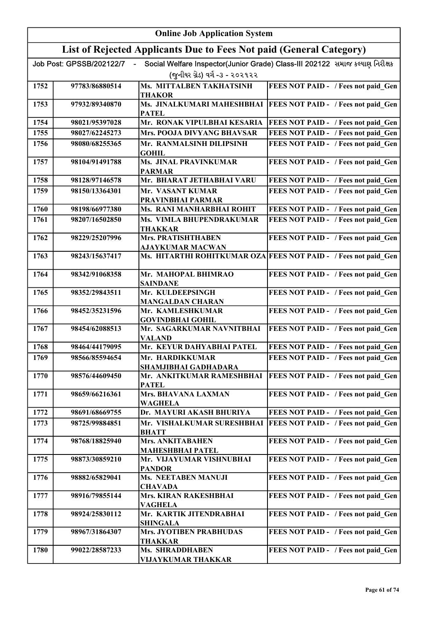| <b>Online Job Application System</b> |                                                                     |                                             |                                                                              |  |
|--------------------------------------|---------------------------------------------------------------------|---------------------------------------------|------------------------------------------------------------------------------|--|
|                                      | List of Rejected Applicants Due to Fees Not paid (General Category) |                                             |                                                                              |  |
|                                      | Job Post: GPSSB/202122/7                                            |                                             | Social Welfare Inspector(Junior Grade) Class-III 202122 સમાજ કલ્યાણ નિરીક્ષક |  |
|                                      |                                                                     | (જુનીયર ગ્રેડ) વર્ગ -૩ - ૨૦૨૧૨૨             |                                                                              |  |
| 1752                                 | 97783/86880514                                                      | <b>Ms. MITTALBEN TAKHATSINH</b>             | FEES NOT PAID - / Fees not paid Gen                                          |  |
|                                      |                                                                     | <b>THAKOR</b>                               |                                                                              |  |
| 1753                                 | 97932/89340870                                                      | Ms. JINALKUMARI MAHESHBHAI                  | <b>FEES NOT PAID - / Fees not paid Gen</b>                                   |  |
| 1754                                 | 98021/95397028                                                      | <b>PATEL</b><br>Mr. RONAK VIPULBHAI KESARIA | FEES NOT PAID - / Fees not paid_Gen                                          |  |
| 1755                                 | 98027/62245273                                                      | Mrs. POOJA DIVYANG BHAVSAR                  | FEES NOT PAID - / Fees not paid Gen                                          |  |
| 1756                                 | 98080/68255365                                                      | Mr. RANMALSINH DILIPSINH                    | FEES NOT PAID - / Fees not paid Gen                                          |  |
|                                      |                                                                     | <b>GOHIL</b>                                |                                                                              |  |
| 1757                                 | 98104/91491788                                                      | Ms. JINAL PRAVINKUMAR                       | FEES NOT PAID - / Fees not paid Gen                                          |  |
| 1758                                 | 98128/97146578                                                      | <b>PARMAR</b><br>Mr. BHARAT JETHABHAI VARU  | FEES NOT PAID - / Fees not paid Gen                                          |  |
| 1759                                 | 98150/13364301                                                      | Mr. VASANT KUMAR                            | FEES NOT PAID - / Fees not paid Gen                                          |  |
|                                      |                                                                     | PRAVINBHAI PARMAR                           |                                                                              |  |
| 1760                                 | 98198/66977380                                                      | Ms. RANI MANHARBHAI ROHIT                   | FEES NOT PAID - / Fees not paid Gen                                          |  |
| 1761                                 | 98207/16502850                                                      | Ms. VIMLA BHUPENDRAKUMAR                    | FEES NOT PAID - / Fees not paid Gen                                          |  |
|                                      |                                                                     | <b>THAKKAR</b>                              |                                                                              |  |
| 1762                                 | 98229/25207996                                                      | Mrs. PRATISHTHABEN                          | FEES NOT PAID - / Fees not paid Gen                                          |  |
| 1763                                 | 98243/15637417                                                      | <b>AJAYKUMAR MACWAN</b>                     | Ms. HITARTHI ROHITKUMAR OZA FEES NOT PAID - / Fees not paid Gen              |  |
|                                      |                                                                     |                                             |                                                                              |  |
| 1764                                 | 98342/91068358                                                      | Mr. MAHOPAL BHIMRAO                         | FEES NOT PAID - / Fees not paid Gen                                          |  |
| 1765                                 |                                                                     | <b>SAINDANE</b>                             |                                                                              |  |
|                                      | 98352/29843511                                                      | Mr. KULDEEPSINGH<br><b>MANGALDAN CHARAN</b> | FEES NOT PAID - / Fees not paid Gen                                          |  |
| 1766                                 | 98452/35231596                                                      | Mr. KAMLESHKUMAR                            | FEES NOT PAID - / Fees not paid Gen                                          |  |
|                                      |                                                                     | <b>GOVINDBHAI GOHIL</b>                     |                                                                              |  |
| 1767                                 | 98454/62088513                                                      | Mr. SAGARKUMAR NAVNITBHAI<br><b>VALAND</b>  | FEES NOT PAID - / Fees not paid Gen                                          |  |
| 1768                                 | 98464/44179095                                                      | Mr. KEYUR DAHYABHAI PATEL                   | FEES NOT PAID - / Fees not paid_Gen                                          |  |
| 1769                                 | 98566/85594654                                                      | Mr. HARDIKKUMAR                             | FEES NOT PAID - / Fees not paid Gen                                          |  |
|                                      |                                                                     | SHAMJIBHAI GADHADARA                        |                                                                              |  |
| 1770                                 | 98576/44609450                                                      | Mr. ANKITKUMAR RAMESHBHAI<br><b>PATEL</b>   | FEES NOT PAID - / Fees not paid Gen                                          |  |
| 1771                                 | 98659/66216361                                                      | Mrs. BHAVANA LAXMAN                         | FEES NOT PAID - / Fees not paid Gen                                          |  |
|                                      |                                                                     | WAGHELA                                     |                                                                              |  |
| 1772                                 | 98691/68669755                                                      | Dr. MAYURI AKASH BHURIYA                    | FEES NOT PAID - / Fees not paid Gen                                          |  |
| 1773                                 | 98725/99884851                                                      | Mr. VISHALKUMAR SURESHBHAI<br><b>BHATT</b>  | FEES NOT PAID - / Fees not paid Gen                                          |  |
| 1774                                 | 98768/18825940                                                      | <b>Mrs. ANKITABAHEN</b>                     | FEES NOT PAID - / Fees not paid Gen                                          |  |
|                                      |                                                                     | MAHESHBHAI PATEL                            |                                                                              |  |
| 1775                                 | 98873/30859210                                                      | Mr. VIJAYUMAR VISHNUBHAI<br><b>PANDOR</b>   | FEES NOT PAID - / Fees not paid_Gen                                          |  |
| 1776                                 | 98882/65829041                                                      | Ms. NEETABEN MANUJI                         | FEES NOT PAID - / Fees not paid_Gen                                          |  |
|                                      |                                                                     | <b>CHAVADA</b>                              |                                                                              |  |
| 1777                                 | 98916/79855144                                                      | Mrs. KIRAN RAKESHBHAI<br>VAGHELA            | FEES NOT PAID - / Fees not paid Gen                                          |  |
| 1778                                 | 98924/25830112                                                      | Mr. KARTIK JITENDRABHAI                     | FEES NOT PAID - / Fees not paid Gen                                          |  |
|                                      |                                                                     | <b>SHINGALA</b>                             |                                                                              |  |
| 1779                                 | 98967/31864307                                                      | <b>Mrs. JYOTIBEN PRABHUDAS</b><br>THAKKAR   | FEES NOT PAID - / Fees not paid Gen                                          |  |
| 1780                                 | 99022/28587233                                                      | Ms. SHRADDHABEN                             | FEES NOT PAID - / Fees not paid_Gen                                          |  |
|                                      |                                                                     | VIJAYKUMAR THAKKAR                          |                                                                              |  |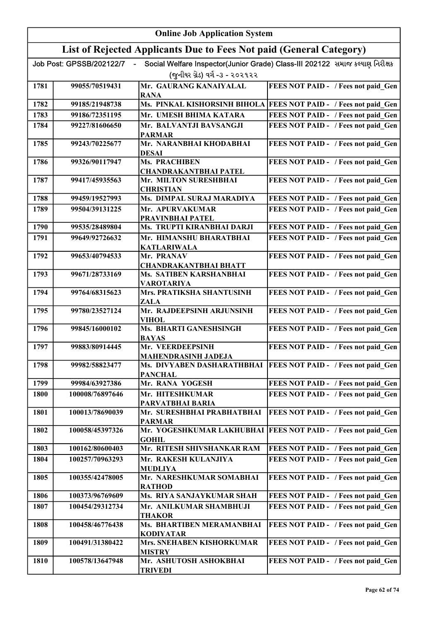|      | <b>Online Job Application System</b> |                                                                     |                                                                              |  |
|------|--------------------------------------|---------------------------------------------------------------------|------------------------------------------------------------------------------|--|
|      |                                      | List of Rejected Applicants Due to Fees Not paid (General Category) |                                                                              |  |
|      | Job Post: GPSSB/202122/7             |                                                                     | Social Welfare Inspector(Junior Grade) Class-III 202122 સમાજ કલ્યાણ નિરીક્ષક |  |
|      |                                      | (જુનીયર ગ્રેડ) વર્ગ -૩ - ૨૦૨૧૨૨                                     |                                                                              |  |
| 1781 | 99055/70519431                       | Mr. GAURANG KANAIYALAL<br><b>RANA</b>                               | FEES NOT PAID - / Fees not paid Gen                                          |  |
| 1782 | 99185/21948738                       |                                                                     | Ms. PINKAL KISHORSINH BIHOLA FEES NOT PAID - / Fees not paid Gen             |  |
| 1783 | 99186/72351195                       | Mr. UMESH BHIMA KATARA                                              | FEES NOT PAID - / Fees not paid Gen                                          |  |
| 1784 | 99227/81606650                       | Mr. BALVANTJI BAVSANGJI<br><b>PARMAR</b>                            | FEES NOT PAID - / Fees not paid Gen                                          |  |
| 1785 | 99243/70225677                       | Mr. NARANBHAI KHODABHAI<br><b>DESAI</b>                             | FEES NOT PAID - / Fees not paid Gen                                          |  |
| 1786 | 99326/90117947                       | <b>Ms. PRACHIBEN</b><br><b>CHANDRAKANTBHAI PATEL</b>                | FEES NOT PAID - / Fees not paid Gen                                          |  |
| 1787 | 99417/45935563                       | Mr. MILTON SURESHBHAI<br><b>CHRISTIAN</b>                           | FEES NOT PAID - / Fees not paid Gen                                          |  |
| 1788 | 99459/19527993                       | Ms. DIMPAL SURAJ MARADIYA                                           | FEES NOT PAID - / Fees not paid Gen                                          |  |
| 1789 | 99504/39131225                       | Mr. APURVAKUMAR<br>PRAVINBHAI PATEL                                 | FEES NOT PAID - / Fees not paid Gen                                          |  |
| 1790 | 99535/28489804                       | Ms. TRUPTI KIRANBHAI DARJI                                          | FEES NOT PAID - / Fees not paid Gen                                          |  |
| 1791 | 99649/92726632                       | Mr. HIMANSHU BHARATBHAI<br><b>KATLARIWALA</b>                       | FEES NOT PAID - / Fees not paid Gen                                          |  |
| 1792 | 99653/40794533                       | Mr. PRANAV<br><b>CHANDRAKANTBHAI BHATT</b>                          | FEES NOT PAID - / Fees not paid Gen                                          |  |
| 1793 | 99671/28733169                       | Ms. SATIBEN KARSHANBHAI<br><b>VAROTARIYA</b>                        | FEES NOT PAID - / Fees not paid Gen                                          |  |
| 1794 | 99764/68315623                       | Mrs. PRATIKSHA SHANTUSINH<br>ZALA                                   | FEES NOT PAID - / Fees not paid Gen                                          |  |
| 1795 | 99780/23527124                       | Mr. RAJDEEPSINH ARJUNSINH<br><b>VIHOL</b>                           | FEES NOT PAID - / Fees not paid Gen                                          |  |
| 1796 | 99845/16000102                       | Ms. BHARTI GANESHSINGH<br><b>BAYAS</b>                              | FEES NOT PAID - / Fees not paid Gen                                          |  |
| 1797 | 99883/80914445                       | Mr. VEERDEEPSINH<br><b>MAHENDRASINH JADEJA</b>                      | FEES NOT PAID - / Fees not paid_Gen                                          |  |
| 1798 | 99982/58823477                       | <b>PANCHAL</b>                                                      | Ms. DIVYABEN DASHARATHBHAI   FEES NOT PAID - / Fees not paid Gen             |  |
| 1799 | 99984/63927386                       | Mr. RANA YOGESH                                                     | FEES NOT PAID - / Fees not paid Gen                                          |  |
| 1800 | 100008/76897646                      | Mr. HITESHKUMAR<br>PARVATBHAI BARIA                                 | FEES NOT PAID - / Fees not paid Gen                                          |  |
| 1801 | 100013/78690039                      | Mr. SURESHBHAI PRABHATBHAI<br><b>PARMAR</b>                         | FEES NOT PAID - / Fees not paid Gen                                          |  |
| 1802 | 100058/45397326                      | Mr. YOGESHKUMAR LAKHUBHAI<br><b>GOHIL</b>                           | <b>FEES NOT PAID - / Fees not paid Gen</b>                                   |  |
| 1803 | 100162/80600403                      | Mr. RITESH SHIVSHANKAR RAM                                          | FEES NOT PAID - / Fees not paid Gen                                          |  |
| 1804 | 100257/70963293                      | Mr. RAKESH KULANJIYA<br><b>MUDLIYA</b>                              | FEES NOT PAID - / Fees not paid Gen                                          |  |
| 1805 | 100355/42478005                      | Mr. NARESHKUMAR SOMABHAI<br><b>RATHOD</b>                           | FEES NOT PAID - / Fees not paid Gen                                          |  |
| 1806 | 100373/96769609                      | Ms. RIYA SANJAYKUMAR SHAH                                           | FEES NOT PAID - / Fees not paid Gen                                          |  |
| 1807 | 100454/29312734                      | Mr. ANILKUMAR SHAMBHUJI<br><b>THAKOR</b>                            | FEES NOT PAID - / Fees not paid Gen                                          |  |
| 1808 | 100458/46776438                      | Ms. BHARTIBEN MERAMANBHAI<br><b>KODIYATAR</b>                       | FEES NOT PAID - / Fees not paid Gen                                          |  |
| 1809 | 100491/31380422                      | Mrs. SNEHABEN KISHORKUMAR<br><b>MISTRY</b>                          | FEES NOT PAID - / Fees not paid Gen                                          |  |
| 1810 | 100578/13647948                      | Mr. ASHUTOSH ASHOKBHAI<br><b>TRIVEDI</b>                            | FEES NOT PAID - / Fees not paid Gen                                          |  |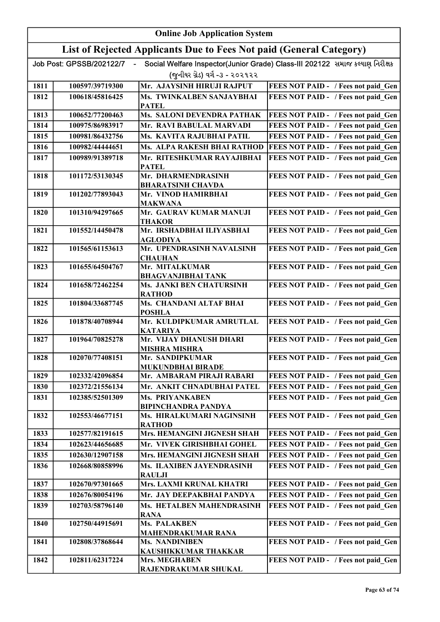|      | <b>Online Job Application System</b> |                                                                     |                                                                              |  |
|------|--------------------------------------|---------------------------------------------------------------------|------------------------------------------------------------------------------|--|
|      |                                      | List of Rejected Applicants Due to Fees Not paid (General Category) |                                                                              |  |
|      | Job Post: GPSSB/202122/7             |                                                                     | Social Welfare Inspector(Junior Grade) Class-III 202122 સમાજ કલ્યાણ નિરીક્ષક |  |
|      |                                      | (જુનીયર ગ્રેડ) વર્ગ -૩ - ૨૦૨૧૨૨                                     |                                                                              |  |
| 1811 | 100597/39719300                      | Mr. AJAYSINH HIRUJI RAJPUT                                          | FEES NOT PAID - / Fees not paid Gen                                          |  |
| 1812 | 100618/45816425                      | Ms. TWINKALBEN SANJAYBHAI                                           | FEES NOT PAID - / Fees not paid Gen                                          |  |
|      |                                      | <b>PATEL</b>                                                        |                                                                              |  |
| 1813 | 100652/77200463                      | Ms. SALONI DEVENDRA PATHAK                                          | FEES NOT PAID - / Fees not paid Gen                                          |  |
| 1814 | 100975/86983917                      | Mr. RAVI BABULAL MARVADI                                            | FEES NOT PAID - / Fees not paid Gen                                          |  |
| 1815 | 100981/86432756                      | Ms. KAVITA RAJUBHAI PATIL                                           | FEES NOT PAID - / Fees not paid Gen                                          |  |
| 1816 | 100982/44444651                      | Ms. ALPA RAKESH BHAI RATHOD                                         | FEES NOT PAID - / Fees not paid Gen                                          |  |
| 1817 | 100989/91389718                      | Mr. RITESHKUMAR RAYAJIBHAI<br><b>PATEL</b>                          | FEES NOT PAID - / Fees not paid Gen                                          |  |
| 1818 | 101172/53130345                      | Mr. DHARMENDRASINH                                                  | FEES NOT PAID - / Fees not paid Gen                                          |  |
|      |                                      | <b>BHARATSINH CHAVDA</b>                                            |                                                                              |  |
| 1819 | 101202/77893043                      | Mr. VINOD HAMIRBHAI<br><b>MAKWANA</b>                               | FEES NOT PAID - / Fees not paid Gen                                          |  |
| 1820 | 101310/94297665                      | Mr. GAURAV KUMAR MANUJI<br><b>THAKOR</b>                            | FEES NOT PAID - / Fees not paid Gen                                          |  |
| 1821 | 101552/14450478                      | Mr. IRSHADBHAI ILIYASBHAI<br><b>AGLODIYA</b>                        | FEES NOT PAID - / Fees not paid Gen                                          |  |
| 1822 | 101565/61153613                      | Mr. UPENDRASINH NAVALSINH<br><b>CHAUHAN</b>                         | FEES NOT PAID - / Fees not paid Gen                                          |  |
| 1823 | 101655/64504767                      | Mr. MITALKUMAR<br><b>BHAGVANJIBHAI TANK</b>                         | FEES NOT PAID - / Fees not paid Gen                                          |  |
| 1824 | 101658/72462254                      | Ms. JANKI BEN CHATURSINH<br><b>RATHOD</b>                           | FEES NOT PAID - / Fees not paid_Gen                                          |  |
| 1825 | 101804/33687745                      | Ms. CHANDANI ALTAF BHAI<br><b>POSHLA</b>                            | FEES NOT PAID - / Fees not paid Gen                                          |  |
| 1826 | 101878/40708944                      | Mr. KULDIPKUMAR AMRUTLAL<br><b>KATARIYA</b>                         | FEES NOT PAID - / Fees not paid Gen                                          |  |
| 1827 | 101964/70825278                      | Mr. VIJAY DHANUSH DHARI<br><b>MISHRA MISHRA</b>                     | FEES NOT PAID - / Fees not paid Gen                                          |  |
| 1828 | 102070/77408151                      | Mr. SANDIPKUMAR<br><b>MUKUNDBHAI BIRADE</b>                         | FEES NOT PAID - / Fees not paid Gen                                          |  |
| 1829 | 102332/42096854                      | Mr. AMBARAM PIRAJI RABARI                                           | FEES NOT PAID - / Fees not paid Gen                                          |  |
| 1830 | 102372/21556134                      | Mr. ANKIT CHNADUBHAI PATEL                                          | FEES NOT PAID - / Fees not paid Gen                                          |  |
| 1831 | 102385/52501309                      | Ms. PRIYANKABEN<br><b>BIPINCHANDRA PANDYA</b>                       | FEES NOT PAID - / Fees not paid Gen                                          |  |
| 1832 | 102553/46677151                      | Ms. HIRALKUMARI NAGINSINH<br><b>RATHOD</b>                          | FEES NOT PAID - / Fees not paid Gen                                          |  |
| 1833 | 102577/82191615                      | Mrs. HEMANGINI JIGNESH SHAH                                         | FEES NOT PAID - / Fees not paid Gen                                          |  |
| 1834 | 102623/44656685                      | Mr. VIVEK GIRISHBHAI GOHEL                                          | FEES NOT PAID - / Fees not paid Gen                                          |  |
| 1835 | 102630/12907158                      | Mrs. HEMANGINI JIGNESH SHAH                                         | FEES NOT PAID - / Fees not paid Gen                                          |  |
| 1836 | 102668/80858996                      | Ms. ILAXIBEN JAYENDRASINH<br><b>RAULJI</b>                          | FEES NOT PAID - / Fees not paid Gen                                          |  |
| 1837 | 102670/97301665                      | Mrs. LAXMI KRUNAL KHATRI                                            | FEES NOT PAID - / Fees not paid Gen                                          |  |
| 1838 | 102676/80054196                      | Mr. JAY DEEPAKBHAI PANDYA                                           | FEES NOT PAID - / Fees not paid Gen                                          |  |
| 1839 | 102703/58796140                      | Ms. HETALBEN MAHENDRASINH                                           | FEES NOT PAID - / Fees not paid Gen                                          |  |
| 1840 | 102750/44915691                      | <b>RANA</b><br>Ms. PALAKBEN                                         | FEES NOT PAID - / Fees not paid Gen                                          |  |
|      |                                      | <b>MAHENDRAKUMAR RANA</b><br><b>Ms. NANDINIBEN</b>                  |                                                                              |  |
| 1841 | 102808/37868644                      | KAUSHIKKUMAR THAKKAR                                                | FEES NOT PAID - / Fees not paid Gen                                          |  |
| 1842 | 102811/62317224                      | Mrs. MEGHABEN                                                       | FEES NOT PAID - / Fees not paid Gen                                          |  |
|      |                                      | RAJENDRAKUMAR SHUKAL                                                |                                                                              |  |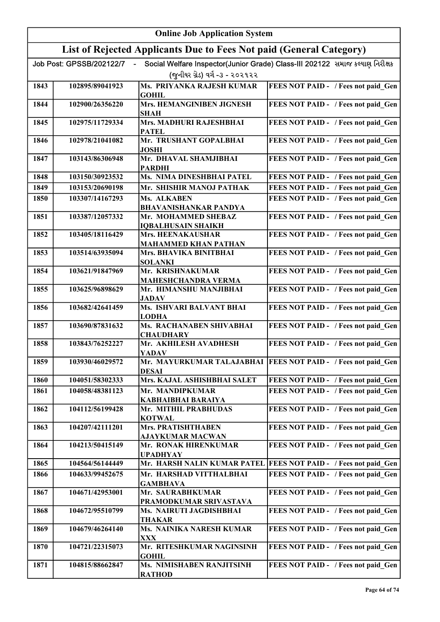|      | <b>Online Job Application System</b> |                                                                     |                                                                              |  |
|------|--------------------------------------|---------------------------------------------------------------------|------------------------------------------------------------------------------|--|
|      |                                      | List of Rejected Applicants Due to Fees Not paid (General Category) |                                                                              |  |
|      | Job Post: GPSSB/202122/7             |                                                                     | Social Welfare Inspector(Junior Grade) Class-III 202122 સમાજ કલ્યાણ નિરીક્ષક |  |
|      |                                      | (જુનીયર ગ્રેડ) વર્ગ -૩ - ૨૦૨૧૨૨                                     |                                                                              |  |
| 1843 | 102895/89041923                      | Ms. PRIYANKA RAJESH KUMAR<br><b>GOHIL</b>                           | FEES NOT PAID - / Fees not paid Gen                                          |  |
| 1844 | 102900/26356220                      | Mrs. HEMANGINIBEN JIGNESH<br><b>SHAH</b>                            | FEES NOT PAID - / Fees not paid Gen                                          |  |
| 1845 | 102975/11729334                      | Mrs. MADHURI RAJESHBHAI<br><b>PATEL</b>                             | FEES NOT PAID - / Fees not paid Gen                                          |  |
| 1846 | 102978/21041082                      | Mr. TRUSHANT GOPALBHAI<br><b>JOSHI</b>                              | FEES NOT PAID - / Fees not paid Gen                                          |  |
| 1847 | 103143/86306948                      | Mr. DHAVAL SHAMJIBHAI<br><b>PARDHI</b>                              | FEES NOT PAID - / Fees not paid Gen                                          |  |
| 1848 | 103150/30923532                      | Ms. NIMA DINESHBHAI PATEL                                           | FEES NOT PAID - / Fees not paid Gen                                          |  |
| 1849 | 103153/20690198                      | Mr. SHISHIR MANOJ PATHAK                                            | FEES NOT PAID - / Fees not paid Gen                                          |  |
| 1850 | 103307/14167293                      | Ms. ALKABEN<br><b>BHAVANISHANKAR PANDYA</b>                         | FEES NOT PAID - / Fees not paid Gen                                          |  |
| 1851 | 103387/12057332                      | Mr. MOHAMMED SHEBAZ<br><b>IQBALHUSAIN SHAIKH</b>                    | FEES NOT PAID - / Fees not paid_Gen                                          |  |
| 1852 | 103405/18116429                      | Mrs. HEENAKAUSHAR<br><b>MAHAMMED KHAN PATHAN</b>                    | FEES NOT PAID - / Fees not paid_Gen                                          |  |
| 1853 | 103514/63935094                      | Mrs. BHAVIKA BINITBHAI<br><b>SOLANKI</b>                            | FEES NOT PAID - / Fees not paid_Gen                                          |  |
| 1854 | 103621/91847969                      | Mr. KRISHNAKUMAR<br><b>MAHESHCHANDRA VERMA</b>                      | FEES NOT PAID - / Fees not paid Gen                                          |  |
| 1855 | 103625/96898629                      | Mr. HIMANSHU MANJIBHAI<br><b>JADAV</b>                              | FEES NOT PAID - / Fees not paid Gen                                          |  |
| 1856 | 103682/42641459                      | Ms. ISHVARI BALVANT BHAI<br><b>LODHA</b>                            | FEES NOT PAID - / Fees not paid Gen                                          |  |
| 1857 | 103690/87831632                      | Ms. RACHANABEN SHIVABHAI<br><b>CHAUDHARY</b>                        | FEES NOT PAID - / Fees not paid Gen                                          |  |
| 1858 | 103843/76252227                      | Mr. AKHILESH AVADHESH<br><b>YADAV</b>                               | FEES NOT PAID - / Fees not paid Gen                                          |  |
| 1859 | 103930/46029572                      | <b>DESAI</b>                                                        | Mr. MAYURKUMAR TALAJABHAI   FEES NOT PAID - / Fees not paid Gen              |  |
| 1860 | 104051/58302333                      | Mrs. KAJAL ASHISHBHAI SALET                                         | FEES NOT PAID - / Fees not paid Gen                                          |  |
| 1861 | 104058/48381123                      | Mr. MANDIPKUMAR<br><b>KABHAIBHAI BARAIYA</b>                        | FEES NOT PAID - / Fees not paid Gen                                          |  |
| 1862 | 104112/56199428                      | Mr. MITHIL PRABHUDAS<br><b>KOTWAL</b>                               | FEES NOT PAID - / Fees not paid Gen                                          |  |
| 1863 | 104207/42111201                      | <b>Mrs. PRATISHTHABEN</b><br><b>AJAYKUMAR MACWAN</b>                | FEES NOT PAID - / Fees not paid Gen                                          |  |
| 1864 | 104213/50415149                      | Mr. RONAK HIRENKUMAR<br><b>UPADHYAY</b>                             | FEES NOT PAID - / Fees not paid Gen                                          |  |
| 1865 | 104564/56144449                      | Mr. HARSH NALIN KUMAR PATEL                                         | FEES NOT PAID - / Fees not paid Gen                                          |  |
| 1866 | 104633/99452675                      | Mr. HARSHAD VITTHALBHAI<br><b>GAMBHAVA</b>                          | FEES NOT PAID - / Fees not paid Gen                                          |  |
| 1867 | 104671/42953001                      | Mr. SAURABHKUMAR<br>PRAMODKUMAR SRIVASTAVA                          | FEES NOT PAID - / Fees not paid Gen                                          |  |
| 1868 | 104672/95510799                      | Ms. NAIRUTI JAGDISHBHAI<br><b>THAKAR</b>                            | FEES NOT PAID - / Fees not paid Gen                                          |  |
| 1869 | 104679/46264140                      | Ms. NAINIKA NARESH KUMAR<br><b>XXX</b>                              | FEES NOT PAID - / Fees not paid Gen                                          |  |
| 1870 | 104721/22315073                      | Mr. RITESHKUMAR NAGINSINH<br><b>GOHIL</b>                           | FEES NOT PAID - / Fees not paid Gen                                          |  |
| 1871 | 104815/88662847                      | <b>Ms. NIMISHABEN RANJITSINH</b><br><b>RATHOD</b>                   | FEES NOT PAID - / Fees not paid Gen                                          |  |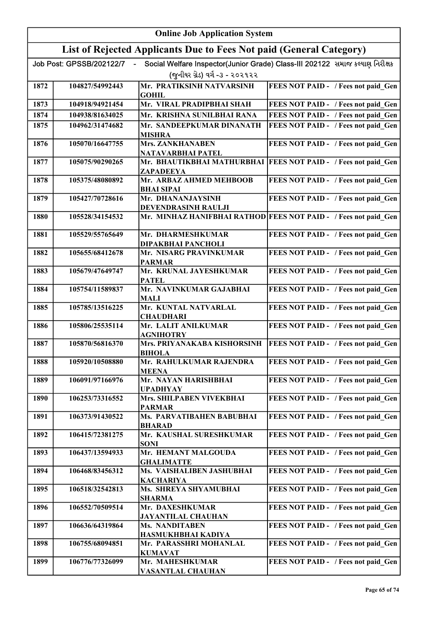| <b>Online Job Application System</b> |                          |                                                                     |                                                                              |
|--------------------------------------|--------------------------|---------------------------------------------------------------------|------------------------------------------------------------------------------|
|                                      |                          | List of Rejected Applicants Due to Fees Not paid (General Category) |                                                                              |
|                                      | Job Post: GPSSB/202122/7 | (જુનીયર ગ્રેડ) વર્ગ -૩ - ૨૦૨૧૨૨                                     | Social Welfare Inspector(Junior Grade) Class-III 202122 સમાજ કલ્યાણ નિરીક્ષક |
| 1872                                 | 104827/54992443          | Mr. PRATIKSINH NATVARSINH<br><b>GOHIL</b>                           | FEES NOT PAID - / Fees not paid Gen                                          |
| 1873                                 | 104918/94921454          | Mr. VIRAL PRADIPBHAI SHAH                                           | FEES NOT PAID - / Fees not paid Gen                                          |
| 1874                                 | 104938/81634025          | Mr. KRISHNA SUNILBHAI RANA                                          | FEES NOT PAID - / Fees not paid Gen                                          |
| 1875                                 | 104962/31474682          | Mr. SANDEEPKUMAR DINANATH<br><b>MISHRA</b>                          | FEES NOT PAID - / Fees not paid Gen                                          |
| 1876                                 | 105070/16647755          | <b>Mrs. ZANKHANABEN</b><br>NATAVARBHAI PATEL                        | FEES NOT PAID - / Fees not paid Gen                                          |
| 1877                                 | 105075/90290265          | ZAPADEEYA                                                           | Mr. BHAUTIKBHAI MATHURBHAI   FEES NOT PAID - / Fees not paid Gen             |
| 1878                                 | 105375/48080892          | Mr. ARBAZ AHMED MEHBOOB<br><b>BHAI SIPAI</b>                        | FEES NOT PAID - / Fees not paid_Gen                                          |
| 1879                                 | 105427/70728616          | Mr. DHANANJAYSINH<br>DEVENDRASINH RAULJI                            | FEES NOT PAID - / Fees not paid Gen                                          |
| 1880                                 | 105528/34154532          |                                                                     | Mr. MINHAZ HANIFBHAI RATHOD FEES NOT PAID - / Fees not paid_Gen              |
| 1881                                 | 105529/55765649          | Mr. DHARMESHKUMAR<br>DIPAKBHAI PANCHOLI                             | FEES NOT PAID - / Fees not paid Gen                                          |
| 1882                                 | 105655/68412678          | Mr. NISARG PRAVINKUMAR<br><b>PARMAR</b>                             | FEES NOT PAID - / Fees not paid Gen                                          |
| 1883                                 | 105679/47649747          | Mr. KRUNAL JAYESHKUMAR<br><b>PATEL</b>                              | FEES NOT PAID - / Fees not paid Gen                                          |
| 1884                                 | 105754/11589837          | Mr. NAVINKUMAR GAJABHAI<br>MALI                                     | FEES NOT PAID - / Fees not paid_Gen                                          |
| 1885                                 | 105785/13516225          | Mr. KUNTAL NATVARLAL<br><b>CHAUDHARI</b>                            | FEES NOT PAID - / Fees not paid Gen                                          |
| 1886                                 | 105806/25535114          | Mr. LALIT ANILKUMAR<br><b>AGNIHOTRY</b>                             | FEES NOT PAID - / Fees not paid Gen                                          |
| 1887                                 | 105870/56816370          | Mrs. PRIYANAKABA KISHORSINH<br><b>BIHOLA</b>                        | FEES NOT PAID - / Fees not paid Gen                                          |
| 1888                                 | 105920/10508880          | Mr. RAHULKUMAR RAJENDRA<br><b>MEENA</b>                             | FEES NOT PAID - / Fees not paid Gen                                          |
| 1889                                 | 106091/97166976          | Mr. NAYAN HARISHBHAI<br><b>UPADHYAY</b>                             | FEES NOT PAID - / Fees not paid Gen                                          |
| 1890                                 | 106253/73316552          | Mrs. SHILPABEN VIVEKBHAI<br><b>PARMAR</b>                           | FEES NOT PAID - / Fees not paid Gen                                          |
| 1891                                 | 106373/91430522          | Ms. PARVATIBAHEN BABUBHAI<br><b>BHARAD</b>                          | FEES NOT PAID - / Fees not paid Gen                                          |
| 1892                                 | 106415/72381275          | Mr. KAUSHAL SURESHKUMAR<br><b>SONI</b>                              | FEES NOT PAID - / Fees not paid Gen                                          |
| 1893                                 | 106437/13594933          | Mr. HEMANT MALGOUDA<br><b>GHALIMATTE</b>                            | FEES NOT PAID - / Fees not paid Gen                                          |
| 1894                                 | 106468/83456312          | Ms. VAISHALIBEN JASHUBHAI<br><b>KACHARIYA</b>                       | FEES NOT PAID - / Fees not paid Gen                                          |
| 1895                                 | 106518/32542813          | Ms. SHREYA SHYAMUBHAI<br><b>SHARMA</b>                              | FEES NOT PAID - / Fees not paid Gen                                          |
| 1896                                 | 106552/70509514          | Mr. DAXESHKUMAR<br><b>JAYANTILAL CHAUHAN</b>                        | FEES NOT PAID - / Fees not paid Gen                                          |
| 1897                                 | 106636/64319864          | Ms. NANDITABEN<br>HASMUKHBHAI KADIYA                                | FEES NOT PAID - / Fees not paid Gen                                          |
| 1898                                 | 106755/68094851          | Mr. PARASSHRI MOHANLAL<br><b>KUMAVAT</b>                            | FEES NOT PAID - / Fees not paid Gen                                          |
| 1899                                 | 106776/77326099          | Mr. MAHESHKUMAR<br><b>VASANTLAL CHAUHAN</b>                         | FEES NOT PAID - / Fees not paid Gen                                          |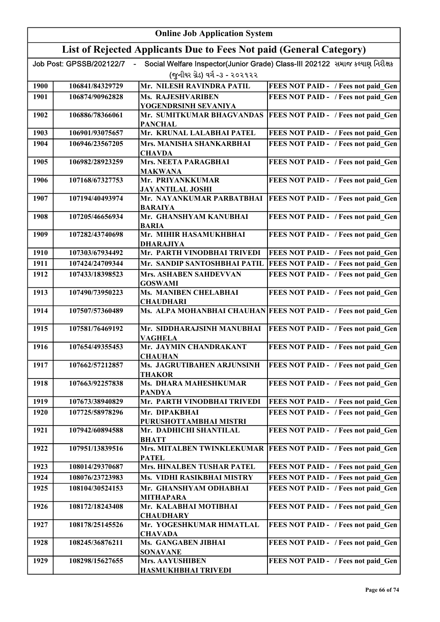|      | <b>Online Job Application System</b> |                                                                     |                                                                              |  |
|------|--------------------------------------|---------------------------------------------------------------------|------------------------------------------------------------------------------|--|
|      |                                      | List of Rejected Applicants Due to Fees Not paid (General Category) |                                                                              |  |
|      | Job Post: GPSSB/202122/7             |                                                                     | Social Welfare Inspector(Junior Grade) Class-III 202122 સમાજ કલ્યાણ નિરીક્ષક |  |
|      |                                      | (જુનીયર ગ્રેડ) વર્ગ -૩ - ૨૦૨૧૨૨                                     |                                                                              |  |
| 1900 | 106841/84329729                      | Mr. NILESH RAVINDRA PATIL                                           | FEES NOT PAID - / Fees not paid Gen                                          |  |
| 1901 | 106874/90962828                      | <b>Ms. RAJESHVARIBEN</b>                                            | FEES NOT PAID - / Fees not paid Gen                                          |  |
|      |                                      | YOGENDRSINH SEVANIYA                                                |                                                                              |  |
| 1902 | 106886/78366061                      | Mr. SUMITKUMAR BHAGVANDAS                                           | FEES NOT PAID - / Fees not paid Gen                                          |  |
|      |                                      | <b>PANCHAL</b>                                                      |                                                                              |  |
| 1903 | 106901/93075657                      | Mr. KRUNAL LALABHAI PATEL                                           | FEES NOT PAID - / Fees not paid Gen                                          |  |
| 1904 | 106946/23567205                      | Mrs. MANISHA SHANKARBHAI<br><b>CHAVDA</b>                           | FEES NOT PAID - / Fees not paid Gen                                          |  |
| 1905 | 106982/28923259                      | <b>Mrs. NEETA PARAGBHAI</b>                                         | FEES NOT PAID - / Fees not paid Gen                                          |  |
|      |                                      | <b>MAKWANA</b>                                                      |                                                                              |  |
| 1906 | 107168/67327753                      | Mr. PRIYANKKUMAR                                                    | FEES NOT PAID - / Fees not paid Gen                                          |  |
| 1907 | 107194/40493974                      | <b>JAYANTILAL JOSHI</b><br>Mr. NAYANKUMAR PARBATBHAI                | FEES NOT PAID - / Fees not paid Gen                                          |  |
|      |                                      | <b>BARAIYA</b>                                                      |                                                                              |  |
| 1908 | 107205/46656934                      | Mr. GHANSHYAM KANUBHAI<br><b>BARIA</b>                              | FEES NOT PAID - / Fees not paid_Gen                                          |  |
| 1909 | 107282/43740698                      | Mr. MIHIR HASAMUKHBHAI<br><b>DHARAJIYA</b>                          | FEES NOT PAID - / Fees not paid Gen                                          |  |
| 1910 | 107303/67934492                      | Mr. PARTH VINODBHAI TRIVEDI                                         | FEES NOT PAID - / Fees not paid_Gen                                          |  |
| 1911 | 107424/24709344                      | Mr. SANDIP SANTOSHBHAI PATIL                                        | FEES NOT PAID - / Fees not paid Gen                                          |  |
| 1912 | 107433/18398523                      | Mrs. ASHABEN SAHDEVVAN                                              | FEES NOT PAID - / Fees not paid Gen                                          |  |
|      |                                      | <b>GOSWAMI</b>                                                      |                                                                              |  |
| 1913 | 107490/73950223                      | Ms. MANIBEN CHELABHAI<br><b>CHAUDHARI</b>                           | FEES NOT PAID - / Fees not paid Gen                                          |  |
| 1914 | 107507/57360489                      |                                                                     | Ms. ALPA MOHANBHAI CHAUHAN FEES NOT PAID - / Fees not paid Gen               |  |
| 1915 | 107581/76469192                      | Mr. SIDDHARAJSINH MANUBHAI<br><b>VAGHELA</b>                        | FEES NOT PAID - / Fees not paid Gen                                          |  |
| 1916 | 107654/49355453                      | Mr. JAYMIN CHANDRAKANT                                              | FEES NOT PAID - / Fees not paid Gen                                          |  |
|      |                                      | <b>CHAUHAN</b>                                                      |                                                                              |  |
| 1917 | 107662/57212857                      | Ms. JAGRUTIBAHEN ARJUNSINH<br><b>THAKOR</b>                         | FEES NOT PAID - / Fees not paid Gen                                          |  |
| 1918 | 107663/92257838                      | Ms. DHARA MAHESHKUMAR                                               | FEES NOT PAID - / Fees not paid Gen                                          |  |
|      |                                      | <b>PANDYA</b>                                                       |                                                                              |  |
| 1919 | 107673/38940829                      | Mr. PARTH VINODBHAI TRIVEDI                                         | FEES NOT PAID - / Fees not paid Gen                                          |  |
| 1920 | 107725/58978296                      | Mr. DIPAKBHAI                                                       | FEES NOT PAID - / Fees not paid Gen                                          |  |
| 1921 | 107942/60894588                      | PURUSHOTTAMBHAI MISTRI<br>Mr. DADHICHI SHANTILAL                    | FEES NOT PAID - / Fees not paid Gen                                          |  |
|      |                                      | <b>BHATT</b>                                                        |                                                                              |  |
| 1922 | 107951/13839516                      | Mrs. MITALBEN TWINKLEKUMAR<br><b>PATEL</b>                          | FEES NOT PAID - / Fees not paid Gen                                          |  |
| 1923 | 108014/29370687                      | Mrs. HINALBEN TUSHAR PATEL                                          | FEES NOT PAID - / Fees not paid Gen                                          |  |
| 1924 | 108076/23723983                      | Ms. VIDHI RASIKBHAI MISTRY                                          | FEES NOT PAID - / Fees not paid Gen                                          |  |
| 1925 | 108104/30524153                      | Mr. GHANSHYAM ODHABHAI                                              | FEES NOT PAID - / Fees not paid Gen                                          |  |
|      |                                      | <b>MITHAPARA</b>                                                    |                                                                              |  |
| 1926 | 108172/18243408                      | Mr. KALABHAI MOTIBHAI<br><b>CHAUDHARY</b>                           | FEES NOT PAID - / Fees not paid Gen                                          |  |
| 1927 | 108178/25145526                      | Mr. YOGESHKUMAR HIMATLAL                                            | FEES NOT PAID - / Fees not paid Gen                                          |  |
|      |                                      | <b>CHAVADA</b>                                                      |                                                                              |  |
| 1928 | 108245/36876211                      | Ms. GANGABEN JIBHAI<br><b>SONAVANE</b>                              | FEES NOT PAID - / Fees not paid Gen                                          |  |
| 1929 | 108298/15627655                      | Mrs. AAYUSHIBEN                                                     | FEES NOT PAID - / Fees not paid Gen                                          |  |
|      |                                      | <b>HASMUKHBHAI TRIVEDI</b>                                          |                                                                              |  |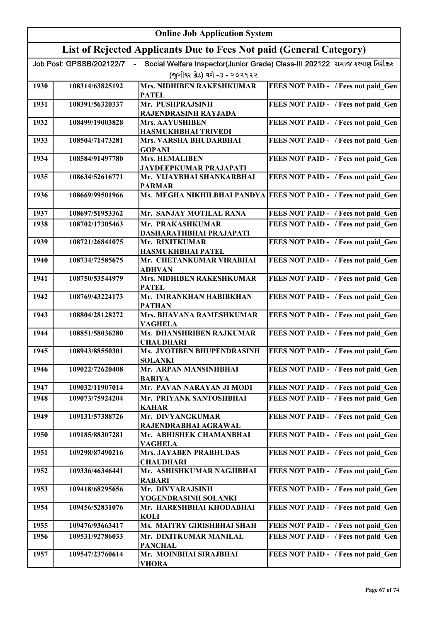| <b>Online Job Application System</b> |                          |                                                                     |                                                                              |
|--------------------------------------|--------------------------|---------------------------------------------------------------------|------------------------------------------------------------------------------|
|                                      |                          | List of Rejected Applicants Due to Fees Not paid (General Category) |                                                                              |
|                                      | Job Post: GPSSB/202122/7 |                                                                     | Social Welfare Inspector(Junior Grade) Class-III 202122 સમાજ કલ્યાણ નિરીક્ષક |
|                                      |                          | (જુનીયર ગ્રેડ) વર્ગ -૩ - ૨૦૨૧૨૨                                     |                                                                              |
| 1930                                 | 108314/63825192          | Mrs. NIDHIBEN RAKESHKUMAR<br><b>PATEL</b>                           | FEES NOT PAID - / Fees not paid Gen                                          |
| 1931                                 | 108391/56320337          | Mr. PUSHPRAJSINH                                                    | FEES NOT PAID - / Fees not paid Gen                                          |
|                                      |                          | RAJENDRASINH RAYJADA                                                |                                                                              |
| 1932                                 | 108499/19003828          | <b>Mrs. AAYUSHIBEN</b><br><b>HASMUKHBHAI TRIVEDI</b>                | FEES NOT PAID - / Fees not paid Gen                                          |
| 1933                                 | 108504/71473281          | Mrs. VARSHA BHUDARBHAI<br><b>GOPANI</b>                             | FEES NOT PAID - / Fees not paid Gen                                          |
| 1934                                 | 108584/91497780          | <b>Mrs. HEMALIBEN</b>                                               | FEES NOT PAID - / Fees not paid Gen                                          |
|                                      |                          | <b>JAYDEEPKUMAR PRAJAPATI</b>                                       |                                                                              |
| 1935                                 | 108634/52616771          | Mr. VIJAYBHAI SHANKARBHAI                                           | FEES NOT PAID - / Fees not paid Gen                                          |
| 1936                                 | 108669/99501966          | <b>PARMAR</b>                                                       | Ms. MEGHA NIKHILBHAI PANDYA FEES NOT PAID - / Fees not paid Gen              |
|                                      |                          |                                                                     |                                                                              |
| 1937                                 | 108697/51953362          | Mr. SANJAY MOTILAL RANA                                             | FEES NOT PAID - / Fees not paid Gen                                          |
| 1938                                 | 108702/17305463          | Mr. PRAKASHKUMAR<br>DASHARATHBHAI PRAJAPATI                         | FEES NOT PAID - / Fees not paid Gen                                          |
| 1939                                 | 108721/26841075          | Mr. RIXITKUMAR                                                      | FEES NOT PAID - / Fees not paid_Gen                                          |
|                                      |                          | <b>HASMUKHBHAI PATEL</b>                                            |                                                                              |
| 1940                                 | 108734/72585675          | Mr. CHETANKUMAR VIRABHAI<br><b>ADHVAN</b>                           | FEES NOT PAID - / Fees not paid_Gen                                          |
| 1941                                 | 108750/53544979          | Mrs. NIDHIBEN RAKESHKUMAR                                           | FEES NOT PAID - / Fees not paid_Gen                                          |
|                                      |                          | <b>PATEL</b>                                                        |                                                                              |
| 1942                                 | 108769/43224173          | Mr. IMRANKHAN HABIBKHAN<br><b>PATHAN</b>                            | FEES NOT PAID - / Fees not paid Gen                                          |
| 1943                                 | 108804/28128272          | Mrs. BHAVANA RAMESHKUMAR<br><b>VAGHELA</b>                          | FEES NOT PAID - / Fees not paid_Gen                                          |
| 1944                                 | 108851/58036280          | Ms. DHANSHRIBEN RAJKUMAR<br><b>CHAUDHARI</b>                        | FEES NOT PAID - / Fees not paid Gen                                          |
| 1945                                 | 108943/88550301          | Ms. JYOTIBEN BHUPENDRASINH<br><b>SOLANKI</b>                        | FEES NOT PAID - / Fees not paid Gen                                          |
| 1946                                 | 109022/72620408          | Mr. ARPAN MANSINHBHAI<br><b>BARIYA</b>                              | FEES NOT PAID - / Fees not paid Gen                                          |
| 1947                                 | 109032/11907014          | Mr. PAVAN NARAYAN JI MODI                                           | FEES NOT PAID - / Fees not paid Gen                                          |
| 1948                                 | 109073/75924204          | Mr. PRIYANK SANTOSHBHAI                                             | FEES NOT PAID - / Fees not paid Gen                                          |
| 1949                                 | 109131/57388726          | <b>KAHAR</b><br>Mr. DIVYANGKUMAR                                    | FEES NOT PAID - / Fees not paid Gen                                          |
|                                      |                          | RAJENDRABHAI AGRAWAL                                                |                                                                              |
| 1950                                 | 109185/88307281          | Mr. ABHISHEK CHAMANBHAI<br><b>VAGHELA</b>                           | FEES NOT PAID - / Fees not paid Gen                                          |
| 1951                                 | 109298/87490216          | <b>Mrs. JAYABEN PRABHUDAS</b><br><b>CHAUDHARI</b>                   | FEES NOT PAID - / Fees not paid Gen                                          |
| 1952                                 | 109336/46346441          | Mr. ASHISHKUMAR NAGJIBHAI                                           | FEES NOT PAID - / Fees not paid Gen                                          |
|                                      |                          | <b>RABARI</b>                                                       |                                                                              |
| 1953                                 | 109418/68295656          | Mr. DIVYARAJSINH<br>YOGENDRASINH SOLANKI                            | FEES NOT PAID - / Fees not paid Gen                                          |
| 1954                                 | 109456/52831076          | Mr. HARESHBHAI KHODABHAI<br><b>KOLI</b>                             | FEES NOT PAID - / Fees not paid Gen                                          |
| 1955                                 | 109476/93663417          | Ms. MAITRY GIRISHBHAI SHAH                                          | FEES NOT PAID - / Fees not paid Gen                                          |
| 1956                                 | 109531/92786033          | Mr. DIXITKUMAR MANILAL<br><b>PANCHAL</b>                            | FEES NOT PAID - / Fees not paid Gen                                          |
| 1957                                 | 109547/23760614          | Mr. MOINBHAI SIRAJBHAI                                              | FEES NOT PAID - / Fees not paid Gen                                          |
|                                      |                          | <b>VHORA</b>                                                        |                                                                              |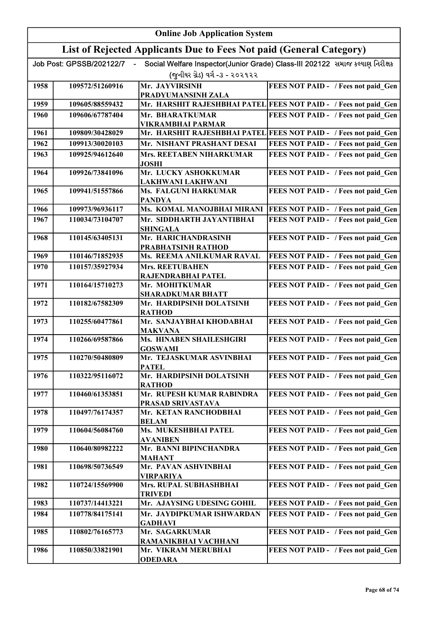|      | <b>Online Job Application System</b> |                                                                     |                                                                              |  |
|------|--------------------------------------|---------------------------------------------------------------------|------------------------------------------------------------------------------|--|
|      |                                      | List of Rejected Applicants Due to Fees Not paid (General Category) |                                                                              |  |
|      | Job Post: GPSSB/202122/7             |                                                                     | Social Welfare Inspector(Junior Grade) Class-III 202122 સમાજ કલ્યાણ નિરીક્ષક |  |
|      |                                      | (જુનીયર ગ્રેડ) વર્ગ -૩ - ૨૦૨૧૨૨                                     |                                                                              |  |
| 1958 | 109572/51260916                      | Mr. JAYVIRSINH                                                      | FEES NOT PAID - / Fees not paid_Gen                                          |  |
|      |                                      | PRADYUMANSINH ZALA                                                  |                                                                              |  |
| 1959 | 109605/88559432                      |                                                                     | Mr. HARSHIT RAJESHBHAI PATEL FEES NOT PAID - / Fees not paid Gen             |  |
| 1960 | 109606/67787404                      | Mr. BHARATKUMAR                                                     | FEES NOT PAID - / Fees not paid Gen                                          |  |
| 1961 | 109809/30428029                      | VIKRAMBHAI PARMAR                                                   | Mr. HARSHIT RAJESHBHAI PATEL FEES NOT PAID - / Fees not paid Gen             |  |
| 1962 | 109913/30020103                      | Mr. NISHANT PRASHANT DESAI                                          | FEES NOT PAID - / Fees not paid Gen                                          |  |
| 1963 | 109925/94612640                      | Mrs. REETABEN NIHARKUMAR                                            | FEES NOT PAID - / Fees not paid Gen                                          |  |
|      |                                      | <b>JOSHI</b>                                                        |                                                                              |  |
| 1964 | 109926/73841096                      | Mr. LUCKY ASHOKKUMAR                                                | FEES NOT PAID - / Fees not paid Gen                                          |  |
|      |                                      | <b>LAKHWANI LAKHWANI</b>                                            |                                                                              |  |
| 1965 | 109941/51557866                      | Ms. FALGUNI HARKUMAR<br><b>PANDYA</b>                               | FEES NOT PAID - / Fees not paid Gen                                          |  |
| 1966 | 109973/96936117                      | Ms. KOMAL MANOJBHAI MIRANI                                          | FEES NOT PAID - / Fees not paid_Gen                                          |  |
| 1967 | 110034/73104707                      | Mr. SIDDHARTH JAYANTIBHAI<br><b>SHINGALA</b>                        | FEES NOT PAID - / Fees not paid Gen                                          |  |
| 1968 | 110145/63405131                      | Mr. HARICHANDRASINH                                                 | FEES NOT PAID - / Fees not paid Gen                                          |  |
|      |                                      | PRABHATSINH RATHOD                                                  |                                                                              |  |
| 1969 | 110146/71852935                      | Ms. REEMA ANILKUMAR RAVAL                                           | FEES NOT PAID - / Fees not paid Gen                                          |  |
| 1970 | 110157/35927934                      | <b>Mrs. REETUBAHEN</b>                                              | FEES NOT PAID - / Fees not paid Gen                                          |  |
| 1971 | 110164/15710273                      | RAJENDRABHAI PATEL<br>Mr. MOHITKUMAR                                | FEES NOT PAID - / Fees not paid_Gen                                          |  |
|      |                                      | <b>SHARADKUMAR BHATT</b>                                            |                                                                              |  |
| 1972 | 110182/67582309                      | Mr. HARDIPSINH DOLATSINH<br><b>RATHOD</b>                           | FEES NOT PAID - / Fees not paid Gen                                          |  |
| 1973 | 110255/60477861                      | Mr. SANJAYBHAI KHODABHAI<br><b>MAKVANA</b>                          | FEES NOT PAID - / Fees not paid Gen                                          |  |
| 1974 | 110266/69587866                      | <b>Ms. HINABEN SHAILESHGIRI</b>                                     | FEES NOT PAID - / Fees not paid Gen                                          |  |
| 1975 | 110270/50480809                      | <b>GOSWAMI</b><br>Mr. TEJASKUMAR ASVINBHAI                          | FEES NOT PAID - / Fees not paid Gen                                          |  |
|      |                                      | <b>PATEL</b>                                                        |                                                                              |  |
| 1976 | 110322/95116072                      | Mr. HARDIPSINH DOLATSINH<br><b>RATHOD</b>                           | FEES NOT PAID - / Fees not paid Gen                                          |  |
| 1977 | 110460/61353851                      | Mr. RUPESH KUMAR RABINDRA                                           | FEES NOT PAID - / Fees not paid Gen                                          |  |
| 1978 | 110497/76174357                      | PRASAD SRIVASTAVA<br>Mr. KETAN RANCHODBHAI                          | FEES NOT PAID - / Fees not paid Gen                                          |  |
|      |                                      | <b>BELAM</b>                                                        |                                                                              |  |
| 1979 | 110604/56084760                      | Ms. MUKESHBHAI PATEL<br>AVANIBEN                                    | FEES NOT PAID - / Fees not paid Gen                                          |  |
| 1980 | 110640/80982222                      | Mr. BANNI BIPINCHANDRA                                              | FEES NOT PAID - / Fees not paid Gen                                          |  |
|      |                                      | <b>MAHANT</b>                                                       |                                                                              |  |
| 1981 | 110698/50736549                      | Mr. PAVAN ASHVINBHAI<br><b>VIRPARIYA</b>                            | FEES NOT PAID - / Fees not paid Gen                                          |  |
| 1982 | 110724/15569900                      | Mrs. RUPAL SUBHASHBHAI<br><b>TRIVEDI</b>                            | FEES NOT PAID - / Fees not paid Gen                                          |  |
| 1983 | 110737/14413221                      | Mr. AJAYSING UDESING GOHIL                                          | FEES NOT PAID - / Fees not paid Gen                                          |  |
| 1984 | 110778/84175141                      | Mr. JAYDIPKUMAR ISHWARDAN                                           | FEES NOT PAID - / Fees not paid Gen                                          |  |
|      |                                      | <b>GADHAVI</b>                                                      |                                                                              |  |
| 1985 | 110802/76165773                      | Mr. SAGARKUMAR                                                      | FEES NOT PAID - / Fees not paid Gen                                          |  |
| 1986 |                                      | RAMANIKBHAI VACHHANI                                                |                                                                              |  |
|      | 110850/33821901                      | Mr. VIKRAM MERUBHAI<br><b>ODEDARA</b>                               | FEES NOT PAID - / Fees not paid Gen                                          |  |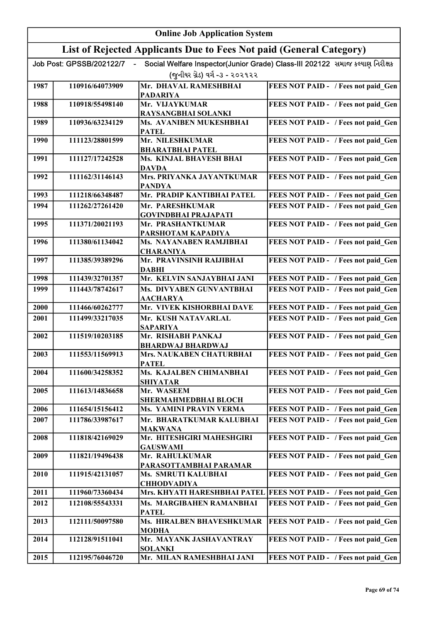|      | <b>Online Job Application System</b> |                                                                     |                                                                              |  |
|------|--------------------------------------|---------------------------------------------------------------------|------------------------------------------------------------------------------|--|
|      |                                      | List of Rejected Applicants Due to Fees Not paid (General Category) |                                                                              |  |
|      | Job Post: GPSSB/202122/7             |                                                                     | Social Welfare Inspector(Junior Grade) Class-III 202122 સમાજ કલ્યાણ નિરીક્ષક |  |
|      |                                      | (જુનીયર ગ્રેડ) વર્ગ -૩ - ૨૦૨૧૨૨                                     |                                                                              |  |
| 1987 | 110916/64073909                      | Mr. DHAVAL RAMESHBHAI<br><b>PADARIYA</b>                            | FEES NOT PAID - / Fees not paid Gen                                          |  |
| 1988 | 110918/55498140                      | Mr. VIJAYKUMAR                                                      | FEES NOT PAID - / Fees not paid Gen                                          |  |
|      |                                      | RAYSANGBHAI SOLANKI                                                 |                                                                              |  |
| 1989 | 110936/63234129                      | Ms. AVANIBEN MUKESHBHAI<br><b>PATEL</b>                             | FEES NOT PAID - / Fees not paid Gen                                          |  |
| 1990 | 111123/28801599                      | Mr. NILESHKUMAR<br><b>BHARATBHAI PATEL</b>                          | FEES NOT PAID - / Fees not paid Gen                                          |  |
| 1991 | 111127/17242528                      | Ms. KINJAL BHAVESH BHAI                                             | FEES NOT PAID - / Fees not paid Gen                                          |  |
|      |                                      | <b>DAVDA</b>                                                        |                                                                              |  |
| 1992 | 111162/31146143                      | Mrs. PRIYANKA JAYANTKUMAR<br><b>PANDYA</b>                          | FEES NOT PAID - / Fees not paid Gen                                          |  |
| 1993 | 111218/66348487                      | Mr. PRADIP KANTIBHAI PATEL                                          | FEES NOT PAID - / Fees not paid Gen                                          |  |
| 1994 | 111262/27261420                      | Mr. PARESHKUMAR                                                     | FEES NOT PAID - / Fees not paid Gen                                          |  |
|      |                                      | <b>GOVINDBHAI PRAJAPATI</b>                                         |                                                                              |  |
| 1995 | 111371/20021193                      | Mr. PRASHANTKUMAR<br>PARSHOTAM KAPADIYA                             | FEES NOT PAID - / Fees not paid_Gen                                          |  |
| 1996 | 111380/61134042                      | Ms. NAYANABEN RAMJIBHAI<br><b>CHARANIYA</b>                         | FEES NOT PAID - / Fees not paid_Gen                                          |  |
| 1997 | 111385/39389296                      | Mr. PRAVINSINH RAIJIBHAI<br><b>DABHI</b>                            | FEES NOT PAID - / Fees not paid_Gen                                          |  |
| 1998 | 111439/32701357                      | Mr. KELVIN SANJAYBHAI JANI                                          | FEES NOT PAID - / Fees not paid Gen                                          |  |
| 1999 | 111443/78742617                      | Ms. DIVYABEN GUNVANTBHAI                                            | FEES NOT PAID - / Fees not paid Gen                                          |  |
|      |                                      | <b>AACHARYA</b>                                                     |                                                                              |  |
| 2000 | 111466/60262777                      | Mr. VIVEK KISHORBHAI DAVE                                           | FEES NOT PAID - / Fees not paid Gen                                          |  |
| 2001 | 111499/33217035                      | Mr. KUSH NATAVARLAL<br><b>SAPARIYA</b>                              | FEES NOT PAID - / Fees not paid Gen                                          |  |
| 2002 | 111519/10203185                      | Mr. RISHABH PANKAJ                                                  | FEES NOT PAID - / Fees not paid Gen                                          |  |
|      |                                      | <b>BHARDWAJ BHARDWAJ</b>                                            |                                                                              |  |
| 2003 | 111553/11569913                      | <b>Mrs. NAUKABEN CHATURBHAI</b><br><b>PATEL</b>                     | <b>FEES NOT PAID - / Fees not paid_Gen  </b>                                 |  |
| 2004 | 111600/34258352                      | Ms. KAJALBEN CHIMANBHAI<br><b>SHIYATAR</b>                          | FEES NOT PAID - / Fees not paid Gen                                          |  |
| 2005 | 111613/14836658                      | Mr. WASEEM                                                          | FEES NOT PAID - / Fees not paid Gen                                          |  |
|      |                                      | SHERMAHMEDBHAI BLOCH                                                |                                                                              |  |
| 2006 | 111654/15156412                      | Ms. YAMINI PRAVIN VERMA                                             | FEES NOT PAID - / Fees not paid Gen                                          |  |
| 2007 | 111786/33987617                      | Mr. BHARATKUMAR KALUBHAI<br><b>MAKWANA</b>                          | FEES NOT PAID - / Fees not paid Gen                                          |  |
| 2008 | 111818/42169029                      | Mr. HITESHGIRI MAHESHGIRI                                           | FEES NOT PAID - / Fees not paid Gen                                          |  |
| 2009 | 111821/19496438                      | <b>GAUSWAMI</b><br>Mr. RAHULKUMAR                                   | FEES NOT PAID - / Fees not paid Gen                                          |  |
|      |                                      | PARASOTTAMBHAI PARAMAR                                              |                                                                              |  |
| 2010 | 111915/42131057                      | Ms. SMRUTI KALUBHAI<br><b>CHHODVADIYA</b>                           | FEES NOT PAID - / Fees not paid Gen                                          |  |
| 2011 | 111960/73360434                      |                                                                     | Mrs. KHYATI HARESHBHAI PATEL   FEES NOT PAID - / Fees not paid_Gen           |  |
| 2012 | 112108/55543331                      | Ms. MARGIBAHEN RAMANBHAI<br><b>PATEL</b>                            | FEES NOT PAID - / Fees not paid Gen                                          |  |
| 2013 | 112111/50097580                      | Ms. HIRALBEN BHAVESHKUMAR                                           | FEES NOT PAID - / Fees not paid Gen                                          |  |
| 2014 | 112128/91511041                      | <b>MODHA</b><br>Mr. MAYANK JASHAVANTRAY                             | FEES NOT PAID - / Fees not paid_Gen                                          |  |
|      |                                      | <b>SOLANKI</b>                                                      |                                                                              |  |
| 2015 | 112195/76046720                      | Mr. MILAN RAMESHBHAI JANI                                           | FEES NOT PAID - / Fees not paid Gen                                          |  |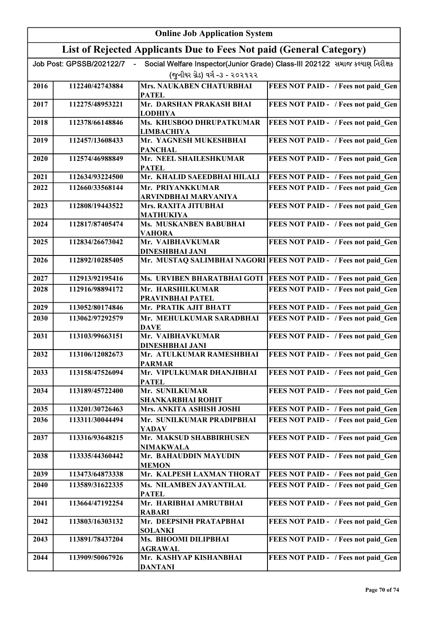|      | <b>Online Job Application System</b> |                                                                     |                                                                              |  |
|------|--------------------------------------|---------------------------------------------------------------------|------------------------------------------------------------------------------|--|
|      |                                      | List of Rejected Applicants Due to Fees Not paid (General Category) |                                                                              |  |
|      | Job Post: GPSSB/202122/7             |                                                                     | Social Welfare Inspector(Junior Grade) Class-III 202122 સમાજ કલ્યાણ નિરીક્ષક |  |
|      |                                      | (જુનીયર ગ્રેડ) વર્ગ -૩ - ૨૦૨૧૨૨                                     |                                                                              |  |
| 2016 | 112240/42743884                      | Mrs. NAUKABEN CHATURBHAI                                            | FEES NOT PAID - / Fees not paid Gen                                          |  |
|      |                                      | <b>PATEL</b>                                                        |                                                                              |  |
| 2017 | 112275/48953221                      | Mr. DARSHAN PRAKASH BHAI<br><b>LODHIYA</b>                          | FEES NOT PAID - / Fees not paid_Gen                                          |  |
| 2018 | 112378/66148846                      | Ms. KHUSBOO DHRUPATKUMAR                                            | FEES NOT PAID - / Fees not paid Gen                                          |  |
|      |                                      | <b>LIMBACHIYA</b>                                                   |                                                                              |  |
| 2019 | 112457/13608433                      | Mr. YAGNESH MUKESHBHAI<br><b>PANCHAL</b>                            | FEES NOT PAID - / Fees not paid Gen                                          |  |
| 2020 | 112574/46988849                      | Mr. NEEL SHAILESHKUMAR                                              | FEES NOT PAID - / Fees not paid Gen                                          |  |
|      |                                      | <b>PATEL</b>                                                        |                                                                              |  |
| 2021 | 112634/93224500                      | Mr. KHALID SAEEDBHAI HILALI                                         | FEES NOT PAID - / Fees not paid Gen                                          |  |
| 2022 | 112660/33568144                      | Mr. PRIYANKKUMAR<br>ARVINDBHAI MARVANIYA                            | FEES NOT PAID - / Fees not paid Gen                                          |  |
| 2023 | 112808/19443522                      | Mrs. RAXITA JITUBHAI                                                | FEES NOT PAID - / Fees not paid Gen                                          |  |
|      |                                      | <b>MATHUKIYA</b>                                                    |                                                                              |  |
| 2024 | 112817/87405474                      | Ms. MUSKANBEN BABUBHAI<br><b>VAHORA</b>                             | FEES NOT PAID - / Fees not paid Gen                                          |  |
| 2025 | 112834/26673042                      | Mr. VAIBHAVKUMAR                                                    | FEES NOT PAID - / Fees not paid Gen                                          |  |
|      |                                      | DINESHBHAI JANI                                                     |                                                                              |  |
| 2026 | 112892/10285405                      |                                                                     | Mr. MUSTAQ SALIMBHAI NAGORI FEES NOT PAID - / Fees not paid Gen              |  |
| 2027 | 112913/92195416                      |                                                                     | Ms. URVIBEN BHARATBHAI GOTI  FEES NOT PAID - / Fees not paid Gen             |  |
| 2028 | 112916/98894172                      | Mr. HARSHILKUMAR<br>PRAVINBHAI PATEL                                | FEES NOT PAID - / Fees not paid Gen                                          |  |
| 2029 | 113052/80174846                      | Mr. PRATIK AJIT BHATT                                               | FEES NOT PAID - / Fees not paid Gen                                          |  |
| 2030 | 113062/97292579                      | Mr. MEHULKUMAR SARADBHAI                                            | FEES NOT PAID - / Fees not paid Gen                                          |  |
|      |                                      | <b>DAVE</b>                                                         |                                                                              |  |
| 2031 | 113103/99663151                      | Mr. VAIBHAVKUMAR<br><b>DINESHBHAI JANI</b>                          | FEES NOT PAID - / Fees not paid Gen                                          |  |
| 2032 | 113106/12082673                      | Mr. ATULKUMAR RAMESHBHAI<br><b>PARMAR</b>                           | FEES NOT PAID - / Fees not paid Gen                                          |  |
| 2033 | 113158/47526094                      | Mr. VIPULKUMAR DHANJIBHAI<br><b>PATEL</b>                           | FEES NOT PAID - / Fees not paid Gen                                          |  |
| 2034 | 113189/45722400                      | Mr. SUNILKUMAR                                                      | FEES NOT PAID - / Fees not paid Gen                                          |  |
|      |                                      | <b>SHANKARBHAI ROHIT</b>                                            |                                                                              |  |
| 2035 | 113201/30726463                      | Mrs. ANKITA ASHISH JOSHI                                            | FEES NOT PAID - / Fees not paid Gen                                          |  |
| 2036 | 113311/30044494                      | Mr. SUNILKUMAR PRADIPBHAI<br><b>YADAV</b>                           | FEES NOT PAID - / Fees not paid Gen                                          |  |
| 2037 | 113316/93648215                      | Mr. MAKSUD SHABBIRHUSEN                                             | FEES NOT PAID - / Fees not paid Gen                                          |  |
| 2038 | 113335/44360442                      | <b>NIMAKWALA</b><br>Mr. BAHAUDDIN MAYUDIN                           | FEES NOT PAID - / Fees not paid Gen                                          |  |
|      |                                      | <b>MEMON</b>                                                        |                                                                              |  |
| 2039 | 113473/64873338                      | Mr. KALPESH LAXMAN THORAT                                           | FEES NOT PAID - / Fees not paid Gen                                          |  |
| 2040 | 113589/31622335                      | Ms. NILAMBEN JAYANTILAL<br><b>PATEL</b>                             | FEES NOT PAID - / Fees not paid Gen                                          |  |
| 2041 | 113664/47192254                      | Mr. HARIBHAI AMRUTBHAI                                              | FEES NOT PAID - / Fees not paid Gen                                          |  |
| 2042 | 113803/16303132                      | <b>RABARI</b><br>Mr. DEEPSINH PRATAPBHAI                            | FEES NOT PAID - / Fees not paid Gen                                          |  |
|      |                                      | <b>SOLANKI</b>                                                      |                                                                              |  |
| 2043 | 113891/78437204                      | Ms. BHOOMI DILIPBHAI                                                | FEES NOT PAID - / Fees not paid Gen                                          |  |
| 2044 | 113909/50067926                      | <b>AGRAWAL</b><br>Mr. KASHYAP KISHANBHAI                            | FEES NOT PAID - / Fees not paid_Gen                                          |  |
|      |                                      | <b>DANTANI</b>                                                      |                                                                              |  |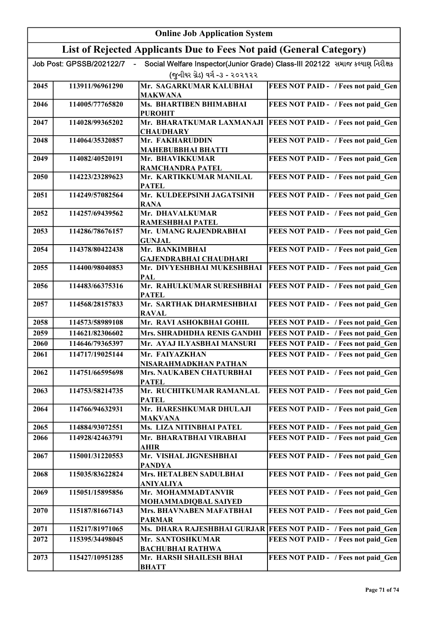|      | <b>Online Job Application System</b> |                                                                     |                                                                              |  |
|------|--------------------------------------|---------------------------------------------------------------------|------------------------------------------------------------------------------|--|
|      |                                      | List of Rejected Applicants Due to Fees Not paid (General Category) |                                                                              |  |
|      | Job Post: GPSSB/202122/7             |                                                                     | Social Welfare Inspector(Junior Grade) Class-III 202122 સમાજ કલ્યાણ નિરીક્ષક |  |
|      |                                      | (જુનીયર ગ્રેડ) વર્ગ -૩ - ૨૦૨૧૨૨                                     |                                                                              |  |
| 2045 | 113911/96961290                      | Mr. SAGARKUMAR KALUBHAI<br><b>MAKWANA</b>                           | FEES NOT PAID - / Fees not paid Gen                                          |  |
| 2046 | 114005/77765820                      | Ms. BHARTIBEN BHIMABHAI<br><b>PUROHIT</b>                           | FEES NOT PAID - / Fees not paid_Gen                                          |  |
| 2047 | 114028/99365202                      | <b>CHAUDHARY</b>                                                    | Mr. BHARATKUMAR LAXMANAJI   FEES NOT PAID - / Fees not paid Gen              |  |
| 2048 | 114064/35320857                      | Mr. FAKHARUDDIN<br><b>MAHEBUBBHAI BHATTI</b>                        | FEES NOT PAID - / Fees not paid Gen                                          |  |
| 2049 | 114082/40520191                      | Mr. BHAVIKKUMAR<br>RAMCHANDRA PATEL                                 | FEES NOT PAID - / Fees not paid Gen                                          |  |
| 2050 | 114223/23289623                      | Mr. KARTIKKUMAR MANILAL                                             | FEES NOT PAID - / Fees not paid Gen                                          |  |
| 2051 | 114249/57082564                      | <b>PATEL</b><br>Mr. KULDEEPSINH JAGATSINH                           | FEES NOT PAID - / Fees not paid Gen                                          |  |
| 2052 | 114257/69439562                      | <b>RANA</b><br>Mr. DHAVALKUMAR                                      | FEES NOT PAID - / Fees not paid Gen                                          |  |
| 2053 | 114286/78676157                      | <b>RAMESHBHAI PATEL</b><br>Mr. UMANG RAJENDRABHAI                   | FEES NOT PAID - / Fees not paid Gen                                          |  |
| 2054 | 114378/80422438                      | <b>GUNJAL</b><br>Mr. BANKIMBHAI                                     | FEES NOT PAID - / Fees not paid Gen                                          |  |
| 2055 | 114400/98040853                      | <b>GAJENDRABHAI CHAUDHARI</b><br>Mr. DIVYESHBHAI MUKESHBHAI         | FEES NOT PAID - / Fees not paid Gen                                          |  |
| 2056 | 114483/66375316                      | <b>PAL</b><br>Mr. RAHULKUMAR SURESHBHAI                             | FEES NOT PAID - / Fees not paid Gen                                          |  |
| 2057 | 114568/28157833                      | <b>PATEL</b><br>Mr. SARTHAK DHARMESHBHAI<br><b>RAVAL</b>            | FEES NOT PAID - / Fees not paid Gen                                          |  |
| 2058 | 114573/58989108                      | Mr. RAVI ASHOKBHAI GOHIL                                            | FEES NOT PAID - / Fees not paid Gen                                          |  |
| 2059 | 114621/82306602                      | Mrs. SHRADHDHA RENIS GANDHI                                         | FEES NOT PAID - / Fees not paid Gen                                          |  |
| 2060 | 114646/79365397                      | Mr. AYAJ ILYASBHAI MANSURI                                          | FEES NOT PAID - / Fees not paid Gen                                          |  |
| 2061 | 114717/19025144                      | Mr. FAIYAZKHAN<br>NISARAHMADKHAN PATHAN                             | FEES NOT PAID - / Fees not paid_Gen                                          |  |
| 2062 | 114751/66595698                      | Mrs. NAUKABEN CHATURBHAI<br><b>PATEL</b>                            | FEES NOT PAID - / Fees not paid Gen                                          |  |
| 2063 | 114753/58214735                      | Mr. RUCHITKUMAR RAMANLAL<br><b>PATEL</b>                            | FEES NOT PAID - / Fees not paid Gen                                          |  |
| 2064 | 114766/94632931                      | Mr. HARESHKUMAR DHULAJI<br><b>MAKVANA</b>                           | FEES NOT PAID - / Fees not paid_Gen                                          |  |
| 2065 | 114884/93072551                      | Ms. LIZA NITINBHAI PATEL                                            | FEES NOT PAID - / Fees not paid Gen                                          |  |
| 2066 | 114928/42463791                      | Mr. BHARATBHAI VIRABHAI<br><b>AHIR</b>                              | FEES NOT PAID - / Fees not paid Gen                                          |  |
| 2067 | 115001/31220553                      | Mr. VISHAL JIGNESHBHAI<br><b>PANDYA</b>                             | FEES NOT PAID - / Fees not paid Gen                                          |  |
| 2068 | 115035/83622824                      | Mrs. HETALBEN SADULBHAI<br><b>ANIYALIYA</b>                         | FEES NOT PAID - / Fees not paid Gen                                          |  |
| 2069 | 115051/15895856                      | Mr. MOHAMMADTANVIR<br>MOHAMMADIQBAL SAIYED                          | FEES NOT PAID - / Fees not paid Gen                                          |  |
| 2070 | 115187/81667143                      | Mrs. BHAVNABEN MAFATBHAI<br><b>PARMAR</b>                           | FEES NOT PAID - / Fees not paid Gen                                          |  |
| 2071 | 115217/81971065                      |                                                                     | Ms. DHARA RAJESHBHAI GURJAR FEES NOT PAID - / Fees not paid_Gen              |  |
| 2072 | 115395/34498045                      | Mr. SANTOSHKUMAR                                                    | FEES NOT PAID - / Fees not paid_Gen                                          |  |
| 2073 | 115427/10951285                      | <b>BACHUBHAI RATHWA</b><br>Mr. HARSH SHAILESH BHAI<br><b>BHATT</b>  | FEES NOT PAID - / Fees not paid Gen                                          |  |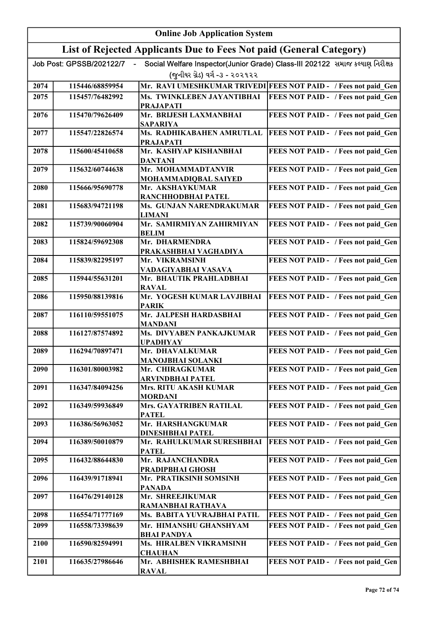|      | <b>Online Job Application System</b> |                                                                     |                                                                              |  |
|------|--------------------------------------|---------------------------------------------------------------------|------------------------------------------------------------------------------|--|
|      |                                      | List of Rejected Applicants Due to Fees Not paid (General Category) |                                                                              |  |
|      | Job Post: GPSSB/202122/7             |                                                                     | Social Welfare Inspector(Junior Grade) Class-III 202122 સમાજ કલ્યાણ નિરીક્ષક |  |
|      |                                      | (જુનીયર ગ્રેડ) વર્ગ -૩ - ૨૦૨૧૨૨                                     |                                                                              |  |
| 2074 | 115446/68859954                      |                                                                     | Mr. RAVI UMESHKUMAR TRIVEDI FEES NOT PAID - / Fees not paid Gen              |  |
| 2075 | 115457/76482992                      | Ms. TWINKLEBEN JAYANTIBHAI                                          | FEES NOT PAID - / Fees not paid Gen                                          |  |
| 2076 | 115470/79626409                      | <b>PRAJAPATI</b><br>Mr. BRIJESH LAXMANBHAI                          | FEES NOT PAID - / Fees not paid Gen                                          |  |
|      |                                      | <b>SAPARIYA</b>                                                     |                                                                              |  |
| 2077 | 115547/22826574                      | Ms. RADHIKABAHEN AMRUTLAL<br><b>PRAJAPATI</b>                       | FEES NOT PAID - / Fees not paid Gen                                          |  |
| 2078 | 115600/45410658                      | Mr. KASHYAP KISHANBHAI<br><b>DANTANI</b>                            | FEES NOT PAID - / Fees not paid Gen                                          |  |
| 2079 | 115632/60744638                      | Mr. MOHAMMADTANVIR<br>MOHAMMADIQBAL SAIYED                          | FEES NOT PAID - / Fees not paid_Gen                                          |  |
| 2080 | 115666/95690778                      | Mr. AKSHAYKUMAR<br>RANCHHODBHAI PATEL                               | FEES NOT PAID - / Fees not paid_Gen                                          |  |
| 2081 | 115683/94721198                      | Ms. GUNJAN NARENDRAKUMAR<br><b>LIMANI</b>                           | FEES NOT PAID - / Fees not paid Gen                                          |  |
| 2082 | 115739/90060904                      | Mr. SAMIRMIYAN ZAHIRMIYAN<br><b>BELIM</b>                           | FEES NOT PAID - / Fees not paid Gen                                          |  |
| 2083 | 115824/59692308                      | Mr. DHARMENDRA                                                      | FEES NOT PAID - / Fees not paid_Gen                                          |  |
|      |                                      | PRAKASHBHAI VAGHADIYA                                               |                                                                              |  |
| 2084 | 115839/82295197                      | Mr. VIKRAMSINH<br>VADAGIYABHAI VASAVA                               | FEES NOT PAID - / Fees not paid_Gen                                          |  |
| 2085 | 115944/55631201                      | Mr. BHAUTIK PRAHLADBHAI<br><b>RAVAL</b>                             | FEES NOT PAID - / Fees not paid_Gen                                          |  |
| 2086 | 115950/88139816                      | Mr. YOGESH KUMAR LAVJIBHAI<br><b>PARIK</b>                          | FEES NOT PAID - / Fees not paid_Gen                                          |  |
| 2087 | 116110/59551075                      | Mr. JALPESH HARDASBHAI<br><b>MANDANI</b>                            | FEES NOT PAID - / Fees not paid Gen                                          |  |
| 2088 | 116127/87574892                      | Ms. DIVYABEN PANKAJKUMAR<br><b>UPADHYAY</b>                         | FEES NOT PAID - / Fees not paid Gen                                          |  |
| 2089 | 116294/70897471                      | Mr. DHAVALKUMAR<br><b>MANOJBHAI SOLANKI</b>                         | FEES NOT PAID - / Fees not paid Gen                                          |  |
| 2090 | 116301/80003982                      | Mr. CHIRAGKUMAR                                                     | FEES NOT PAID - / Fees not paid Gen                                          |  |
| 2091 | 116347/84094256                      | <b>ARVINDBHAI PATEL</b><br>Mrs. RITU AKASH KUMAR                    | FEES NOT PAID - / Fees not paid Gen                                          |  |
|      |                                      | <b>MORDANI</b>                                                      |                                                                              |  |
| 2092 | 116349/59936849                      | Mrs. GAYATRIBEN RATILAL<br><b>PATEL</b>                             | FEES NOT PAID - / Fees not paid Gen                                          |  |
| 2093 | 116386/56963052                      | Mr. HARSHANGKUMAR<br><b>DINESHBHAI PATEL</b>                        | FEES NOT PAID - / Fees not paid Gen                                          |  |
| 2094 | 116389/50010879                      | Mr. RAHULKUMAR SURESHBHAI<br><b>PATEL</b>                           | FEES NOT PAID - / Fees not paid Gen                                          |  |
| 2095 | 116432/88644830                      | Mr. RAJANCHANDRA<br>PRADIPBHAI GHOSH                                | FEES NOT PAID - / Fees not paid Gen                                          |  |
| 2096 | 116439/91718941                      | Mr. PRATIKSINH SOMSINH                                              | FEES NOT PAID - / Fees not paid Gen                                          |  |
| 2097 | 116476/29140128                      | <b>PANADA</b><br>Mr. SHREEJIKUMAR                                   | FEES NOT PAID - / Fees not paid Gen                                          |  |
| 2098 | 116554/71777169                      | <b>RAMANBHAI RATHAVA</b><br>Ms. BABITA YUVRAJBHAI PATIL             | FEES NOT PAID - / Fees not paid Gen                                          |  |
| 2099 | 116558/73398639                      | Mr. HIMANSHU GHANSHYAM                                              | FEES NOT PAID - / Fees not paid Gen                                          |  |
|      |                                      | <b>BHAI PANDYA</b>                                                  |                                                                              |  |
| 2100 | 116590/82594991                      | Ms. HIRALBEN VIKRAMSINH<br><b>CHAUHAN</b>                           | FEES NOT PAID - / Fees not paid Gen                                          |  |
| 2101 | 116635/27986646                      | Mr. ABHISHEK RAMESHBHAI<br><b>RAVAL</b>                             | FEES NOT PAID - / Fees not paid Gen                                          |  |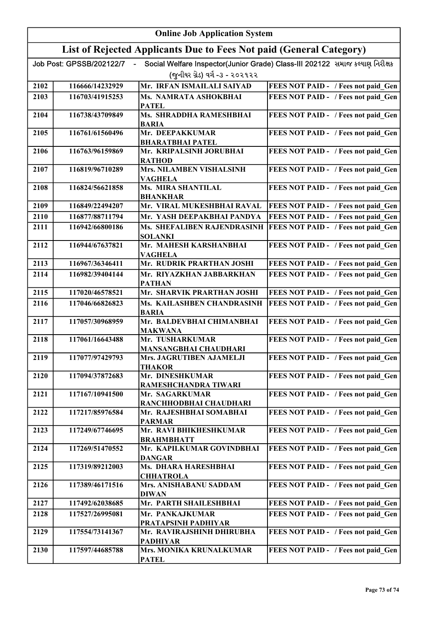|                                                                     | <b>Online Job Application System</b> |                                                                    |                                                                              |  |  |
|---------------------------------------------------------------------|--------------------------------------|--------------------------------------------------------------------|------------------------------------------------------------------------------|--|--|
| List of Rejected Applicants Due to Fees Not paid (General Category) |                                      |                                                                    |                                                                              |  |  |
|                                                                     | Job Post: GPSSB/202122/7             |                                                                    | Social Welfare Inspector(Junior Grade) Class-III 202122 સમાજ કલ્યાણ નિરીક્ષક |  |  |
|                                                                     |                                      | (જુનીયર ગ્રેડ) વર્ગ -૩ - ૨૦૨૧૨૨                                    |                                                                              |  |  |
| 2102                                                                | 116666/14232929                      | Mr. IRFAN ISMAILALI SAIYAD                                         | FEES NOT PAID - / Fees not paid Gen                                          |  |  |
| 2103                                                                | 116703/41915253                      | Ms. NAMRATA ASHOKBHAI<br><b>PATEL</b>                              | FEES NOT PAID - / Fees not paid Gen                                          |  |  |
| 2104                                                                | 116738/43709849                      | Ms. SHRADDHA RAMESHBHAI                                            | FEES NOT PAID - / Fees not paid Gen                                          |  |  |
| 2105                                                                | 116761/61560496                      | <b>BARIA</b><br>Mr. DEEPAKKUMAR                                    | FEES NOT PAID - / Fees not paid Gen                                          |  |  |
|                                                                     |                                      | <b>BHARATBHAI PATEL</b>                                            |                                                                              |  |  |
| 2106                                                                | 116763/96159869                      | Mr. KRIPALSINH JORUBHAI<br><b>RATHOD</b>                           | FEES NOT PAID - / Fees not paid Gen                                          |  |  |
| 2107                                                                | 116819/96710289                      | Mrs. NILAMBEN VISHALSINH<br><b>VAGHELA</b>                         | FEES NOT PAID - / Fees not paid_Gen                                          |  |  |
| 2108                                                                | 116824/56621858                      | <b>Ms. MIRA SHANTILAL</b><br><b>BHANKHAR</b>                       | FEES NOT PAID - / Fees not paid Gen                                          |  |  |
| 2109                                                                | 116849/22494207                      | Mr. VIRAL MUKESHBHAI RAVAL                                         | FEES NOT PAID - / Fees not paid Gen                                          |  |  |
| 2110                                                                | 116877/88711794                      | Mr. YASH DEEPAKBHAI PANDYA                                         | FEES NOT PAID - / Fees not paid Gen                                          |  |  |
| 2111                                                                | 116942/66800186                      | Ms. SHEFALIBEN RAJENDRASINH<br><b>SOLANKI</b>                      | FEES NOT PAID - / Fees not paid Gen                                          |  |  |
| 2112                                                                | 116944/67637821                      | Mr. MAHESH KARSHANBHAI<br><b>VAGHELA</b>                           | FEES NOT PAID - / Fees not paid Gen                                          |  |  |
| 2113                                                                | 116967/36346411                      | Mr. RUDRIK PRARTHAN JOSHI                                          | FEES NOT PAID - / Fees not paid Gen                                          |  |  |
| 2114                                                                | 116982/39404144                      | Mr. RIYAZKHAN JABBARKHAN<br><b>PATHAN</b>                          | FEES NOT PAID - / Fees not paid Gen                                          |  |  |
| 2115                                                                | 117020/46578521                      | Mr. SHARVIK PRARTHAN JOSHI                                         | FEES NOT PAID - / Fees not paid Gen                                          |  |  |
| 2116                                                                | 117046/66826823                      | Ms. KAILASHBEN CHANDRASINH<br><b>BARIA</b>                         | FEES NOT PAID - / Fees not paid Gen                                          |  |  |
| 2117                                                                | 117057/30968959                      | Mr. BALDEVBHAI CHIMANBHAI                                          | FEES NOT PAID - / Fees not paid Gen                                          |  |  |
| 2118                                                                | 117061/16643488                      | <b>MAKWANA</b><br>Mr. TUSHARKUMAR                                  | FEES NOT PAID - / Fees not paid_Gen                                          |  |  |
| 2119                                                                |                                      | <b>MANSANGBHAI CHAUDHARI</b>                                       |                                                                              |  |  |
|                                                                     | 117077/97429793                      | Mrs. JAGRUTIBEN AJAMELJI<br>THAKOR                                 | FEES NOT PAID - / Fees not paid Gen                                          |  |  |
| 2120                                                                | 117094/37872683                      | Mr. DINESHKUMAR<br>RAMESHCHANDRA TIWARI                            | FEES NOT PAID - / Fees not paid Gen                                          |  |  |
| 2121                                                                | 117167/10941500                      | Mr. SAGARKUMAR                                                     | FEES NOT PAID - / Fees not paid Gen                                          |  |  |
| 2122                                                                | 117217/85976584                      | RANCHHODBHAI CHAUDHARI<br>Mr. RAJESHBHAI SOMABHAI<br><b>PARMAR</b> | FEES NOT PAID - / Fees not paid Gen                                          |  |  |
| 2123                                                                | 117249/67746695                      | Mr. RAVI BHIKHESHKUMAR                                             | FEES NOT PAID - / Fees not paid Gen                                          |  |  |
| 2124                                                                | 117269/51470552                      | <b>BRAHMBHATT</b><br>Mr. KAPILKUMAR GOVINDBHAI                     | FEES NOT PAID - / Fees not paid Gen                                          |  |  |
| 2125                                                                | 117319/89212003                      | <b>DANGAR</b><br>Ms. DHARA HARESHBHAI                              | FEES NOT PAID - / Fees not paid Gen                                          |  |  |
| 2126                                                                | 117389/46171516                      | <b>CHHATROLA</b><br>Mrs. ANISHABANU SADDAM                         | FEES NOT PAID - / Fees not paid Gen                                          |  |  |
|                                                                     |                                      | <b>DIWAN</b>                                                       |                                                                              |  |  |
| 2127                                                                | 117492/62038685                      | Mr. PARTH SHAILESHBHAI                                             | FEES NOT PAID - / Fees not paid Gen                                          |  |  |
| 2128                                                                | 117527/26995081                      | Mr. PANKAJKUMAR<br>PRATAPSINH PADHIYAR                             | FEES NOT PAID - / Fees not paid Gen                                          |  |  |
| 2129                                                                | 117554/73141367                      | Mr. RAVIRAJSHINH DHIRUBHA<br><b>PADHIYAR</b>                       | FEES NOT PAID - / Fees not paid Gen                                          |  |  |
| 2130                                                                | 117597/44685788                      | Mrs. MONIKA KRUNALKUMAR<br><b>PATEL</b>                            | FEES NOT PAID - / Fees not paid Gen                                          |  |  |